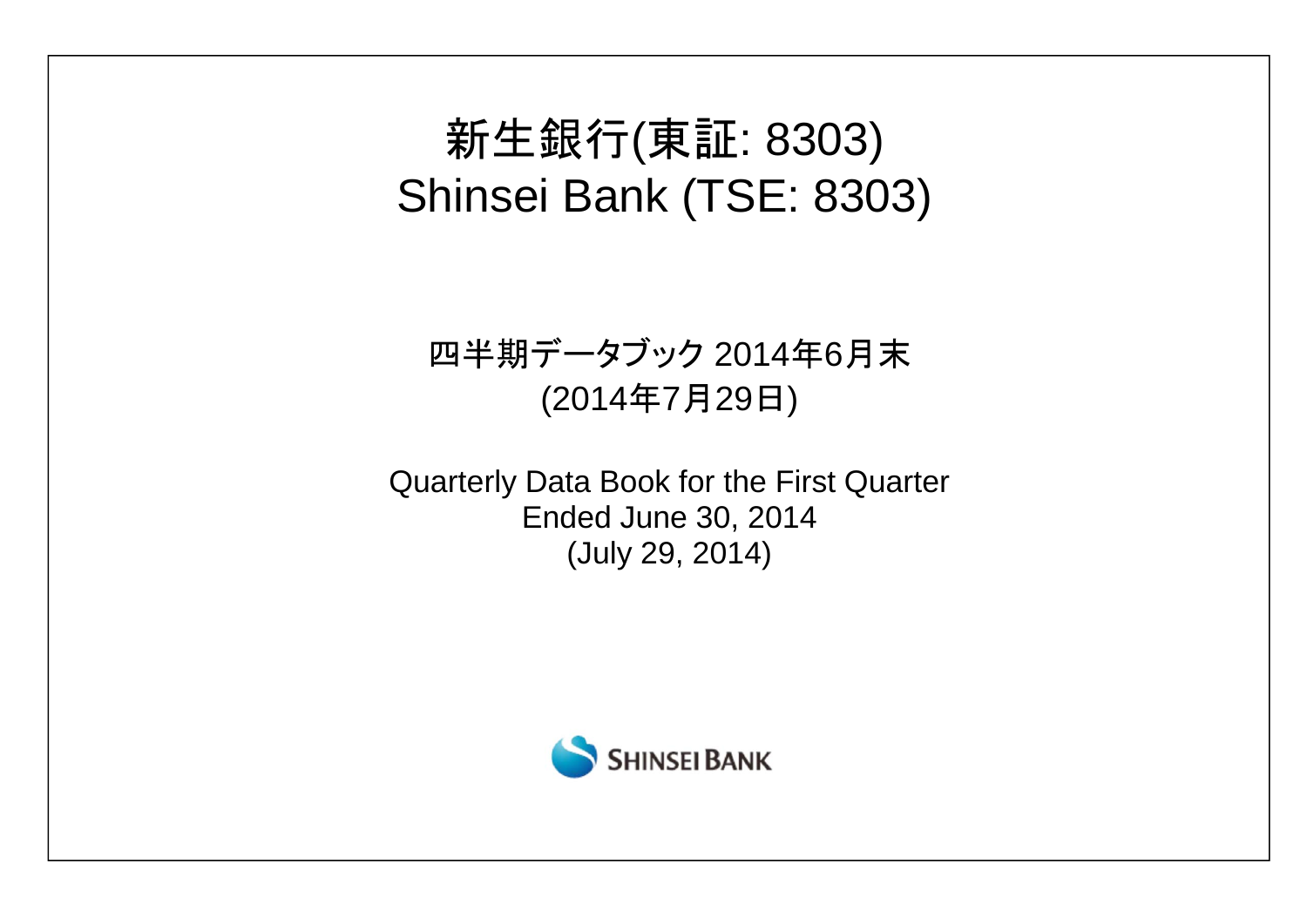# 新生銀行(東証: 8303) Shinsei Bank (TSE: 8303)

# 四半期データブック 2014年6月末 (2014年7月29日)

Quarterly Data Book for the First Quarter Ended June 30, 2014 (July 29, 2014)

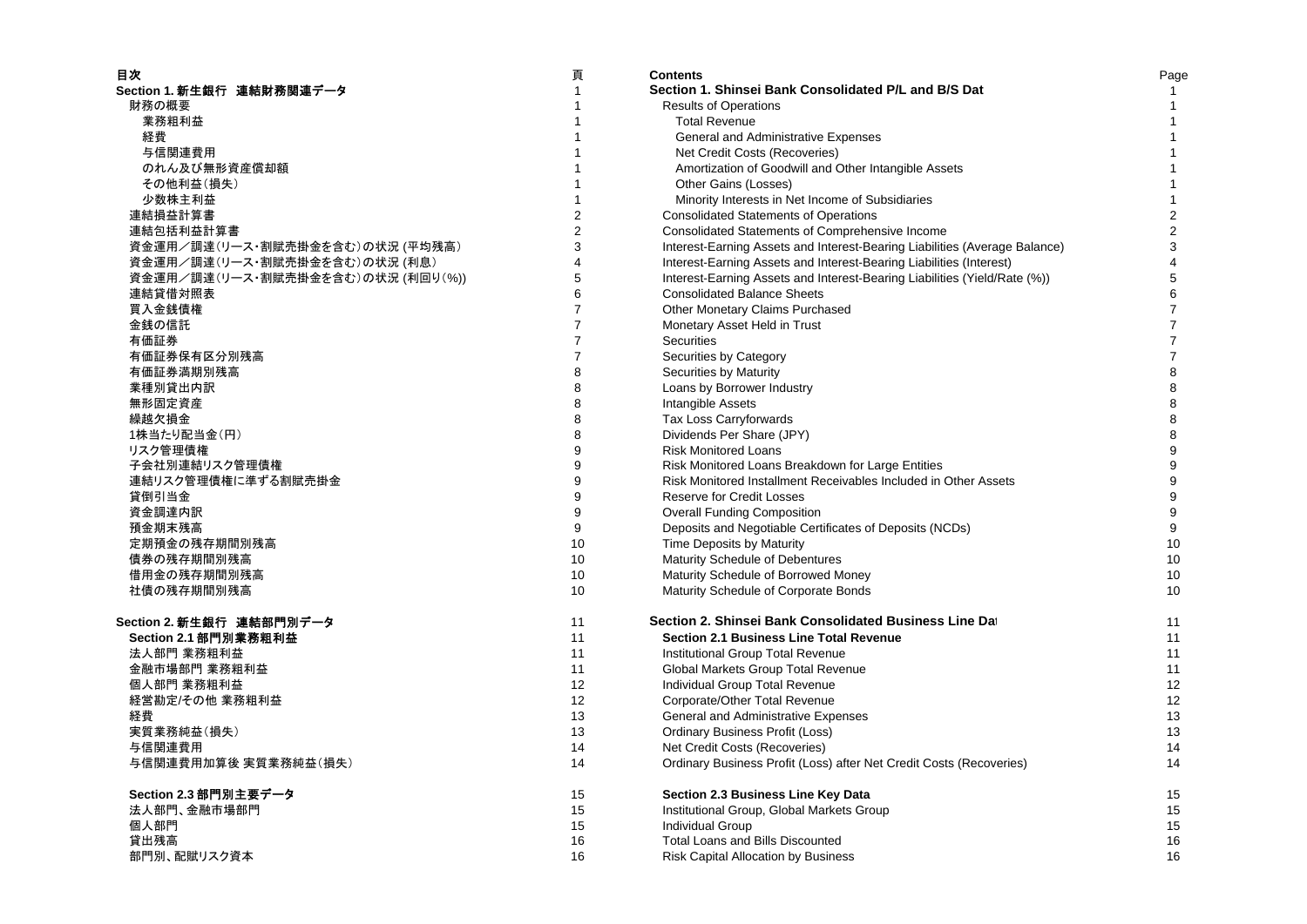| Section 1. Shinsei Bank Consolidated P/L and B/S Dat<br>Section 1. 新生銀行 連結財務関連データ<br>$\mathbf{1}$<br>財務の概要<br><b>Results of Operations</b><br>-1<br>業務粗利益<br>1<br><b>Total Revenue</b><br>経費<br>General and Administrative Expenses<br>-1<br>与信関連費用<br>1<br>Net Credit Costs (Recoveries)<br>のれん及び無形資産償却額<br>1<br>Amortization of Goodwill and Other Intangible Assets<br>その他利益(損失)<br>1<br>Other Gains (Losses)<br>少数株主利益<br>Minority Interests in Net Income of Subsidiaries<br>$\mathbf{1}$<br>$\boldsymbol{2}$<br>連結損益計算書<br><b>Consolidated Statements of Operations</b><br>2<br>連結包括利益計算書<br><b>Consolidated Statements of Comprehensive Income</b><br>資金運用/調達(リース・割賦売掛金を含む)の状況 (平均残高)<br>3<br>Interest-Earning Assets and Interest-Bearing Liabilities (Average Balance) | Page<br>$\mathbf{1}$<br>$\mathbf{1}$<br>$\mathbf{1}$<br>$\mathbf{1}$<br>$\mathbf{1}$<br>$\mathbf{1}$<br>$\mathbf{1}$<br>$\mathbf{1}$<br>$\sqrt{2}$<br>2<br>3<br>4<br>5<br>6<br>$\boldsymbol{7}$<br>$\overline{7}$<br>$\boldsymbol{7}$ |
|---------------------------------------------------------------------------------------------------------------------------------------------------------------------------------------------------------------------------------------------------------------------------------------------------------------------------------------------------------------------------------------------------------------------------------------------------------------------------------------------------------------------------------------------------------------------------------------------------------------------------------------------------------------------------------------------------------------------------------------------------------------------------------|---------------------------------------------------------------------------------------------------------------------------------------------------------------------------------------------------------------------------------------|
|                                                                                                                                                                                                                                                                                                                                                                                                                                                                                                                                                                                                                                                                                                                                                                                 |                                                                                                                                                                                                                                       |
|                                                                                                                                                                                                                                                                                                                                                                                                                                                                                                                                                                                                                                                                                                                                                                                 |                                                                                                                                                                                                                                       |
|                                                                                                                                                                                                                                                                                                                                                                                                                                                                                                                                                                                                                                                                                                                                                                                 |                                                                                                                                                                                                                                       |
|                                                                                                                                                                                                                                                                                                                                                                                                                                                                                                                                                                                                                                                                                                                                                                                 |                                                                                                                                                                                                                                       |
|                                                                                                                                                                                                                                                                                                                                                                                                                                                                                                                                                                                                                                                                                                                                                                                 |                                                                                                                                                                                                                                       |
|                                                                                                                                                                                                                                                                                                                                                                                                                                                                                                                                                                                                                                                                                                                                                                                 |                                                                                                                                                                                                                                       |
|                                                                                                                                                                                                                                                                                                                                                                                                                                                                                                                                                                                                                                                                                                                                                                                 |                                                                                                                                                                                                                                       |
|                                                                                                                                                                                                                                                                                                                                                                                                                                                                                                                                                                                                                                                                                                                                                                                 |                                                                                                                                                                                                                                       |
|                                                                                                                                                                                                                                                                                                                                                                                                                                                                                                                                                                                                                                                                                                                                                                                 |                                                                                                                                                                                                                                       |
|                                                                                                                                                                                                                                                                                                                                                                                                                                                                                                                                                                                                                                                                                                                                                                                 |                                                                                                                                                                                                                                       |
|                                                                                                                                                                                                                                                                                                                                                                                                                                                                                                                                                                                                                                                                                                                                                                                 |                                                                                                                                                                                                                                       |
| 資金運用/調達(リース・割賦売掛金を含む)の状況 (利息)<br>Interest-Earning Assets and Interest-Bearing Liabilities (Interest)<br>4                                                                                                                                                                                                                                                                                                                                                                                                                                                                                                                                                                                                                                                                       |                                                                                                                                                                                                                                       |
| 資金運用/調達(リース・割賦売掛金を含む)の状況 (利回り(%))<br>5<br>Interest-Earning Assets and Interest-Bearing Liabilities (Yield/Rate (%))                                                                                                                                                                                                                                                                                                                                                                                                                                                                                                                                                                                                                                                             |                                                                                                                                                                                                                                       |
| 連結貸借対照表<br><b>Consolidated Balance Sheets</b><br>6                                                                                                                                                                                                                                                                                                                                                                                                                                                                                                                                                                                                                                                                                                                              |                                                                                                                                                                                                                                       |
| 買入金銭債権<br>$\overline{7}$<br><b>Other Monetary Claims Purchased</b>                                                                                                                                                                                                                                                                                                                                                                                                                                                                                                                                                                                                                                                                                                              |                                                                                                                                                                                                                                       |
| 金銭の信託<br>$\overline{7}$<br>Monetary Asset Held in Trust                                                                                                                                                                                                                                                                                                                                                                                                                                                                                                                                                                                                                                                                                                                         |                                                                                                                                                                                                                                       |
| 有価証券<br>7<br>Securities                                                                                                                                                                                                                                                                                                                                                                                                                                                                                                                                                                                                                                                                                                                                                         |                                                                                                                                                                                                                                       |
| $\overline{7}$<br>有価証券保有区分別残高<br>Securities by Category                                                                                                                                                                                                                                                                                                                                                                                                                                                                                                                                                                                                                                                                                                                         | $\overline{7}$                                                                                                                                                                                                                        |
| 有価証券満期別残高<br>8<br>Securities by Maturity                                                                                                                                                                                                                                                                                                                                                                                                                                                                                                                                                                                                                                                                                                                                        | 8                                                                                                                                                                                                                                     |
| 8<br>業種別貸出内訳<br>Loans by Borrower Industry                                                                                                                                                                                                                                                                                                                                                                                                                                                                                                                                                                                                                                                                                                                                      | 8                                                                                                                                                                                                                                     |
| 無形固定資産<br>8<br>Intangible Assets                                                                                                                                                                                                                                                                                                                                                                                                                                                                                                                                                                                                                                                                                                                                                | 8                                                                                                                                                                                                                                     |
| 繰越欠損金<br>Tax Loss Carryforwards<br>8                                                                                                                                                                                                                                                                                                                                                                                                                                                                                                                                                                                                                                                                                                                                            | 8                                                                                                                                                                                                                                     |
| 1株当たり配当金(円)<br>8<br>Dividends Per Share (JPY)                                                                                                                                                                                                                                                                                                                                                                                                                                                                                                                                                                                                                                                                                                                                   | 8                                                                                                                                                                                                                                     |
| リスク管理債権<br>9<br><b>Risk Monitored Loans</b>                                                                                                                                                                                                                                                                                                                                                                                                                                                                                                                                                                                                                                                                                                                                     | 9                                                                                                                                                                                                                                     |
| 子会社別連結リスク管理債権<br>9<br>Risk Monitored Loans Breakdown for Large Entities                                                                                                                                                                                                                                                                                                                                                                                                                                                                                                                                                                                                                                                                                                         | 9                                                                                                                                                                                                                                     |
| 連結リスク管理債権に準ずる割賦売掛金<br>9<br>Risk Monitored Installment Receivables Included in Other Assets                                                                                                                                                                                                                                                                                                                                                                                                                                                                                                                                                                                                                                                                                      | 9                                                                                                                                                                                                                                     |
| 貸倒引当金<br>9<br><b>Reserve for Credit Losses</b>                                                                                                                                                                                                                                                                                                                                                                                                                                                                                                                                                                                                                                                                                                                                  | $\boldsymbol{9}$                                                                                                                                                                                                                      |
| 資金調達内訳<br>9<br><b>Overall Funding Composition</b>                                                                                                                                                                                                                                                                                                                                                                                                                                                                                                                                                                                                                                                                                                                               | $\boldsymbol{9}$                                                                                                                                                                                                                      |
| 9<br>預金期末残高<br>Deposits and Negotiable Certificates of Deposits (NCDs)                                                                                                                                                                                                                                                                                                                                                                                                                                                                                                                                                                                                                                                                                                          | 9                                                                                                                                                                                                                                     |
| 定期預金の残存期間別残高<br>10<br>Time Deposits by Maturity                                                                                                                                                                                                                                                                                                                                                                                                                                                                                                                                                                                                                                                                                                                                 | 10                                                                                                                                                                                                                                    |
| 債券の残存期間別残高<br>10<br><b>Maturity Schedule of Debentures</b>                                                                                                                                                                                                                                                                                                                                                                                                                                                                                                                                                                                                                                                                                                                      | 10                                                                                                                                                                                                                                    |
| 借用金の残存期間別残高<br>10<br>Maturity Schedule of Borrowed Money                                                                                                                                                                                                                                                                                                                                                                                                                                                                                                                                                                                                                                                                                                                        | 10                                                                                                                                                                                                                                    |
| 社債の残存期間別残高<br>10<br>Maturity Schedule of Corporate Bonds                                                                                                                                                                                                                                                                                                                                                                                                                                                                                                                                                                                                                                                                                                                        | 10                                                                                                                                                                                                                                    |
|                                                                                                                                                                                                                                                                                                                                                                                                                                                                                                                                                                                                                                                                                                                                                                                 |                                                                                                                                                                                                                                       |
| Section 2. Shinsei Bank Consolidated Business Line Dat<br>Section 2. 新生銀行 連結部門別データ<br>11                                                                                                                                                                                                                                                                                                                                                                                                                                                                                                                                                                                                                                                                                        | 11                                                                                                                                                                                                                                    |
| Section 2.1 部門別業務粗利益<br>11<br><b>Section 2.1 Business Line Total Revenue</b>                                                                                                                                                                                                                                                                                                                                                                                                                                                                                                                                                                                                                                                                                                    | 11                                                                                                                                                                                                                                    |
| 法人部門 業務粗利益<br>11<br>Institutional Group Total Revenue                                                                                                                                                                                                                                                                                                                                                                                                                                                                                                                                                                                                                                                                                                                           | 11                                                                                                                                                                                                                                    |
| 金融市場部門 業務粗利益<br>11<br>Global Markets Group Total Revenue                                                                                                                                                                                                                                                                                                                                                                                                                                                                                                                                                                                                                                                                                                                        | 11                                                                                                                                                                                                                                    |
| 個人部門 業務粗利益<br>12<br>Individual Group Total Revenue                                                                                                                                                                                                                                                                                                                                                                                                                                                                                                                                                                                                                                                                                                                              | 12                                                                                                                                                                                                                                    |
| 経営勘定/その他 業務粗利益<br>12<br>Corporate/Other Total Revenue                                                                                                                                                                                                                                                                                                                                                                                                                                                                                                                                                                                                                                                                                                                           | 12                                                                                                                                                                                                                                    |
| 13<br>経費<br><b>General and Administrative Expenses</b>                                                                                                                                                                                                                                                                                                                                                                                                                                                                                                                                                                                                                                                                                                                          | 13                                                                                                                                                                                                                                    |
| 実質業務純益(損失)<br>13<br><b>Ordinary Business Profit (Loss)</b>                                                                                                                                                                                                                                                                                                                                                                                                                                                                                                                                                                                                                                                                                                                      | 13                                                                                                                                                                                                                                    |
| 14<br>与信関連費用<br>Net Credit Costs (Recoveries)                                                                                                                                                                                                                                                                                                                                                                                                                                                                                                                                                                                                                                                                                                                                   | 14                                                                                                                                                                                                                                    |
| Ordinary Business Profit (Loss) after Net Credit Costs (Recoveries)<br>与信関連費用加算後 実質業務純益(損失)<br>14                                                                                                                                                                                                                                                                                                                                                                                                                                                                                                                                                                                                                                                                               | 14                                                                                                                                                                                                                                    |
| Section 2.3 部門別主要データ<br>15<br>Section 2.3 Business Line Key Data                                                                                                                                                                                                                                                                                                                                                                                                                                                                                                                                                                                                                                                                                                                | 15                                                                                                                                                                                                                                    |
| 法人部門、金融市場部門<br>Institutional Group, Global Markets Group<br>15                                                                                                                                                                                                                                                                                                                                                                                                                                                                                                                                                                                                                                                                                                                  | 15                                                                                                                                                                                                                                    |
| 個人部門<br>15<br><b>Individual Group</b>                                                                                                                                                                                                                                                                                                                                                                                                                                                                                                                                                                                                                                                                                                                                           | 15                                                                                                                                                                                                                                    |
| 貸出残高<br>16<br>Total Loans and Bills Discounted                                                                                                                                                                                                                                                                                                                                                                                                                                                                                                                                                                                                                                                                                                                                  | 16                                                                                                                                                                                                                                    |
| 部門別、配賦リスク資本<br>16<br><b>Risk Capital Allocation by Business</b>                                                                                                                                                                                                                                                                                                                                                                                                                                                                                                                                                                                                                                                                                                                 | 16                                                                                                                                                                                                                                    |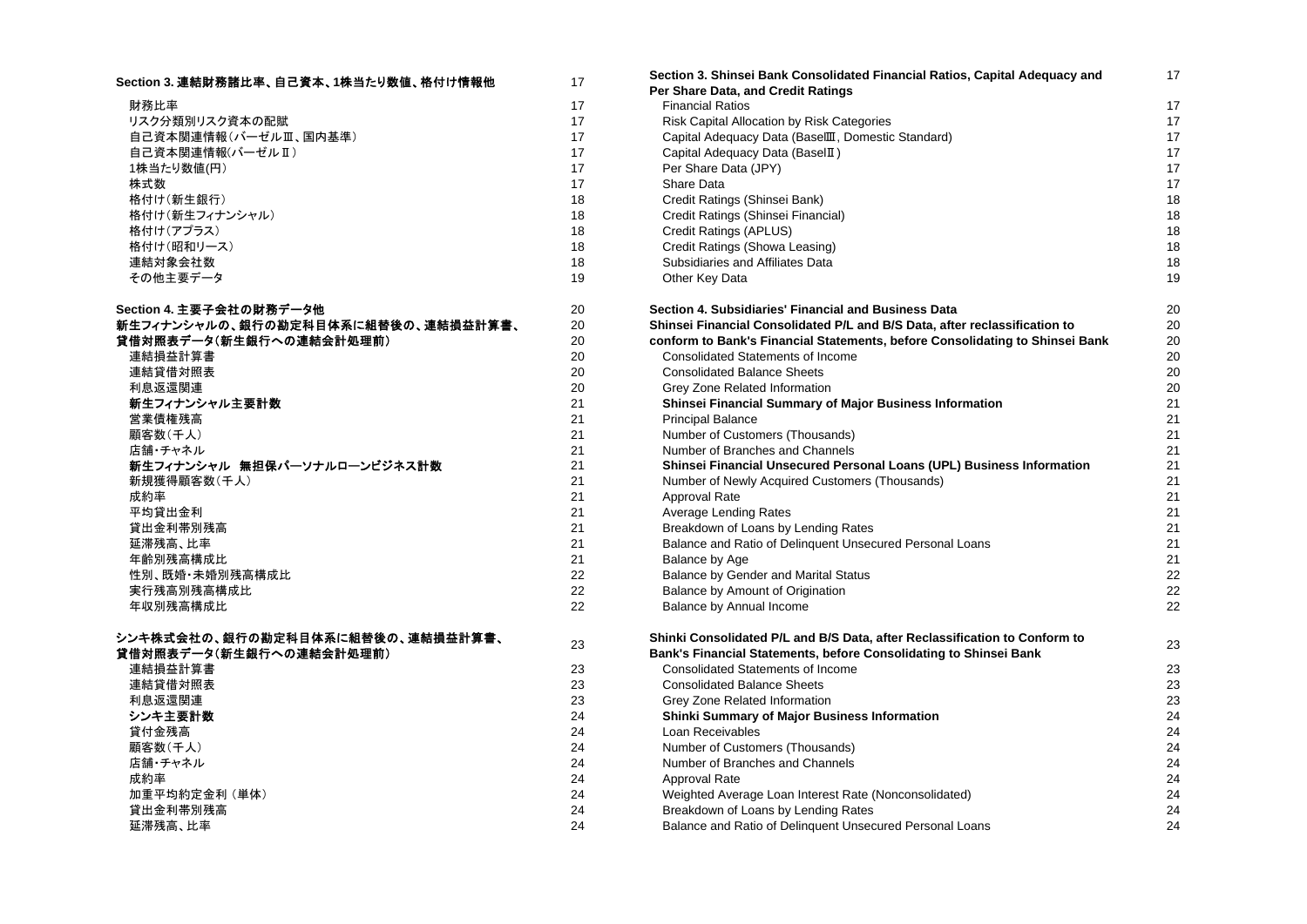| Section 3. 連結財務諸比率、自己資本、1株当たり数値、格付け情報他                      | 17 | Section 3. Shinsei Bank Consolidated Financial Ratios, Capital Adequacy and<br>Per Share Data, and Credit Ratings                               | 17 |
|-------------------------------------------------------------|----|-------------------------------------------------------------------------------------------------------------------------------------------------|----|
| 財務比率                                                        | 17 | <b>Financial Ratios</b>                                                                                                                         | 17 |
| リスク分類別リスク資本の配賦                                              | 17 | Risk Capital Allocation by Risk Categories                                                                                                      | 17 |
| 自己資本関連情報(バーゼルⅢ、国内基準)                                        | 17 | Capital Adequacy Data (BaselIII, Domestic Standard)                                                                                             | 17 |
| 自己資本関連情報(バーゼルⅡ)                                             | 17 | Capital Adequacy Data (BaselII)                                                                                                                 | 17 |
| 1株当たり数値(円)                                                  | 17 | Per Share Data (JPY)                                                                                                                            | 17 |
| 株式数                                                         | 17 | Share Data                                                                                                                                      | 17 |
| 格付け(新生銀行)                                                   | 18 | Credit Ratings (Shinsei Bank)                                                                                                                   | 18 |
| 格付け(新生フィナンシャル)                                              | 18 | Credit Ratings (Shinsei Financial)                                                                                                              | 18 |
| 格付け(アプラス)                                                   | 18 | Credit Ratings (APLUS)                                                                                                                          | 18 |
| 格付け(昭和リース)                                                  | 18 | Credit Ratings (Showa Leasing)                                                                                                                  | 18 |
| 連結対象会社数                                                     | 18 | Subsidiaries and Affiliates Data                                                                                                                | 18 |
| その他主要データ                                                    | 19 | Other Key Data                                                                                                                                  | 19 |
| Section 4. 主要子会社の財務データ他                                     | 20 | Section 4. Subsidiaries' Financial and Business Data                                                                                            | 20 |
| 新生フィナンシャルの、銀行の勘定科目体系に組替後の、連結損益計算書、                          | 20 | Shinsei Financial Consolidated P/L and B/S Data, after reclassification to                                                                      | 20 |
| 貸借対照表データ(新生銀行への連結会計処理前)                                     | 20 | conform to Bank's Financial Statements, before Consolidating to Shinsei Bank                                                                    | 20 |
| 連結損益計算書                                                     | 20 | <b>Consolidated Statements of Income</b>                                                                                                        | 20 |
| 連結貸借対照表                                                     | 20 | <b>Consolidated Balance Sheets</b>                                                                                                              | 20 |
| 利息返還関連                                                      | 20 | Grey Zone Related Information                                                                                                                   | 20 |
| 新生フィナンシャル主要計数                                               | 21 | Shinsei Financial Summary of Major Business Information                                                                                         | 21 |
| 営業債権残高                                                      | 21 | <b>Principal Balance</b>                                                                                                                        | 21 |
| 顧客数(千人)                                                     | 21 | Number of Customers (Thousands)                                                                                                                 | 21 |
| 店舗・チャネル                                                     | 21 | Number of Branches and Channels                                                                                                                 | 21 |
| 新生フィナンシャル 無担保パーソナルローンビジネス計数                                 | 21 | Shinsei Financial Unsecured Personal Loans (UPL) Business Information                                                                           | 21 |
| 新規獲得顧客数(千人)                                                 | 21 | Number of Newly Acquired Customers (Thousands)                                                                                                  | 21 |
| 成約率                                                         | 21 | Approval Rate                                                                                                                                   | 21 |
| 平均貸出金利                                                      | 21 | Average Lending Rates                                                                                                                           | 21 |
| 貸出金利帯別残高                                                    | 21 | Breakdown of Loans by Lending Rates                                                                                                             | 21 |
| 延滞残高、比率                                                     | 21 | Balance and Ratio of Delinquent Unsecured Personal Loans                                                                                        | 21 |
| 年齡別残高構成比                                                    | 21 | Balance by Age                                                                                                                                  | 21 |
| 性別、既婚·未婚別残高構成比                                              | 22 | <b>Balance by Gender and Marital Status</b>                                                                                                     | 22 |
| 実行残高別残高構成比                                                  | 22 | Balance by Amount of Origination                                                                                                                | 22 |
| 年収別残高構成比                                                    | 22 | Balance by Annual Income                                                                                                                        | 22 |
| シンキ株式会社の、銀行の勘定科目体系に組替後の、連結損益計算書、<br>貸借対照表データ(新生銀行への連結会計処理前) | 23 | Shinki Consolidated P/L and B/S Data, after Reclassification to Conform to<br>Bank's Financial Statements, before Consolidating to Shinsei Bank | 23 |
| 連結損益計算書                                                     | 23 | <b>Consolidated Statements of Income</b>                                                                                                        | 23 |
| 連結貸借対照表                                                     | 23 | <b>Consolidated Balance Sheets</b>                                                                                                              | 23 |
| 利息返還関連                                                      | 23 | Grey Zone Related Information                                                                                                                   | 23 |
| シンキ主要計数                                                     | 24 | <b>Shinki Summary of Major Business Information</b>                                                                                             | 24 |
| 貸付金残高                                                       | 24 | Loan Receivables                                                                                                                                | 24 |
| 顧客数(千人)                                                     | 24 | Number of Customers (Thousands)                                                                                                                 | 24 |
| 店舗・チャネル                                                     | 24 | Number of Branches and Channels                                                                                                                 | 24 |
| 成約率                                                         | 24 | Approval Rate                                                                                                                                   | 24 |
| 加重平均約定金利 (単体)                                               | 24 | Weighted Average Loan Interest Rate (Nonconsolidated)                                                                                           | 24 |
| 貸出金利帯別残高                                                    | 24 | Breakdown of Loans by Lending Rates                                                                                                             | 24 |
| 延滞残高、比率                                                     | 24 | Balance and Ratio of Delinguent Unsecured Personal Loans                                                                                        | 24 |
|                                                             |    |                                                                                                                                                 |    |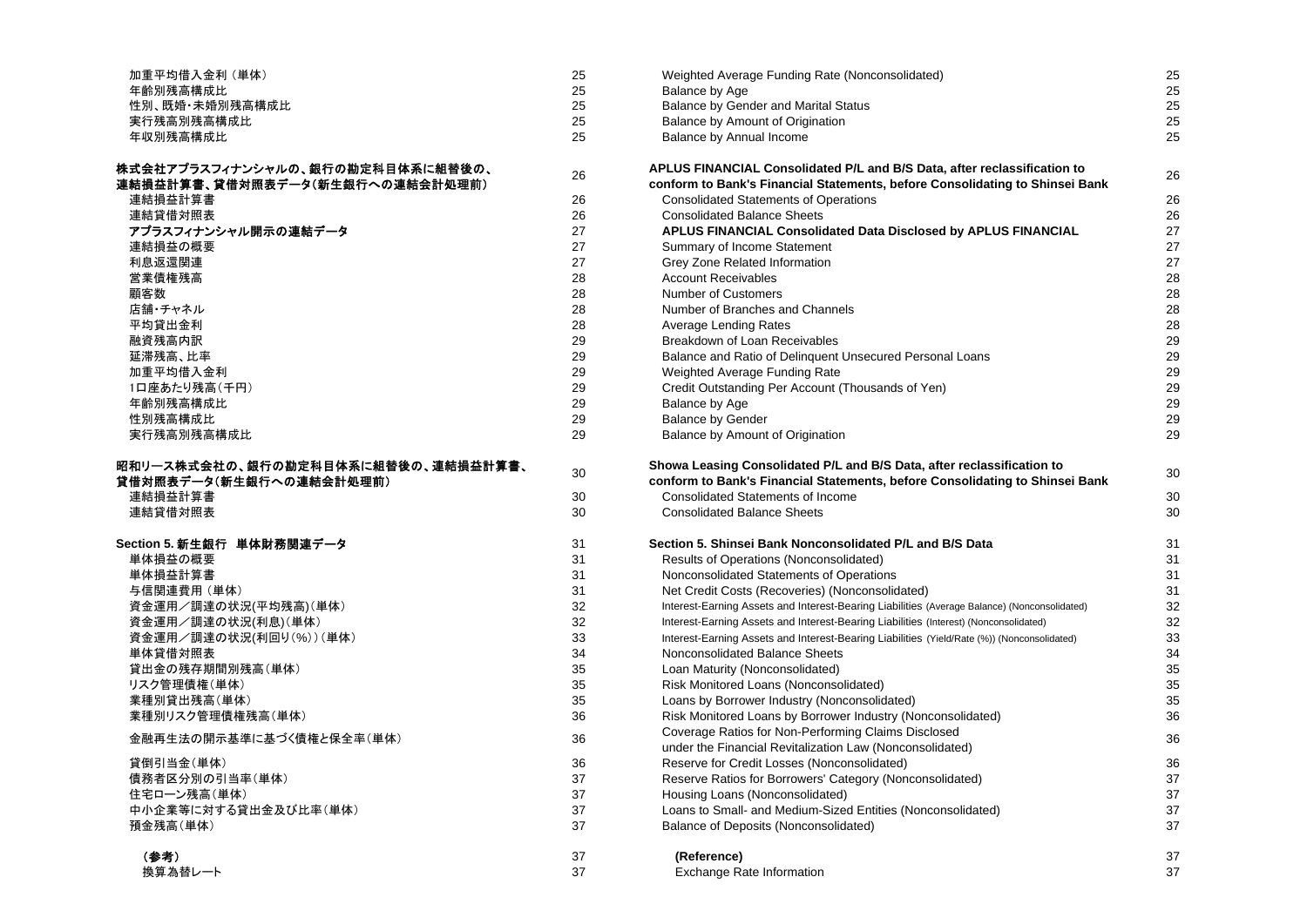| 加重平均借入金利(単体)   | 2! |
|----------------|----|
| 年齢別残高構成比       | 2! |
| 性別、既婚・未婚別残高構成比 | 2! |
| 実行残高別残高構成比     | 2! |
| 年収別残高構成比       | 2! |
|                |    |

# 株式会社アプラスフィナンシャルの、銀行の勘定科目体系に組替後の、 連結損益計算書、貸借対照表データ(新生銀行への連結会計処理前) **conform to Bank's Financial Statements, before Consolidating to Shinsei Bank**

| 連結損益計算書             |  |
|---------------------|--|
| 連結貸借対照表             |  |
| アプラスフィナンシャル開示の連結データ |  |
| 連結損益の概要             |  |
| 利息返還関連              |  |
| 営業債権残高              |  |
| 顧客数                 |  |
| 店舗・チャネル             |  |
| 平均貸出金利              |  |
| 融資残高内訳              |  |
| 延滞残高 比率             |  |
| 加重平均借入金利            |  |
| 1口座あたり残高(千円)        |  |
| 年齢別残高構成比.           |  |
| 性別残高構成比             |  |
| 実行残高別残高構成比          |  |
|                     |  |

#### 昭和リース株式会社の、銀行の勘定科目体系に組替後の、連結損益計算書、 **Showa Leasing Consolidated P/L and B/S Data, after reclassification to 貸借対照表データ(新生銀行への連結会計処理前)** 連結損益計算書

| 建術損益訂昇者<br>連結貸借対照表 |                          |  |  |
|--------------------|--------------------------|--|--|
|                    | ection 5. 新生銀行 単体財務関連データ |  |  |
| 単体損益の概要            |                          |  |  |
| 単体損益計算書            |                          |  |  |

| 与信関連費用(単体)               |
|--------------------------|
| 資金運用/調達の状況(平均残高)(単体)     |
| 資金運用/調達の状況(利息)(単体)       |
| 資金運用/調達の状況(利回り(%))(単体)   |
| 単体貸借対照表                  |
| 貸出金の残存期間別残高(単体)          |
| リスク管理債権(単体)              |
| 業種別貸出残高(単体)              |
| 業種別リスク管理債権残高(単体)         |
| 金融再生法の開示基準に基づく債権と保全率(単体) |
| 貸倒引当金(単体)                |
|                          |
| 債務者区分別の引当率(単体)           |
| 住宅ローン残高(単体)              |
| 中小企業等に対する貸出金及び比率(単体)     |
| 預金残高(単体)                 |

| 加重平均借入金利 (単体)                                                       | 25       | Weighted Average Funding Rate (Nonconsolidated)                                                                                                          | 25       |
|---------------------------------------------------------------------|----------|----------------------------------------------------------------------------------------------------------------------------------------------------------|----------|
| 年齡別残高構成比                                                            | 25       | Balance by Age                                                                                                                                           | 25       |
| 性別、既婚・未婚別残高構成比                                                      | 25       | <b>Balance by Gender and Marital Status</b>                                                                                                              | 25       |
| 実行残高別残高構成比                                                          | 25       | Balance by Amount of Origination                                                                                                                         | 25       |
| 年収別残高構成比                                                            | 25       | Balance by Annual Income                                                                                                                                 | 25       |
| 株式会社アプラスフィナンシャルの、銀行の勘定科目体系に組替後の、<br>連結損益計算書、貸借対照表データ(新生銀行への連結会計処理前) | 26       | APLUS FINANCIAL Consolidated P/L and B/S Data, after reclassification to<br>conform to Bank's Financial Statements, before Consolidating to Shinsei Bank | 26       |
| 連結損益計算書                                                             | 26       | <b>Consolidated Statements of Operations</b>                                                                                                             | 26       |
| 連結貸借対照表                                                             | 26       | <b>Consolidated Balance Sheets</b>                                                                                                                       | 26       |
| アプラスフィナンシャル開示の連結データ                                                 | 27       | APLUS FINANCIAL Consolidated Data Disclosed by APLUS FINANCIAL                                                                                           | 27       |
| 連結損益の概要                                                             | 27       | Summary of Income Statement                                                                                                                              | 27       |
| 利息返還関連                                                              | 27       | Grey Zone Related Information                                                                                                                            | 27       |
| 営業債権残高                                                              | 28       | <b>Account Receivables</b>                                                                                                                               | 28       |
| 顧客数                                                                 | 28       | <b>Number of Customers</b>                                                                                                                               | 28       |
| 店舗・チャネル                                                             | 28       | Number of Branches and Channels                                                                                                                          | 28       |
| 平均貸出金利                                                              | 28       | <b>Average Lending Rates</b>                                                                                                                             | 28       |
| 融資残高内訳                                                              | 29       | Breakdown of Loan Receivables                                                                                                                            | 29       |
| 延滞残高、比率                                                             | 29       | Balance and Ratio of Delinquent Unsecured Personal Loans                                                                                                 | 29       |
| 加重平均借入金利                                                            | 29       | Weighted Average Funding Rate                                                                                                                            | 29       |
| 1口座あたり残高(千円)                                                        | 29       | Credit Outstanding Per Account (Thousands of Yen)                                                                                                        | 29       |
| 年齡別残高構成比                                                            | 29       | Balance by Age                                                                                                                                           | 29       |
| 性別残高構成比                                                             | 29       | <b>Balance by Gender</b>                                                                                                                                 | 29       |
| 実行残高別残高構成比                                                          | 29       | Balance by Amount of Origination                                                                                                                         | 29       |
| 昭和リース株式会社の、銀行の勘定科目体系に組替後の、連結損益計算書、                                  | 30       | Showa Leasing Consolidated P/L and B/S Data, after reclassification to                                                                                   | 30       |
|                                                                     |          | conform to Bank's Financial Statements, before Consolidating to Shinsei Bank                                                                             |          |
| 貸借対照表データ(新生銀行への連結会計処理前)                                             |          |                                                                                                                                                          |          |
| 連結損益計算書                                                             | 30       | <b>Consolidated Statements of Income</b>                                                                                                                 | 30       |
| 連結貸借対照表                                                             | 30       | <b>Consolidated Balance Sheets</b>                                                                                                                       | 30       |
| Section 5. 新生銀行 単体財務関連データ                                           | 31       | Section 5. Shinsei Bank Nonconsolidated P/L and B/S Data                                                                                                 | 31       |
| 単体損益の概要                                                             | 31       | Results of Operations (Nonconsolidated)                                                                                                                  | 31       |
| 単体損益計算書                                                             | 31       | Nonconsolidated Statements of Operations                                                                                                                 | 31       |
| 与信関連費用(単体)                                                          | 31       | Net Credit Costs (Recoveries) (Nonconsolidated)                                                                                                          | 31       |
| 資金運用/調達の状況(平均残高)(単体)                                                | 32       | Interest-Earning Assets and Interest-Bearing Liabilities (Average Balance) (Nonconsolidated)                                                             | 32       |
| 資金運用/調達の状況(利息)(単体)                                                  | 32       | Interest-Earning Assets and Interest-Bearing Liabilities (Interest) (Nonconsolidated)                                                                    | 32       |
| 資金運用/調達の状況(利回り(%))(単体)                                              | 33       | Interest-Earning Assets and Interest-Bearing Liabilities (Yield/Rate (%)) (Nonconsolidated)                                                              | 33       |
| 単体貸借対照表                                                             | 34       | Nonconsolidated Balance Sheets                                                                                                                           | 34       |
| 貸出金の残存期間別残高(単体)                                                     | 35       | Loan Maturity (Nonconsolidated)                                                                                                                          | 35       |
| リスク管理債権(単体)                                                         | 35       | Risk Monitored Loans (Nonconsolidated)                                                                                                                   | 35       |
| 業種別貸出残高(単体)                                                         | 35       | Loans by Borrower Industry (Nonconsolidated)                                                                                                             | 35       |
| 業種別リスク管理債権残高(単体)                                                    | 36       | Risk Monitored Loans by Borrower Industry (Nonconsolidated)                                                                                              | 36       |
| 金融再生法の開示基準に基づく債権と保全率(単体)                                            | 36       | Coverage Ratios for Non-Performing Claims Disclosed                                                                                                      | 36       |
|                                                                     |          | under the Financial Revitalization Law (Nonconsolidated)                                                                                                 |          |
| 貸倒引当金(単体)                                                           | 36       | Reserve for Credit Losses (Nonconsolidated)                                                                                                              | 36       |
| 債務者区分別の引当率(単体)                                                      | 37       | Reserve Ratios for Borrowers' Category (Nonconsolidated)                                                                                                 | 37       |
| 住宅ローン残高(単体)                                                         | 37       | Housing Loans (Nonconsolidated)                                                                                                                          | 37       |
| 中小企業等に対する貸出金及び比率(単体)<br>預金残高(単体)                                    | 37<br>37 | Loans to Small- and Medium-Sized Entities (Nonconsolidated)<br>Balance of Deposits (Nonconsolidated)                                                     | 37<br>37 |

| (参考)    | ິ  | 'Reference)                      | 37 |
|---------|----|----------------------------------|----|
| 換算為替レート | υı | <b>Exchange Rate Information</b> | 37 |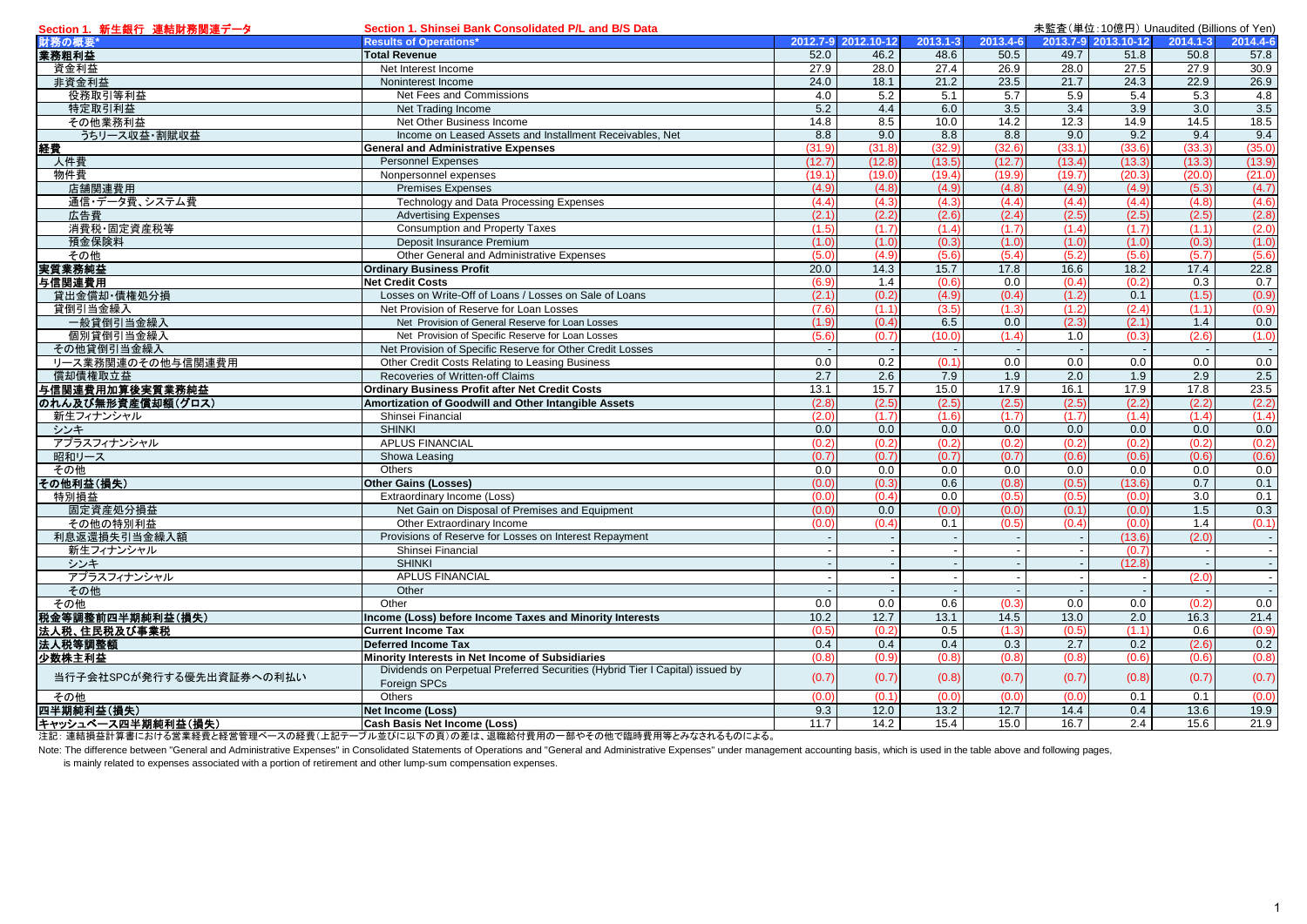| Section 1. 新生銀行 連結財務関連データ | Section 1. Shinsei Bank Consolidated P/L and B/S Data                                         |        |                     |          |          |        |                     | 未監査(単位: 10億円) Unaudited (Billions of Yen) |          |
|---------------------------|-----------------------------------------------------------------------------------------------|--------|---------------------|----------|----------|--------|---------------------|-------------------------------------------|----------|
| 財務の概要                     | <b>Results of Operations*</b>                                                                 |        | 2012.7-9 2012.10-12 | 2013.1-3 | 2013.4-6 |        | 2013.7-9 2013.10-12 | $2014.1 - 3$                              | 2014.4-6 |
| 業務粗利益                     | <b>Total Revenue</b>                                                                          | 52.0   | 46.2                | 48.6     | 50.5     | 49.7   | 51.8                | 50.8                                      | 57.8     |
| 資金利益                      | Net Interest Income                                                                           | 27.9   | 28.0                | 27.4     | 26.9     | 28.0   | 27.5                | 27.9                                      | 30.9     |
| 非資金利益                     | Noninterest Income                                                                            | 24.0   | 18.1                | 21.2     | 23.5     | 21.7   | 24.3                | 22.9                                      | 26.9     |
| 役務取引等利益                   | Net Fees and Commissions                                                                      | 4.0    | 5.2                 | 5.1      | 5.7      | 5.9    | 5.4                 | 5.3                                       | 4.8      |
| 特定取引利益                    | Net Trading Income                                                                            | 5.2    | 4.4                 | 6.0      | 3.5      | 3.4    | 3.9                 | 3.0                                       | 3.5      |
| その他業務利益                   | Net Other Business Income                                                                     | 14.8   | 8.5                 | 10.0     | 14.2     | 12.3   | 14.9                | 14.5                                      | 18.5     |
| うちリース収益・割賦収益              | Income on Leased Assets and Installment Receivables. Net                                      | 8.8    | 9.0                 | 8.8      | 8.8      | 9.0    | 9.2                 | 9.4                                       | 9.4      |
| 経費                        | <b>General and Administrative Expenses</b>                                                    | (31.9) | (31.8)              | (32.9)   | (32.6)   | (33.1) | (33.6)              | (33.3)                                    | (35.0)   |
| 人件費                       | <b>Personnel Expenses</b>                                                                     | (12.7) | (12.8)              | (13.5)   | (12.7)   | (13.4) | (13.3)              | (13.3)                                    | (13.9)   |
| 物件費                       | Nonpersonnel expenses                                                                         | (19.1) | (19.0)              | (19.4)   | (19.9)   | (19.7) | (20.3)              | (20.0)                                    | (21.0)   |
| 店舗関連費用                    | <b>Premises Expenses</b>                                                                      | (4.9)  | (4.8)               | (4.9)    | (4.8)    | (4.9)  | (4.9)               | (5.3)                                     | (4.7)    |
| 通信・データ費、システム費             | Technology and Data Processing Expenses                                                       | (4.4)  | (4.3)               | (4.3)    | (4.4)    | (4.4)  | (4.4)               | (4.8)                                     | (4.6)    |
| 広告費                       | <b>Advertising Expenses</b>                                                                   | (2.1)  | (2.2)               | (2.6)    | (2.4)    | (2.5)  | (2.5)               | (2.5)                                     | (2.8)    |
| 消費税·固定資産税等                | <b>Consumption and Property Taxes</b>                                                         | (1.5)  | (1.7)               | (1.4)    | (1.7)    | (1.4)  | (1.7)               | (1.1)                                     | (2.0)    |
| 預金保険料                     | Deposit Insurance Premium                                                                     | (1.0)  | (1.0)               | (0.3)    | (1.0)    | (1.0)  | (1.0)               | (0.3)                                     | (1.0)    |
| その他                       | Other General and Administrative Expenses                                                     | (5.0)  | (4.9)               | (5.6)    | (5.4)    | (5.2)  | (5.6)               | (5.7)                                     | (5.6)    |
| 実質業務純益                    | <b>Ordinary Business Profit</b>                                                               | 20.0   | 14.3                | 15.7     | 17.8     | 16.6   | 18.2                | 17.4                                      | 22.8     |
| 与信関連費用                    | <b>Net Credit Costs</b>                                                                       | (6.9)  | 1.4                 | (0.6)    | 0.0      | (0.4)  | (0.2)               | 0.3                                       | 0.7      |
| 貸出金償却·債権処分損               | Losses on Write-Off of Loans / Losses on Sale of Loans                                        | (2.1)  | (0.2)               | (4.9)    | (0.4)    | (1.2)  | 0.1                 | (1.5)                                     | (0.9)    |
| 貸倒引当金繰入                   | Net Provision of Reserve for Loan Losses                                                      | (7.6)  | (1.1)               | (3.5)    | (1.3)    | (1.2)  | (2.4)               | (1.1)                                     | (0.9)    |
| 一般貸倒引当金繰入                 | Net Provision of General Reserve for Loan Losses                                              | (1.9)  | (0.4)               | 6.5      | 0.0      | (2.3)  | (2.1)               | 1.4                                       | 0.0      |
| 個別貸倒引当金繰入                 | Net Provision of Specific Reserve for Loan Losses                                             | (5.6)  | (0.7)               | (10.0)   | (1.4)    | 1.0    | (0.3)               | (2.6)                                     | (1.0)    |
| その他貸倒引当金繰入                | Net Provision of Specific Reserve for Other Credit Losses                                     |        | $\sim$              |          |          |        |                     | $\sim$                                    | $\sim$   |
| リース業務関連のその他与信関連費用         | Other Credit Costs Relating to Leasing Business                                               | 0.0    | 0.2                 | (0.1)    | 0.0      | 0.0    | 0.0                 | 0.0                                       | 0.0      |
| 償却債権取立益                   | Recoveries of Written-off Claims                                                              | 2.7    | 2.6                 | 7.9      | 1.9      | 2.0    | 1.9                 | 2.9                                       | 2.5      |
| 与信関連費用加算後実質業務純益           | <b>Ordinary Business Profit after Net Credit Costs</b>                                        | 13.1   | 15.7                | 15.0     | 17.9     | 16.1   | 17.9                | 17.8                                      | 23.5     |
| のれん及び無形資産償却額(グロス)         | Amortization of Goodwill and Other Intangible Assets                                          | (2.8)  | (2.5)               | (2.5)    | (2.5)    | (2.5)  | (2.2)               | (2.2)                                     | (2.2)    |
| 新生フィナンシャル                 | Shinsei Financial                                                                             | (2.0)  | (1.7)               | (1.6)    | (1.7)    | (1.7)  | (1.4)               | (1.4)                                     | (1.4)    |
| シンキ                       | <b>SHINKI</b>                                                                                 | 0.0    | 0.0                 | 0.0      | 0.0      | 0.0    | 0.0                 | 0.0                                       | 0.0      |
| アプラスフィナンシャル               | <b>APLUS FINANCIAL</b>                                                                        | (0.2)  | (0.2)               | (0.2)    | (0.2)    | (0.2)  | (0.2)               | (0.2)                                     | (0.2)    |
| 昭和リース                     | Showa Leasing                                                                                 | (0.7)  | (0.7)               | (0.7)    | (0.7)    | (0.6)  | (0.6)               | (0.6)                                     | (0.6)    |
| その他                       | Others                                                                                        | 0.0    | 0.0                 | 0.0      | 0.0      | 0.0    | 0.0                 | 0.0                                       | 0.0      |
| その他利益(損失)                 | <b>Other Gains (Losses)</b>                                                                   | (0.0)  | (0.3)               | 0.6      | (0.8)    | (0.5)  | (13.6)              | 0.7                                       | 0.1      |
| 特別損益                      | Extraordinary Income (Loss)                                                                   | (0.0)  | (0.4)               | 0.0      | (0.5)    | (0.5)  | (0.0)               | 3.0                                       | 0.1      |
| 固定資産処分損益                  | Net Gain on Disposal of Premises and Equipment                                                | (0.0)  | 0.0                 | (0.0)    | (0.0)    | (0.1)  | (0.0)               | 1.5                                       | 0.3      |
| その他の特別利益                  | Other Extraordinary Income                                                                    | (0.0)  | (0.4)               | 0.1      | (0.5)    | (0.4)  | (0.0)               | 1.4                                       | (0.1)    |
| 利息返還損失引当金繰入額              | Provisions of Reserve for Losses on Interest Repayment                                        |        |                     |          |          |        | (13.6)              | (2.0)                                     | $\sim$   |
| 新生フィナンシャル                 | Shinsei Financial                                                                             |        |                     |          |          |        | (0.7)               | $\sim$                                    | $\sim$   |
| シンキ                       | <b>SHINKI</b>                                                                                 |        |                     |          |          |        | (12.8)              | $\sim$                                    | $\sim$   |
| アプラスフィナンシャル               | <b>APLUS FINANCIAL</b>                                                                        |        |                     |          |          |        |                     | (2.0)                                     | $\sim$   |
| その他                       | Other                                                                                         |        |                     |          |          |        |                     |                                           | $\sim$   |
| その他                       | Other                                                                                         | 0.0    | 0.0                 | 0.6      | (0.3)    | 0.0    | 0.0                 | (0.2)                                     | 0.0      |
| 税金等調整前四半期純利益(損失)          | Income (Loss) before Income Taxes and Minority Interests                                      | 10.2   | 12.7                | 13.1     | 14.5     | 13.0   | 2.0                 | 16.3                                      | 21.4     |
| 法人税、住民税及び事業税              | <b>Current Income Tax</b>                                                                     | (0.5)  | (0.2)               | 0.5      | (1.3)    | (0.5)  | (1.1)               | 0.6                                       | (0.9)    |
| 法人税等調整額                   | <b>Deferred Income Tax</b>                                                                    | 0.4    | 0.4                 | 0.4      | 0.3      | 2.7    | 0.2                 | (2.6)                                     | 0.2      |
| 少数株主利益                    | Minority Interests in Net Income of Subsidiaries                                              | (0.8)  | (0.9)               | (0.8)    | (0.8)    | (0.8)  | (0.6)               | (0.6)                                     | (0.8)    |
| 当行子会社SPCが発行する優先出資証券への利払い  | Dividends on Perpetual Preferred Securities (Hybrid Tier I Capital) issued by<br>Foreign SPCs | (0.7)  | (0.7)               | (0.8)    | (0.7)    | (0.7)  | (0.8)               | (0.7)                                     | (0.7)    |
| その他                       | Others                                                                                        | (0.0)  | (0.1)               | (0.0)    | (0.0)    | (0.0)  | 0.1                 | 0.1                                       | (0.0)    |
| 四半期純利益(損失)                | Net Income (Loss)                                                                             | 9.3    | 12.0                | 13.2     | 12.7     | 14.4   | 0.4                 | 13.6                                      | 19.9     |
| キャッシュベース四半期純利益(損失)        | Cash Basis Net Income (Loss)                                                                  | 11.7   | 14.2                | 15.4     | 15.0     | 16.7   | 2.4                 | 15.6                                      | 21.9     |
|                           |                                                                                               |        |                     |          |          |        |                     |                                           |          |

注記: 連結損益計算書における営業経費と経営管理ベースの経費(上記テーブル並びに以下の頁)の差は、退職給付費用の一部やその他で臨時費用等とみなされるものによる。

Note: The difference between "General and Administrative Expenses" in Consolidated Statements of Operations and "General and Administrative Expenses" under management accounting basis, which is used in the table above and

is mainly related to expenses associated with a portion of retirement and other lump-sum compensation expenses.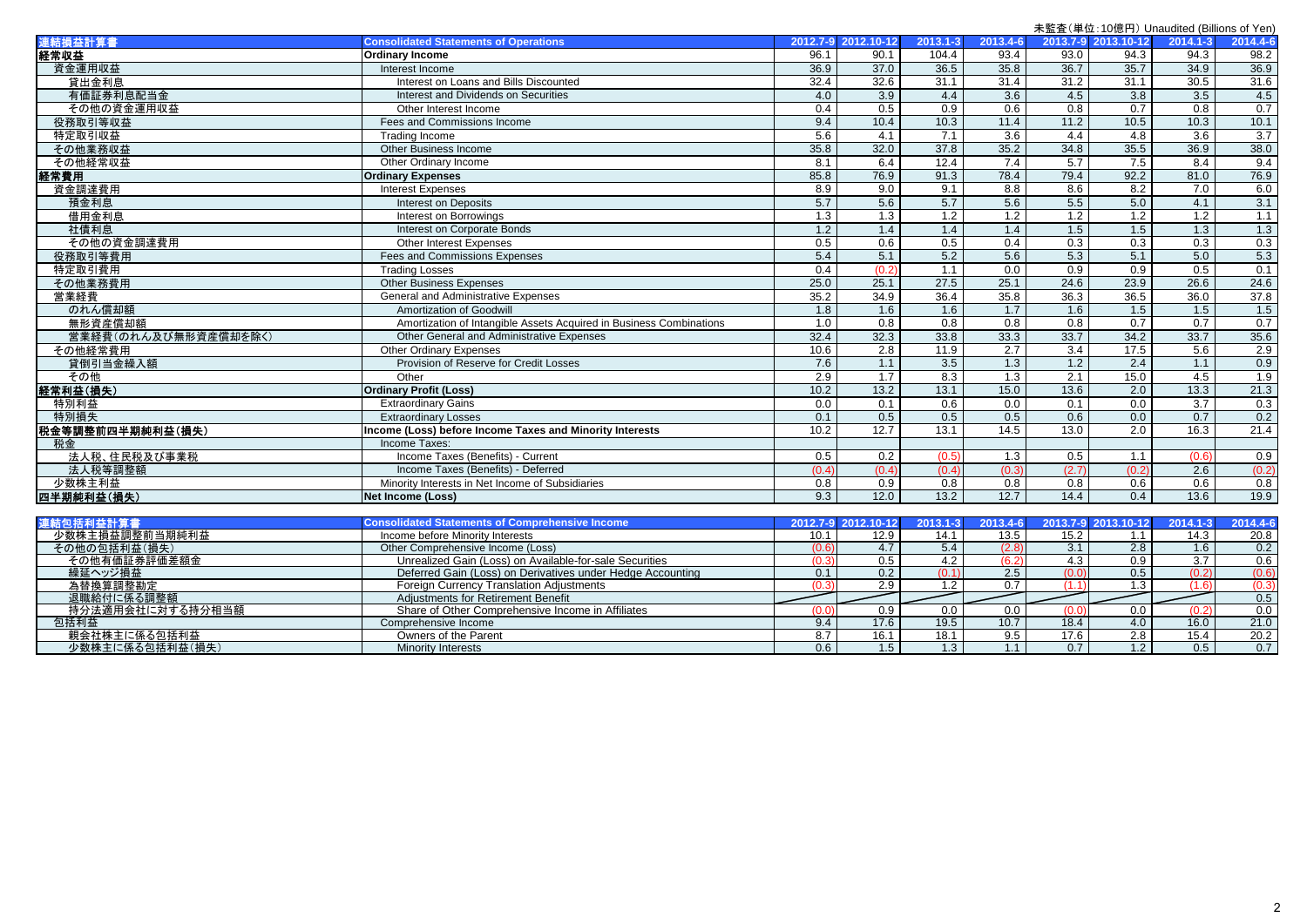|                      |                                                                     |            |                     |              |             |                  |                     | 木監査(単位:10息円) Unaudited (Billions of Yen) |                  |
|----------------------|---------------------------------------------------------------------|------------|---------------------|--------------|-------------|------------------|---------------------|------------------------------------------|------------------|
| 連結損益計算書              | <b>Consolidated Statements of Operations</b>                        |            | 2012.7-9 2012.10-12 | $2013.1 - 3$ | 2013.4-6    |                  | 2013.7-9 2013.10-12 | 2014.1-3                                 | 2014.4-6         |
| 経常収益                 | <b>Ordinary Income</b>                                              | 96.1       | 90.1                | 104.4        | 93.4        | 93.0             | 94.3                | 94.3                                     | 98.2             |
| 資金運用収益               | Interest Income                                                     | 36.9       | 37.0                | 36.5         | 35.8        | 36.7             | 35.7                | 34.9                                     | 36.9             |
| 貸出金利息                | Interest on Loans and Bills Discounted                              | 32.4       | 32.6                | 31.1         | 31.4        | 31.2             | 31.1                | 30.5                                     | 31.6             |
| 有価証券利息配当金            | Interest and Dividends on Securities                                | 4.0        | 3.9                 | 4.4          | 3.6         | 4.5              | 3.8                 | $\overline{3.5}$                         | 4.5              |
| その他の資金運用収益           | Other Interest Income                                               | 0.4        | 0.5                 | 0.9          | 0.6         | 0.8              | 0.7                 | 0.8                                      | 0.7              |
| 役務取引等収益              | Fees and Commissions Income                                         | 9.4        | 10.4                | 10.3         | 11.4        | 11.2             | 10.5                | 10.3                                     | 10.1             |
| 特定取引収益               | Trading Income                                                      | 5.6        | 4.1                 | 7.1          | 3.6         | 4.4              | 4.8                 | 3.6                                      | $\overline{3.7}$ |
| その他業務収益              | Other Business Income                                               | 35.8       | 32.0                | 37.8         | 35.2        | 34.8             | 35.5                | 36.9                                     | 38.0             |
| その他経常収益              | Other Ordinary Income                                               | 8.1        | 6.4                 | 12.4         | 7.4         | 5.7              | 7.5                 | 8.4                                      | 9.4              |
| 経常費用                 | <b>Ordinary Expenses</b>                                            | 85.8       | 76.9                | 91.3         | 78.4        | 79.4             | 92.2                | 81.0                                     | 76.9             |
| 資金調達費用               | <b>Interest Expenses</b>                                            | 8.9        | 9.0                 | 9.1          | 8.8         | 8.6              | 8.2                 | 7.0                                      | 6.0              |
| 預金利息                 | <b>Interest on Deposits</b>                                         | 5.7        | 5.6                 | 5.7          | 5.6         | 5.5              | 5.0                 | 4.1                                      | 3.1              |
| 借用金利息                | Interest on Borrowings                                              | 1.3        | 1.3                 | 1.2          | 1.2         | 1.2              | 1.2                 | 1.2                                      | 1.1              |
| 社債利息                 | <b>Interest on Corporate Bonds</b>                                  | 1.2        | 1.4                 | 1.4          | 1.4         | 1.5              | 1.5                 | 1.3                                      | 1.3              |
| その他の資金調達費用           | Other Interest Expenses                                             | 0.5        | 0.6                 | 0.5          | 0.4         | 0.3              | 0.3                 | 0.3                                      | 0.3              |
| 役務取引等費用              | Fees and Commissions Expenses                                       | 5.4        | 5.1                 | 5.2          | 5.6         | 5.3              | 5.1                 | 5.0                                      | 5.3              |
| 特定取引費用               | <b>Trading Losses</b>                                               | 0.4        | (0.2)               | 1.1          | 0.0         | 0.9              | 0.9                 | 0.5                                      | 0.1              |
| その他業務費用              | <b>Other Business Expenses</b>                                      | 25.0       | 25.1                | 27.5         | 25.1        | 24.6             | 23.9                | 26.6                                     | 24.6             |
| 営業経費                 | General and Administrative Expenses                                 | 35.2       | 34.9                | 36.4         | 35.8        | 36.3             | 36.5                | 36.0                                     | 37.8             |
| のれん償却額               | <b>Amortization of Goodwill</b>                                     | 1.8        | 1.6                 | 1.6          | 1.7         | 1.6              | 1.5                 | 1.5                                      | 1.5              |
| 無形資産償却額              | Amortization of Intangible Assets Acquired in Business Combinations | 1.0        | 0.8                 | 0.8          | 0.8         | 0.8              | 0.7                 | 0.7                                      | 0.7              |
| 営業経費(のれん及び無形資産償却を除く) | Other General and Administrative Expenses                           | 32.4       | 32.3                | 33.8         | 33.3        | 33.7             | 34.2                | 33.7                                     | 35.6             |
| その他経常費用              | Other Ordinary Expenses                                             | 10.6       | 2.8                 | 11.9         | 2.7         | $\overline{3.4}$ | 17.5                | 5.6                                      | 2.9              |
| 貸倒引当金繰入額             | Provision of Reserve for Credit Losses                              | 7.6        | 1.1                 | 3.5          | 1.3         | 1.2              | 2.4                 | 1.1                                      | 0.9              |
| その他                  | Other                                                               | 2.9        | 1.7                 | 8.3          | 1.3         | 2.1              | 15.0                | 4.5                                      | 1.9              |
| 経常利益(損失)             | <b>Ordinary Profit (Loss)</b>                                       | 10.2       | 13.2                | 13.1         | 15.0        | 13.6             | 2.0                 | 13.3                                     | 21.3             |
| 特別利益                 | <b>Extraordinary Gains</b>                                          | 0.0        | 0.1                 | 0.6          | 0.0         | 0.1              | 0.0                 | $\overline{3.7}$                         | 0.3              |
| 特別損失                 | <b>Extraordinary Losses</b>                                         | 0.1        | 0.5                 | 0.5          | 0.5         | 0.6              | 0.0                 | 0.7                                      | 0.2              |
| 税金等調整前四半期純利益(損失)     | Income (Loss) before Income Taxes and Minority Interests            | 10.2       | 12.7                | 13.1         | 14.5        | 13.0             | 2.0                 | 16.3                                     | 21.4             |
| 税金                   | Income Taxes:                                                       |            |                     |              |             |                  |                     |                                          |                  |
| 法人税、住民税及び事業税         | Income Taxes (Benefits) - Current                                   | 0.5        | 0.2                 | (0.5)        | 1.3         | 0.5              | 1.1                 | (0.6)                                    | 0.9              |
| 法人税等調整額              | Income Taxes (Benefits) - Deferred                                  | (0.4)      | (0.4)               | (0.4)        | (0.3)       | (2.7)            | (0.2)               | 2.6                                      | (0.2)            |
| 少数株主利益               | Minority Interests in Net Income of Subsidiaries                    | 0.8        | 0.9                 | 0.8          | 0.8         | 0.8              | 0.6                 | 0.6                                      | 0.8              |
| 四半期純利益(損失)           | Net Income (Loss)                                                   | 9.3        | 12.0                | 13.2         | 12.7        | 14.4             | 0.4                 | 13.6                                     | 19.9             |
|                      |                                                                     |            |                     |              |             |                  |                     |                                          |                  |
| 連結包括利益計算書            | <b>Consolidated Statements of Comprehensive Income</b>              |            | 2012.7-9 2012.10-12 | $2013.1 - 3$ | 2013.4-6    |                  | 2013.7-9 2013.10-12 | 2014.1-3                                 | 2014.4-6         |
| 少数株主損益調整前当期純利益       | Income before Minority Interests                                    | 10.1       | 12.9                | 14.1         | 13.5        | 15.2             | 1.1                 | 14.3                                     | 20.8             |
| その他の包括利益(損失)         | Other Comprehensive Income (Loss)                                   | (0.6)      | 4.7                 | 5.4          | (2.8)       | 3.1              | 2.8                 | 1.6                                      | 0.2              |
| その他有価証券評価差額金         | Unrealized Gain (Loss) on Available-for-sale Securities             | (0.3)      | 0.5                 | 4.2          | (6.2)       | 4.3              | 0.9                 | $\overline{3.7}$                         | 0.6              |
| 繰延ヘッジ損益              | Deferred Gain (Loss) on Derivatives under Hedge Accounting          | 0.1        | 0.2                 | (0.1)        | 2.5         | (0.0)            | 0.5                 | (0.2)                                    | (0.6)            |
| 為替換算調整勘定             | <b>Foreign Currency Translation Adjustments</b>                     | (0.3)      | 2.9                 | 1.2          | 0.7         | (1.1)            | 1.3                 | (1.6)                                    | (0.3)            |
| 退職給付に係る調整額           | Adjustments for Retirement Benefit                                  |            |                     |              |             |                  |                     |                                          | 0.5              |
| 持分法適用会社に対する持分相当額     | Share of Other Comprehensive Income in Affiliates                   | (0.0)      | 0.9                 | 0.0          | 0.0         | (0.0)            | 0.0                 | (0.2)                                    | 0.0              |
| 包括利益<br>親会社株主に係る包括利益 | Comprehensive Income                                                | 9.4<br>8.7 | 17.6<br>16.1        | 19.5<br>18.1 | 10.7<br>9.5 | 18.4<br>17.6     | 4.0<br>2.8          | 16.0<br>15.4                             | 21.0<br>20.2     |
|                      | Owners of the Parent                                                |            |                     |              |             |                  |                     |                                          |                  |

少数株主に係る包括利益(損失) Minority Interests 0.6 1.5 1.3 1.1 0.7 1.2 0.5 0.7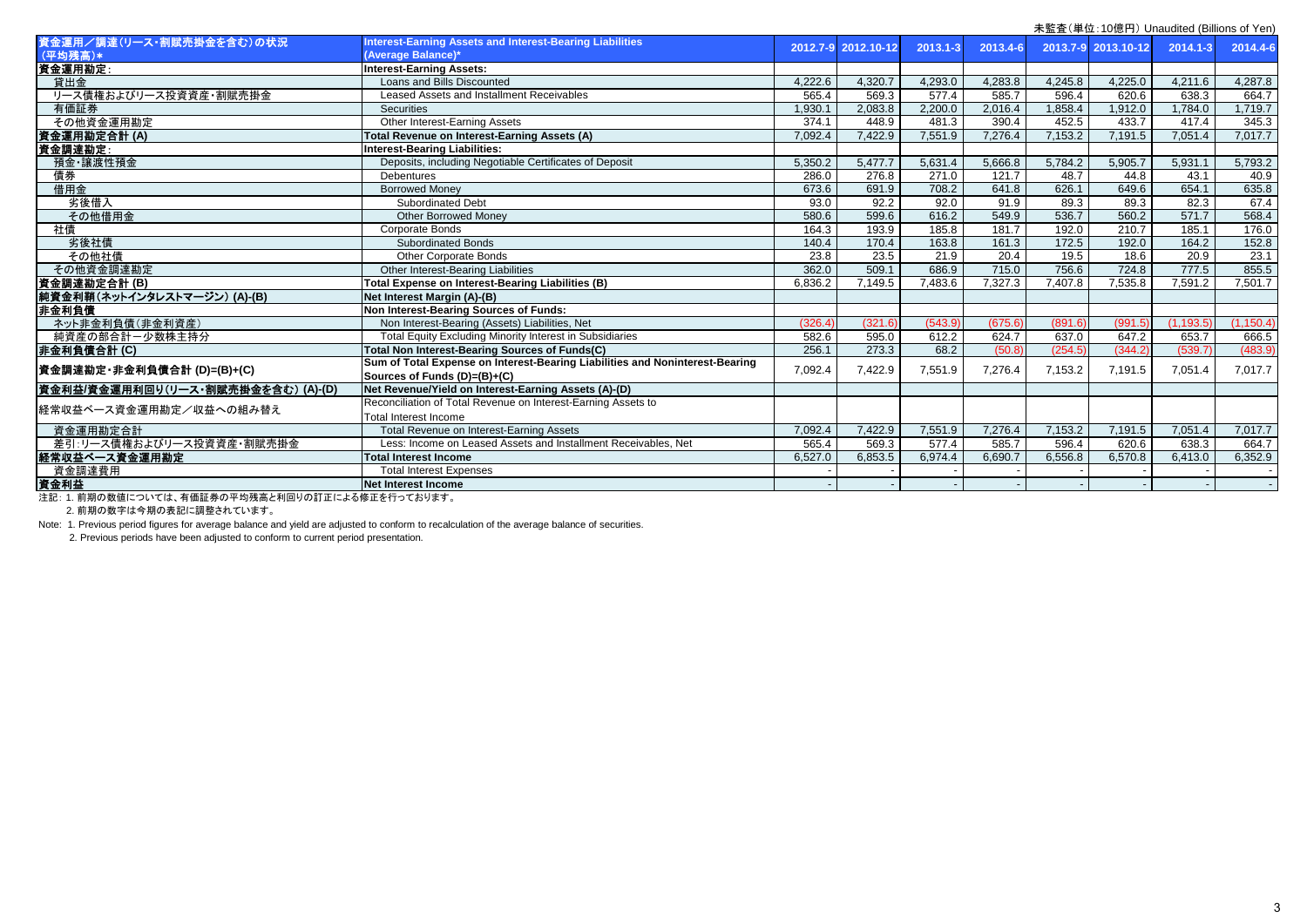|                                    |                                                                              |         |                     |                   |          |         | 木監査(单位:10息円) Unaudited (Billions of Yen) |              |           |
|------------------------------------|------------------------------------------------------------------------------|---------|---------------------|-------------------|----------|---------|------------------------------------------|--------------|-----------|
| 資金運用/調達(リース・割賦売掛金を含む)の状況           | <b>Interest-Earning Assets and Interest-Bearing Liabilities</b>              |         | 2012.7-9 2012.10-12 | 2013.1-3          | 2013.4-6 |         | 2013.7-9 2013.10-12                      | $2014.1 - 3$ | 2014.4-6  |
| (平均残高)*                            | (Average Balance)*                                                           |         |                     |                   |          |         |                                          |              |           |
| 資金運用勘定:                            | <b>Interest-Earning Assets:</b>                                              |         |                     |                   |          |         |                                          |              |           |
| 貸出金                                | Loans and Bills Discounted                                                   | 4,222.6 | 4,320.7             | 4,293.0           | 4,283.8  | 4,245.8 | 4,225.0                                  | 4,211.6      | 4,287.8   |
| リース債権およびリース投資資産・割賦売掛金              | Leased Assets and Installment Receivables                                    | 565.4   | 569.3               | 577.4             | 585.7    | 596.4   | 620.6                                    | 638.3        | 664.7     |
| 有価証券                               | <b>Securities</b>                                                            | 1,930.1 | 2,083.8             | 2,200.0           | 2,016.4  | 1,858.4 | 1,912.0                                  | 1,784.0      | 1,719.7   |
| その他資金運用勘定                          | Other Interest-Earning Assets                                                | 374.1   | 448.9               | 481.3             | 390.4    | 452.5   | 433.7                                    | 417.4        | 345.3     |
| 資金運用勘定合計(A)                        | Total Revenue on Interest-Earning Assets (A)                                 | 7,092.4 | 7.422.9             | 7,551.9           | 7.276.4  | 7,153.2 | 7,191.5                                  | 7,051.4      | 7,017.7   |
| 資金調達勘定:                            | <b>Interest-Bearing Liabilities:</b>                                         |         |                     |                   |          |         |                                          |              |           |
| 預金·讓渡性預金                           | Deposits, including Negotiable Certificates of Deposit                       | 5.350.2 | 5.477.7             | 5.631.4           | 5.666.8  | 5.784.2 | 5.905.7                                  | 5.931.1      | 5,793.2   |
| 債券                                 | <b>Debentures</b>                                                            | 286.0   | 276.8               | 271.0             | 121.7    | 48.7    | 44.8                                     | 43.1         | 40.9      |
| 借用金                                | <b>Borrowed Money</b>                                                        | 673.6   | 691.9               | 708.2             | 641.8    | 626.1   | 649.6                                    | 654.1        | 635.8     |
| 劣後借入                               | <b>Subordinated Debt</b>                                                     | 93.0    | 92.2                | 92.0              | 91.9     | 89.3    | 89.3                                     | 82.3         | 67.4      |
| その他借用金                             | <b>Other Borrowed Money</b>                                                  | 580.6   | 599.6               | 616.2             | 549.9    | 536.7   | 560.2                                    | 571.7        | 568.4     |
| 社債                                 | Corporate Bonds                                                              | 164.3   | 193.9               | 185.8             | 181.7    | 192.0   | 210.7                                    | 185.1        | 176.0     |
| 劣後社債                               | <b>Subordinated Bonds</b>                                                    | 140.4   | 170.4               | 163.8             | 161.3    | 172.5   | 192.0                                    | 164.2        | 152.8     |
| その他社債                              | <b>Other Corporate Bonds</b>                                                 | 23.8    | 23.5                | $\overline{21.9}$ | 20.4     | 19.5    | 18.6                                     | 20.9         | 23.1      |
| その他資金調達勘定                          | Other Interest-Bearing Liabilities                                           | 362.0   | 509.1               | 686.9             | 715.0    | 756.6   | 724.8                                    | 777.5        | 855.5     |
| 資金調達勘定合計(B)                        | Total Expense on Interest-Bearing Liabilities (B)                            | 6,836.2 | 7,149.5             | 7,483.6           | 7,327.3  | 7,407.8 | 7,535.8                                  | 7,591.2      | 7,501.7   |
| 純資金利鞘(ネットインタレストマージン) (A)-(B)       | Net Interest Margin (A)-(B)                                                  |         |                     |                   |          |         |                                          |              |           |
| 非金利負債                              | Non Interest-Bearing Sources of Funds:                                       |         |                     |                   |          |         |                                          |              |           |
| ネット非金利負債(非金利資産)                    | Non Interest-Bearing (Assets) Liabilities, Net                               | (326.4) | (321.6)             | (543.9)           | (675.6)  | (891.6) | (991.5)                                  | (1.193.5)    | (1.150.4) |
| 純資産の部合計ー少数株主持分                     | <b>Total Equity Excluding Minority Interest in Subsidiaries</b>              | 582.6   | 595.0               | 612.2             | 624.7    | 637.0   | 647.2                                    | 653.7        | 666.5     |
| 非金利負債合計(C)                         | Total Non Interest-Bearing Sources of Funds(C)                               | 256.1   | 273.3               | 68.2              | (50.8)   | (254.5) | (344.2)                                  | (539.7       | (483.9)   |
| 資金調達勘定·非金利負債合計 (D)=(B)+(C)         | Sum of Total Expense on Interest-Bearing Liabilities and Noninterest-Bearing | 7,092.4 | 7,422.9             | 7,551.9           | 7,276.4  | 7,153.2 | 7,191.5                                  | 7.051.4      | 7,017.7   |
|                                    | Sources of Funds (D)=(B)+(C)                                                 |         |                     |                   |          |         |                                          |              |           |
| 資金利益/資金運用利回り(リース·割賦売掛金を含む) (A)-(D) | Net Revenue/Yield on Interest-Earning Assets (A)-(D)                         |         |                     |                   |          |         |                                          |              |           |
| 経常収益ベース資金運用勘定/収益への組み替え             | Reconciliation of Total Revenue on Interest-Earning Assets to                |         |                     |                   |          |         |                                          |              |           |
|                                    | <b>Total Interest Income</b>                                                 |         |                     |                   |          |         |                                          |              |           |
| 資金運用勘定合計                           | Total Revenue on Interest-Earning Assets                                     | 7.092.4 | 7.422.9             | 7,551.9           | 7,276.4  | 7.153.2 | 7,191.5                                  | 7,051.4      | 7,017.7   |
| 差引:リース債権およびリース投資資産・割賦売掛金           | Less: Income on Leased Assets and Installment Receivables. Net               | 565.4   | 569.3               | 577.4             | 585.7    | 596.4   | 620.6                                    | 638.3        | 664.7     |
| 経常収益ベース資金運用勘定                      | <b>Total Interest Income</b>                                                 | 6,527.0 | 6,853.5             | 6,974.4           | 6,690.7  | 6,556.8 | 6,570.8                                  | 6,413.0      | 6,352.9   |
| 資金調達費用                             | <b>Total Interest Expenses</b>                                               |         |                     |                   |          |         |                                          |              |           |
| 資金利益                               | Net Interest Income                                                          |         |                     |                   |          |         |                                          |              |           |
|                                    |                                                                              |         |                     |                   |          |         |                                          |              |           |

注記: 1. 前期の数値については、有価証券の平均残高と利回りの訂正による修正を行っております。 2. 前期の数字は今期の表記に調整されています。

Note: 1. Previous period figures for average balance and yield are adjusted to conform to recalculation of the average balance of securities.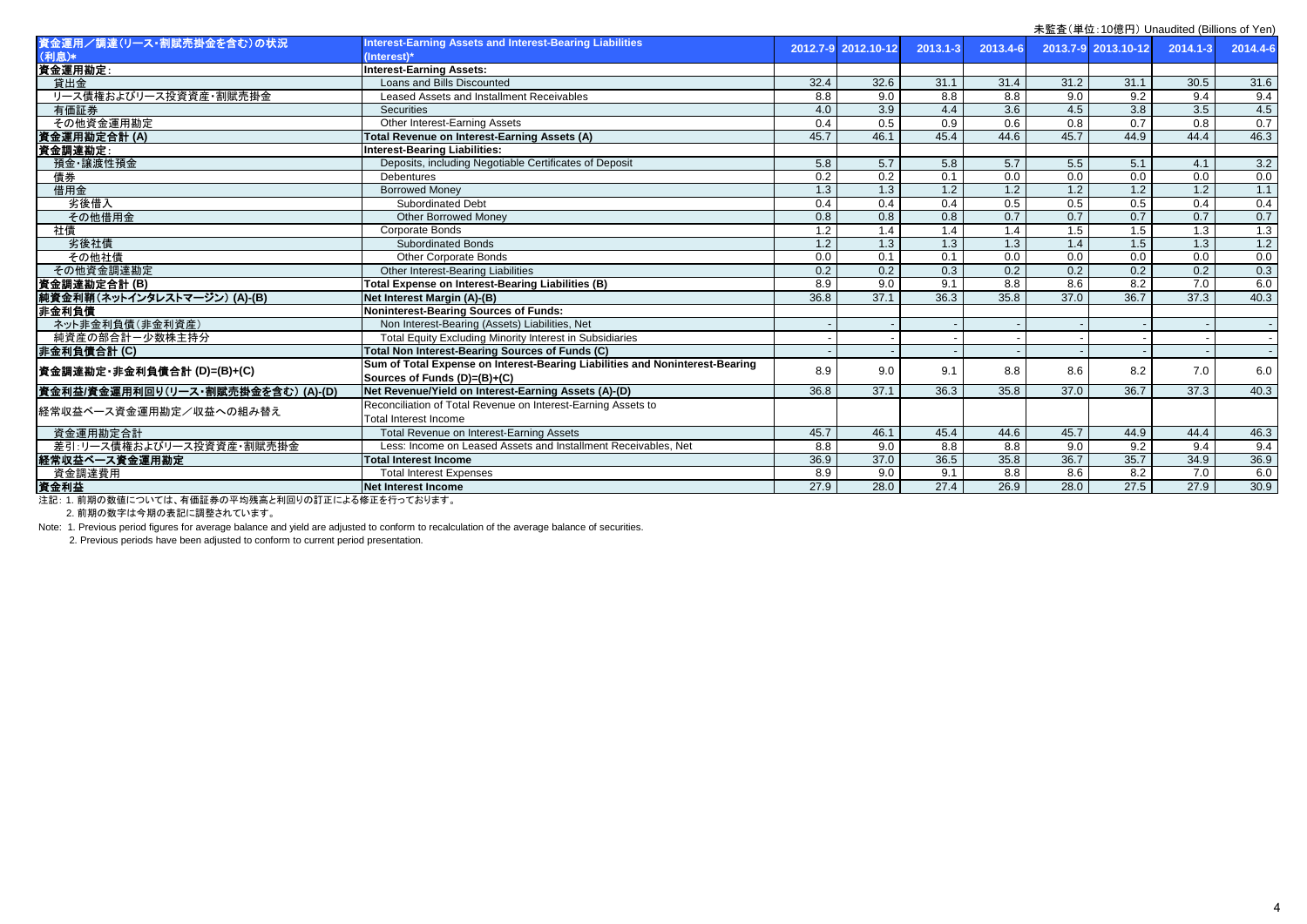|                                    |                                                                              |      |                     |                  |          |      | 木血且 \ 丰 山 . TV 忌 门 / UT laudited (Dillions Of Terry |          |          |
|------------------------------------|------------------------------------------------------------------------------|------|---------------------|------------------|----------|------|-----------------------------------------------------|----------|----------|
| 資金運用/調達(リース·割賦売掛金を含む)の状況           | Interest-Earning Assets and Interest-Bearing Liabilities                     |      | 2012.7-9 2012.10-12 | $2013.1 - 3$     | 2013.4-6 |      | 2013.7-9 2013.10-12                                 | 2014.1-3 | 2014.4-6 |
| (利息)*                              | (Interest)*                                                                  |      |                     |                  |          |      |                                                     |          |          |
| 資金運用勘定:                            | <b>Interest-Earning Assets:</b>                                              |      |                     |                  |          |      |                                                     |          |          |
| 貸出金                                | Loans and Bills Discounted                                                   | 32.4 | 32.6                | 31.1             | 31.4     | 31.2 | 31.1                                                | 30.5     | 31.6     |
| リース債権およびリース投資資産・割賦売掛金              | <b>Leased Assets and Installment Receivables</b>                             | 8.8  | 9.0                 | 8.8              | 8.8      | 9.0  | 9.2                                                 | 9.4      | 9.4      |
| 有価証券                               | <b>Securities</b>                                                            | 4.0  | 3.9                 | 4.4              | 3.6      | 4.5  | 3.8                                                 | 3.5      | 4.5      |
| その他資金運用勘定                          | Other Interest-Earning Assets                                                | 0.4  | 0.5                 | 0.9              | 0.6      | 0.8  | $\overline{0.7}$                                    | 0.8      | 0.7      |
| 資金運用勘定合計(A)                        | Total Revenue on Interest-Earning Assets (A)                                 | 45.7 | 46.1                | 45.4             | 44.6     | 45.7 | 44.9                                                | 44.4     | 46.3     |
| 資金調達勘定:                            | Interest-Bearing Liabilities:                                                |      |                     |                  |          |      |                                                     |          |          |
| 預金·讓渡性預金                           | Deposits, including Negotiable Certificates of Deposit                       | 5.8  | 5.7                 | 5.8              | 5.7      | 5.5  | 5.1                                                 | 4.1      | 3.2      |
| 債券                                 | <b>Debentures</b>                                                            | 0.2  | 0.2                 | 0.1              | 0.0      | 0.0  | 0.0                                                 | 0.0      | 0.0      |
| 借用金                                | <b>Borrowed Monev</b>                                                        | 1.3  | 1.3                 | 1.2              | 1.2      | 1.2  | 1.2                                                 | 1.2      | 1.1      |
| 劣後借入                               | <b>Subordinated Debt</b>                                                     | 0.4  | 0.4                 | 0.4              | 0.5      | 0.5  | 0.5                                                 | 0.4      | 0.4      |
| その他借用金                             | Other Borrowed Money                                                         | 0.8  | 0.8                 | 0.8              | 0.7      | 0.7  | 0.7                                                 | 0.7      | 0.7      |
| 社債                                 | Corporate Bonds                                                              | 1.2  | 1.4                 | 1.4              | 1.4      | 1.5  | 1.5                                                 | 1.3      | 1.3      |
| 劣後社債                               | <b>Subordinated Bonds</b>                                                    | 1.2  | 1.3                 | 1.3              | 1.3      | 1.4  | 1.5                                                 | 1.3      | 1.2      |
| その他社債                              | Other Corporate Bonds                                                        | 0.0  | 0.1                 | 0.1              | 0.0      | 0.0  | 0.0                                                 | 0.0      | 0.0      |
| その他資金調達勘定                          | Other Interest-Bearing Liabilities                                           | 0.2  | 0.2                 | $\overline{0.3}$ | 0.2      | 0.2  | 0.2                                                 | 0.2      | 0.3      |
| 資金調達勘定合計 (B)                       | Total Expense on Interest-Bearing Liabilities (B)                            | 8.9  | 9.0                 | 9.1              | 8.8      | 8.6  | 8.2                                                 | 7.0      | 6.0      |
| 純資金利鞘(ネットインタレストマージン) (A)-(B)       | Net Interest Margin (A)-(B)                                                  | 36.8 | 37.1                | 36.3             | 35.8     | 37.0 | 36.7                                                | 37.3     | 40.3     |
| 非金利負債                              | <b>Noninterest-Bearing Sources of Funds:</b>                                 |      |                     |                  |          |      |                                                     |          |          |
| ネット非金利負債(非金利資産)                    | Non Interest-Bearing (Assets) Liabilities, Net                               |      |                     |                  |          |      |                                                     |          |          |
| 純資産の部合計ー少数株主持分                     | Total Equity Excluding Minority Interest in Subsidiaries                     |      |                     |                  |          |      |                                                     |          |          |
| 非金利負債合計(C)                         | Total Non Interest-Bearing Sources of Funds (C)                              |      |                     |                  |          |      |                                                     |          |          |
| 資金調達勘定・非金利負債合計 (D)=(B)+(C)         | Sum of Total Expense on Interest-Bearing Liabilities and Noninterest-Bearing | 8.9  | 9.0                 | 9.1              | 8.8      | 8.6  | 8.2                                                 | 7.0      | 6.0      |
|                                    | Sources of Funds (D)=(B)+(C)                                                 |      |                     |                  |          |      |                                                     |          |          |
| 資金利益/資金運用利回り(リース·割賦売掛金を含む) (A)-(D) | Net Revenue/Yield on Interest-Earning Assets (A)-(D)                         | 36.8 | 37.1                | 36.3             | 35.8     | 37.0 | 36.7                                                | 37.3     | 40.3     |
| 経常収益ベース資金運用勘定/収益への組み替え             | Reconciliation of Total Revenue on Interest-Earning Assets to                |      |                     |                  |          |      |                                                     |          |          |
|                                    | Total Interest Income                                                        |      |                     |                  |          |      |                                                     |          |          |
| 資金運用勘定合計                           | Total Revenue on Interest-Earning Assets                                     | 45.7 | 46.1                | 45.4             | 44.6     | 45.7 | 44.9                                                | 44.4     | 46.3     |
| 差引:リース債権およびリース投資資産・割賦売掛金           | Less: Income on Leased Assets and Installment Receivables. Net               | 8.8  | 9.0                 | 8.8              | 8.8      | 9.0  | 9.2                                                 | 9.4      | 9.4      |
| 経常収益ベース資金運用勘定                      | <b>Total Interest Income</b>                                                 | 36.9 | 37.0                | 36.5             | 35.8     | 36.7 | 35.7                                                | 34.9     | 36.9     |
| 資金調達費用                             | <b>Total Interest Expenses</b>                                               | 8.9  | 9.0                 | 9.1              | 8.8      | 8.6  | 8.2                                                 | 7.0      | 6.0      |
| 資金利益                               | Net Interest Income                                                          | 27.9 | 28.0                | 27.4             | 26.9     | 28.0 | 27.5                                                | 27.9     | 30.9     |
|                                    |                                                                              |      |                     |                  |          |      |                                                     |          |          |

注記: 1. 前期の数値については、有価証券の平均残高と利回りの訂正による修正を行っております。

2. 前期の数字は今期の表記に調整されています。

Note: 1. Previous period figures for average balance and yield are adjusted to conform to recalculation of the average balance of securities.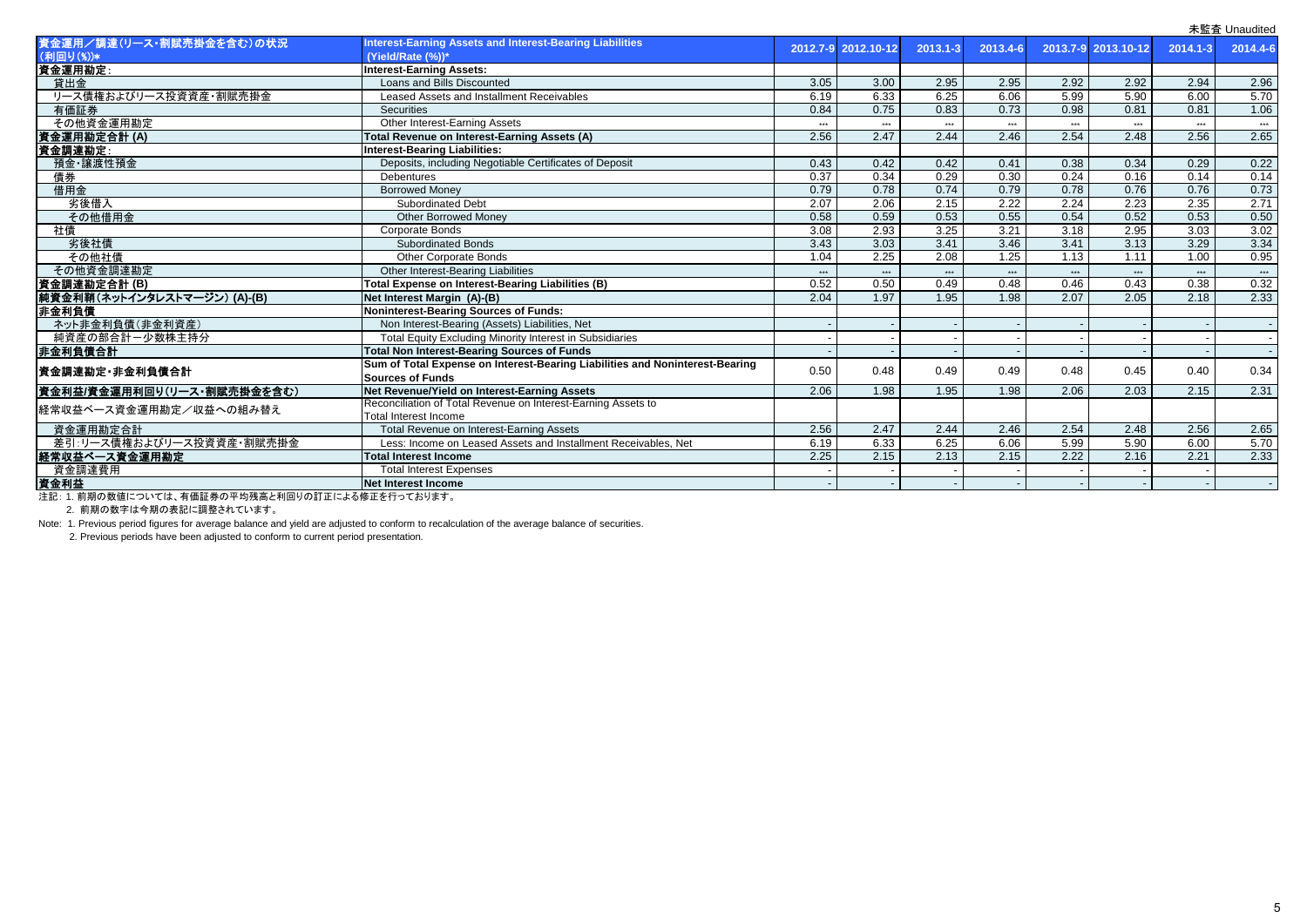|                                                |                                                                              |       |                     |              |          |       |                     |          | 未監査 Unaudited |
|------------------------------------------------|------------------------------------------------------------------------------|-------|---------------------|--------------|----------|-------|---------------------|----------|---------------|
| 資金運用/調達(リース·割賦売掛金を含む)の状況                       | Interest-Earning Assets and Interest-Bearing Liabilities                     |       | 2012.7-9 2012.10-12 | $2013.1 - 3$ | 2013.4-6 |       | 2013.7-9 2013.10-12 | 2014.1-3 | 2014.4-6      |
| (利回り(%))*                                      | (Yield/Rate (%))*                                                            |       |                     |              |          |       |                     |          |               |
| 資金運用勘定:                                        | <b>Interest-Earning Assets:</b>                                              |       |                     |              |          |       |                     |          |               |
| 貸出金                                            | Loans and Bills Discounted                                                   | 3.05  | 3.00                | 2.95         | 2.95     | 2.92  | 2.92                | 2.94     | 2.96          |
| リース債権およびリース投資資産・割賦売掛金                          | Leased Assets and Installment Receivables                                    | 6.19  | 6.33                | 6.25         | 6.06     | 5.99  | 5.90                | 6.00     | 5.70          |
| 有価証券                                           | <b>Securities</b>                                                            | 0.84  | 0.75                | 0.83         | 0.73     | 0.98  | 0.81                | 0.81     | 1.06          |
| その他資金運用勘定                                      | Other Interest-Earning Assets                                                | $***$ | $***$               | $***$        | $***$    | $***$ | $***$               | $***$    | $***$         |
| 資金運用勘定合計(A)                                    | Total Revenue on Interest-Earning Assets (A)                                 | 2.56  | 2.47                | 2.44         | 2.46     | 2.54  | 2.48                | 2.56     | 2.65          |
| 資金調達勘定:                                        | <b>Interest-Bearing Liabilities:</b>                                         |       |                     |              |          |       |                     |          |               |
| 預金·讓渡性預金                                       | Deposits, including Negotiable Certificates of Deposit                       | 0.43  | 0.42                | 0.42         | 0.41     | 0.38  | 0.34                | 0.29     | 0.22          |
| 債券                                             | Debentures                                                                   | 0.37  | 0.34                | 0.29         | 0.30     | 0.24  | 0.16                | 0.14     | 0.14          |
| 借用金                                            | <b>Borrowed Money</b>                                                        | 0.79  | 0.78                | 0.74         | 0.79     | 0.78  | 0.76                | 0.76     | 0.73          |
| 劣後借入                                           | <b>Subordinated Debt</b>                                                     | 2.07  | 2.06                | 2.15         | 2.22     | 2.24  | 2.23                | 2.35     | 2.71          |
| その他借用金                                         | <b>Other Borrowed Monev</b>                                                  | 0.58  | 0.59                | 0.53         | 0.55     | 0.54  | 0.52                | 0.53     | 0.50          |
| 社債                                             | <b>Corporate Bonds</b>                                                       | 3.08  | 2.93                | 3.25         | 3.21     | 3.18  | 2.95                | 3.03     | 3.02          |
| 劣後社債                                           | <b>Subordinated Bonds</b>                                                    | 3.43  | 3.03                | 3.41         | 3.46     | 3.41  | 3.13                | 3.29     | 3.34          |
| その他社債                                          | <b>Other Corporate Bonds</b>                                                 | 1.04  | 2.25                | 2.08         | 1.25     | 1.13  | 1.11                | 1.00     | 0.95          |
| その他資金調達勘定                                      | Other Interest-Bearing Liabilities                                           | $***$ | $***$               | $***$        | $***$    | $***$ | $***$               | $***$    | $***$         |
| 資金調達勘定合計 (B)<br>  純資金利鞘(ネットインタレストマージン) (A)-(B) | Total Expense on Interest-Bearing Liabilities (B)                            | 0.52  | 0.50                | 0.49         | 0.48     | 0.46  | 0.43                | 0.38     | 0.32          |
|                                                | Net Interest Margin (A)-(B)                                                  | 2.04  | 1.97                | 1.95         | 1.98     | 2.07  | 2.05                | 2.18     | 2.33          |
| 非金利負債                                          | Noninterest-Bearing Sources of Funds:                                        |       |                     |              |          |       |                     |          |               |
| ネット非金利負債(非金利資産)                                | Non Interest-Bearing (Assets) Liabilities, Net                               |       |                     |              |          |       |                     |          |               |
| 純資産の部合計ー少数株主持分                                 | Total Equity Excluding Minority Interest in Subsidiaries                     |       |                     |              |          |       |                     |          |               |
| 非金利負債合計                                        | <b>Total Non Interest-Bearing Sources of Funds</b>                           |       |                     |              |          |       |                     |          | $\sim$        |
| 資金調達勘定・非金利負債合計                                 | Sum of Total Expense on Interest-Bearing Liabilities and Noninterest-Bearing | 0.50  | 0.48                | 0.49         | 0.49     | 0.48  | 0.45                | 0.40     | 0.34          |
|                                                | <b>Sources of Funds</b>                                                      |       |                     |              |          |       |                     |          |               |
| 資金利益/資金運用利回り(リース・割賦売掛金を含む)                     | Net Revenue/Yield on Interest-Earning Assets                                 | 2.06  | 1.98                | 1.95         | 1.98     | 2.06  | 2.03                | 2.15     | 2.31          |
| 経常収益ベース資金運用勘定/収益への組み替え                         | Reconciliation of Total Revenue on Interest-Earning Assets to                |       |                     |              |          |       |                     |          |               |
|                                                | Total Interest Income                                                        |       |                     |              |          |       |                     |          |               |
| 資金運用勘定合計                                       | Total Revenue on Interest-Earning Assets                                     | 2.56  | 2.47                | 2.44         | 2.46     | 2.54  | 2.48                | 2.56     | 2.65          |
| 差引:リース債権およびリース投資資産・割賦売掛金                       | Less: Income on Leased Assets and Installment Receivables. Net               | 6.19  | 6.33                | 6.25         | 6.06     | 5.99  | 5.90                | 6.00     | 5.70          |
| 経常収益ペース資金運用勘定                                  | <b>Total Interest Income</b>                                                 | 2.25  | 2.15                | 2.13         | 2.15     | 2.22  | 2.16                | 2.21     | 2.33          |
| 資金調達費用                                         | <b>Total Interest Expenses</b>                                               |       |                     |              |          |       |                     |          |               |
| 資金利益                                           | Net Interest Income                                                          |       |                     |              |          |       |                     |          |               |

注記: 1. 前期の数値については、有価証券の平均残高と利回りの訂正による修正を行っております。

2. 前期の数字は今期の表記に調整されています。

Note: 1. Previous period figures for average balance and yield are adjusted to conform to recalculation of the average balance of securities.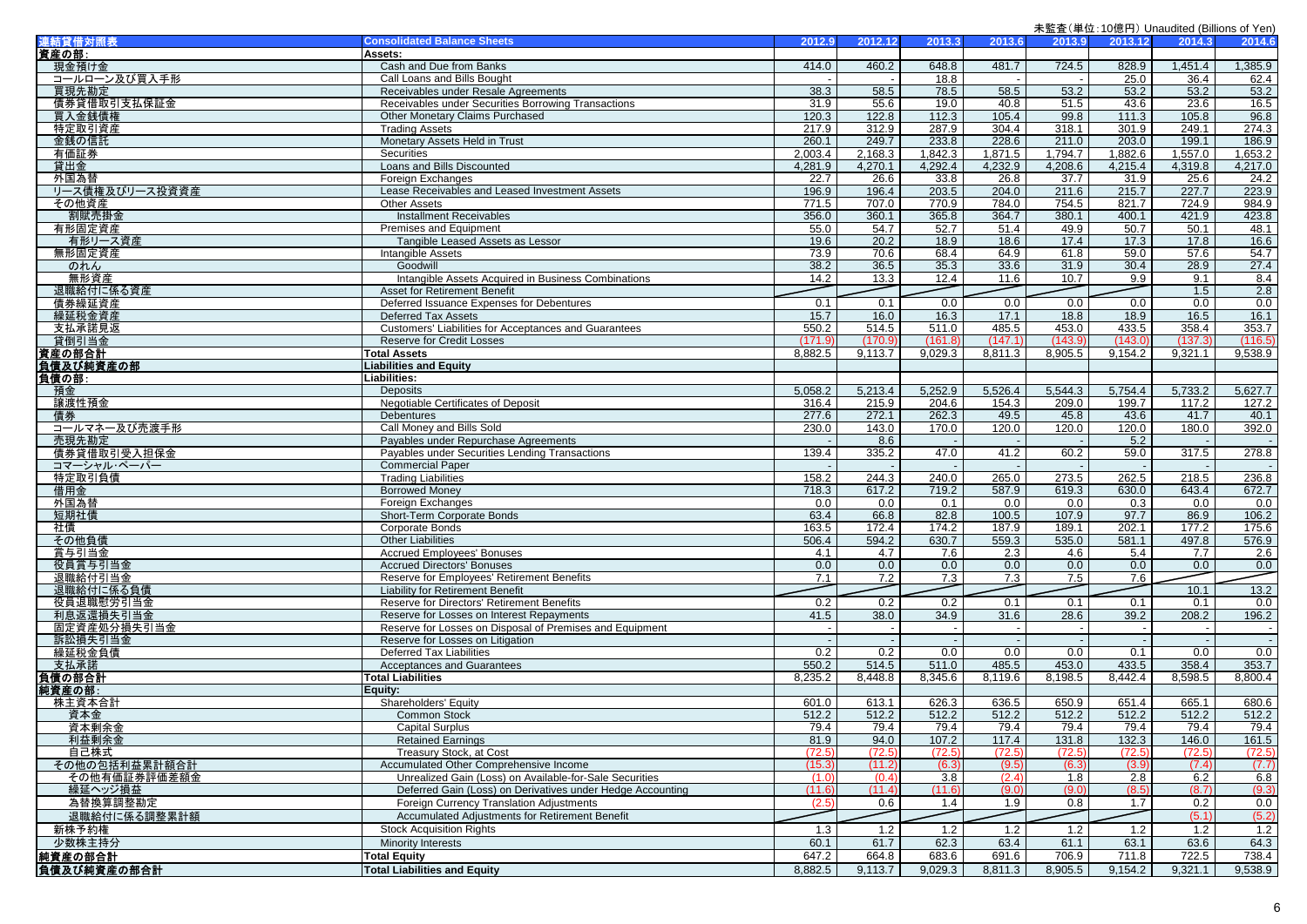| 連結貸借対照表        | <b>Consolidated Balance Sheets</b>                         | 2012.9  | 2012.12                  | 2013.3  | 2013.6  | 2013.9  | 2013.12 | 2014.3                   | 2014.6     |
|----------------|------------------------------------------------------------|---------|--------------------------|---------|---------|---------|---------|--------------------------|------------|
| 資産の部:          | Assets:                                                    |         |                          |         |         |         |         |                          |            |
|                |                                                            |         | 460.2                    |         |         | 724.5   |         |                          | 1,385.9    |
| 現金預け金          | Cash and Due from Banks                                    | 414.0   |                          | 648.8   | 481.7   |         | 828.9   | 1,451.4                  |            |
| コールローン及び買入手形   | Call Loans and Bills Bought                                |         |                          | 18.8    |         |         | 25.0    | 36.4                     | 62.4       |
| 買現先勘定          | Receivables under Resale Agreements                        | 38.3    | 58.5                     | 78.5    | 58.5    | 53.2    | 53.2    | 53.2                     | 53.2       |
| 債券貸借取引支払保証金    | Receivables under Securities Borrowing Transactions        | 31.9    | 55.6                     | 19.0    | 40.8    | 51.5    | 43.6    | 23.6                     | 16.5       |
| 買入金銭債権         | Other Monetary Claims Purchased                            | 120.3   | 122.8                    | 112.3   | 105.4   | 99.8    | 111.3   | 105.8                    | 96.8       |
| 特定取引資産         | <b>Trading Assets</b>                                      | 217.9   | 312.9                    | 287.9   | 304.4   | 318.1   | 301.9   | 249.1                    | 274.3      |
| 金銭の信託          | Monetary Assets Held in Trust                              | 260.1   | 249.7                    | 233.8   | 228.6   | 211.0   | 203.0   | 199.1                    | 186.9      |
|                |                                                            |         |                          |         |         |         |         |                          |            |
| 有価証券           | Securities                                                 | 2,003.4 | 2,168.3                  | 1,842.3 | 1,871.5 | 1,794.7 | 1,882.6 | 1,557.0                  | 1,653.2    |
| 貸出金            | Loans and Bills Discounted                                 | 4,281.9 | 4,270.1                  | 4,292.4 | 4,232.9 | 4,208.6 | 4,215.4 | 4,319.8                  | 4,217.0    |
| 外国為替           | Foreign Exchanges                                          | 22.7    | 26.6                     | 33.8    | 26.8    | 37.7    | 31.9    | 25.6                     | 24.2       |
| リース債権及びリース投資資産 | Lease Receivables and Leased Investment Assets             | 196.9   | 196.4                    | 203.5   | 204.0   | 211.6   | 215.7   | 227.7                    | 223.9      |
| その他資産          | <b>Other Assets</b>                                        | 771.5   | 707.0                    | 770.9   | 784.0   | 754.5   | 821.7   | 724.9                    | 984.9      |
| 割賦売掛金          | Installment Receivables                                    | 356.0   | 360.1                    | 365.8   | 364.7   | 380.1   | 400.1   | 421.9                    | 423.8      |
| 有形固定資産         |                                                            | 55.0    | 54.7                     | 52.7    |         | 49.9    | 50.7    | 50.1                     | 48.1       |
|                | Premises and Equipment                                     |         |                          |         | 51.4    |         |         |                          |            |
| 有形リース資産        | Tangible Leased Assets as Lessor                           | 19.6    | 20.2                     | 18.9    | 18.6    | 17.4    | 17.3    | 17.8                     | 16.6       |
| 無形固定資産         | <b>Intangible Assets</b>                                   | 73.9    | 70.6                     | 68.4    | 64.9    | 61.8    | 59.0    | 57.6                     | 54.7       |
| のれん            | Goodwill                                                   | 38.2    | 36.5                     | 35.3    | 33.6    | 31.9    | 30.4    | 28.9                     | 27.4       |
| 無形資産           | Intangible Assets Acquired in Business Combinations        | 14.2    | 13.3                     | 12.4    | 11.6    | 10.7    | 9.9     | 9.1                      | 8.4        |
| 退職給付に係る資産      | Asset for Retirement Benefit                               |         |                          |         |         |         |         | 1.5                      | 2.8        |
| 債券繰延資産         | Deferred Issuance Expenses for Debentures                  | 0.1     | 0.1                      | 0.0     | 0.0     | 0.0     | 0.0     | 0.0                      | 0.0        |
|                |                                                            |         |                          |         |         |         |         |                          |            |
| 繰延税金資産         | <b>Deferred Tax Assets</b>                                 | 15.7    | 16.0                     | 16.3    | 17.1    | 18.8    | 18.9    | 16.5                     | 16.1       |
| 支払承諾見返         | Customers' Liabilities for Acceptances and Guarantees      | 550.2   | 514.5                    | 511.0   | 485.5   | 453.0   | 433.5   | 358.4                    | 353.7      |
| 貸倒引当金          | <b>Reserve for Credit Losses</b>                           | (171.9) | (170.9)                  | (161.8) | (147.1) | (143.9) | (143.0) | (137.3)                  | (116.5)    |
| 資産の部合計         | <b>Total Assets</b>                                        | 8,882.5 | 9,113.7                  | 9,029.3 | 8,811.3 | 8,905.5 | 9,154.2 | 9,321.1                  | 9,538.9    |
| 負債及び純資産の部      | <b>Liabilities and Equity</b>                              |         |                          |         |         |         |         |                          |            |
|                | ∟iabilities:                                               |         |                          |         |         |         |         |                          |            |
| 負債の部:          |                                                            |         |                          |         |         |         |         |                          |            |
| 預金             | <b>Deposits</b>                                            | 5,058.2 | 5,213.4                  | 5,252.9 | 5,526.4 | 5,544.3 | 5,754.4 | 5,733.2                  | 5,627.7    |
| 讓渡性預金          | Negotiable Certificates of Deposit                         | 316.4   | 215.9                    | 204.6   | 154.3   | 209.0   | 199.7   | 117.2                    | 127.2      |
| 債券             | <b>Debentures</b>                                          | 277.6   | 272.1                    | 262.3   | 49.5    | 45.8    | 43.6    | 41.7                     | 40.1       |
| コールマネー及び売渡手形   | Call Money and Bills Sold                                  | 230.0   | 143.0                    | 170.0   | 120.0   | 120.0   | 120.0   | 180.0                    | 392.0      |
| 売現先勘定          | Payables under Repurchase Agreements                       |         | 8.6                      | $\sim$  |         |         | 5.2     |                          | $\sim 100$ |
| 債券貸借取引受入担保金    | Pavables under Securities Lending Transactions             | 139.4   | 335.2                    | 47.0    | 41.2    | 60.2    | 59.0    | 317.5                    | 278.8      |
|                |                                                            |         |                          |         |         |         |         |                          |            |
| コマーシャル・ペーパー    | <b>Commercial Paper</b>                                    |         | $\overline{\phantom{a}}$ |         |         |         |         | $\overline{\phantom{a}}$ | $\sim$ $-$ |
| 特定取引負債         | <b>Trading Liabilities</b>                                 | 158.2   | 244.3                    | 240.0   | 265.0   | 273.5   | 262.5   | 218.5                    | 236.8      |
| 借用金            | <b>Borrowed Money</b>                                      | 718.3   | 617.2                    | 719.2   | 587.9   | 619.3   | 630.0   | 643.4                    | 672.7      |
| 外国為替           | Foreign Exchanges                                          | 0.0     | 0.0                      | 0.1     | 0.0     | 0.0     | 0.3     | 0.0                      | 0.0        |
| 短期社債           | Short-Term Corporate Bonds                                 | 63.4    | 66.8                     | 82.8    | 100.5   | 107.9   | 97.7    | 86.9                     | 106.2      |
| 社債             | Corporate Bonds                                            | 163.5   | 172.4                    | 174.2   | 187.9   | 189.1   | 202.1   | 177.2                    | 175.6      |
| その他負債          | <b>Other Liabilities</b>                                   | 506.4   | 594.2                    | 630.7   | 559.3   | 535.0   | 581.1   | 497.8                    | 576.9      |
|                |                                                            |         |                          |         |         |         |         |                          |            |
| 賞与引当金          | <b>Accrued Employees' Bonuses</b>                          | 4.1     | 4.7                      | 7.6     | 2.3     | 4.6     | 5.4     | 7.7                      | 2.6        |
| 役員賞与引当金        | <b>Accrued Directors' Bonuses</b>                          | 0.0     | 0.0                      | 0.0     | 0.0     | 0.0     | 0.0     | 0.0                      | 0.0        |
| 退職給付引当金        | Reserve for Employees' Retirement Benefits                 | 7.1     | 7.2                      | 7.3     | 7.3     | 7.5     | 7.6     |                          |            |
| 退職給付に係る負債      | Liability for Retirement Benefit                           |         |                          |         |         |         |         | 10.1                     | 13.2       |
| 役員退職慰労引当金      | Reserve for Directors' Retirement Benefits                 | 0.2     | 0.2                      | 0.2     | 0.1     | 0.1     | 0.1     | 0.1                      | 0.0        |
| 利息返還損失引当金      | Reserve for Losses on Interest Repayments                  | 41.5    | 38.0                     | 34.9    | 31.6    | 28.6    | 39.2    | 208.2                    | 196.2      |
| 固定資産処分損失引当金    | Reserve for Losses on Disposal of Premises and Equipment   |         |                          |         |         |         |         |                          |            |
|                |                                                            |         |                          |         |         |         |         |                          |            |
| 訴訟損失引当金        | Reserve for Losses on Litigation                           |         | $\sim$                   | $\sim$  |         |         |         | $\overline{\phantom{a}}$ | $\sim$     |
| 繰延税金負債         | <b>Deferred Tax Liabilities</b>                            | 0.2     | 0.2                      | 0.0     | 0.0     | 0.0     | 0.1     | $\overline{0.0}$         | 0.0        |
| 支払承諾           | Acceptances and Guarantees                                 | 550.2   | 514.5                    | 511.0   | 485.5   | 453.0   | 433.5   | 358.4                    | 353.7      |
| 負債の部合計         | <b>Total Liabilities</b>                                   | 8,235.2 | 8,448.8                  | 8,345.6 | 8,119.6 | 8,198.5 | 8,442.4 | 8,598.5                  | 8,800.4    |
| 純資産の部:         | Equity:                                                    |         |                          |         |         |         |         |                          |            |
| 株主資本合計         | Shareholders' Equity                                       | 601.0   | 613.1                    | 626.3   | 636.5   | 650.9   | 651.4   | 665.1                    | 680.6      |
| 資本金            | <b>Common Stock</b>                                        | 512.2   | 512.2                    | 512.2   | 512.2   | 512.2   | 512.2   | 512.2                    | 512.2      |
|                |                                                            |         |                          |         |         |         |         |                          |            |
| 資本剰余金          | Capital Surplus                                            | 79.4    | 79.4                     | 79.4    | 79.4    | 79.4    | 79.4    | 79.4                     | 79.4       |
| 利益剰余金          | <b>Retained Earnings</b>                                   | 81.9    | 94.0                     | 107.2   | 117.4   | 131.8   | 132.3   | 146.0                    | 161.5      |
| 自己株式           | Treasury Stock, at Cost                                    | (72.5)  | (72.5)                   | (72.5)  | (72.5)  | (72.5)  | (72.5)  | (72.5)                   | (72.5)     |
| その他の包括利益累計額合計  | Accumulated Other Comprehensive Income                     | (15.3)  | (11.2)                   | (6.3)   | (9.5)   | (6.3)   | (3.9)   | (7.4)                    | (7.7)      |
| その他有価証券評価差額金   | Unrealized Gain (Loss) on Available-for-Sale Securities    | (1.0)   | (0.4)                    | 3.8     | (2.4)   | 1.8     | 2.8     | 6.2                      | 6.8        |
|                |                                                            | (11.6)  | (11.4)                   | (11.6)  | (9.0)   | (9.0)   |         | (8.7)                    |            |
| 繰延ヘッジ損益        | Deferred Gain (Loss) on Derivatives under Hedge Accounting |         |                          |         |         |         | (8.5)   |                          | (9.3)      |
| 為替換算調整勘定       | Foreign Currency Translation Adjustments                   | (2.5)   | 0.6                      | 1.4     | 1.9     | 0.8     | 1.7     | 0.2                      | 0.0        |
| 退職給付に係る調整累計額   | Accumulated Adjustments for Retirement Benefit             |         |                          |         |         |         |         | (5.1)                    | (5.2)      |
| 新株予約権          | <b>Stock Acquisition Rights</b>                            | 1.3     | 1.2                      | 1.2     | 1.2     | 1.2     | 1.2     | 1.2                      | 1.2        |
| 少数株主持分         | Minority Interests                                         | 60.1    | 61.7                     | 62.3    | 63.4    | 61.1    | 63.1    | 63.6                     | 64.3       |
|                |                                                            |         |                          |         |         |         |         |                          |            |
| 純資産の部合計        | <b>Total Equity</b>                                        | 647.2   | 664.8                    | 683.6   | 691.6   | 706.9   | 711.8   | 722.5                    | 738.4      |
| 自信及び純資産の部合計    | <b>Total Liabilities and Equity</b>                        | 8,882.5 | 9,113.7                  | 9,029.3 | 8,811.3 | 8,905.5 | 9,154.2 | 9,321.1                  | 9,538.9    |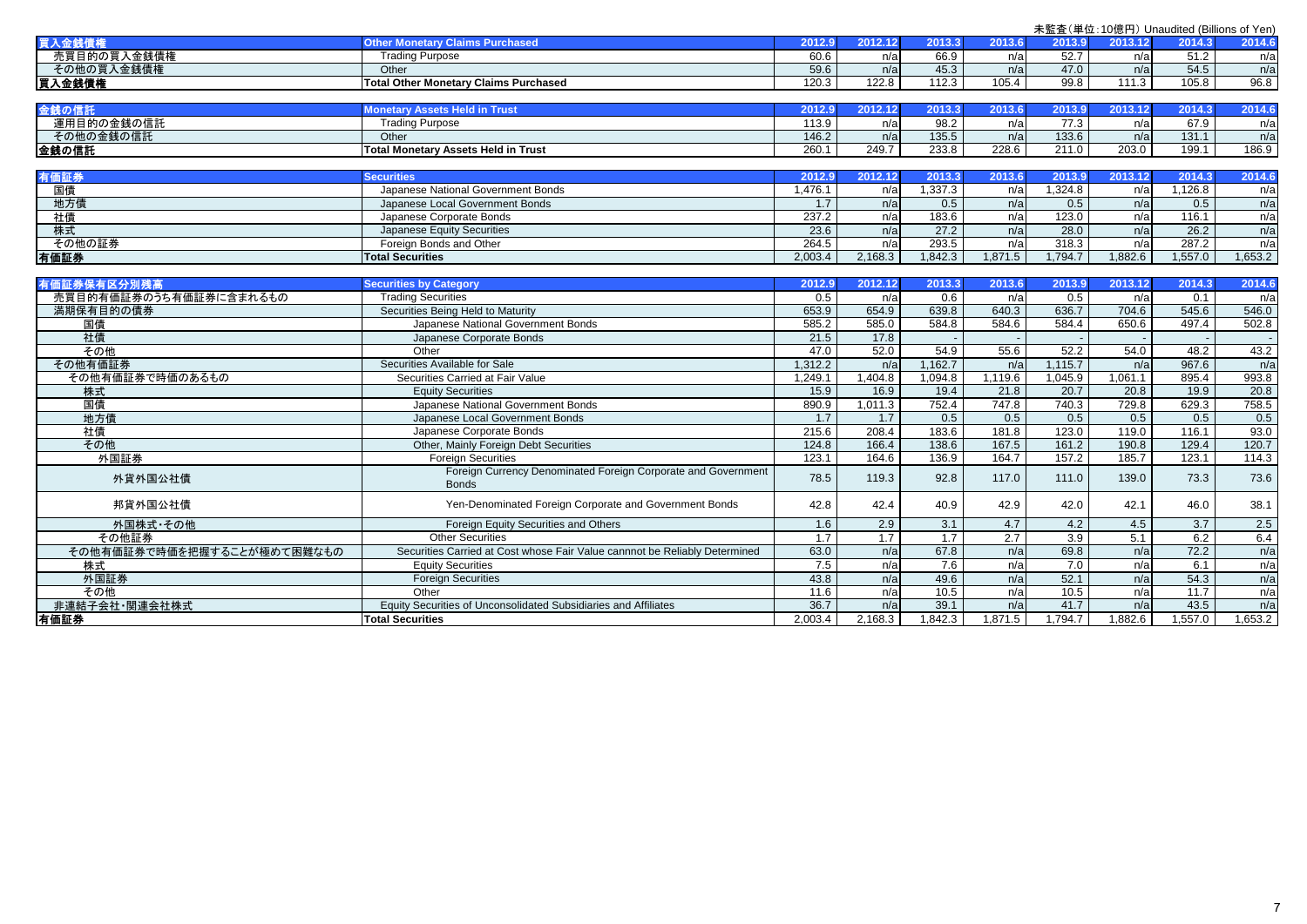| 未監査(単位:10億円) Unaudited (Billions of Yen) |                                                                               |                  |         |                   |                  |         |                   |         |         |
|------------------------------------------|-------------------------------------------------------------------------------|------------------|---------|-------------------|------------------|---------|-------------------|---------|---------|
| 買入金銭債権                                   | <b>Other Monetary Claims Purchased</b>                                        | 2012.9           | 2012.12 | 2013.3            | 2013.6           | 2013.9  | 2013.12           | 2014.3  | 2014.6  |
| 売買目的の買入金銭債権                              | <b>Trading Purpose</b>                                                        | 60.6             | n/a     | 66.9              | n/a              | 52.7    | n/a               | 51.2    | n/a     |
| その他の買入金銭債権                               | Other                                                                         | 59.6             | n/a     | 45.3              | n/a              | 47.0    | n/a               | 54.5    | n/a     |
| 買入金銭債権                                   | <b>Total Other Monetary Claims Purchased</b>                                  | 120.3            | 122.8   | 112.3             | 105.4            | 99.8    | 111.3             | 105.8   | 96.8    |
| 金銭の信託                                    | <b>Monetary Assets Held in Trust</b>                                          | 2012.9           | 2012.12 | 2013.3            | 2013.6           | 2013.9  | 2013.12           | 2014.3  | 2014.6  |
| 運用目的の金銭の信託                               | <b>Trading Purpose</b>                                                        | 113.9            | n/a     | 98.2              | n/a              | 77.3    | n/a               | 67.9    | n/a     |
| その他の金銭の信託                                | Other                                                                         | 146.2            | n/a     | 135.5             | n/a              | 133.6   | n/a               | 131.1   | n/a     |
| 金銭の信託                                    | <b>Total Monetary Assets Held in Trust</b>                                    | 260.1            | 249.7   | 233.8             | 228.6            | 211.0   | 203.0             | 199.1   | 186.9   |
|                                          |                                                                               |                  |         |                   |                  |         |                   |         |         |
| 有価証券                                     | <b>Securities</b>                                                             | 2012.9           | 2012.12 | 2013.3            | 2013.6           | 2013.9  | 2013.12           | 2014.3  | 2014.6  |
| 国債                                       | Japanese National Government Bonds                                            | 1.476.1          | n/a     | 1.337.3           | n/a              | 1.324.8 | n/a               | 1.126.8 | n/a     |
| 地方債                                      | Japanese Local Government Bonds                                               | 1.7              | n/a     | 0.5               | n/a              | 0.5     | n/a               | 0.5     | n/a     |
| 社債                                       | Japanese Corporate Bonds                                                      | 237.2            | n/a     | 183.6             | n/a              | 123.0   | n/a               | 116.1   | n/a     |
| 株式                                       | Japanese Equity Securities                                                    | 23.6             | n/a     | $\overline{27.2}$ | n/a              | 28.0    | n/a               | 26.2    | n/a     |
| その他の証券                                   | Foreign Bonds and Other                                                       | 264.5            | n/a     | 293.5             | n/a              | 318.3   | n/a               | 287.2   | n/a     |
| 有価証券                                     | <b>Total Securities</b>                                                       | 2.003.4          | 2,168.3 | 1,842.3           | 1,871.5          | 1.794.7 | 1.882.6           | 1.557.0 | 1,653.2 |
| 有価証券保有区分別残高                              | <b>Securities by Category</b>                                                 | 2012.9           | 2012.12 | 2013.3            | 2013.6           | 2013.9  | 2013.12           | 2014.3  | 2014.6  |
| 売買目的有価証券のうち有価証券に含まれるもの                   | <b>Trading Securities</b>                                                     | 0.5              | n/a     | 0.6               | n/a              | 0.5     | n/a               | 0.1     | n/a     |
| 満期保有目的の債券                                | Securities Being Held to Maturity                                             | 653.9            | 654.9   | 639.8             | 640.3            | 636.7   | 704.6             | 545.6   | 546.0   |
| 国債                                       | Japanese National Government Bonds                                            | 585.2            | 585.0   | 584.8             | 584.6            | 584.4   | 650.6             | 497.4   | 502.8   |
| 社債                                       | Japanese Corporate Bonds                                                      | 21.5             | 17.8    |                   |                  |         |                   |         |         |
| その他                                      | Other                                                                         | 47.0             | 52.0    | 54.9              | 55.6             | 52.2    | 54.0              | 48.2    | 43.2    |
| その他有価証券                                  | Securities Available for Sale                                                 | 1.312.2          | n/a     | 1,162.7           | n/a              | 1,115.7 | n/a               | 967.6   | n/a     |
| その他有価証券で時価のあるもの                          | Securities Carried at Fair Value                                              | 1,249.1          | 1,404.8 | 1,094.8           | 1,119.6          | 1,045.9 | 1,061.1           | 895.4   | 993.8   |
| 株式                                       | <b>Equity Securities</b>                                                      | 15.9             | 16.9    | 19.4              | 21.8             | 20.7    | $\overline{20.8}$ | 19.9    | 20.8    |
| 国債                                       | Japanese National Government Bonds                                            | 890.9            | 1,011.3 | 752.4             | 747.8            | 740.3   | 729.8             | 629.3   | 758.5   |
| 地方債                                      | Japanese Local Government Bonds                                               | 1.7              | 1.7     | 0.5               | 0.5              | 0.5     | 0.5               | 0.5     | 0.5     |
| 社債                                       | Japanese Corporate Bonds                                                      | 215.6            | 208.4   | 183.6             | 181.8            | 123.0   | 119.0             | 116.1   | 93.0    |
| その他                                      | Other, Mainly Foreign Debt Securities                                         | 124.8            | 166.4   | 138.6             | 167.5            | 161.2   | 190.8             | 129.4   | 120.7   |
| 外国証券                                     | <b>Foreign Securities</b>                                                     | 123.1            | 164.6   | 136.9             | 164.7            | 157.2   | 185.7             | 123.1   | 114.3   |
| 外貨外国公社債                                  | Foreign Currency Denominated Foreign Corporate and Government<br><b>Bonds</b> | 78.5             | 119.3   | 92.8              | 117.0            | 111.0   | 139.0             | 73.3    | 73.6    |
| 邦貨外国公社債                                  | Yen-Denominated Foreign Corporate and Government Bonds                        | 42.8             | 42.4    | 40.9              | 42.9             | 42.0    | 42.1              | 46.0    | 38.1    |
| 外国株式·その他                                 | Foreign Equity Securities and Others                                          | 1.6              | 2.9     | 3.1               | 4.7              | 4.2     | 4.5               | 3.7     | 2.5     |
| その他証券                                    | <b>Other Securities</b>                                                       | $\overline{1.7}$ | 1.7     | 1.7               | $\overline{2.7}$ | 3.9     | 5.1               | 6.2     | 6.4     |
| その他有価証券で時価を把握することが極めて困難なもの               | Securities Carried at Cost whose Fair Value cannnot be Reliably Determined    | 63.0             | n/a     | 67.8              | n/a              | 69.8    | n/a               | 72.2    | n/a     |
| 株式                                       | <b>Equity Securities</b>                                                      | 7.5              | n/a     | 7.6               | n/a              | 7.0     | n/a               | 6.1     | n/a     |
| 外国証券                                     | <b>Foreign Securities</b>                                                     | 43.8             | n/a     | 49.6              | n/a              | 52.1    | n/a               | 54.3    | n/a     |
| その他                                      | Other                                                                         | 11.6             | n/a     | 10.5              | n/a              | 10.5    | n/a               | 11.7    | n/a     |
| 非連結子会社・関連会社株式                            | Equity Securities of Unconsolidated Subsidiaries and Affiliates               | 36.7             | n/a     | 39.1              | n/a              | 41.7    | n/a               | 43.5    | n/a     |
| 有価証券                                     | <b>Total Securities</b>                                                       | 2,003.4          | 2,168.3 | 1,842.3           | 1,871.5          | 1,794.7 | 1,882.6           | 1,557.0 | 1,653.2 |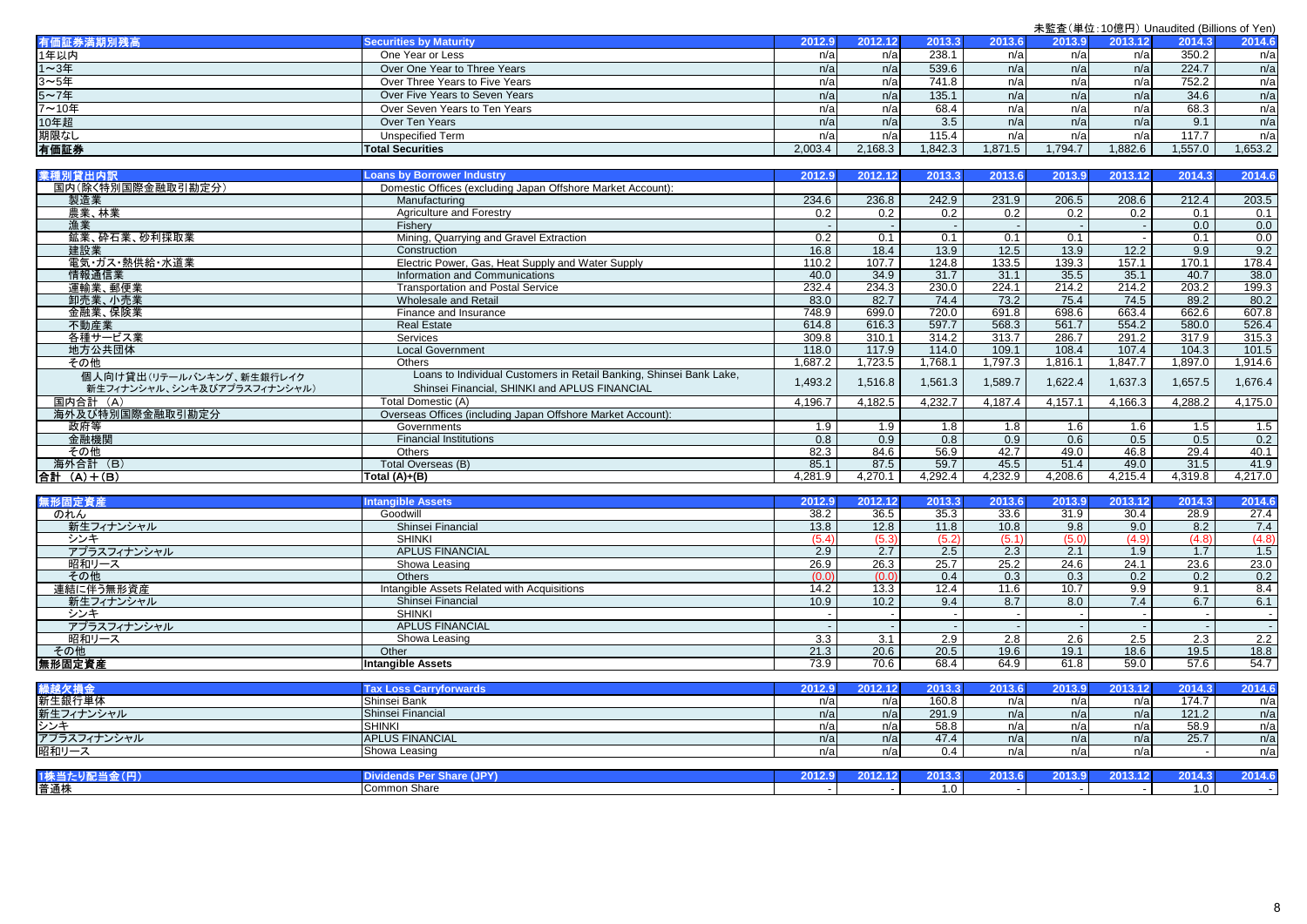|       |                                |         |         |        |         |         |         | $\sim$ , $\sim$ , $\sim$ , $\sim$ , $\sim$ , $\sim$ , $\sim$ , $\sim$ , $\sim$ , $\sim$ , $\sim$ , $\sim$ , $\sim$ , $\sim$ , $\sim$ , $\sim$ , $\sim$ , $\sim$ , $\sim$ , $\sim$ , $\sim$ , $\sim$ , $\sim$ , $\sim$ , $\sim$ , $\sim$ , $\sim$ , $\sim$ , $\sim$ , $\sim$ , $\sim$ , $\sim$ |         |
|-------|--------------------------------|---------|---------|--------|---------|---------|---------|-----------------------------------------------------------------------------------------------------------------------------------------------------------------------------------------------------------------------------------------------------------------------------------------------|---------|
|       | <b>Securities by Maturity</b>  | 2012.9  |         | 2013.3 | 2013.6  |         | 2013.12 | 2014.3                                                                                                                                                                                                                                                                                        | 2014.6  |
| 1年以内  | One Year or Less               | n/a     | n/a     | 238.1  | n/a     |         | n/al    | 350.2                                                                                                                                                                                                                                                                                         | n/a     |
| 1~3年  | Over One Year to Three Years   | n/a     | n/a     | 539.6  | n/a     |         | n/a     | 224.7                                                                                                                                                                                                                                                                                         | n/a     |
| 3~5年  | Over Three Years to Five Years | n/a     | n/a     | 741.8  | n/a     |         | n/a     | 752.2                                                                                                                                                                                                                                                                                         | n/a     |
| 5~7年  | Over Five Years to Seven Years | n/a     | n/a     | 135.1  | n/al    |         | n/a     | 34.6                                                                                                                                                                                                                                                                                          | n/a     |
| 7~10年 | Over Seven Years to Ten Years  | n/a     | n/a     | 68.4   | n/a     |         | n/al    | 68.3                                                                                                                                                                                                                                                                                          | n/a     |
| 10年超  | Over Ten Years                 | n/a     | n/a     | 3.5    | n/a     |         | n/a     | 9.1                                                                                                                                                                                                                                                                                           | n/a     |
| 期限なし  | <b>Unspecified Term</b>        | n/a     | n/a     | 115.4  | n/a     |         | n/a     | $117.7$ .                                                                                                                                                                                                                                                                                     | n/a     |
| 有価証券  | <b>Total Securities</b>        | 2,003.4 | 2.168.3 | .842.3 | 1,871.5 | 1,794.7 | 1,882.6 | 1,557.0                                                                                                                                                                                                                                                                                       | 1,653.2 |

| 業種別貸出内訳                     | <b>Loans by Borrower Industry</b>                                   | 2012.9  | 2012.12 | 2013.3  | 2013.6  | 2013.9  | 2013.12 | 2014.3  | 2014.6  |
|-----------------------------|---------------------------------------------------------------------|---------|---------|---------|---------|---------|---------|---------|---------|
| 国内(除く特別国際金融取引勘定分)           | Domestic Offices (excluding Japan Offshore Market Account):         |         |         |         |         |         |         |         |         |
| 製造業                         | Manufacturing                                                       | 234.6   | 236.8   | 242.9   | 231.9   | 206.5   | 208.6   | 212.4   | 203.5   |
| 農業、林業                       | Agriculture and Forestry                                            | 0.2     | 0.2     | 0.2     | 0.2     | 0.2     | 0.2     | 0.1     | 0.1     |
| 漁業                          | Fisherv                                                             |         |         |         |         |         |         | 0.0     | 0.0     |
| 鉱業、砕石業、砂利採取業                | Mining, Quarrying and Gravel Extraction                             | 0.2     | 0.1     | 0.1     | 0.1     | 0.1     |         | 0.1     | 0.0     |
| 建設業                         | Construction                                                        | 16.8    | 18.4    | 13.9    | 12.5    | 13.9    | 12.2    | 9.9     | 9.2     |
| 電気・ガス・熱供給・水道業               | Electric Power, Gas, Heat Supply and Water Supply                   | 110.2   | 107.7   | 124.8   | 133.5   | 139.3   | 157.1   | 170.1   | 178.4   |
| 情報通信業                       | Information and Communications                                      | 40.0    | 34.9    | 31.7    | 31.1    | 35.5    | 35.1    | 40.7    | 38.0    |
| 運輸業、郵便業                     | <b>Transportation and Postal Service</b>                            | 232.4   | 234.3   | 230.0   | 224.1   | 214.2   | 214.2   | 203.2   | 199.3   |
| 卸売業、小売業                     | Wholesale and Retail                                                | 83.0    | 82.7    | 74.4    | 73.2    | 75.4    | 74.5    | 89.2    | 80.2    |
| 金融業、保険業                     | Finance and Insurance                                               | 748.9   | 699.0   | 720.0   | 691.8   | 698.6   | 663.4   | 662.6   | 607.8   |
| 不動産業                        | <b>Real Estate</b>                                                  | 614.8   | 616.3   | 597.7   | 568.3   | 561.7   | 554.2   | 580.0   | 526.4   |
| 各種サービス業                     | <b>Services</b>                                                     | 309.8   | 310.1   | 314.2   | 313.7   | 286.7   | 291.2   | 317.9   | 315.3   |
| 地方公共団体                      | <b>Local Government</b>                                             | 118.0   | 117.9   | 114.0   | 109.1   | 108.4   | 107.4   | 104.3   | 101.5   |
| その他                         | Others                                                              | 1.687.2 | 1,723.5 | .768.1  | .797.3  | 1.816.1 | 1.847.7 | 1,897.0 | 1,914.6 |
| 個人向け貸出(リテールバンキング、新生銀行レイク    | Loans to Individual Customers in Retail Banking, Shinsei Bank Lake, | 1,493.2 | 1,516.8 | 1,561.3 | 1,589.7 | 1,622.4 | 1,637.3 | 1,657.5 | 1,676.4 |
| 新生フィナンシャル、シンキ及びアプラスフィナンシャル) | Shinsei Financial, SHINKI and APLUS FINANCIAL                       |         |         |         |         |         |         |         |         |
| 国内合計 (A)                    | Total Domestic (A)                                                  | 4,196.7 | 4,182.5 | 4,232.7 | 4,187.4 | 4,157.1 | 4,166.3 | 4,288.2 | 4,175.0 |
| 海外及び特別国際金融取引勘定分             | Overseas Offices (including Japan Offshore Market Account):         |         |         |         |         |         |         |         |         |
| 政府等                         | Governments                                                         | 1.9     | 1.9     | 1.8     | 1.8     | 1.6     | 1.6     | 1.5     | 1.5     |
| 金融機関                        | <b>Financial Institutions</b>                                       | 0.8     | 0.9     | 0.8     | 0.9     | 0.6     | 0.5     | 0.5     | 0.2     |
| その他                         | Others                                                              | 82.3    | 84.6    | 56.9    | 42.7    | 49.0    | 46.8    | 29.4    | 40.1    |
| 海外合計 (B)                    | Total Overseas (B)                                                  | 85.1    | 87.5    | 59.7    | 45.5    | 51.4    | 49.0    | 31.5    | 41.9    |
| 合計 (A)+(B)                  | Total $(A)+(B)$                                                     | 4,281.9 | 4,270.1 | 4,292.4 | 4,232.9 | 4,208.6 | 4,215.4 | 4,319.8 | 4,217.0 |

| 無形固定資産      | <b>Intangible Assets</b>                    | 2012.9 | 2012. |      |      |       | 201242 | 2014.3           | 2014.6 |
|-------------|---------------------------------------------|--------|-------|------|------|-------|--------|------------------|--------|
| のれん         | Goodwill                                    | 38.2   | 36.5  | 35.3 | 33.6 | 31.9  | 30.4   | 28.9             | 27.4   |
| 新生フィナンシャル   | Shinsei Financial                           | 13.8   | 12.8  | 11.8 | 10.8 | 9.8   | 9.0    | 8.2              | 7.4    |
| シンキ         | <b>SHINKI</b>                               | (5.4)  | (5.3) |      | (5.1 | (5.0) | (4.9)  | (4.8)            | (4.8)  |
| アプラスフィナンシャル | <b>APLUS FINANCIAL</b>                      | 2.9    | 2.7   | 2.5  | 2.3  | 2.1   | 1.9    | 1.7 <sup>2</sup> | 1.5    |
| 昭和リース       | Showa Leasing                               | 26.9   | 26.3  | 25.7 | 25.2 | 24.6  | 24.1   | 23.6             | 23.0   |
| その他         | Others                                      | (0.0)  | (0.0) | 0.4  | 0.3  | 0.3   | 0.2    | 0.2              | 0.2    |
| 連結に伴う無形資産   | Intangible Assets Related with Acquisitions | 14.2   | 13.3  | 12.4 | 11.6 | 10.7  | 9.9    | 9.1              | 8.4    |
| 新生フィナンシャル   | Shinsei Financial                           | 10.9   | 10.2  | 9.4  | 8.7  | 8.0   | 7.4    | 6.7              | 6.1    |
| シンキ         | <b>SHINKI</b>                               |        |       |      |      |       |        |                  |        |
| アプラスフィナンシャル | <b>APLUS FINANCIAL</b>                      |        |       |      |      |       |        |                  |        |
| 昭和リース       | Showa Leasing                               | 3.3    |       | 2.9  | 2.8  | 2.6   | 2.5    | 2.3 <sub>1</sub> | 2.2    |
| その他         | Other                                       | 21.3   | 20.6  | 20.5 | 19.6 | 19.1  | 18.6   | 19.5             | 18.8   |
| 無形固定資産      | Intangible Assets                           | 73.9   | 70.6  | 68.4 | 64.9 | 61.8  | 59.0   | 57.6             | 54.7   |

|             | <b>Naxe</b><br><b>Loss Ca</b><br>rwards | 2012 |      |      | 2013          |              | ZU 13. 17 | . והת          |     |
|-------------|-----------------------------------------|------|------|------|---------------|--------------|-----------|----------------|-----|
| 新生銀行単体      | Shinsei Bank                            | n/al | n/a  | 160. | n/a           |              | n/al      | 174.7          | n/a |
| 新生フィナンシャル   | Shinsei Financial                       | n/a  | n/a  | 291. | n/a           | n/a          | n/a       | 1212<br>IZ 1.Z | n/a |
| ンンユ         | <b>SHINKI</b>                           | n/al | n/al | JU.C | nır<br>11/a   |              | n/al      | 58.9           | n/a |
| アプラスフィナンシャル | <b>APLUS FINANCIAL</b>                  | n/a  | n/a  | 47   | n/a           | $n/\epsilon$ | n/a       | 25.7           | n/a |
| 昭和リース       | Showa Leasing                           | n/al | n/a  |      | nır<br>I I/ C |              | ı val     |                | n/a |
|             |                                         |      |      |      |               |              |           |                |     |

| --<br><b>Contract Contract</b> |                  | . |   |  | 11 T Z |  |
|--------------------------------|------------------|---|---|--|--------|--|
| 普通株                            | Commo<br>າ Share |   | . |  | .      |  |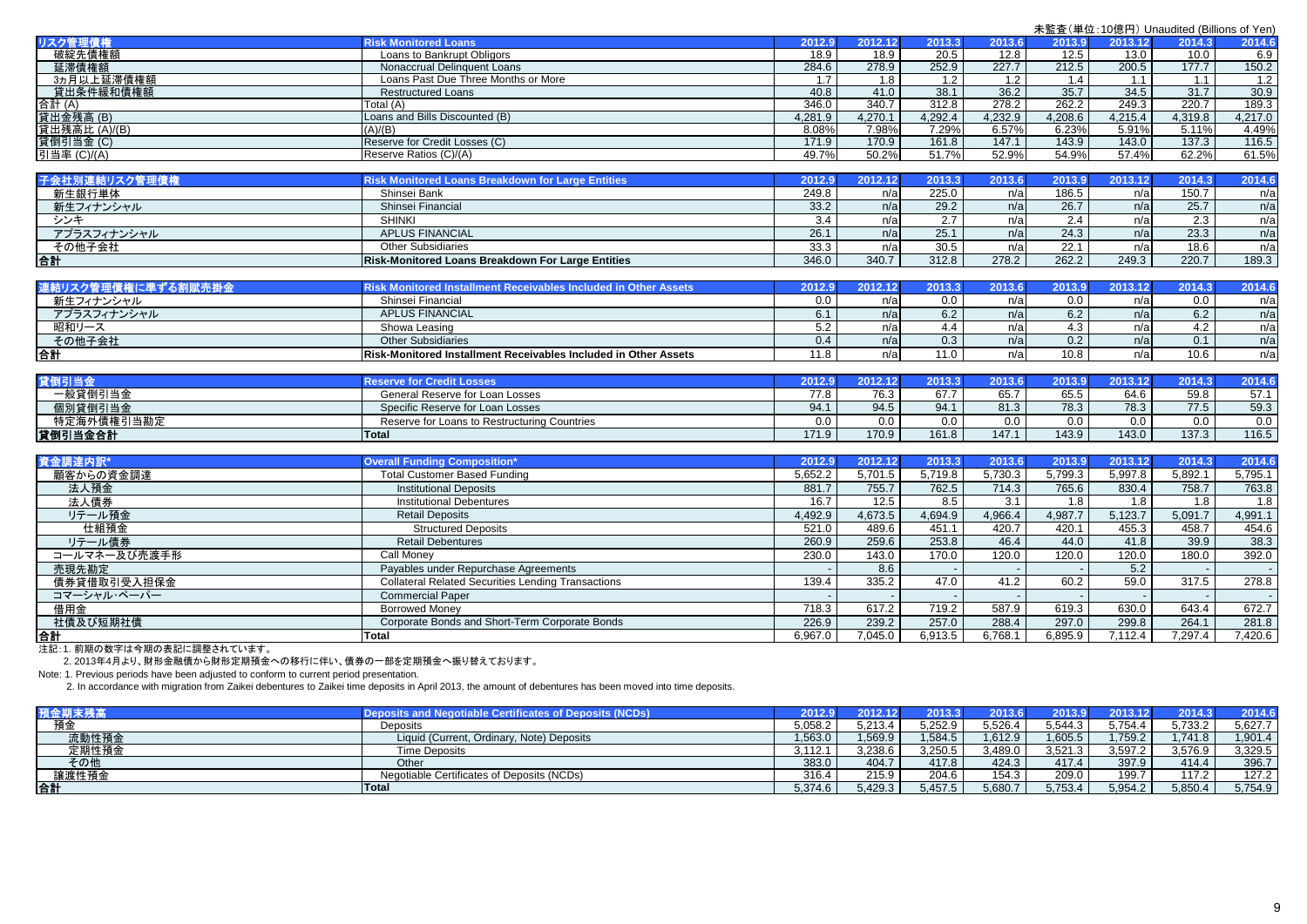|                             |                                                                        |         |         |                  |         |         | 未監査(単位:10億円) Unaudited (Billions of Yen) |         |         |
|-----------------------------|------------------------------------------------------------------------|---------|---------|------------------|---------|---------|------------------------------------------|---------|---------|
| リスク管理値権                     | <b>Risk Monitored Loans</b>                                            | 2012.9  | 2012.12 | 2013.3           | 2013.6  | 2013.9  | 2013.12                                  | 2014.3  | 2014.6  |
| 破綻先債権額                      | Loans to Bankrupt Obligors                                             | 18.9    | 18.9    | 20.5             | 12.8    | 12.5    | 13.0                                     | 10.0    | 6.9     |
| 延滞債権額                       | Nonaccrual Delinguent Loans                                            | 284.6   | 278.9   | 252.9            | 227.7   | 212.5   | 200.5                                    | 177.7   | 150.2   |
| 3ヵ月以上延滞債権額                  | Loans Past Due Three Months or More                                    | 1.7     | 1.8     | 1.2              | 1.2     | 1.4     | 1.1                                      | 1.1     | 1.2     |
| 貸出条件緩和債権額                   | <b>Restructured Loans</b>                                              | 40.8    | 41.0    | 38.1             | 36.2    | 35.7    | 34.5                                     | 31.7    | 30.9    |
| 合計 (A)                      | Total (A)                                                              | 346.0   | 340.7   | 312.8            | 278.2   | 262.2   | 249.3                                    | 220.7   | 189.3   |
| 貸出金残高 (B)                   | Loans and Bills Discounted (B)                                         | 4,281.9 | 4.270.1 | 4,292.4          | 4,232.9 | 4,208.6 | 4,215.4                                  | 4,319.8 | 4,217.0 |
| 貸出残高比 (A)/(B)               | (A)/(B)                                                                | 8.08%   | 7.98%   | 7.29%            | 6.57%   | 6.23%   | 5.91%                                    | 5.11%   | 4.49%   |
| 貸倒引当金(C)                    | Reserve for Credit Losses (C)                                          | 171.9   | 170.9   | 161.8            | 147.1   | 143.9   | 143.0                                    | 137.3   | 116.5   |
| 引当率 (C)/(A)                 | Reserve Ratios (C)/(A)                                                 | 49.7%   | 50.2%   | 51.7%            | 52.9%   | 54.9%   | 57.4%                                    | 62.2%   | 61.5%   |
| 子会社別連結リスク管理債権               | <b>Risk Monitored Loans Breakdown for Large Entities</b>               | 2012.9  | 2012.12 | 2013.3           | 2013.6  | 2013.9  | 2013.12                                  | 2014.3  | 2014.6  |
| 新生銀行単体                      | Shinsei Bank                                                           | 249.8   | n/a     | 225.0            | n/a     | 186.5   | n/a                                      | 150.7   | n/a     |
| 新生フィナンシャル                   | Shinsei Financial                                                      | 33.2    | n/a     | 29.2             | n/a     | 26.7    | n/a                                      | 25.7    | n/a     |
| シンギ                         | <b>SHINKI</b>                                                          | 3.4     | n/a     | 2.7              | n/a     | 2.4     | n/a                                      | 2.3     | n/a     |
| アプラスフィナンシャル                 | <b>APLUS FINANCIAL</b>                                                 | 26.1    | n/a     | 25.1             | n/a     | 24.3    | n/a                                      | 23.3    | n/a     |
| その他子会社                      | <b>Other Subsidiaries</b>                                              | 33.3    | n/a     | 30.5             | n/a     | 22.1    | n/a                                      | 18.6    | n/a     |
| 合計                          | Risk-Monitored Loans Breakdown For Large Entities                      | 346.0   | 340.7   | 312.8            | 278.2   | 262.2   | 249.3                                    | 220.7   | 189.3   |
|                             |                                                                        |         |         |                  |         |         |                                          |         |         |
| 連結リスク管理債権に準ずる割賦売掛金          | Risk Monitored Installment Receivables Included in Other Assets        | 2012.9  | 2012.12 | 2013.3           | 2013.6  | 2013.9  | 2013.12                                  | 2014.3  | 2014.6  |
| 新生フィナンシャル                   | Shinsei Financial                                                      | 0.0     | n/a     | 0.0              | n/a     | $0.0\,$ | n/a                                      | 0.0     | n/a     |
| アプラスフィナンシャル                 | <b>APLUS FINANCIAL</b>                                                 | 6.1     | n/a     | 6.2              | n/a     | 6.2     | n/a                                      | 6.2     | n/a     |
| 昭和リース                       | Showa Leasing                                                          | 5.2     | n/a     | 4.4              | n/a     | 4.3     | n/a                                      | 4.2     | n/a     |
| その他子会社                      | <b>Other Subsidiaries</b>                                              | 0.4     | n/a     | 0.3              | n/a     | 0.2     | n/a                                      | 0.1     | n/a     |
| 合計                          | <b>Risk-Monitored Installment Receivables Included in Other Assets</b> | 11.8    | n/a     | 11.0             | n/a     | 10.8    | n/a                                      | 10.6    | n/a     |
|                             |                                                                        |         |         |                  |         |         |                                          |         |         |
| 貸倒引当金                       | <b>Reserve for Credit Losses</b>                                       | 2012.9  | 2012.12 | 2013.3           | 2013.6  | 2013.9  | 2013.12                                  | 2014.3  | 2014.6  |
| 一般貸倒引当金                     | General Reserve for Loan Losses                                        | 77.8    | 76.3    | 67.7             | 65.7    | 65.5    | 64.6                                     | 59.8    | 57.1    |
| 個別貸倒引当金                     | Specific Reserve for Loan Losses                                       | 94.1    | 94.5    | 94.1             | 81.3    | 78.3    | 78.3                                     | 77.5    | 59.3    |
| 特定海外債権引当勘定                  | Reserve for Loans to Restructuring Countries                           | 0.0     | 0.0     | $\overline{0.0}$ | 0.0     | 0.0     | 0.0                                      | 0.0     | 0.0     |
| 貸倒引当金合計                     | <b>Total</b>                                                           | 171.9   | 170.9   | 161.8            | 147.1   | 143.9   | 143.0                                    | 137.3   | 116.5   |
|                             | <b>Overall Funding Composition*</b>                                    |         |         |                  |         |         |                                          |         |         |
| 資金調達内訳*                     |                                                                        | 2012.9  | 2012.12 | 2013.3           | 2013.6  | 2013.9  | 2013.12                                  | 2014.3  | 2014.6  |
| 顧客からの資金調達                   | <b>Total Customer Based Funding</b>                                    | 5,652.2 | 5,701.5 | 5,719.8          | 5,730.3 | 5,799.3 | 5,997.8                                  | 5,892.1 | 5,795.1 |
| 法人預金                        | <b>Institutional Deposits</b>                                          | 881.7   | 755.7   | 762.5            | 714.3   | 765.6   | 830.4                                    | 758.7   | 763.8   |
| 法人債券                        | <b>Institutional Debentures</b>                                        | 16.7    | 12.5    | 8.5              | 3.1     | 1.8     | 1.8                                      | 1.8     | 1.8     |
| リテール預金                      | <b>Retail Deposits</b>                                                 | 4,492.9 | 4,673.5 | 4,694.9          | 4,966.4 | 4,987.7 | 5,123.7                                  | 5,091.7 | 4,991.1 |
| 仕組預金                        | <b>Structured Deposits</b>                                             | 521.0   | 489.6   | 451.1            | 420.7   | 420.1   | 455.3                                    | 458.7   | 454.6   |
| リテール債券                      | <b>Retail Debentures</b>                                               | 260.9   | 259.6   | 253.8            | 46.4    | 44.0    | 41.8                                     | 39.9    | 38.3    |
| コールマネー及び売渡手形                | Call Money                                                             | 230.0   | 143.0   | 170.0            | 120.0   | 120.0   | 120.0                                    | 180.0   | 392.0   |
| 売現先勘定                       | Payables under Repurchase Agreements                                   |         | 8.6     |                  |         |         | 5.2                                      |         |         |
| 債券貸借取引受入担保金                 | <b>Collateral Related Securities Lending Transactions</b>              | 139.4   | 335.2   | 47.0             | 41.2    | 60.2    | 59.0                                     | 317.5   | 278.8   |
| コマーシャル・ペーパー                 | <b>Commercial Paper</b>                                                |         |         |                  |         |         |                                          |         |         |
| 借用金                         | <b>Borrowed Money</b>                                                  | 718.3   | 617.2   | 719.2            | 587.9   | 619.3   | 630.0                                    | 643.4   | 672.7   |
| 社債及び短期社債                    | Corporate Bonds and Short-Term Corporate Bonds                         | 226.9   | 239.2   | 257.0            | 288.4   | 297.0   | 299.8                                    | 264.1   | 281.8   |
| 合計                          | <b>Total</b>                                                           | 6,967.0 | 7,045.0 | 6,913.5          | 6,768.1 | 6,895.9 | 7,112.4                                  | 7,297.4 | 7,420.6 |
| 注記:1. 前期の数字は今期の表記に調整されています。 |                                                                        |         |         |                  |         |         |                                          |         |         |

2. 2013年4月より、財形金融債から財形定期預金への移行に伴い、債券の一部を定期預金へ振り替えております。

Note: 1. Previous periods have been adjusted to conform to current period presentation.

2. In accordance with migration from Zaikei debentures to Zaikei time deposits in April 2013, the amount of debentures has been moved into time deposits.

|       | Deposits and Negotiable Certificates of Deposits (NCDs) | 2012    |         |         | 013     |         |         | 2014.31 | 2014.6  |
|-------|---------------------------------------------------------|---------|---------|---------|---------|---------|---------|---------|---------|
| 預金    | Deposits                                                | 5,058.2 | 5.213.4 | 5.252.9 | 5.526.4 | 5.544.3 | 5.754.4 | 5,733.2 | 5.627.7 |
| 流動性預金 | Liquid (Current, Ordinary, Note) Deposits               | .563.0  | .569.9  | .584.5  | 1,612.9 | 1,605.5 | 759.2   | .741.8  | 1,901.4 |
| 定期性預金 | Time Deposits                                           | 3.112.1 | 3.238.6 | 3,250.5 | 3,489.0 | 3,521.3 | 3,597.2 | 3,576.9 | 3,329.5 |
| その他   | Othei                                                   | 383.0   | 404.7   | 417.8   | 424.3   | 417.4   | 397.9   | 414.4   | 396.7   |
| 讓渡性預金 | Negotiable Certificates of Deposits (NCDs)              | 316.4   | 215.9   | 204.6   | 154.3   | 209.0   | 199.7   | 117.2   | 127.2   |
| 合計    | Total                                                   | 5.374.6 | 5.429.3 | 5.457.5 | 5,680.7 | 5.753.4 | 5.954.2 | 5,850.4 | 5,754.9 |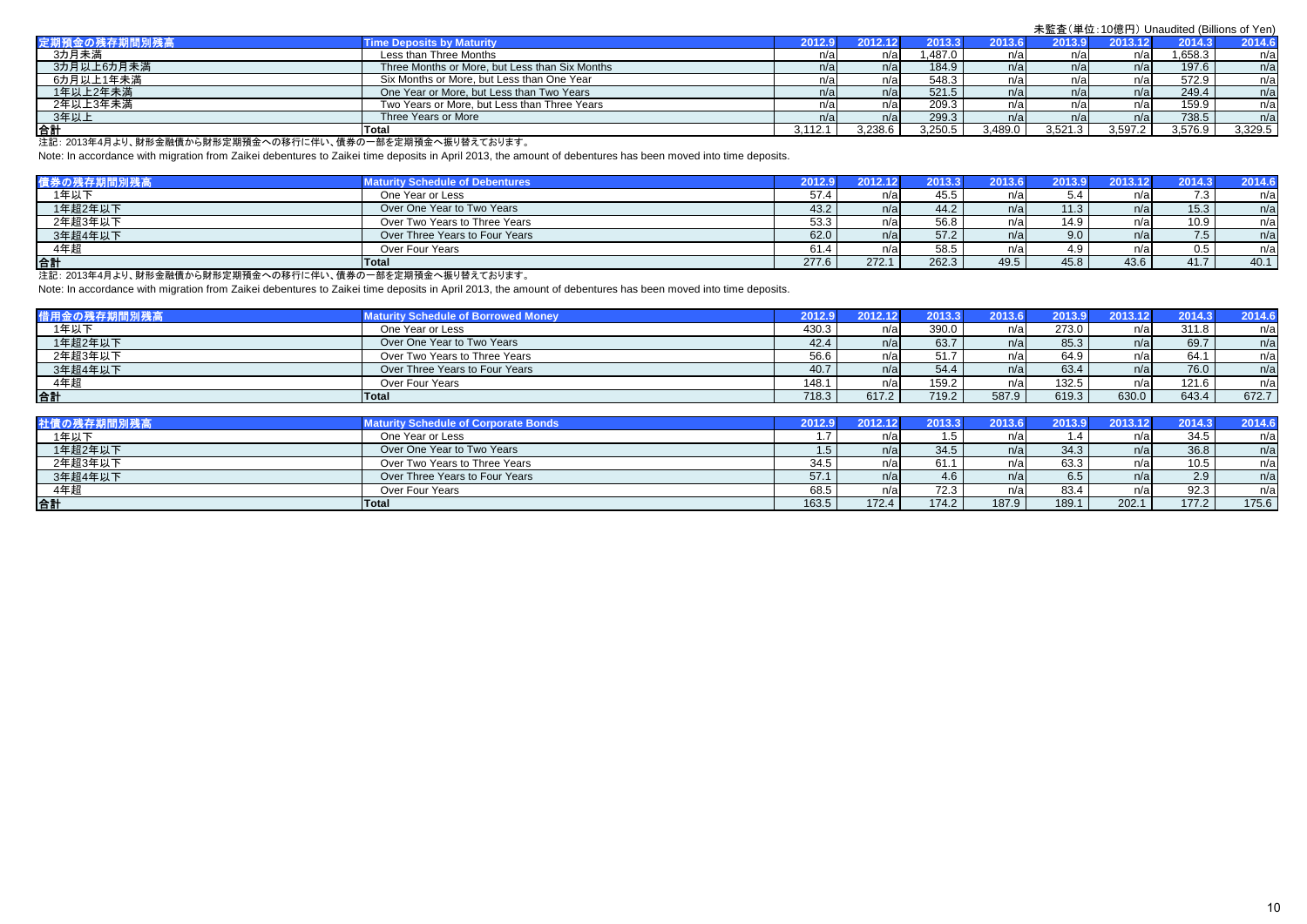|               |                                                |         |         |         |         |         |         | 未監査(単位:10億円) Unaudited (Billions of Yen) |         |
|---------------|------------------------------------------------|---------|---------|---------|---------|---------|---------|------------------------------------------|---------|
| ▌定期預金の残存期間別残高 | Time Deposits by Maturity                      |         | 2012.12 |         |         | 2013.9  | 2013.12 | 2014.3                                   | 2014.6  |
| 3カ月未満         | Less than Three Months                         |         | n/a     | l.487.0 |         |         | n/a     | 1,658.3                                  | n/a     |
| 3カ月以上6カ月未満    | Three Months or More, but Less than Six Months |         | n/al    | 184.9   | n/a     | n/al    | n/a     | 197.6                                    | n/a     |
| 6カ月以上1年未満     | Six Months or More, but Less than One Year     |         | n/a     | 548.3   |         | n/a     | n/al    | 572.9                                    | n/a     |
| 1年以上2年未満      | One Year or More, but Less than Two Years      |         | n/a     | 521.5   | n a     |         | n/a     | 249.4                                    | n/a     |
| 2年以上3年未満      | Two Years or More, but Less than Three Years   |         | n/a     | 209.3   |         |         | n/al    | 159.9                                    | n/a     |
| 3年以上          | Three Years or More                            |         | n/a     | 299.3   | n a     |         | n/a     | 738.5                                    | n/a     |
| 合計            | <b>Total</b>                                   | 3,112.1 | 3,238.6 | 3,250.5 | 3,489.0 | 3,521.3 | 3,597.2 | 3,576.9                                  | 3,329.5 |

注記: 2013年4月より、財形金融債から財形定期預金への移行に伴い、債券の一部を定期預金へ振り替えております。

Note: In accordance with migration from Zaikei debentures to Zaikei time deposits in April 2013, the amount of debentures has been moved into time deposits.

| 債券の残存期間別残高 | Maturity Schedule of Debentures | 2012.9 |       |       | 2013.6 | 201: | 2013.12 | 2014.3 |      |
|------------|---------------------------------|--------|-------|-------|--------|------|---------|--------|------|
| 1年以下       | One Year or Less                | 57.4   | n/a   | 45.5  | n/a    | 5.4  | n/a     | 7.3    | n/a  |
| 1年超2年以下    | Over One Year to Two Years      | 43.2   | n/a   | 44.2  | n/a    | 11.3 | n/al    | 15.3   | n/a  |
| 2年超3年以下    | Over Two Years to Three Years   | 53.3   | n/al  | 56.8  | n/a    | 14.9 | n/a     | 10.9   | n/al |
| 3年超4年以下    | Over Three Years to Four Years  | 62.0   | n/a   | 57.2  | n/a    | 9.0  | n/a     | 7.5    | n/a  |
| 4年超        | Over Four Years                 |        | n/a   | 58.5  | n/a    | 4.9  | n/a     | 0.5    | n/a  |
| 合計         | Total                           | 277.6  | 272.1 | 262.3 | 49.5   | 45.8 | 43.6    | 41.7   | 40.1 |

注記: 2013年4月より、財形金融債から財形定期預金への移行に伴い、債券の一部を定期預金へ振り替えております。

合計

Note: In accordance with migration from Zaikei debentures to Zaikei time deposits in April 2013, the amount of debentures has been moved into time deposits.

| 借用金の残存期間別残高 | <b>Maturity Schedule of Borrowed Money</b>  | 2012.9 | 2012.12 | 2013.3 | 2013.6 | 2013.9 | 2013.12 | 2014.3 | 2014.6 |
|-------------|---------------------------------------------|--------|---------|--------|--------|--------|---------|--------|--------|
| 1年以下        | One Year or Less                            | 430.3  | n/a     | 390.0  | n/a    | 273.0  | n/a     | 311.8  | n/a    |
| 1年超2年以下     | Over One Year to Two Years                  | 42.4   | n/a     | 63.7   | n/a    | 85.3   | n/a     | 69.7   | n/a    |
| 2年超3年以下     | Over Two Years to Three Years               | 56.6   | n/a     | 51.7   | n/a    | 64.9   | n/a     | 64.1   | n/a    |
| 3年超4年以下     | Over Three Years to Four Years              | 40.7   | n/a     | 54.4   | n/a    | 63.4   | n/a     | 76.0   | n/a    |
| 4年超         | Over Four Years                             | 148.1  | n/a     | 159.2  | n/al   | 132.5  | n/al    | 121.6  | n/a    |
| 合計          | Total                                       | 718.3  | 617.2   | 719.2  | 587.9  | 619.3  | 630.0   | 643.4  | 672.7  |
|             |                                             |        |         |        |        |        |         |        |        |
| 社債の残存期間別残高  | <b>Maturity Schedule of Corporate Bonds</b> | 2012.9 | 2012.12 | 2013.3 | 2013.6 | 2013.9 | 2013.12 | 2014.3 | 2014.6 |
| 1年以下        | One Year or Less                            |        | n/a     | 1.5    | n/a    |        | n/a     | 34.5   | n/a    |
| 1年超2年以下     | Over One Year to Two Years                  | 1.5    | n/a     | 34.5   | n/a    | 34.3   | n/al    | 36.8   | n/a    |
| 2年超3年以下     | Over Two Years to Three Years               | 34.5   | n/al    | 61.1   | n/al   | 63.3   | n/al    | 10.5   | n/a    |
| 3年超4年以下     | Over Three Years to Four Years              | 57.1   | n/a     | 4.6    | n/a    | 6.5    | n/a     | 2.9    | n/a    |
| 4年超         | Over Four Years                             | 68.5   | n/a     | 72.3   | n/al   | 83.4   | n/al    | 92.3   | n/a    |

**Total** 163.5 172.4 174.2 187.9 189.1 202.1 177.2 175.6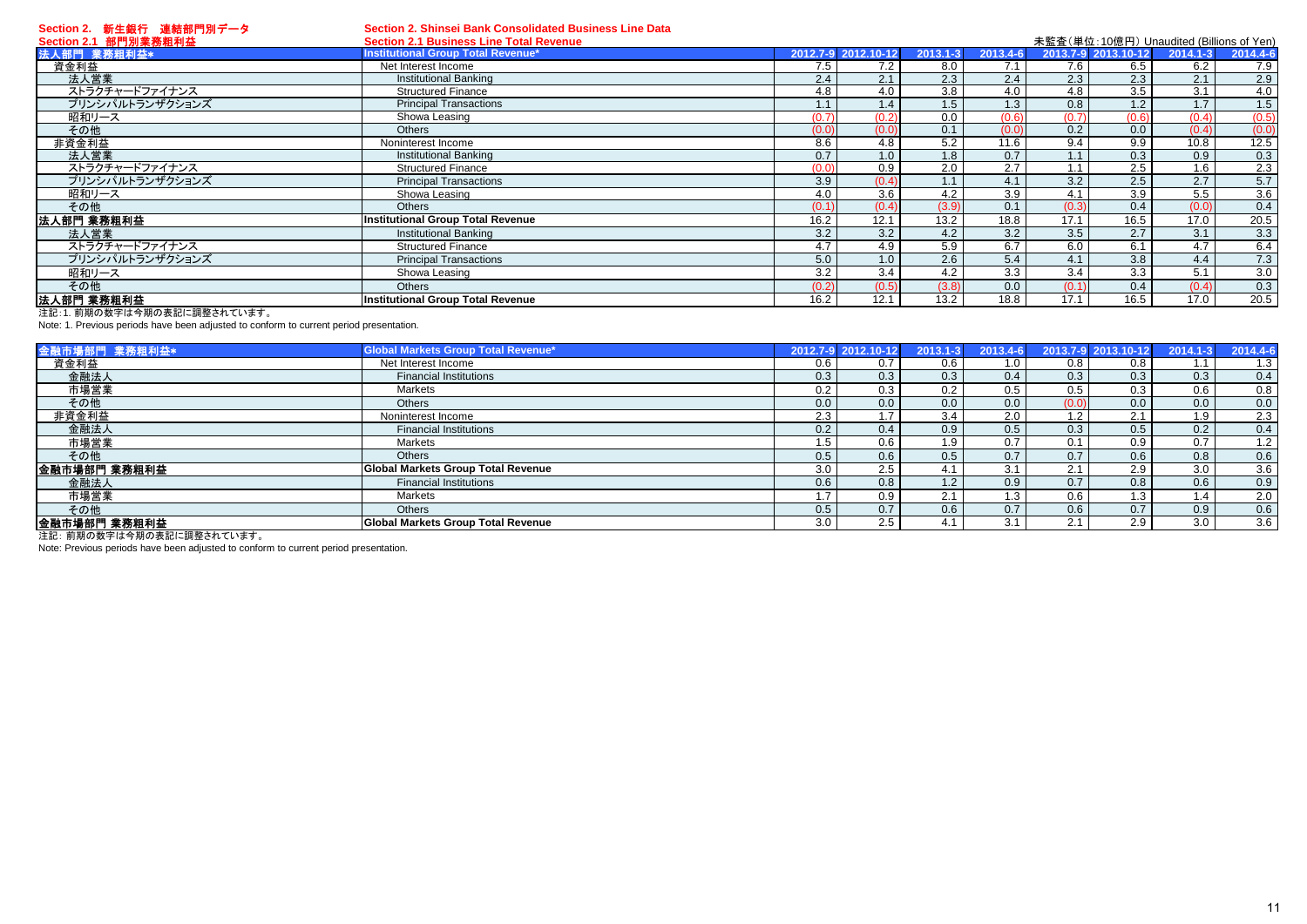**Section 2.** 新生銀行 連結部門別データ

**Section 2. Shinsei Bank Consolidated Business Line Data**

| Section 2.1 部門別業務粗利益 | <b>Section 2.1 Business Line Total Revenue</b> |       |                     |              |          |       |                     | 未監査(単位: 10億円) Unaudited (Billions of Yen) |                  |
|----------------------|------------------------------------------------|-------|---------------------|--------------|----------|-------|---------------------|-------------------------------------------|------------------|
| 法人部門 業務粗利益*          | <b>Institutional Group Total Revenue*</b>      |       | 2012.7-9 2012.10-12 | $2013.1 - 3$ | 2013.4-6 |       | 2013.7-9 2013.10-12 | $2014.1 - 3$                              | 2014.4-6         |
| 資金利益                 | Net Interest Income                            | 7.5   | 7.2                 | 8.0          |          | 7.6   | 6.5                 | 6.2                                       | 7.9              |
| 法人営業                 | Institutional Banking                          | 2.4   | 2.1                 | 2.3          | 2.4      | 2.3   | 2.3                 | 2.1                                       | 2.9              |
| ストラクチャードファイナンス       | <b>Structured Finance</b>                      | 4.8   | 4.0                 | 3.8          | 4.0      | 4.8   | 3.5                 | 3.1                                       | 4.0              |
| プリンシパルトランザクションズ      | <b>Principal Transactions</b>                  |       | 1.4                 | 1.5          | 1.3      | 0.8   | 1.2                 | 1.7                                       | 1.5              |
| 昭和リース                | Showa Leasing                                  |       | (0.2)               | 0.0          | (0.6     | (0.7) | 0.6                 | (0.4)                                     | (0.5)            |
| その他                  | <b>Others</b>                                  | (0.0) | (0.0)               | 0.1          | (0.0)    | 0.2   | 0.0                 | (0.4)                                     | (0.0)            |
| 非資金利益                | Noninterest Income                             | 8.6   | 4.8                 | 5.2          | 11.6     | 9.4   | 9.9                 | 10.8                                      | 12.5             |
| 法人営業                 | Institutional Banking                          | 0.7   | 1.0                 | 1.8          | 0.7      |       | 0.3                 | 0.9                                       | 0.3              |
| ストラクチャードファイナンス       | <b>Structured Finance</b>                      |       | 0.9                 | 2.0          | 2.7      |       | 2.5                 | 1.6                                       | $\overline{2.3}$ |
| プリンシパルトランザクションズ      | <b>Principal Transactions</b>                  | 3.9   | (0.4)               |              | 4.1      | 3.2   | 2.5                 | 2.7                                       | 5.7              |
| 昭和リース                | Showa Leasing                                  | 4.0   | 3.6                 | 4.2          | 3.9      | 4.1   | 3.9                 | 5.5                                       | 3.6              |
| その他                  | <b>Others</b>                                  | (0.1) | (0.4)               | (3.9)        | 0.1      | (0.3) | 0.4                 | (0.0)                                     | 0.4              |
| 法人部門 業務粗利益           | <b>Institutional Group Total Revenue</b>       | 16.2  | 12.1                | 13.2         | 18.8     | 17.1  | 16.5                | 17.0                                      | 20.5             |
| 法人営業                 | <b>Institutional Banking</b>                   | 3.2   | 3.2                 | 4.2          | 3.2      | 3.5   | 2.7                 | 3.1                                       | 3.3              |
| ストラクチャードファイナンス       | <b>Structured Finance</b>                      | 4.7   | 4.9                 | 5.9          | 6.7      | 6.0   | 6.1                 | 4.7                                       | 6.4              |
| プリンシパルトランザクションズ      | <b>Principal Transactions</b>                  | 5.0   | 1.0                 | 2.6          | 5.4      | 4.1   | 3.8                 | 4.4                                       | $7.\overline{3}$ |
| 昭和リース                | Showa Leasing                                  | 3.2   | 3.4                 | 4.2          | 3.3      | 3.4   | 3.3                 | 5.1                                       | 3.0              |
| その他                  | <b>Others</b>                                  | (0.2) | (0.5)               | (3.8)        | 0.0      | (0.1) | 0.4                 | (0.4)                                     | 0.3              |
| 法人部門 業務粗利益           | <b>Institutional Group Total Revenue</b>       | 16.2  | 12.1                | 13.2         | 18.8     | 17.1  | 16.5                | 17.0                                      | 20.5             |

注記:1. 前期の数字は今期の表記に調整されています。

Note: 1. Previous periods have been adjusted to conform to current period presentation.

| 金融市場部門 業務粗利益* | <b>Global Markets Group Total Revenue*</b> |     | 2012.7-9 2012.10-12 | $2013.1 - 3$     | 2013.4-6 |       | 2013.7-9 2013.10-12 | $2014.1 - 3$ | 2014.4-6 |
|---------------|--------------------------------------------|-----|---------------------|------------------|----------|-------|---------------------|--------------|----------|
| 資金利益          | Net Interest Income                        | 0.6 | 0.7                 | 0.6              | ا 0. ا   | 0.8   | 0.8                 | 1.1          | 1.3      |
| 金融法人          | <b>Financial Institutions</b>              | 0.3 | 0.3                 | 0.3              | 0.4      | 0.3   | 0.3                 | 0.3          | 0.4      |
| 市場営業          | <b>Markets</b>                             | 0.2 | 0.3                 | 0.2              | 0.5      | 0.5   | 0.3                 | 0.6          | 0.8      |
| その他           | Others                                     | 0.0 | 0.0                 | 0.0              | 0.0      | (0.0) | 0.0                 | 0.0          | 0.0      |
| 非資金利益         | Noninterest Income                         | 2.3 | 1.7                 | $3.4 \square$    | 2.0      | 1.2   | 2.1                 | 1.9          | 2.3      |
| 金融法人          | <b>Financial Institutions</b>              | 0.2 | 0.4                 | 0.9              | 0.5      | 0.3   | 0.5                 | 0.2          | 0.4      |
| 市場営業          | Markets                                    |     | 0.6                 | 1.9 <sub>1</sub> |          | 0.1   | 0.9                 | 0.7          | 1.2      |
| その他           | Others                                     | 0.5 | 0.6                 | 0.5              | 0.7      | 0.7   | 0.6                 | 0.8          | 0.6      |
| 金融市場部門 業務粗利益  | <b>Global Markets Group Total Revenue</b>  | 3.0 | 2.5                 |                  |          | 2.1   | 2.9                 | 3.0          | 3.6      |
| 金融法人          | <b>Financial Institutions</b>              | 0.6 | 0.8                 |                  | 0.9      | 0.7   | 0.8                 | 0.6          | 0.9      |
| 市場営業          | Markets                                    |     | 0.9                 | 2.1              |          | 0.6   | 1.3                 | 1.4          | 2.0      |
| その他           | Others                                     | 0.5 | 0.7                 | 0.6              | 0.7      | 0.6   | 0.7                 | 0.9          | 0.6      |
| 金融市場部門 業務粗利益  | <b>Global Markets Group Total Revenue</b>  | 3.0 | 2.5                 |                  |          | 2.1   | 2.9                 | 3.0          | 3.6      |

注記: 前期の数字は今期の表記に調整されています。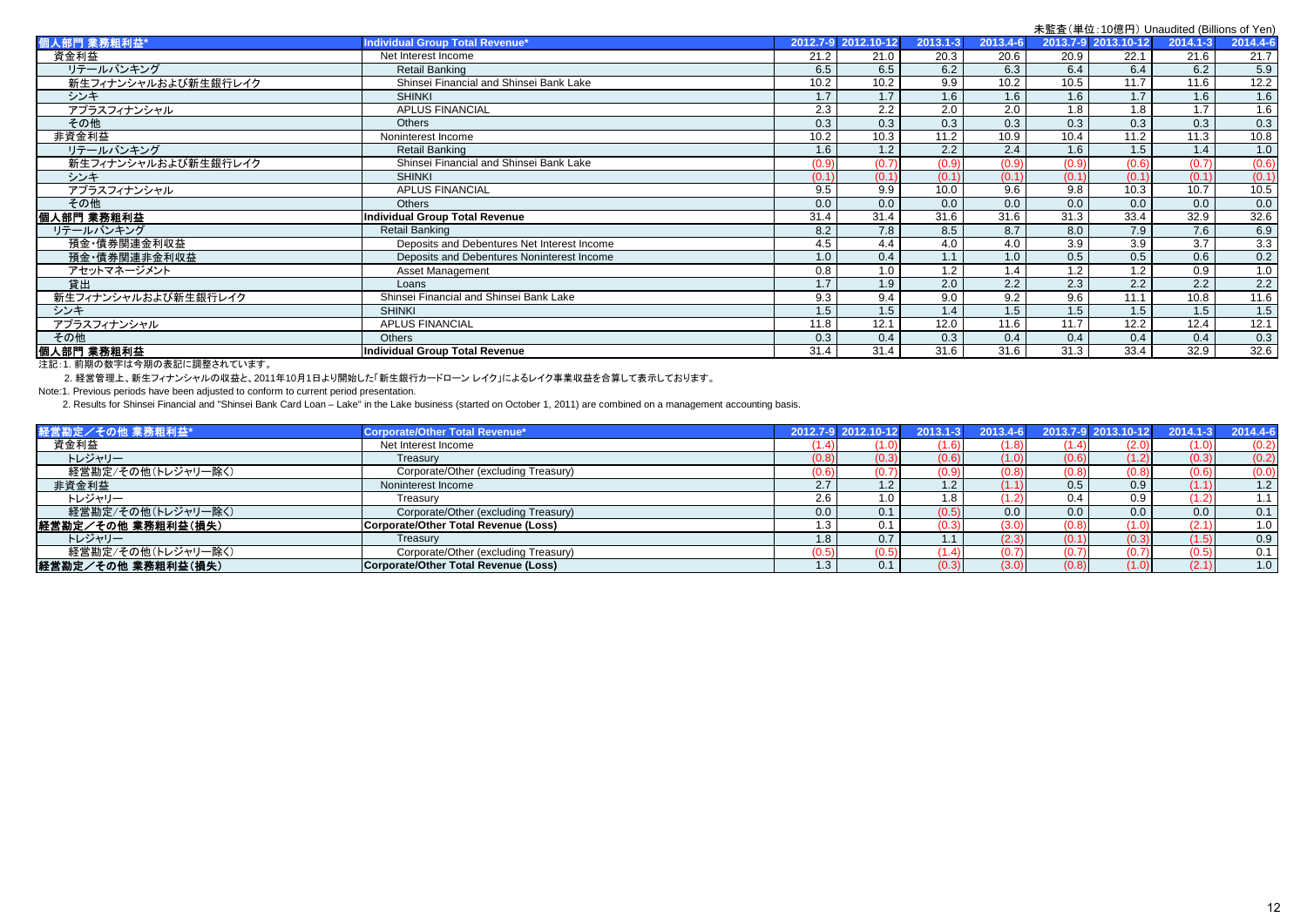|                                                                                                                                                                                                                                                                |                                             |       |                     |              |          | 未監査(単位:10億円) Unaudited (Billions of Yen) |       |              |          |
|----------------------------------------------------------------------------------------------------------------------------------------------------------------------------------------------------------------------------------------------------------------|---------------------------------------------|-------|---------------------|--------------|----------|------------------------------------------|-------|--------------|----------|
| 個人部門 業務粗利益*                                                                                                                                                                                                                                                    | Individual Group Total Revenue*             |       | 2012.7-9 2012.10-12 | $2013.1 - 3$ | 2013.4-6 | 2013.7-9 2013.10-12                      |       | $2014.1 - 3$ | 2014.4-6 |
| 資金利益                                                                                                                                                                                                                                                           | Net Interest Income                         | 21.2  | 21.0                | 20.3         | 20.6     | 20.9                                     | 22.1  | 21.6         | 21.7     |
| リテールバンキング                                                                                                                                                                                                                                                      | Retail Banking                              | 6.5   | 6.5                 | 6.2          | 6.3      | 6.4                                      | 6.4   | 6.2          | 5.9      |
| 新生フィナンシャルおよび新生銀行レイク                                                                                                                                                                                                                                            | Shinsei Financial and Shinsei Bank Lake     | 10.2  | 10.2                | 9.9          | 10.2     | 10.5                                     | 11.7  | 11.6         | 12.2     |
| シンキ                                                                                                                                                                                                                                                            | <b>SHINKI</b>                               | 1.7   | 1.7                 | 1.6          | 1.6      | 1.6                                      | 1.7   | 1.6          | 1.6      |
| アプラスフィナンシャル                                                                                                                                                                                                                                                    | <b>APLUS FINANCIAL</b>                      | 2.3   | 2.2                 | 2.0          | 2.0      | 1.8                                      | 1.8   | 1.7          | 1.6      |
| その他                                                                                                                                                                                                                                                            | <b>Others</b>                               | 0.3   | 0.3                 | 0.3          | 0.3      | 0.3                                      | 0.3   | 0.3          | 0.3      |
| 非資金利益                                                                                                                                                                                                                                                          | Noninterest Income                          | 10.2  | 10.3                | 11.2         | 10.9     | 10.4                                     | 11.2  | 11.3         | 10.8     |
| リテールバンキング                                                                                                                                                                                                                                                      | Retail Banking                              | 1.6   | 1.2                 | 2.2          | 2.4      | 1.6                                      | 1.5   | 1.4          | 1.0      |
| 新生フィナンシャルおよび新生銀行レイク                                                                                                                                                                                                                                            | Shinsei Financial and Shinsei Bank Lake     | (0.9) | (0.7)               | (0.9)        | (0.9)    | (0.9)                                    | (0.6) | (0.7)        | (0.6)    |
| シンキ                                                                                                                                                                                                                                                            | <b>SHINKI</b>                               | (0.1) | (0.1)               | (0.1)        | (0.1)    | (0.1)                                    | (0.1) | (0.1)        | (0.1)    |
| アプラスフィナンシャル                                                                                                                                                                                                                                                    | <b>APLUS FINANCIAL</b>                      | 9.5   | 9.9                 | 10.0         | 9.6      | 9.8                                      | 10.3  | 10.7         | 10.5     |
| その他                                                                                                                                                                                                                                                            | <b>Others</b>                               | 0.0   | 0.0                 | 0.0          | 0.0      | 0.0                                      | 0.0   | 0.0          | 0.0      |
| 個人部門 業務粗利益                                                                                                                                                                                                                                                     | <b>Individual Group Total Revenue</b>       | 31.4  | 31.4                | 31.6         | 31.6     | 31.3                                     | 33.4  | 32.9         | 32.6     |
| リテールバンキング                                                                                                                                                                                                                                                      | Retail Banking                              | 8.2   | 7.8                 | 8.5          | 8.7      | 8.0                                      | 7.9   | 7.6          | 6.9      |
| 預金·債券関連金利収益                                                                                                                                                                                                                                                    | Deposits and Debentures Net Interest Income | 4.5   | 4.4                 | 4.0          | 4.0      | 3.9                                      | 3.9   | 3.7          | 3.3      |
| 預金·債券関連非金利収益                                                                                                                                                                                                                                                   | Deposits and Debentures Noninterest Income  | 1.0   | 0.4                 | 1.1          | 1.0      | 0.5                                      | 0.5   | 0.6          | 0.2      |
| アセットマネージメント                                                                                                                                                                                                                                                    | Asset Management                            | 0.8   | 1.0                 | 1.2          | 1.4      | 1.2                                      | 1.2   | 0.9          | 1.0      |
| 貸出                                                                                                                                                                                                                                                             | Loans                                       |       | 1.9                 | 2.0          | 2.2      | 2.3                                      | 2.2   | 2.2          | 2.2      |
| 新生フィナンシャルおよび新生銀行レイク                                                                                                                                                                                                                                            | Shinsei Financial and Shinsei Bank Lake     | 9.3   | 9.4                 | 9.0          | 9.2      | 9.6                                      | 11.1  | 10.8         | 11.6     |
| シンキ                                                                                                                                                                                                                                                            | <b>SHINKI</b>                               | 1.5   | 1.5                 | 1.4          | 1.5      | 1.5                                      | 1.5   | 1.5          | 1.5      |
| アプラスフィナンシャル                                                                                                                                                                                                                                                    | <b>APLUS FINANCIAL</b>                      | 11.8  | 12.1                | 12.0         | 11.6     | 11.7                                     | 12.2  | 12.4         | 12.1     |
| その他                                                                                                                                                                                                                                                            | <b>Others</b>                               | 0.3   | 0.4                 | 0.3          | 0.4      | 0.4                                      | 0.4   | 0.4          | 0.3      |
| 個人部門 業務粗利益<br>$\mathbf{A} = \mathbf{A} \cdot \mathbf{A}$ and the second second contract of the second second second second second second second second second second second second second second second second second second second second second second secon | <b>Individual Group Total Revenue</b>       | 31.4  | 31.4                | 31.6         | 31.6     | 31.3                                     | 33.4  | 32.9         | 32.6     |

注記:1. 前期の数字は今期の表記に調整されています。

2. 経営管理上、新生フィナンシャルの収益と、2011年10月1日より開始した「新生銀行カードローン レイク」によるレイク事業収益を合算して表示しております。

Note:1. Previous periods have been adjusted to conform to current period presentation.

2. Results for Shinsei Financial and "Shinsei Bank Card Loan – Lake" in the Lake business (started on October 1, 2011) are combined on a management accounting basis.

| 経営勘定/その他 業務粗利益*    | <b>Corporate/Other Total Revenue*</b> |       | 2012.7-9 2012.10-12 | $2013.1 - 3$ | 2013.4-6 |       | 2013.7-9 2013.10-12 | $2014.1 - 3$ | 2014.4-6 |
|--------------------|---------------------------------------|-------|---------------------|--------------|----------|-------|---------------------|--------------|----------|
| 資金利益               | Net Interest Income                   | 1.4   |                     |              |          | (1.4) |                     |              | (0.2)    |
| トレジャリー             | Treasurv                              | (0.8) |                     | 0.6          | (1.0)    | (0.6) | (1.2)               | (0.3)        | (0.2)    |
| 経営勘定/その他(トレジャリ一除く) | Corporate/Other (excluding Treasury)  | 0.6   |                     |              | (0.8)    | (0.8) |                     |              | (0.0)    |
| 非資金利益              | Noninterest Income                    | 2.7   |                     | 1.2          | (1.1)    | 0.5   | 0.9 <sup>°</sup>    |              |          |
| トレジャリー             | Treasurv                              | 2.6   |                     | 1.8          |          | 0.4   | 0.9                 |              |          |
| 経営勘定/その他(トレジャリー除く) | Corporate/Other (excluding Treasury)  | 0.0   |                     |              | 0.0      | 0.0   | 0.0                 | 0.0          | 0.1      |
| 経営勘定/その他 業務粗利益(損失) | Corporate/Other Total Revenue (Loss)  | 1.3   |                     |              | (3.0)    | (0.8) | 1.V)                | (2.1)        |          |
| トレジャリー             | Treasurv                              | 1.8   |                     |              | (2.3)    | (0.1) | (0.3)               |              | 0.9      |
| 経営勘定/その他(トレジャリ一除く) | Corporate/Other (excluding Treasury)  | 0.5)  |                     |              | (0.7)    | (0.7) | (0.7)               | (0.5)        | 0.1      |
| 経営勘定/その他 業務粗利益(損失) | Corporate/Other Total Revenue (Loss)  | 1.3   |                     |              | (3.0)    | (0.8) |                     | (2.1)        | 1.0      |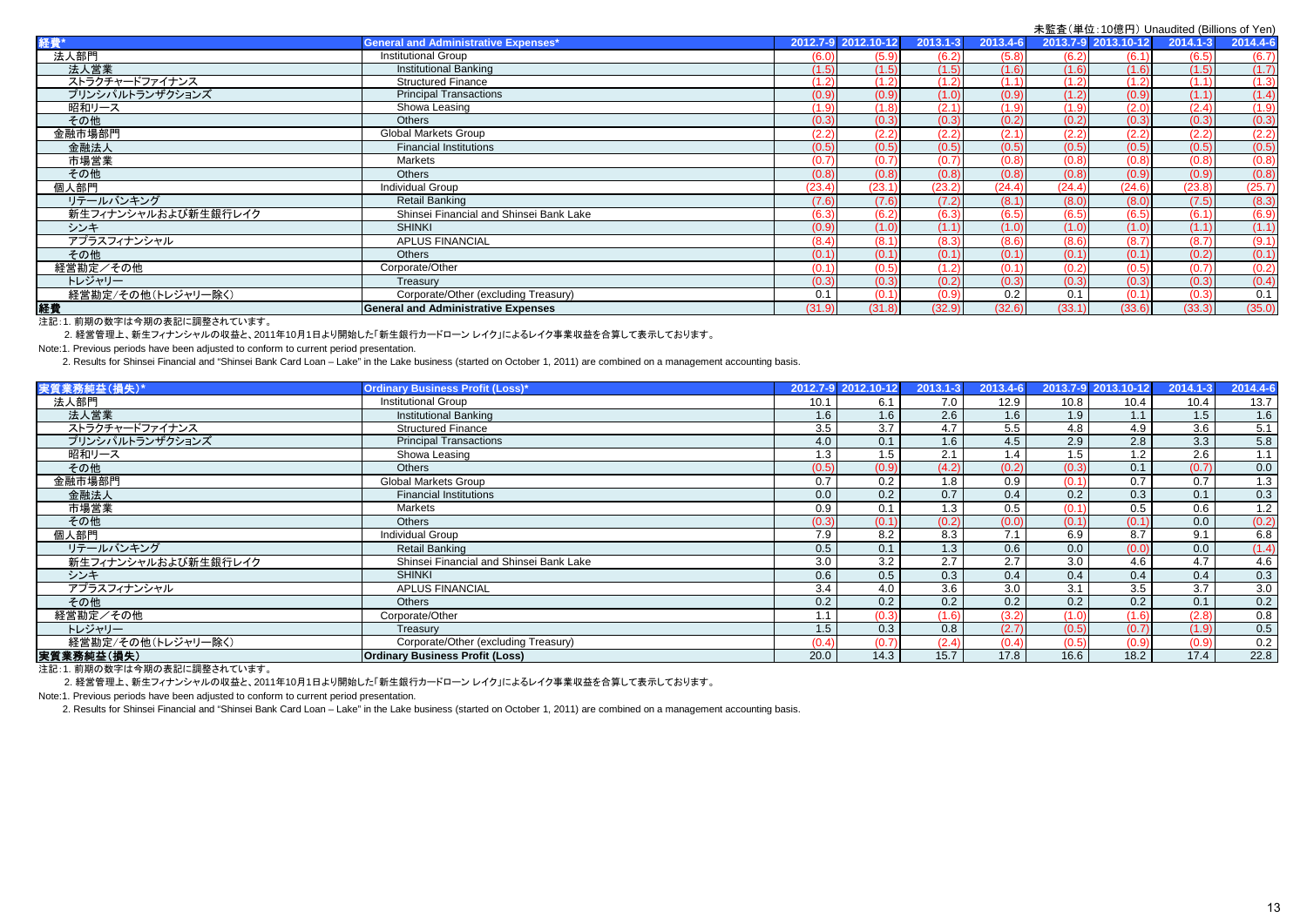|                     |                                             |        |                     |              |          |        | $\frac{1}{2}$ . $\frac{1}{2}$ . To fight $\frac{1}{2}$ or leadshoot (Dimono or Ton) |              |          |
|---------------------|---------------------------------------------|--------|---------------------|--------------|----------|--------|-------------------------------------------------------------------------------------|--------------|----------|
| 2文 魂…★              | <b>General and Administrative Expenses*</b> |        | 2012.7-9 2012.10-12 | $2013.1 - 3$ | 2013.4-6 |        | 2013.7-9 2013.10-12                                                                 | $2014.1 - 3$ | 2014.4-6 |
| 法人部門                | <b>Institutional Group</b>                  | (6.0)  | (5.9)               | (6.2)        | (5.8)    | (6.2)  | (6.1)                                                                               | (6.5)        | (6.7)    |
| 法人営業                | <b>Institutional Banking</b>                | (1.5)  | (1.5)               | (1.5)        | (1.6)    | (1.6)  | (1.6)                                                                               | (1.5)        | (1.7)    |
| ストラクチャードファイナンス      | <b>Structured Finance</b>                   | (1.2)  | (1.2)               | (1.2)        | (1.1)    | (1.2)  | (1.2)                                                                               | (1.1)        | (1.3)    |
| プリンシパルトランザクションズ     | <b>Principal Transactions</b>               | (0.9)  | (0.9)               | (1.0)        | (0.9)    | (1.2)  | (0.9)                                                                               | (1.1)        | (1.4)    |
| 昭和リース               | Showa Leasing                               | (1.9)  | (1.8)               | (2.1)        | (1.9)    | (1.9)  | (2.0)                                                                               | (2.4)        | (1.9)    |
| その他                 | Others                                      | (0.3)  | (0.3)               | (0.3)        | (0.2)    | (0.2)  | (0.3)                                                                               | (0.3)        | (0.3)    |
| 金融市場部門              | <b>Global Markets Group</b>                 | (2.2)  | (2.2)               | (2.2)        | (2.1)    | (2.2)  | (2.2)                                                                               | (2.2)        | (2.2)    |
| 金融法人                | <b>Financial Institutions</b>               | (0.5)  | (0.5)               | (0.5)        | (0.5)    | (0.5)  | (0.5)                                                                               | (0.5)        | (0.5)    |
| 市場営業                | Markets                                     | (0.7)  | (0.7)               |              | (0.8)    | (0.8)  | (0.8)                                                                               | (0.8)        | (0.8)    |
| その他                 | <b>Others</b>                               | (0.8)  | (0.8)               | (0.8)        | (0.8)    | (0.8)  | (0.9)                                                                               | (0.9)        | (0.8)    |
| 個人部門                | Individual Group                            | (23.4) | (23.1)              | (23.2)       | (24.4)   | (24.4) | (24.6)                                                                              | (23.8)       | (25.7)   |
| リテールバンキング           | <b>Retail Banking</b>                       | (7.6)  | (7.6)               | (7.2)        | (8.1)    | (8.0)  | (8.0)                                                                               | (7.5)        | (8.3)    |
| 新生フィナンシャルおよび新生銀行レイク | Shinsei Financial and Shinsei Bank Lake     | (6.3)  | (6.2)               | (6.3)        | (6.5)    | (6.5)  | (6.5)                                                                               | (6.1)        | (6.9)    |
| シンキ                 | <b>SHINKI</b>                               | (0.9)  | (1.0)               |              | (1.0)    | (1.0)  | (1.0)                                                                               | (1.1)        | (1.1)    |
| アプラスフィナンシャル         | <b>APLUS FINANCIAL</b>                      | (8.4)  | (8.1)               |              | (8.6)    | (8.6)  | (8.7)                                                                               | (8.7)        | (9.1)    |
| その他                 | <b>Others</b>                               | (0.1)  | (0.1)               |              | (0.1)    | (0.1)  | (0.1)                                                                               | (0.2)        | (0.1)    |
| 経営勘定/その他            | Corporate/Other                             | (0.1)  | (0.5)               |              | (0.1)    | (0.2)  | (0.5)                                                                               | (0.7)        | (0.2)    |
| トレジャリー              | Treasurv                                    | (0.3)  | (0.3)               |              | (0.3)    | (0.3)  | (0.3)                                                                               | (0.3)        | (0.4)    |
| 経営勘定/その他(トレジャリー除く)  | Corporate/Other (excluding Treasury)        | 0.1    |                     | (0.9)        | 0.2      | 0.1    | (0.1)                                                                               | (0.3)        | 0.1      |
| 経費                  | <b>General and Administrative Expenses</b>  | (31.9) | (31.8)              | (32.9)       | (32.6)   | (33.1) | (33.6)                                                                              | (33.3)       | (35.0)   |

#### 注記:1. 前期の数字は今期の表記に調整されています。

2. 経営管理上、新生フィナンシャルの収益と、2011年10月1日より開始した「新生銀行カードローン レイク」によるレイク事業収益を合算して表示しております。

Note:1. Previous periods have been adjusted to conform to current period presentation.

2. Results for Shinsei Financial and "Shinsei Bank Card Loan – Lake" in the Lake business (started on October 1, 2011) are combined on a management accounting basis.

| 実質業務純益(損失)*         | <b>Ordinary Business Profit (Loss)*</b> |       | 2012.7-9 2012.10-12 | $2013.1 - 3$ | 2013.4-6 |       | 2013.7-9 2013.10-12 | $2014.1 - 3$     | 2014.4-6 |
|---------------------|-----------------------------------------|-------|---------------------|--------------|----------|-------|---------------------|------------------|----------|
| 法人部門                | <b>Institutional Group</b>              | 10.1  | 6.1                 | 7.0          | 12.9     | 10.8  | 10.4                | 10.4             | 13.7     |
| 法人営業                | <b>Institutional Banking</b>            | 1.6   | 1.6                 | 2.6          | 1.6      | 1.9   | 1.1                 | 1.5              | 1.6      |
| ストラクチャードファイナンス      | <b>Structured Finance</b>               | 3.5   | 3.7                 | 4.7          | 5.5      | 4.8   | 4.9                 | 3.6              | 5.1      |
| プリンシパルトランザクションズ     | <b>Principal Transactions</b>           | 4.0   | 0.1                 | 1.6          | 4.5      | 2.9   | 2.8                 | $3.\overline{3}$ | 5.8      |
| 昭和リース               | Showa Leasing                           | 1.3   | $1.5^{\circ}$       | 2.1          | 1.4      | 1.5   | 1.2                 | 2.6              | 1.1      |
| その他                 | <b>Others</b>                           | (0.5) | (0.9)               | (4.2)        | (0.2)    | (0.3) | 0.1                 | (0.7)            | 0.0      |
| 金融市場部門              | <b>Global Markets Group</b>             | 0.7   | 0.2                 | 1.8          | 0.9      | (0.1) | 0.7                 | 0.7              | 1.3      |
| 金融法人                | <b>Financial Institutions</b>           | 0.0   | 0.2                 | 0.7          | 0.4      | 0.2   | 0.3                 | 0.1              | 0.3      |
| 市場営業                | <b>Markets</b>                          | 0.9   | 0.1                 | 1.3          | 0.5      | (0.1) | 0.5                 | 0.6              | 1.2      |
| その他                 | <b>Others</b>                           | (0.3) | (0.1)               | (0.2)        | (0.0)    | (0.1) | (0.1)               | 0.0              | (0.2)    |
| 個人部門                | Individual Group                        | 7.9   | 8.2                 | 8.3          | 7.1      | 6.9   | 8.7                 | 9.1              | 6.8      |
| リテールバンキング           | Retail Banking                          | 0.5   | 0.1                 | 1.3          | 0.6      | 0.0   | (0.0)               | 0.0              | (1.4)    |
| 新生フィナンシャルおよび新生銀行レイク | Shinsei Financial and Shinsei Bank Lake | 3.0   | 3.2                 | 2.7          | 2.7      | 3.0   | 4.6                 | 4.7              | 4.6      |
| シンキ                 | <b>SHINKI</b>                           | 0.6   | 0.5                 | 0.3          | 0.4      | 0.4   | 0.4                 | 0.4              | 0.3      |
| アプラスフィナンシャル         | <b>APLUS FINANCIAL</b>                  | 3.4   | 4.0                 | 3.6          | 3.0      | 3.1   | 3.5                 | 3.7              | 3.0      |
| その他                 | <b>Others</b>                           | 0.2   | 0.2                 | 0.2          | 0.2      | 0.2   | 0.2                 | 0.1              | 0.2      |
| 経営勘定/その他            | Corporate/Other                         | 1.1   | (0.3)               | (1.6)        | (3.2)    | (1.0) | (1.6)               | (2.8)            | 0.8      |
| トレジャリー              | Treasury                                | 1.5   | 0.3                 | 0.8          | (2.7)    | (0.5) | (0.7)               | (1.9)            | 0.5      |
| 経営勘定/その他(トレジャリー除く)  | Corporate/Other (excluding Treasury)    | (0.4) | (0.7)               | (2.4)        | (0.4)    | (0.5) | (0.9)               | (0.9)            | 0.2      |
| 実質業務純益(損失)          | <b>Ordinary Business Profit (Loss)</b>  | 20.0  | 14.3                | 15.7         | 17.8     | 16.6  | 18.2                | 17.4             | 22.8     |

注記:1. 前期の数字は今期の表記に調整されています。

2. 経営管理上、新生フィナンシャルの収益と、2011年10月1日より開始した「新生銀行カードローン レイク」によるレイク事業収益を合算して表示しております。

Note:1. Previous periods have been adjusted to conform to current period presentation.

2. Results for Shinsei Financial and "Shinsei Bank Card Loan – Lake" in the Lake business (started on October 1, 2011) are combined on a management accounting basis.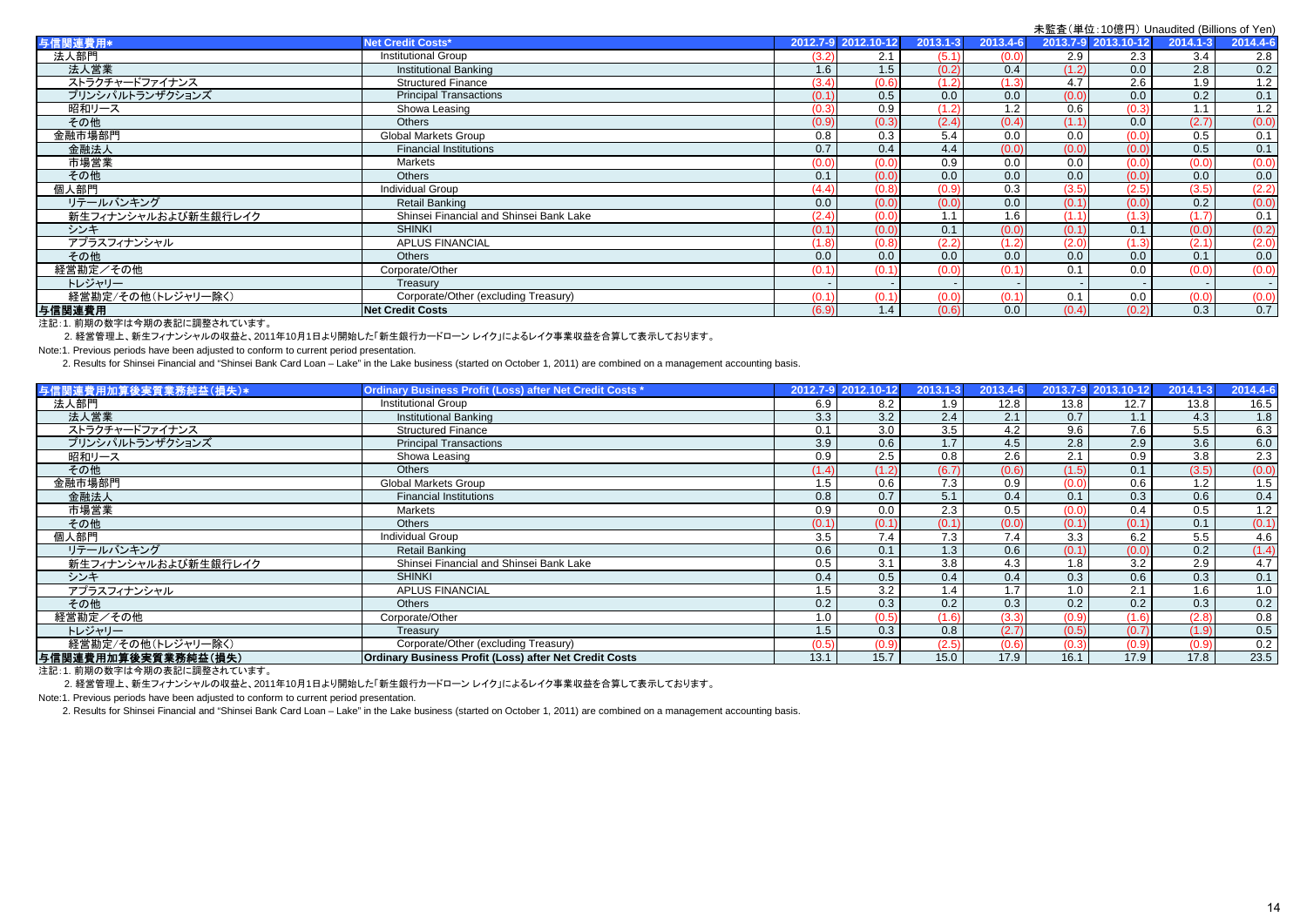|                     |                                         |       |                     |              |          |       |                     | 木盅且\芈立. IU息冂/ UIIduulled (DilliUIIS UI Tell) |          |
|---------------------|-----------------------------------------|-------|---------------------|--------------|----------|-------|---------------------|----------------------------------------------|----------|
| 与信関連費用*             | Net Credit Costs*                       |       | 2012.7-9 2012.10-12 | $2013.1 - 3$ | 2013.4-6 |       | 2013.7-9 2013.10-12 | $2014.1 - 3$                                 | 2014.4-6 |
| 法人部門                | <b>Institutional Group</b>              | (3.2) | 2.1                 |              | (0.0)    | 2.9   | 2.3                 | 3.4                                          | 2.8      |
| 法人営業                | <b>Institutional Banking</b>            | 1.6   | 1.5                 | (0.2)        | 0.4      | (1.2) | 0.0                 | 2.8                                          | 0.2      |
| ストラクチャードファイナンス      | <b>Structured Finance</b>               | (3.4  | (0.6)               |              | (1.3)    | 4.7   | 2.6                 | 1.9                                          | 1.2      |
| プリンシパルトランザクションズ     | <b>Principal Transactions</b>           | (0.1) | 0.5                 | 0.0          | 0.0      | (0.0) | 0.0                 | 0.2                                          | 0.1      |
| 昭和リース               | Showa Leasing                           | (0.3) | 0.9                 |              | 1.2      | 0.6   | (0.3)               | 1.1                                          | 1.2      |
| その他                 | Others                                  | (0.9) | (0.3)               | (2.4)        | (0.4)    | (1.1) | 0.0                 | (2.7)                                        | (0.0)    |
| 金融市場部門              | Global Markets Group                    | 0.8   | 0.3                 | 5.4          | 0.0      | 0.0   | (0.0)               | 0.5                                          | 0.1      |
| 金融法人                | <b>Financial Institutions</b>           | 0.7   | 0.4                 | 4.4          | (0.0)    | (0.0) | (0.0)               | 0.5                                          | 0.1      |
| 市場営業                | Markets                                 | (0.0) | (0.0)               | 0.9          | 0.0      | 0.0   | (0.0)               | (0.0)                                        | (0.0)    |
| その他                 | <b>Others</b>                           | 0.1   | (0.0)               | 0.0          | 0.0      | 0.0   | (0.0)               | 0.0                                          | 0.0      |
| 個人部門                | <b>Individual Group</b>                 | (4.4) | (0.8)               | (0.9)        | 0.3      | (3.5) | (2.5)               | (3.5)                                        | (2.2)    |
| リテールバンキング           | <b>Retail Banking</b>                   | 0.0   | (0.0)               | (0.0)        | 0.0      | (0.1) | (0.0)               | 0.2                                          | (0.0)    |
| 新生フィナンシャルおよび新生銀行レイク | Shinsei Financial and Shinsei Bank Lake | (2.4) | (0.0)               | 1.1          | 1.6      | (1.1) | (1.3)               | (1.7)                                        | 0.1      |
| シンキ                 | <b>SHINKI</b>                           | (0.1) | (0.0)               | 0.1          | (0.0)    | (0.1) | 0.1                 | (0.0)                                        | (0.2)    |
| アプラスフィナンシャル         | <b>APLUS FINANCIAL</b>                  | (1.8) | (0.8)               | (2.2)        | (1.2)    | (2.0) | (1.3)               | (2.1)                                        | (2.0)    |
| その他                 | <b>Others</b>                           | 0.0   | 0.0                 | 0.0          | 0.0      | 0.0   | 0.0                 | 0.1                                          | 0.0      |
| 経営勘定/その他            | Corporate/Other                         | (0.1) | (0.1)               | (0.0)        | (0.1)    | 0.1   | 0.0                 | (0.0)                                        | (0.0)    |
| トレジャリー              | Treasury                                |       |                     |              |          |       |                     |                                              |          |
| 経営勘定/その他(トレジャリー除く)  | Corporate/Other (excluding Treasury)    | (0.1) | 0.1                 | (0.0)        | (0.1)    | 0.1   | 0.0                 | (0.0)                                        | (0.0)    |
| 与信関連費用              | Net Credit Costs                        | (6.9) | 1.4                 | (0.6)        | 0.0      | (0.4) | (0.2)               | 0.3                                          | 0.7      |

#### 注記:1. 前期の数字は今期の表記に調整されています。

2. 経営管理上、新生フィナンシャルの収益と、2011年10月1日より開始した「新生銀行カードローン レイク」によるレイク事業収益を合算して表示しております。

Note:1. Previous periods have been adjusted to conform to current period presentation.

2. Results for Shinsei Financial and "Shinsei Bank Card Loan – Lake" in the Lake business (started on October 1, 2011) are combined on a management accounting basis.

| 与信関連費用加算後実質業務純益(損失)* | Ordinary Business Profit (Loss) after Net Credit Costs *      |       | 2012.7-9 2012.10-12 | $2013.1 - 3$ | 2013.4-6 |       | 2013.7-9 2013.10-12 | $2014.1 - 3$ | 2014.4-6 |
|----------------------|---------------------------------------------------------------|-------|---------------------|--------------|----------|-------|---------------------|--------------|----------|
| 法人部門                 | Institutional Group                                           | 6.9   | 8.2                 | 1.9          | 12.8     | 13.8  | 12.7                | 13.8         | 16.5     |
| 法人営業                 | Institutional Banking                                         | 3.3   | 3.2                 | 2.4          | 2.1      | 0.7   | 1.1                 | 4.3          | 1.8      |
| ストラクチャードファイナンス       | <b>Structured Finance</b>                                     | 0.1   | 3.0                 | 3.5          | 4.2      | 9.6   | 7.6                 | 5.5          | 6.3      |
| プリンシパルトランザクションズ      | <b>Principal Transactions</b>                                 | 3.9   | 0.6                 | 1.7          | 4.5      | 2.8   | 2.9                 | 3.6          | 6.0      |
| 昭和リース                | Showa Leasing                                                 | 0.9   | 2.5                 | 0.8          | 2.6      | 2.1   | 0.9                 | 3.8          | 2.3      |
| その他                  | <b>Others</b>                                                 | (1.4) | (1.2)               | (6.7)        | (0.6)    | (1.5) | 0.1                 | (3.5)        | (0.0)    |
| 金融市場部門               | Global Markets Group                                          | 1.5   | 0.6                 | 7.3          | 0.9      | (0.0) | 0.6                 | 1.2          | 1.5      |
| 金融法人                 | <b>Financial Institutions</b>                                 | 0.8   | 0.7                 | 5.1          | 0.4      | 0.1   | 0.3                 | 0.6          | 0.4      |
| 市場営業                 | Markets                                                       | 0.9   | 0.0                 | 2.3          | 0.5      | (0.0) | 0.4                 | 0.5          | 1.2      |
| その他                  | <b>Others</b>                                                 | (0.1) | (0.1)               | (0.1)        | (0.0)    | (0.1) | (0.1)               | 0.1          | (0.1)    |
| 個人部門                 | <b>Individual Group</b>                                       | 3.5   | 7.4                 | 7.3          | 7.4      | 3.3   | 6.2                 | 5.5          | 4.6      |
| リテールバンキング            | Retail Banking                                                | 0.6   | 0.1                 | 1.3          | 0.6      | (0.1) | (0.0)               | 0.2          | (1.4)    |
| 新生フィナンシャルおよび新生銀行レイク  | Shinsei Financial and Shinsei Bank Lake                       | 0.5   | 3.1                 | 3.8          | 4.3      | 1.8   | 3.2                 | 2.9          | 4.7      |
| シンキ                  | <b>SHINKI</b>                                                 | 0.4   | 0.5                 | 0.4          | 0.4      | 0.3   | 0.6                 | 0.3          | 0.1      |
| アプラスフィナンシャル          | <b>APLUS FINANCIAL</b>                                        | 1.5   | 3.2                 | 1.4          | 1.7      | 1.0   | 2.1                 | 1.6          | 1.0      |
| その他                  | <b>Others</b>                                                 | 0.2   | 0.3                 | 0.2          | 0.3      | 0.2   | 0.2                 | 0.3          | 0.2      |
| 経営勘定/その他             | Corporate/Other                                               | 1.0   | (0.5)               | (1.6)        | (3.3)    | (0.9) | (1.6)               | (2.8)        | 0.8      |
| トレジャリー               | Treasury                                                      | 1.5   | 0.3                 | 0.8          | (2.7)    | (0.5) | (0.7)               | (1.9)        | 0.5      |
| 経営勘定/その他(トレジャリー除く)   | Corporate/Other (excluding Treasury)                          | (0.5) | (0.9                | (2.5)        | (0.6)    | (0.3) | (0.9)               | (0.9)        | 0.2      |
| 与信関連費用加算後実質業務純益(損失)  | <b>Ordinary Business Profit (Loss) after Net Credit Costs</b> | 13.1  | 15.7                | 15.0         | 17.9     | 16.1  | 17.9                | 17.8         | 23.5     |

注記:1. 前期の数字は今期の表記に調整されています。

2. 経営管理上、新生フィナンシャルの収益と、2011年10月1日より開始した「新生銀行カードローン レイク」によるレイク事業収益を合算して表示しております。

Note:1. Previous periods have been adjusted to conform to current period presentation.

2. Results for Shinsei Financial and "Shinsei Bank Card Loan – Lake" in the Lake business (started on October 1, 2011) are combined on a management accounting basis.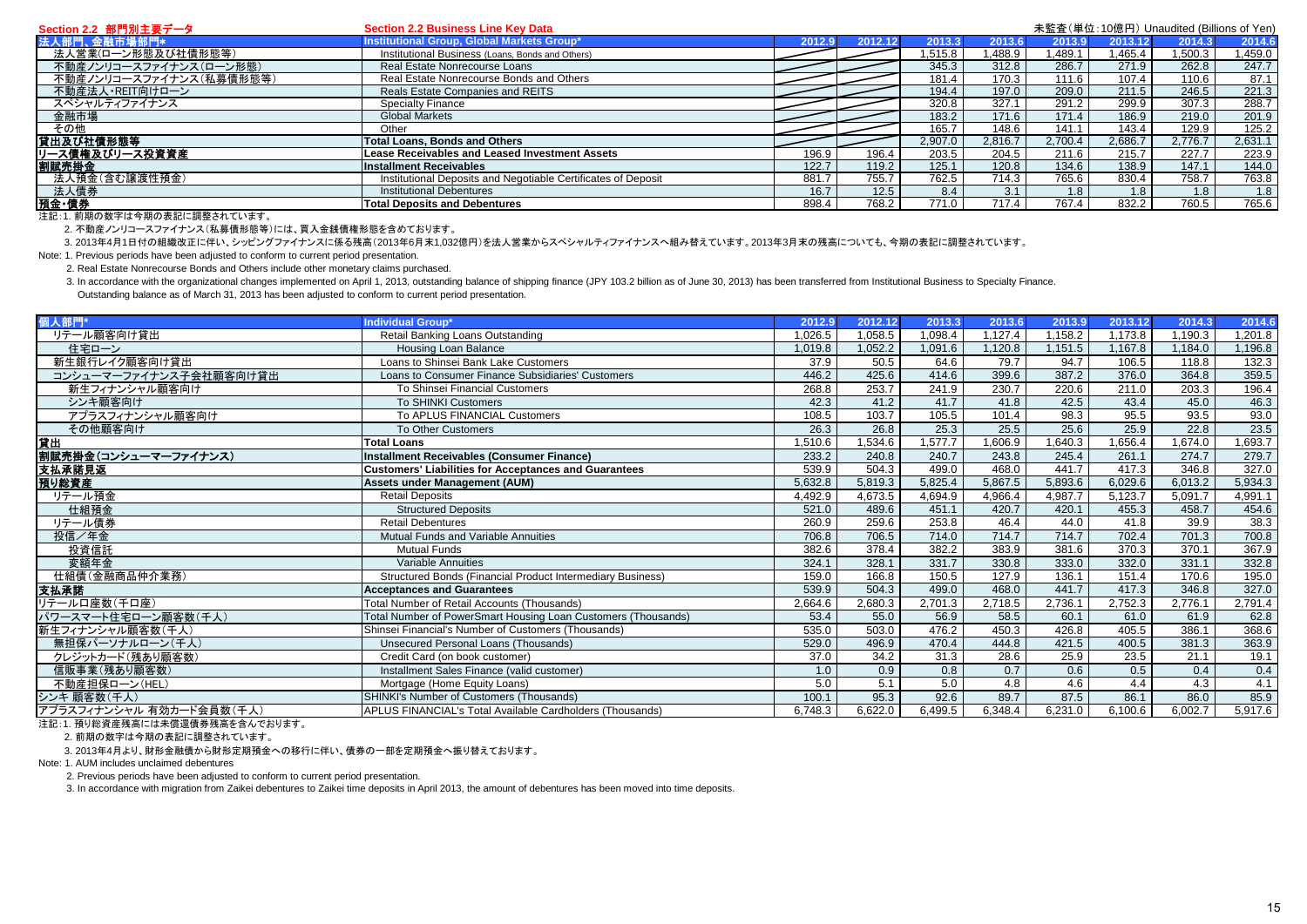| Section 2.2 部門別主要データ    | <b>Section 2.2 Business Line Key Data</b>                     |        |        |         |         |         |         | 未監査(単位:10億円) Unaudited (Billions of Yen) |         |
|-------------------------|---------------------------------------------------------------|--------|--------|---------|---------|---------|---------|------------------------------------------|---------|
| 法人部門、金融市場部門*            | Institutional Group, Global Markets Group*                    | 2012.9 | 2012.1 | 2013.3  |         |         | 2013.12 |                                          | 2014.6  |
| 法人営業(ローン形熊及び社債形熊等)      | Institutional Business (Loans, Bonds and Others)              |        |        | .515.8  | .488.9  | 1.489.1 | 1.465.4 | .500.3                                   | .459.0  |
| 不動産ノンリコースファイナンス(ローン形態)  | Real Estate Nonrecourse Loans                                 |        |        | 345.3   | 312.8   | 286.7   | 271.9   | 262.8                                    | 247.7   |
| 不動産ノンリコースファイナンス(私募債形態等) | Real Estate Nonrecourse Bonds and Others                      |        |        | 181.4   | 170.3   | 111.6   | 107.4   | 110.6                                    | 87.1    |
| 不動産法人·REIT向けローン         | Reals Estate Companies and REITS                              |        |        | 194.4   | 197.0   | 209.0   | 211.5   | 246.5                                    | 221.3   |
| スペシャルティファイナンス           | <b>Specialty Finance</b>                                      |        |        | 320.8   | 327.1   | 291.2   | 299.9   | 307.3                                    | 288.7   |
| 金融市場                    | <b>Global Markets</b>                                         |        |        | 183.2   | 171.6   | 171.4   | 186.9   | 219.0                                    | 201.9   |
| その他                     | Other                                                         |        |        | 165.7   | 148.6   | 141.1   | 143.4   | 129.9                                    | 125.2   |
| 貸出及び社債形態等               | <b>Total Loans, Bonds and Others</b>                          |        |        | 2,907.0 | 2.816.7 | 2.700.4 | 2.686.7 | 2.776.7                                  | 2,631.1 |
| リース債権及びリース投資資産          | Lease Receivables and Leased Investment Assets                | 196.9  | 196.4  | 203.5   | 204.5   | 211.6   | 215.7   | 227.7                                    | 223.9   |
| 割賦売掛金                   | <b>Installment Receivables</b>                                | 122.7  | 119.2  | 125.1   | 120.8   | 134.6   | 138.9   | 147.1                                    | 144.0   |
| 法人預金(含む讓渡性預金)           | Institutional Deposits and Negotiable Certificates of Deposit | 881.7  | 755.7  | 762.5   | 714.3   | 765.6   | 830.4   | 758.7                                    | 763.8   |
| 法人債券                    | <b>Institutional Debentures</b>                               | 16.7   | 12.5   | 8.4     | 3.1     | 1.8     | 1.8     | 1.8                                      | 1.8     |
| 預金·債券                   | <b>Total Deposits and Debentures</b>                          | 898.4  | 768.2  | 771.0   | 717.4   | 767.4   | 832.2   | 760.5                                    | 765.6   |
|                         |                                                               |        |        |         |         |         |         |                                          |         |

注記:1. 前期の数字は今期の表記に調整されています。

2. 不動産ノンリコースファイナンス(私募債形態等)には、買入金銭債権形態を含めております。

3. 2013年4月1日付の組織改正に伴い、シッピングファイナンスに係る残高(2013年6月末1,032億円)を法人営業からスペシャルティファイナンスへ組み替えています。2013年3月末の残高についても、今期の表記に調整されています。

Note: 1. Previous periods have been adjusted to conform to current period presentation.

2. Real Estate Nonrecourse Bonds and Others include other monetary claims purchased.

3. In accordance with the organizational changes implemented on April 1, 2013, outstanding balance of shipping finance (JPY 103.2 billion as of June 30, 2013) has been transferred from Institutional Business to Specialty F

Outstanding balance as of March 31, 2013 has been adjusted to conform to current period presentation.

| 個人部門*                    | Individual Group*                                             | 2012.9  | 2012.12 | 2013.3  | 2013.6  | 2013.9  | 2013.12 | 2014.3  | 2014.6  |
|--------------------------|---------------------------------------------------------------|---------|---------|---------|---------|---------|---------|---------|---------|
| リテール顧客向け貸出               | Retail Banking Loans Outstanding                              | 1,026.5 | 1,058.5 | .098.4  | ,127.4  | 1.158.2 | 1,173.8 | 1,190.3 | 1,201.8 |
| 住宅ローン                    | Housing Loan Balance                                          | 1.019.8 | 1,052.2 | 1,091.6 | ,120.8  | 1.151.5 | 1,167.8 | 1,184.0 | 1,196.8 |
| 新生銀行レイク顧客向け貸出            | Loans to Shinsei Bank Lake Customers                          | 37.9    | 50.5    | 64.6    | 79.7    | 94.7    | 106.5   | 118.8   | 132.3   |
| コンシューマーファイナンス子会社顧客向け貸出   | Loans to Consumer Finance Subsidiaries' Customers             | 446.2   | 425.6   | 414.6   | 399.6   | 387.2   | 376.0   | 364.8   | 359.5   |
| 新生フィナンシャル顧客向け            | To Shinsei Financial Customers                                | 268.8   | 253.7   | 241.9   | 230.7   | 220.6   | 211.0   | 203.3   | 196.4   |
| シンキ顧客向け                  | <b>To SHINKI Customers</b>                                    | 42.3    | 41.2    | 41.7    | 41.8    | 42.5    | 43.4    | 45.0    | 46.3    |
| アプラスフィナンシャル顧客向け          | To APLUS FINANCIAL Customers                                  | 108.5   | 103.7   | 105.5   | 101.4   | 98.3    | 95.5    | 93.5    | 93.0    |
| その他顧客向け                  | <b>To Other Customers</b>                                     | 26.3    | 26.8    | 25.3    | 25.5    | 25.6    | 25.9    | 22.8    | 23.5    |
| 貸出                       | <b>Total Loans</b>                                            | 1,510.6 | ,534.6  | 577.7   | 0.606.9 | .640.3  | 1,656.4 | 674.0   | ,693.7  |
| 割賦売掛金(コンシューマーファイナンス)     | Installment Receivables (Consumer Finance)                    | 233.2   | 240.8   | 240.7   | 243.8   | 245.4   | 261.1   | 274.7   | 279.7   |
| 支払承諾見返                   | <b>Customers' Liabilities for Acceptances and Guarantees</b>  | 539.9   | 504.3   | 499.0   | 468.0   | 441.7   | 417.3   | 346.8   | 327.0   |
| 預り総資産                    | <b>Assets under Management (AUM)</b>                          | 5,632.8 | 5,819.3 | 5,825.4 | 5,867.5 | 5,893.6 | 6,029.6 | 6,013.2 | 5,934.3 |
| リテール預金                   | <b>Retail Deposits</b>                                        | 4,492.9 | 4,673.5 | 4,694.9 | 4,966.4 | 4,987.7 | 5,123.7 | 5,091.7 | 4,991.1 |
| 仕組預金                     | <b>Structured Deposits</b>                                    | 521.0   | 489.6   | 451.1   | 420.7   | 420.1   | 455.3   | 458.7   | 454.6   |
| リテール債券                   | <b>Retail Debentures</b>                                      | 260.9   | 259.6   | 253.8   | 46.4    | 44.0    | 41.8    | 39.9    | 38.3    |
| 投信/年金                    | Mutual Funds and Variable Annuities                           | 706.8   | 706.5   | 714.0   | 714.7   | 714.7   | 702.4   | 701.3   | 700.8   |
| 投資信託                     | <b>Mutual Funds</b>                                           | 382.6   | 378.4   | 382.2   | 383.9   | 381.6   | 370.3   | 370.1   | 367.9   |
| 変額年金                     | Variable Annuities                                            | 324.1   | 328.1   | 331.7   | 330.8   | 333.0   | 332.0   | 331.1   | 332.8   |
| 仕組債(金融商品仲介業務)            | Structured Bonds (Financial Product Intermediary Business)    | 159.0   | 166.8   | 150.5   | 127.9   | 136.1   | 151.4   | 170.6   | 195.0   |
| 支払承諾                     | <b>Acceptances and Guarantees</b>                             | 539.9   | 504.3   | 499.0   | 468.0   | 441.7   | 417.3   | 346.8   | 327.0   |
| リテールロ座数(千口座)             | Total Number of Retail Accounts (Thousands)                   | 2,664.6 | 2,680.3 | 2,701.3 | 2,718.5 | 2,736.1 | 2,752.3 | 2,776.1 | 2,791.4 |
| パワースマート住宅ローン顧客数(千人)      | Total Number of PowerSmart Housing Loan Customers (Thousands) | 53.4    | 55.0    | 56.9    | 58.5    | 60.1    | 61.0    | 61.9    | 62.8    |
| 新生フィナンシャル顧客数(千人)         | Shinsei Financial's Number of Customers (Thousands)           | 535.0   | 503.0   | 476.2   | 450.3   | 426.8   | 405.5   | 386.1   | 368.6   |
| 無担保パーソナルローン(千人)          | <b>Unsecured Personal Loans (Thousands)</b>                   | 529.0   | 496.9   | 470.4   | 444.8   | 421.5   | 400.5   | 381.3   | 363.9   |
| クレジットカード(残あり顧客数)         | Credit Card (on book customer)                                | 37.0    | 34.2    | 31.3    | 28.6    | 25.9    | 23.5    | 21.1    | 19.1    |
| 信販事業(残あり顧客数)             | Installment Sales Finance (valid customer)                    | 1.0     | 0.9     | 0.8     | 0.7     | 0.6     | 0.5     | 0.4     | 0.4     |
| 不動産担保ローン(HEL)            | Mortgage (Home Equity Loans)                                  | 5.0     | 5.1     | 5.0     | 4.8     | 4.6     | 4.4     | 4.3     | 4.1     |
| シンキ 顧客数(千人)              | SHINKI's Number of Customers (Thousands)                      | 100.1   | 95.3    | 92.6    | 89.7    | 87.5    | 86.1    | 86.0    | 85.9    |
| アプラスフィナンシャル 有効カード会員数(千人) | APLUS FINANCIAL's Total Available Cardholders (Thousands)     | 6,748.3 | 6,622.0 | 6,499.5 | 6,348.4 | 6,231.0 | 6,100.6 | 6,002.7 | 5,917.6 |

注記:1. 預り総資産残高には未償還債券残高を含んでおります。

2. 前期の数字は今期の表記に調整されています。

3. 2013年4月より、財形金融債から財形定期預金への移行に伴い、債券の一部を定期預金へ振り替えております。

Note: 1. AUM includes unclaimed debentures

2. Previous periods have been adjusted to conform to current period presentation.

3. In accordance with migration from Zaikei debentures to Zaikei time deposits in April 2013, the amount of debentures has been moved into time deposits.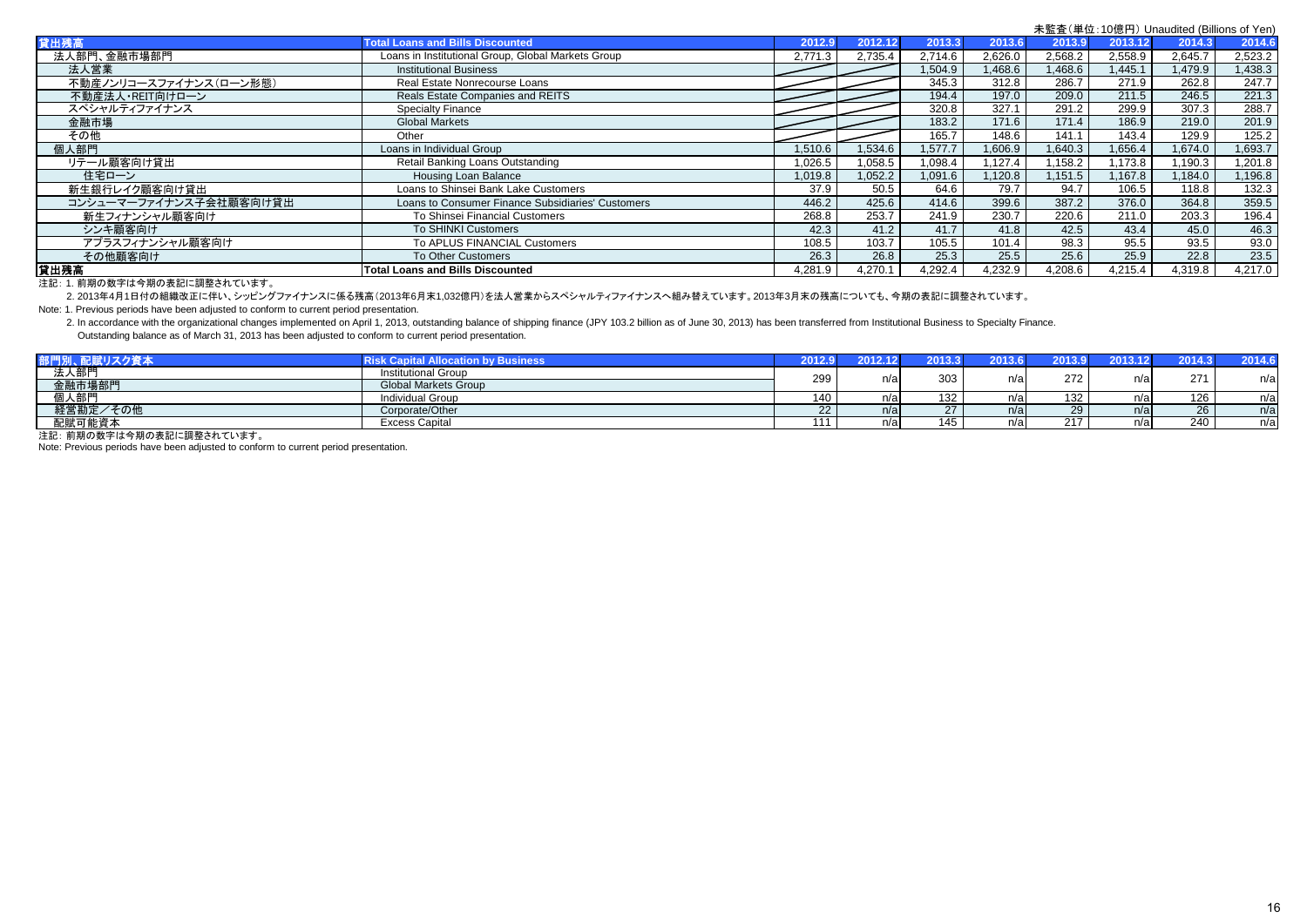|                        |                                                    |         |         |         |         |         |         | 未監査(単位: 10億円) Unaudited (Billions of Yen) |         |
|------------------------|----------------------------------------------------|---------|---------|---------|---------|---------|---------|-------------------------------------------|---------|
| 貸出残高                   | <b>Total Loans and Bills Discounted</b>            | 2012.9  | 2012.12 | 2013.3  | 2013.6  | 2013.9  | 2013.12 | 2014.3                                    | 2014.6  |
| 法人部門、金融市場部門            | Loans in Institutional Group, Global Markets Group | 2,771.3 | 2,735.4 | 2.714.6 | 2,626.0 | 2,568.2 | 2,558.9 | 2,645.7                                   | 2,523.2 |
| 法人営業                   | <b>Institutional Business</b>                      |         |         | .504.9  | ,468.6  | 1.468.6 | 1,445.1 | 1.479.9                                   | 1,438.3 |
| 不動産ノンリコースファイナンス(ローン形態) | Real Estate Nonrecourse Loans                      |         |         | 345.3   | 312.8   | 286.7   | 271.9   | 262.8                                     | 247.7   |
| 不動産法人・REIT向けローン        | Reals Estate Companies and REITS                   |         |         | 194.4   | 197.0   | 209.0   | 211.5   | 246.5                                     | 221.3   |
| スペシャルティファイナンス          | <b>Specialty Finance</b>                           |         |         | 320.8   | 327.1   | 291.2   | 299.9   | 307.3                                     | 288.7   |
| 金融市場                   | <b>Global Markets</b>                              |         |         | 183.2   | 171.6   | 171.4   | 186.9   | 219.0                                     | 201.9   |
| その他                    | Other                                              |         |         | 165.7   | 148.6   | 141.1   | 143.4   | 129.9                                     | 125.2   |
| 個人部門                   | Loans in Individual Group                          | 1,510.6 | 1,534.6 | 1,577.7 | 1,606.9 | 1,640.3 | 1,656.4 | 1,674.0                                   | 1,693.7 |
| リテール顧客向け貸出             | Retail Banking Loans Outstanding                   | 1,026.5 | .058.5  | .098.4  | .127.4  | 1,158.2 | 1,173.8 | 1,190.3                                   | 1,201.8 |
| 住宅ローン                  | Housing Loan Balance                               | 1,019.8 | 1,052.2 | 1,091.6 | ,120.8  | 1,151.5 | 1,167.8 | 1,184.0                                   | 1,196.8 |
| 新生銀行レイク顧客向け貸出          | Loans to Shinsei Bank Lake Customers               | 37.9    | 50.5    | 64.6    | 79.7    | 94.7    | 106.5   | 118.8                                     | 132.3   |
| コンシューマーファイナンス子会社顧客向け貸出 | Loans to Consumer Finance Subsidiaries' Customers  | 446.2   | 425.6   | 414.6   | 399.6   | 387.2   | 376.0   | 364.8                                     | 359.5   |
| 新生フィナンシャル顧客向け          | To Shinsei Financial Customers                     | 268.8   | 253.7   | 241.9   | 230.7   | 220.6   | 211.0   | 203.3                                     | 196.4   |
| シンキ顧客向け                | To SHINKI Customers                                | 42.3    | 41.2    | 41.7    | 41.8    | 42.5    | 43.4    | 45.0                                      | 46.3    |
| アプラスフィナンシャル顧客向け        | To APLUS FINANCIAL Customers                       | 108.5   | 103.7   | 105.5   | 101.4   | 98.3    | 95.5    | 93.5                                      | 93.0    |
| その他顧客向け                | To Other Customers                                 | 26.3    | 26.8    | 25.3    | 25.5    | 25.6    | 25.9    | 22.8                                      | 23.5    |
| 貸出残高                   | <b>Total Loans and Bills Discounted</b>            | 4.281.9 | 4.270.1 | 4.292.4 | 4.232.9 | 4.208.6 | 4.215.4 | 4.319.8                                   | 4.217.0 |

#### 注記: 1. 前期の数字は今期の表記に調整されています。

2. 2013年4月1日付の組織改正に伴い、シッピングファイナンスに係る残高(2013年6月末1,032億円)を法人営業からスペシャルティファイナンスへ組み替えています。2013年3月末の残高についても、今期の表記に調整されています。

Note: 1. Previous periods have been adjusted to conform to current period presentation.

2. In accordance with the organizational changes implemented on April 1, 2013, outstanding balance of shipping finance (JPY 103.2 billion as of June 30, 2013) has been transferred from Institutional Business to Specialty F Outstanding balance as of March 31, 2013 has been adjusted to conform to current period presentation.

| フ資ス      | ' Business                  | 2012.             | 2012.12 | 0040           | 2013.6 | 2013.9             | $-201342$       | 2014.3 | 0.140 |
|----------|-----------------------------|-------------------|---------|----------------|--------|--------------------|-----------------|--------|-------|
| 法人部門     | <b>Institutional Group</b>  | 299               | n/a     | ึ่ 3∪3         | ٦/a    | 272                | n/a             | 271    | n/a   |
| 金融市場部門   | <b>Global Markets Group</b> |                   |         |                |        |                    |                 |        |       |
| 個人部門     | <b>Individual Group</b>     | 140               | n/a     | $\overline{ }$ | n/a i  | 132                | n/a             | 126    | n/a   |
| 経営勘定/その他 | Corporate/Other             | ᅩ                 | n/al    |                | n/a    | ت                  | $n/\varepsilon$ | 26     | n/a   |
| 配賦可能資本   | Excess Capital              | <i><b>AAA</b></i> | n/a     |                | ll/di  | 247<br><u> 21.</u> | n/a             | 240    | n/a   |

注記: 前期の数字は今期の表記に調整されています。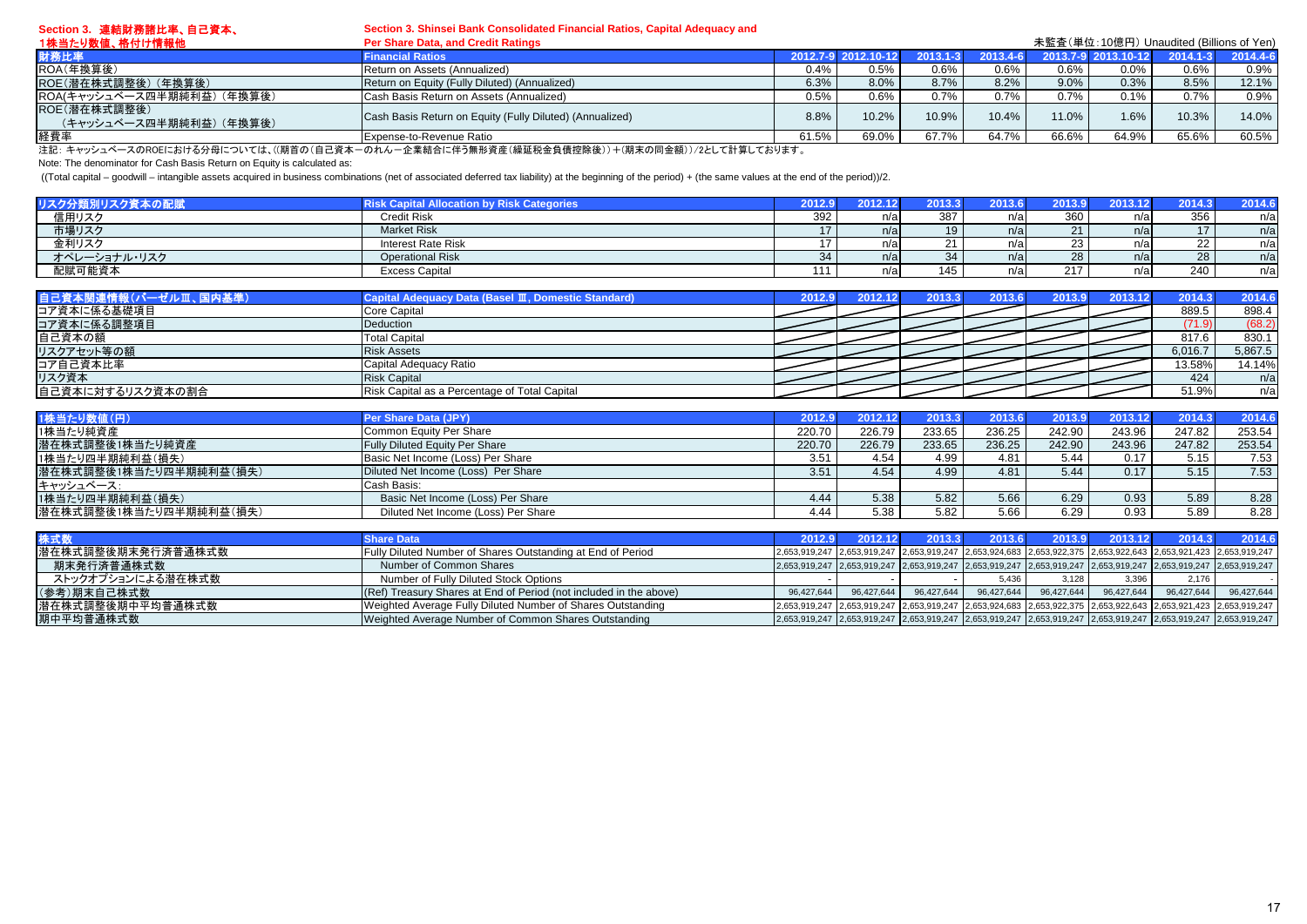| Section 3. 連結財務諸比率、自己資本、                | Section 3. Shinsei Bank Consolidated Financial Ratios, Capital Adequacy and |       |                     |       |          |       |                     |                                          |          |
|-----------------------------------------|-----------------------------------------------------------------------------|-------|---------------------|-------|----------|-------|---------------------|------------------------------------------|----------|
| 1株当たり数値、格付け情報他                          | Per Share Data, and Credit Ratings                                          |       |                     |       |          |       |                     | 未監査(単位:10億円) Unaudited (Billions of Yen) |          |
| 財務比率                                    | <b>Financial Ratios</b>                                                     |       | 2012.7-9 2012.10-12 |       | 2013.4-6 |       | 2013.7-9 2013.10-12 | $2014.1 - 3$                             | 2014.4-6 |
| ROA(年換算後)                               | Return on Assets (Annualized)                                               | 0.4%  | 0.5%                | 0.6%  | 0.6%     | 0.6%  | $0.0\%$             | 0.6%                                     | 0.9%     |
| ROE(潜在株式調整後)(年換算後)                      | Return on Equity (Fully Diluted) (Annualized)                               | 6.3%  | 8.0%                | 8.7%  | 8.2%     | 9.0%  | 0.3%                | 8.5%                                     | 12.1%    |
| ROA(キャッシュベース四半期純利益) (年換算後)              | Cash Basis Return on Assets (Annualized)                                    | 0.5%  | 0.6%                | 0.7%  | 0.7%     | 0.7%  | 0.1%                | 0.7%                                     | 0.9%     |
| ROE(潜在株式調整後)<br>(キャッシュベース四半期純利益) (年換算後) | Cash Basis Return on Equity (Fully Diluted) (Annualized)                    | 8.8%  | 10.2%               | 10.9% | 10.4%    | 11.0% | 1.6%                | 10.3%                                    | 14.0%    |
| 経費率<br>$\cdots$ $\cdots$                | Expense-to-Revenue Ratio                                                    | 61.5% | 69.0%               | 67.7% | 64.7%    | 66.6% | 64.9%               | 65.6%                                    | 60.5%    |

注記: キャッシュベースのROEにおける分母については、((期首の(自己資本-のれん-企業結合に伴う無形資産(繰延税金負債控除後))+(期末の同金額))/2として計算しております。

Note: The denominator for Cash Basis Return on Equity is calculated as:

((Total capital – goodwill – intangible assets acquired in business combinations (net of associated deferred tax liability) at the beginning of the period) + (the same values at the end of the period))/2.

| ク分類別リスク資本の配賦 |                           | 2012.               | $\sim$ $\sim$ $\sim$ | 2013. | 0012 | <b>Sonde</b> | 0042<br>2013. L | 20112           | $-944.6$ |
|--------------|---------------------------|---------------------|----------------------|-------|------|--------------|-----------------|-----------------|----------|
| 信用リスク        | <b>Credit Risk</b>        | 392                 | n/a                  | 387   |      | 360          | n/al            | 356             | n/al     |
| 市場リスク        | <b>Market Risk</b>        |                     | n/a                  | 1 Q   |      |              | n/a             | 17 <sub>1</sub> | n/al     |
| 金利リスク        | <b>Interest Rate Risk</b> |                     | n/a                  |       |      |              | n/a             | 22              | n/a      |
| オペレーショナル・リスク | <b>Operational Risk</b>   | 3 <sub>A</sub><br>ື | n/a                  |       |      | ററ<br>ZC     | n/a             | 28              | n/al     |
| 配賦可能資本       | <b>Excess Capital</b>     |                     | n/a                  | 145   | n/a  | 217          | n/a             | 240             | n/a      |

| 自己資本関連情報(バーゼルⅢ、国内基準) | Capital Adequacy Data (Basel III, Domestic Standard) | 2012.9 |  | 2017 | 201: | 212 | 2014.3  | 2014.6  |
|----------------------|------------------------------------------------------|--------|--|------|------|-----|---------|---------|
| コア資本に係る基礎項目          | <b>Core Capital</b>                                  |        |  |      |      |     | 889.5   | 898.4   |
| コア資本に係る調整項目          | Deduction                                            |        |  |      |      |     | (71.9)  | (68.2)  |
| 自己資本の額               | <b>Total Capital</b>                                 |        |  |      |      |     | 817.6   | 830.1   |
| リスクアセット等の額           | <b>Risk Assets</b>                                   |        |  |      |      |     | 6,016.7 | 5,867.5 |
| コア自己資本比率             | Capital Adequacy Ratio                               |        |  |      |      |     | 13.58%  | 14.14%  |
| リスク資本                | <b>Risk Capital</b>                                  |        |  |      |      |     | 424     | n/a     |
| 自己資本に対するリスク資本の割合     | Risk Capital as a Percentage of Total Capital        |        |  |      |      |     | 51.9%   | n/a     |

| 1株当たり数値(円)             | Per Share Data (JPY)                  |        | 2012.12 | 2013.3 |        | 2013.9 | 2013.12 | 2014.3 | 2014.6 |
|------------------------|---------------------------------------|--------|---------|--------|--------|--------|---------|--------|--------|
| 1株当たり純資産               | Common Equity Per Share               | 220.70 | 226.79  | 233.65 | 236.25 | 242.90 | 243.96  | 247.82 | 253.54 |
| 潜在株式調整後1株当たり純資産        | <b>Fully Diluted Equity Per Share</b> | 220.70 | 226.79  | 233.65 | 236.25 | 242.90 | 243.96  | 247.82 | 253.54 |
| 1株当たり四半期純利益(損失)        | Basic Net Income (Loss) Per Share     | 3.51   | 4.54    | 4.99   | 4.81   | 5.44   | 0.17    | 5.15   | 7.53   |
| 潜在株式調整後1株当たり四半期純利益(損失) | Diluted Net Income (Loss) Per Share   | 3.51   | 4.54    | 4.99   | 4.81   | 5.44   | 0.17    | 5.15   | 7.53   |
| キャッシュベース:              | Cash Basis:                           |        |         |        |        |        |         |        |        |
| 1株当たり四半期純利益(損失)        | Basic Net Income (Loss) Per Share     | 4.44   | 5.38    | 5.82   | 5.66   | 6.29   | 0.93    | 5.89   | 8.28   |
| 潜在株式調整後1株当たり四半期純利益(損失) | Diluted Net Income (Loss) Per Share   | 4.44   | 5.38    | 5.82   | 5.66   | 6.29   | 0.93    | 5.89   | 8.28   |

| 株式数                      | <b>Share Data</b>                                                  | 2012.9     | 2012.12                                                                                                         | 2013.3     | 2013.6     | 2013.9     | 2013.12    | 2014.3     | 2014.6                                                                                                          |
|--------------------------|--------------------------------------------------------------------|------------|-----------------------------------------------------------------------------------------------------------------|------------|------------|------------|------------|------------|-----------------------------------------------------------------------------------------------------------------|
| 潜在株式調整後期末発行済普通株式数        | Fully Diluted Number of Shares Outstanding at End of Period        |            |                                                                                                                 |            |            |            |            |            | 2,653,919,247 2,653,919,247 2,653,919,247 2,653,924,683 2,653,922,375 2,653,922,643 2,653,921,423 2,653,919,247 |
| 期末発行済普通株式数               | Number of Common Shares                                            |            |                                                                                                                 |            |            |            |            |            | 2,653,919,247 2,653,919,247 2,653,919,247 2,653,919,247 2,653,919,247 2,653,919,247 2,653,919,247 2,653,919,247 |
| ストックオプションによる潜在株式数        | Number of Fully Diluted Stock Options                              |            |                                                                                                                 |            | 5.436      | 3,128      | 3,396      | 2.176      |                                                                                                                 |
| (参考)期末自己株式数              | (Ref) Treasury Shares at End of Period (not included in the above) | 96,427,644 | 96,427,644                                                                                                      | 96,427,644 | 96,427,644 | 96,427,644 | 96,427,644 | 96,427,644 | 96,427,644                                                                                                      |
| <b> 潜在株式調整後期中平均普通株式数</b> | Weighted Average Fully Diluted Number of Shares Outstanding        |            | 2,653,919,247 2,653,919,247 2,653,919,247 2,653,924,683 2,653,922,375 2,653,922,643 2,653,921,423 2,653,919,247 |            |            |            |            |            |                                                                                                                 |
| 期中平均普通株式数                | Weighted Average Number of Common Shares Outstanding               |            |                                                                                                                 |            |            |            |            |            | 2,653,919,247 2,653,919,247 2,653,919,247 2,653,919,247 2,653,919,247 2,653,919,247 2,653,919,247 2,653,919,247 |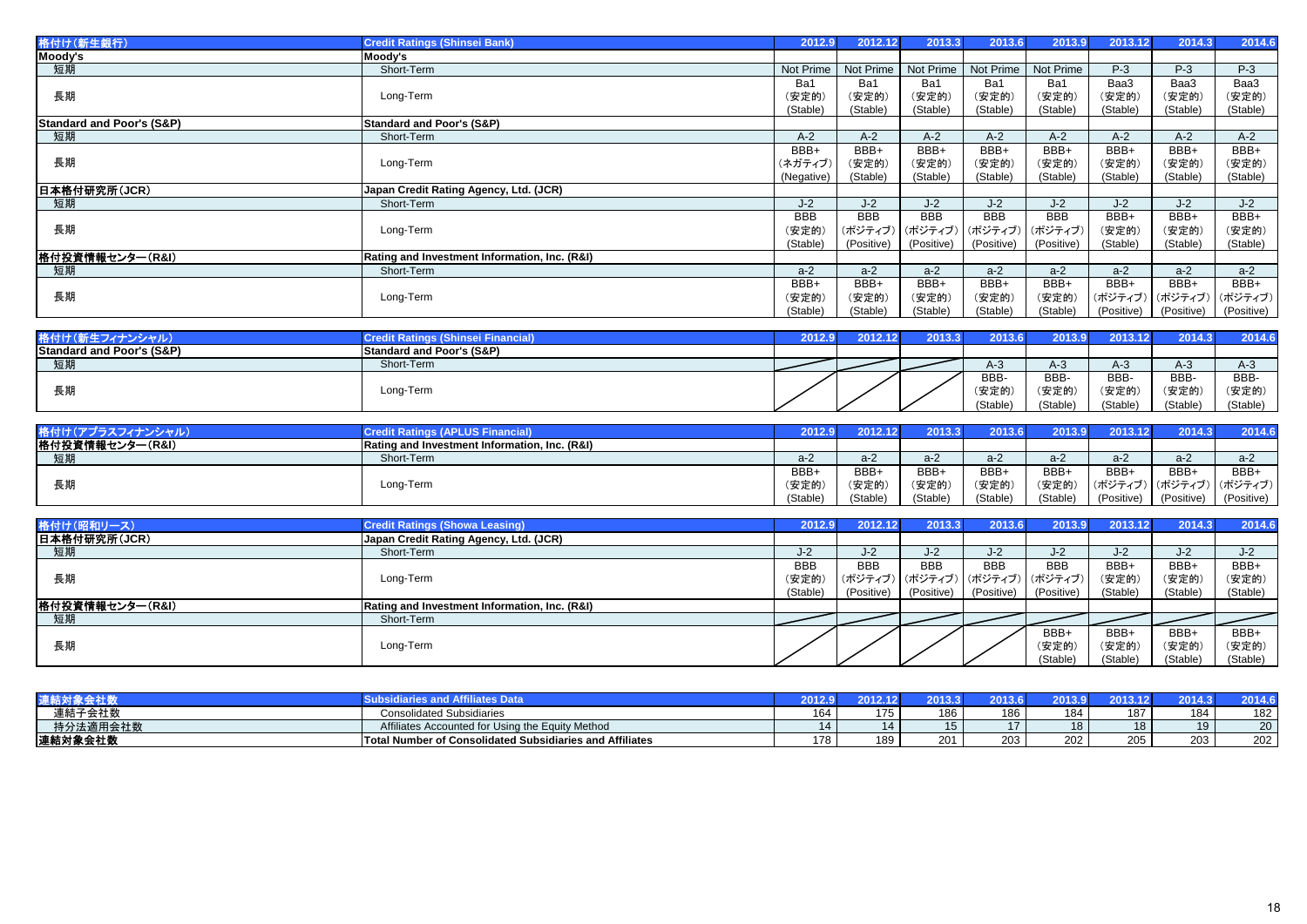| 格付け(新生銀行)                 | <b>Credit Ratings (Shinsei Bank)</b>          | 2012.9     | 2012.12    | 2013.3     | 2013.6     | 2013.9              | 2013.12    | 2014.3     | 2014.6     |
|---------------------------|-----------------------------------------------|------------|------------|------------|------------|---------------------|------------|------------|------------|
| Moody's                   | Moody's                                       |            |            |            |            |                     |            |            |            |
| 短期                        | Short-Term                                    | Not Prime  | Not Prime  | Not Prime  |            | Not Prime Not Prime | $P-3$      | $P-3$      | $P-3$      |
|                           |                                               | Ba1        | Ba1        | Ba1        | Ba1        | Ba1                 | Baa3       | Baa3       | Baa3       |
| 長期                        | Long-Term                                     | (安定的)      | (安定的)      | (安定的)      | (安定的)      | (安定的)               | (安定的)      | (安定的)      | (安定的)      |
|                           |                                               | (Stable)   | (Stable)   | (Stable)   | (Stable)   | (Stable)            | (Stable)   | (Stable)   | (Stable)   |
| Standard and Poor's (S&P) | <b>Standard and Poor's (S&amp;P)</b>          |            |            |            |            |                     |            |            |            |
| 短期                        | Short-Term                                    | $A-2$      | $A-2$      | $A-2$      | $A-2$      | $A-2$               | $A-2$      | $A-2$      | $A-2$      |
|                           |                                               | BBB+       | BBB+       | BBB+       | BBB+       | BBB+                | BBB+       | BBB+       | BBB+       |
| 長期                        | Long-Term                                     | (ネガティブ)    | (安定的)      | (安定的)      | (安定的)      | (安定的)               | (安定的)      | (安定的)      | (安定的)      |
|                           |                                               | (Negative) | (Stable)   | (Stable)   | (Stable)   | (Stable)            | (Stable)   | (Stable)   | (Stable)   |
| 日本格付研究所(JCR)              | Japan Credit Rating Agency, Ltd. (JCR)        |            |            |            |            |                     |            |            |            |
| 短期                        | Short-Term                                    | $J-2$      | $J-2$      | $J-2$      | $J-2$      | $J-2$               | $J-2$      | $J-2$      | $J-2$      |
|                           |                                               | <b>BBB</b> | <b>BBB</b> | <b>BBB</b> | <b>BBB</b> | <b>BBB</b>          | BBB+       | BBB+       | BBB+       |
| 長期                        | Long-Term                                     | (安定的)      | (ポジティブ)    | (ポジティブ)    |            | (ポジティブ)   (ポジティブ)   | (安定的)      | (安定的)      | (安定的)      |
|                           |                                               | (Stable)   | (Positive) | (Positive) | (Positive) | (Positive)          | (Stable)   | (Stable)   | (Stable)   |
| 格付投資情報センター(R&I)           | Rating and Investment Information, Inc. (R&I) |            |            |            |            |                     |            |            |            |
| 短期                        | Short-Term                                    | $a-2$      | $a-2$      | $a-2$      | $a-2$      | $a-2$               | $a-2$      | $a-2$      | $a-2$      |
|                           |                                               | BBB+       | BBB+       | BBB+       | BBB+       | BBB+                | BBB+       | BBB+       | BBB+       |
| 長期                        | Long-Term                                     | (安定的)      | (安定的)      | (安定的)      | (安定的)      | (安定的)               | (ポジティブ)    | (ポジティブ)    | (ポジティブ)    |
|                           |                                               | (Stable)   | (Stable)   | (Stable)   | (Stable)   | (Stable)            | (Positive) | (Positive) | (Positive) |

| チ牛 フィナンシャル                | Credit Ratings (Shinsei Financial) | zv. | 2012.12 | 2013.3 | 2013.6     | 2013.9   | 2013.12           | OMA2    | 2014.     |
|---------------------------|------------------------------------|-----|---------|--------|------------|----------|-------------------|---------|-----------|
| Standard and Poor's (S&P) | Standard and Poor's (S&P)          |     |         |        |            |          |                   |         |           |
| 短期                        | Short-Term                         |     |         |        | A-3        | $A-3$    | $\sqrt{2}$<br>A-3 | A-3     | ົ<br>79-3 |
|                           |                                    |     |         |        | <b>BBB</b> | BBB-     | BBB-              | BBB-    | BBB-      |
| 長期                        | Long-Term                          |     |         |        | (安定的)      | (安定的)    | (安定的              | (安定的    | (安定的)     |
|                           |                                    |     |         |        | 'Stable)   | (Stable) | (Stable)          | (Stable | (Stable)  |

| 格付け(アプラスフィナンシャル) | Credit Ratings (APLUS Financial)              | 2012.9   | 2012.12  | 2013     | 2013.6   | 2013.9   | 2013.12    | 2014.3     | 2014.6     |
|------------------|-----------------------------------------------|----------|----------|----------|----------|----------|------------|------------|------------|
| 格付投資情報センター(R&I)  | Rating and Investment Information, Inc. (R&I) |          |          |          |          |          |            |            |            |
| 短期               | Short-Term                                    | $a-2$    | $a-2$    | $a-2$    | $a-2$    | $a-2$    | $a-2$      | $a-2$      | a-2        |
|                  |                                               | BBB+     | BBB+     | BBB+     | BBB-     | BBB+     | BBB+       | BBB+       | BBB+       |
| 長期               | Long-Term                                     | (安定的)    | (安定的)    | (安定的)    | (安定的)    | (安定的)    | (ポジティブ)    | (ポジティブ)    | (ポジティブ)    |
|                  |                                               | (Stable) | (Stable) | (Stable) | (Stable) | (Stable) | (Positive) | (Positive) | (Positive) |

| 格付け(昭和リース)      | <b>Credit Ratings (Showa Leasing)</b>         | 2012.9     | 2012.12    | 2013.3     | 2013.6     | 2013.9                          | 2013.12  | 2014.3   | 2014.6   |
|-----------------|-----------------------------------------------|------------|------------|------------|------------|---------------------------------|----------|----------|----------|
| 日本格付研究所(JCR)    | Japan Credit Rating Agency, Ltd. (JCR)        |            |            |            |            |                                 |          |          |          |
| 短期              | Short-Term                                    | J-2        | J-2        | J-2        | $J-2$      | $J-2$                           | $J-2$    | $J-2$    | $J-2$    |
|                 |                                               | <b>BBB</b> | <b>BBB</b> | <b>BBB</b> | <b>BBB</b> | <b>BBB</b>                      | BBB+     | BBB+     | BBB+     |
| 長期              | Long-Term                                     | (安定的)      |            |            |            | (ポジティブ) (ポジティブ) (ポジティブ) (ポジティブ) | (安定的)    | (安定的)    | (安定的)    |
|                 |                                               | (Stable)   | (Positive) | (Positive) | (Positive) | (Positive)                      | (Stable) | (Stable) | (Stable) |
| 格付投資情報センター(R&I) | Rating and Investment Information, Inc. (R&I) |            |            |            |            |                                 |          |          |          |
| 短期              | Short-Term                                    |            |            |            |            |                                 |          |          |          |
|                 |                                               |            |            |            |            | BBB+                            | BBB+     | BBB+     | BBB+     |
| 長期              | Long-Term                                     |            |            |            |            | (安定的)                           | (安定的)    | (安定的)    | (安定的)    |
|                 |                                               |            |            |            |            | (Stable)                        | (Stable) | (Stable) | (Stable) |

| 4I I     |                                                          | w         | 2012        |                         |               | 2013 |     |     |              |
|----------|----------------------------------------------------------|-----------|-------------|-------------------------|---------------|------|-----|-----|--------------|
| 連結子会社数   | <b>Consolidated Subsidiaries</b>                         | 161<br>υ4 | 175<br>. 70 | 186                     | $\sim$<br>oe  | 184  | 187 | 184 | 182          |
| 持分法適用会社数 | Affiliates Accounted for Using the Equity Method         |           |             |                         |               |      | 18  | 19  | $\sim$<br>۷J |
| 連結対象会社数  | Total Number of Consolidated Subsidiaries and Affiliates | 178       | 189         | 0 <sup>A</sup><br>ZU 1. | $\sim$<br>203 | 202  | 205 | 203 | 202          |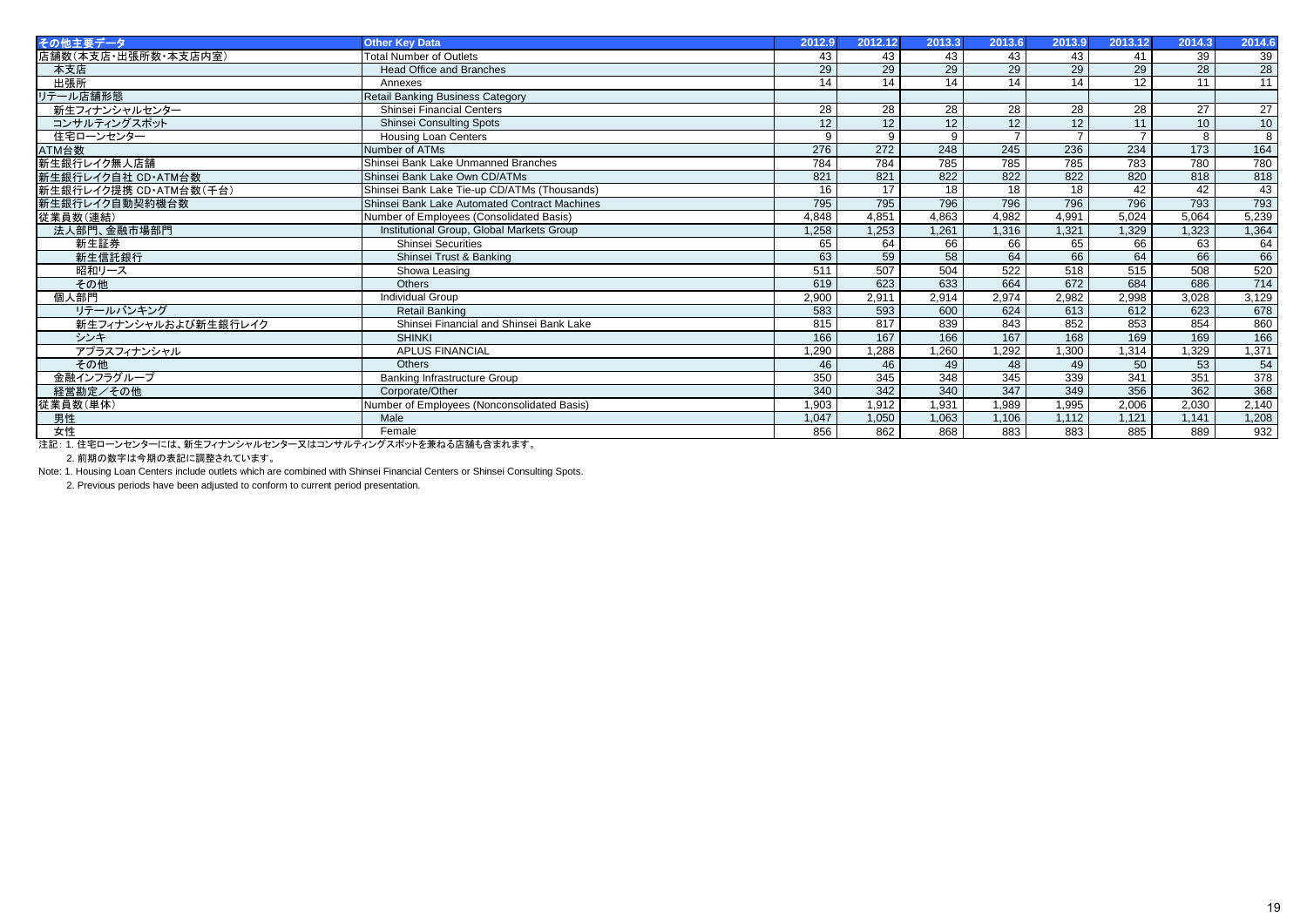| その他主要データ               | <b>Other Kev Data</b>                         | 2012.9 | 2012.12         | 2013.3           | 2013.6           | 2013.9          | 2013.12        | 2014.3 | 2014.6          |
|------------------------|-----------------------------------------------|--------|-----------------|------------------|------------------|-----------------|----------------|--------|-----------------|
| 店舗数(本支店·出張所数·本支店内室)    | Total Number of Outlets                       | 43     | 43              | 43               | 43               | 43              | 41             | 39     | $\frac{39}{28}$ |
| 本支店                    | <b>Head Office and Branches</b>               | 29     | $\overline{29}$ | 29               | $\overline{29}$  | 29              | 29             | 28     |                 |
| 出張所                    | Annexes                                       | 14     | 14              | 14               | 14               | 14              | 12             | 11     | 11              |
| リテール店舗形態               | <b>Retail Banking Business Category</b>       |        |                 |                  |                  |                 |                |        |                 |
| 新生フィナンシャルセンター          | <b>Shinsei Financial Centers</b>              | 28     | 28              | 28               | 28               | 28              | 28             | 27     | $\overline{27}$ |
| コンサルティングスポット           | <b>Shinsei Consulting Spots</b>               | 12     | 12              | $\overline{12}$  | 12 <sup>2</sup>  | 12 <sup>2</sup> | 11             | 10     | 10              |
| 住宅ローンセンター              | <b>Housing Loan Centers</b>                   | 9      |                 | 9                |                  |                 | $\overline{7}$ | 8      | 8 <sup>°</sup>  |
| ATM台数                  | Number of ATMs                                | 276    | 272             | 248              | $\overline{245}$ | 236             | 234            | 173    | 164             |
| 新生銀行レイク無人店舗            | Shinsei Bank Lake Unmanned Branches           | 784    | 784             | 785              | 785              | 785             | 783            | 780    | 780             |
| 新生銀行レイク自社 CD·ATM台数     | Shinsei Bank Lake Own CD/ATMs                 | 821    | 821             | 822              | 822              | 822             | 820            | 818    | 818             |
| 新生銀行レイク提携 CD·ATM台数(千台) | Shinsei Bank Lake Tie-up CD/ATMs (Thousands)  | 16     | 17              | 18               | 18               | 18              | 42             | 42     | 43              |
| 新生銀行レイク自動契約機台数         | Shinsei Bank Lake Automated Contract Machines | 795    | 795             | 796              | 796              | 796             | 796            | 793    | 793             |
| 従業員数(連結)               | Number of Employees (Consolidated Basis)      | 4,848  | 4,851           | 4,863            | 4,982            | 4,991           | 5,024          | 5,064  | 5,239           |
| 法人部門、金融市場部門            | Institutional Group, Global Markets Group     | 1,258  | 1,253           | 1.261            | 1,316            | 1,321           | 1,329          | 1,323  | 1,364           |
| 新生証券                   | <b>Shinsei Securities</b>                     | 65     | 64              | 66               | 66               | 65              | 66             | 63     | 64              |
| 新生信託銀行                 | Shinsei Trust & Banking                       | 63     | 59              | 58               | 64               | 66              | 64             | 66     | 66              |
| 昭和リース                  | Showa Leasing                                 | 511    | 507             | 504              | 522              | 518             | 515            | 508    | 520             |
| その他                    | Others                                        | 619    | 623             | 633              | 664              | 672             | 684            | 686    | 714             |
| 個人部門                   | <b>Individual Group</b>                       | 2,900  | 2,911           | 2,914            | 2,974            | 2,982           | 2,998          | 3,028  | 3,129           |
| リテールバンキング              | <b>Retail Banking</b>                         | 583    | 593             | 600              | 624              | 613             | 612            | 623    | 678             |
| 新生フィナンシャルおよび新生銀行レイク    | Shinsei Financial and Shinsei Bank Lake       | 815    | 817             | 839              | 843              | 852             | 853            | 854    | 860             |
| シンキ                    | <b>SHINKI</b>                                 | 166    | 167             | 166              | 167              | 168             | 169            | 169    | 166             |
| アプラスフィナンシャル            | <b>APLUS FINANCIAL</b>                        | .290   | 1.288           | .260             | .292             | .300            | .314           | 1.329  | 1,371           |
| その他                    | Others                                        | 46     | 46              | 49               | 48               | 49              | 50             | 53     | 54              |
| 金融インフラグループ             | Banking Infrastructure Group                  | 350    | 345             | 348              | 345              | 339             | 341            | 351    | 378             |
| 経営勘定/その他               | Corporate/Other                               | 340    | 342             | $\overline{340}$ | $\overline{347}$ | 349             | 356            | 362    | 368             |
| 従業員数(単体)               | Number of Employees (Nonconsolidated Basis)   | 1.903  | 1,912           | 1.931            | 1,989            | 1,995           | 2,006          | 2,030  | 2,140           |
| 男性                     | Male                                          | 1.047  | 1,050           | 1,063            | 1,106            | 1,112           | 1,121          | 1,141  | 1,208           |
| 女性                     | Female                                        | 856    | 862             | 868              | 883              | 883             | 885            | 889    | 932             |

注記: 1. 住宅ローンセンターには、新生フィナンシャルセンター又はコンサルティングスポットを兼ねる店舗も含まれます。

2. 前期の数字は今期の表記に調整されています。

Note: 1. Housing Loan Centers include outlets which are combined with Shinsei Financial Centers or Shinsei Consulting Spots.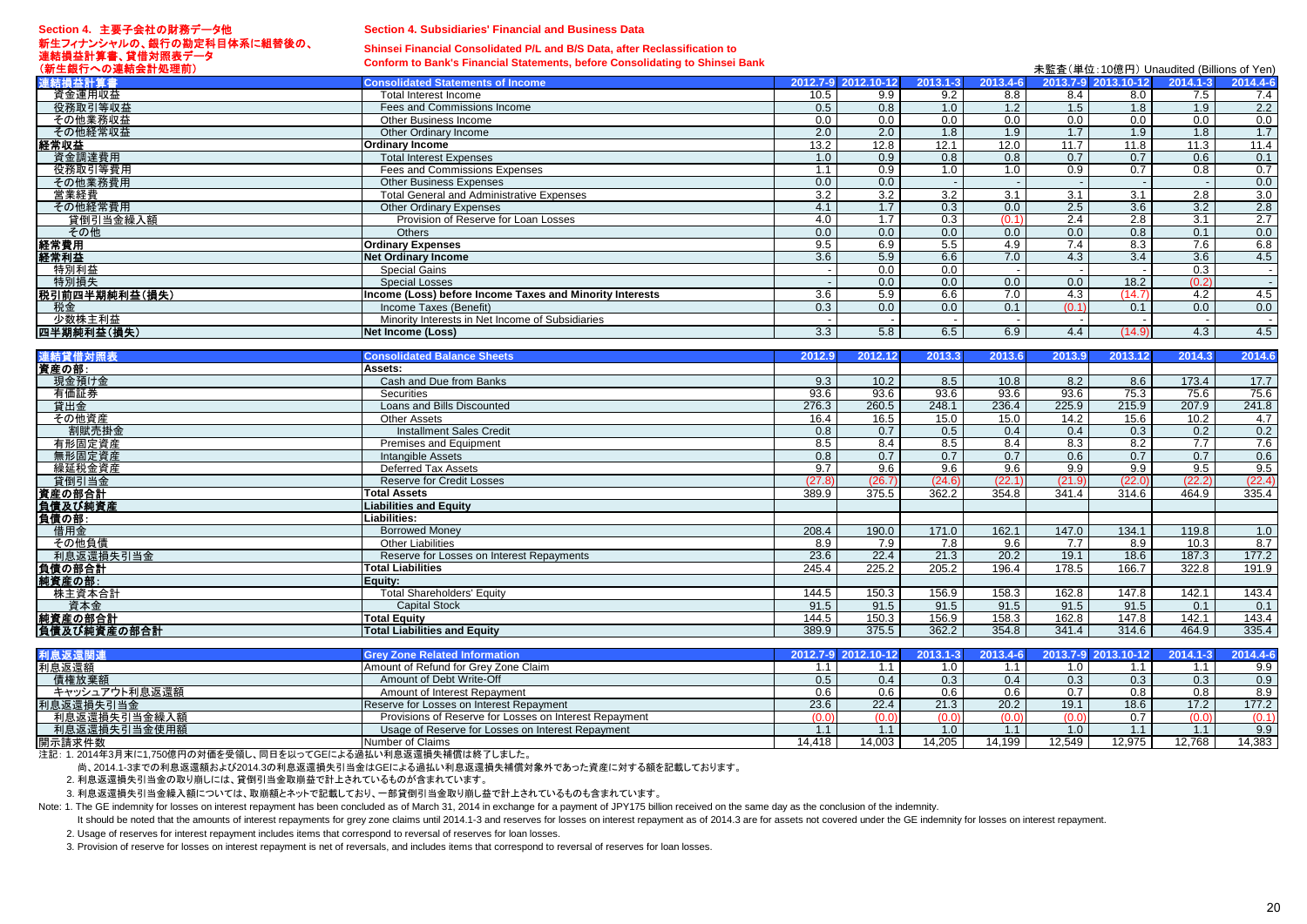# **Section 4.** 主要子会社の財務データ他新生フィナンシャルの、銀行の勘定科目体系に組替後の、 連結損益計算書、貸借対照表データ

#### **Section 4. Subsidiaries' Financial and Business Data**

# **Shinsei Financial Consolidated P/L and B/S Data, after Reclassification to**

**Conform to Bank's Financial Statements, before Consolidating to Shinsei Bank**

| (新生銀行への連結会計処理前) | <b>COMOTH to Dank 3 I Mancial OtalChichts, Delote Consolidating to Official Dank</b> |                  |                     |                  |          |        |                     | 未監査(単位:10億円) Unaudited (Billions of Yen) |          |
|-----------------|--------------------------------------------------------------------------------------|------------------|---------------------|------------------|----------|--------|---------------------|------------------------------------------|----------|
| 連結損益計算書         | <b>Consolidated Statements of Income</b>                                             |                  | 2012.7-9 2012.10-12 | 2013.1-3         | 2013.4-6 |        | 2013.7-9 2013.10-12 | $2014.1 - 3$                             | 2014.4-6 |
| 資金運用収益          | Total Interest Income                                                                | 10.5             | 9.9                 | 9.2              | 8.8      | 8.4    | 8.0                 | 7.5                                      | 7.4      |
| 役務取引等収益         | Fees and Commissions Income                                                          | 0.5              | 0.8                 | $\overline{1.0}$ | 1.2      | 1.5    | 1.8                 | 1.9                                      | 2.2      |
| その他業務収益         | Other Business Income                                                                | 0.0              | 0.0                 | $\overline{0.0}$ | 0.0      | 0.0    | 0.0                 | 0.0                                      | 0.0      |
| その他経常収益         | Other Ordinary Income                                                                | 2.0              | $\overline{2.0}$    | $\overline{1.8}$ | 1.9      | 1.7    | 1.9                 | 1.8                                      | 1.7      |
| 経常収益            | <b>Ordinary Income</b>                                                               | 13.2             | 12.8                | 12.1             | 12.0     | 11.7   | 11.8                | 11.3                                     | 11.4     |
| 資金調達費用          | <b>Total Interest Expenses</b>                                                       | 1.0              | 0.9                 | $\overline{0.8}$ | 0.8      | 0.7    | 0.7                 | 0.6                                      | 0.1      |
| 役務取引等費用         | Fees and Commissions Expenses                                                        | 1.1              | 0.9                 | $\overline{1.0}$ | 1.0      | 0.9    | 0.7                 | 0.8                                      | 0.7      |
| その他業務費用         | <b>Other Business Expenses</b>                                                       | 0.0              | 0.0                 |                  |          |        |                     |                                          | 0.0      |
| 営業経費            | <b>Total General and Administrative Expenses</b>                                     | $\overline{3.2}$ | 3.2                 | 3.2              | 3.1      | 3.1    | 3.1                 | $\overline{2.8}$                         | 3.0      |
| その他経常費用         | <b>Other Ordinary Expenses</b>                                                       | 4.1              | 1.7                 | 0.3              | 0.0      | 2.5    | 3.6                 | 3.2                                      | 2.8      |
| 貸倒引当金繰入額        | Provision of Reserve for Loan Losses                                                 | 4.0              | 1.7                 | $\overline{0.3}$ | (0.1)    | 2.4    | 2.8                 | $\overline{3.1}$                         | 2.7      |
| その他             | <b>Others</b>                                                                        | 0.0              | 0.0                 | 0.0              | 0.0      | 0.0    | 0.8                 | 0.1                                      | 0.0      |
| 経常費用            | <b>Ordinary Expenses</b>                                                             | 9.5              | 6.9                 | 5.5              | 4.9      | 7.4    | 8.3                 | 7.6                                      | 6.8      |
| 経常利益            | <b>Net Ordinary Income</b>                                                           | 3.6              | 5.9                 | 6.6              | 7.0      | 4.3    | 3.4                 | 3.6                                      | 4.5      |
| 特別利益            | <b>Special Gains</b>                                                                 |                  | 0.0                 | 0.0              |          |        |                     | 0.3                                      |          |
| 特別損失            | Special Losses                                                                       |                  | 0.0                 | $\overline{0.0}$ | 0.0      | 0.0    | 18.2                | (0.2)                                    |          |
| 税引前四半期純利益(損失)   | Income (Loss) before Income Taxes and Minority Interests                             | 3.6              | 5.9                 | 6.6              | 7.0      | 4.3    | (14.7)              | 4.2                                      | 4.5      |
| 税金              | Income Taxes (Benefit)                                                               | 0.3              | 0.0                 | 0.0              | 0.1      | (0.1)  | 0.1                 | 0.0                                      | 0.0      |
| 少数株主利益          | Minority Interests in Net Income of Subsidiaries                                     |                  |                     |                  |          |        |                     |                                          |          |
| 四半期純利益(損失)      | Net Income (Loss)                                                                    | 3.3              | 5.8                 | 6.5              | 6.9      | 4.4    | (14.9)              | 4.3                                      | 4.5      |
|                 |                                                                                      |                  |                     |                  |          |        |                     |                                          |          |
| 連結貸借対照表         | <b>Consolidated Balance Sheets</b>                                                   | 2012.9           | 2012.12             | 2013.3           | 2013.6   | 2013.9 | 2013.12             | 2014.3                                   | 2014.6   |
| 資産の部:           | Assets:                                                                              |                  |                     |                  |          |        |                     |                                          |          |
| 現金預け金           | Cash and Due from Banks                                                              | 9.3              | 10.2                | 8.5              | 10.8     | 8.2    | 8.6                 | 173.4                                    | 17.7     |
| 有価証券            | <b>Securities</b>                                                                    | 93.6             | 93.6                | 93.6             | 93.6     | 93.6   | 75.3                | 75.6                                     | 75.6     |
| 貸出金             | Loans and Bills Discounted                                                           | 276.3            | 260.5               | 248.1            | 236.4    | 225.9  | 215.9               | 207.9                                    | 241.8    |
| その他資産           | <b>Other Assets</b>                                                                  | 16.4             | 16.5                | 15.0             | 15.0     | 14.2   | 15.6                | 10.2                                     | 4.7      |
| 割賦売掛金           | <b>Installment Sales Credit</b>                                                      | 0.8              | 0.7                 | 0.5              | 0.4      | 0.4    | 0.3                 | 0.2                                      | 0.2      |
| 有形固定資産          | Premises and Equipment                                                               | 8.5              | 8.4                 | 8.5              | 8.4      | 8.3    | 8.2                 | 7.7                                      | 7.6      |
| 無形固定資産          | <b>Intangible Assets</b>                                                             | 0.8              | 0.7                 | 0.7              | 0.7      | 0.6    | 0.7                 | 0.7                                      | 0.6      |
| 繰延税金資産          | <b>Deferred Tax Assets</b>                                                           | 9.7              | 9.6                 | 9.6              | 9.6      | 9.9    | 9.9                 | 9.5                                      | 9.5      |
| 貸倒引当金           | <b>Reserve for Credit Losses</b>                                                     | (27.8)           | (26.7)              | (24.6)           | (22.1)   | (21.9) | (22.0)              | (22.2)                                   | (22.4)   |
| 資産の部合計          | <b>Total Assets</b>                                                                  | 389.9            | 375.5               | 362.2            | 354.8    | 341.4  | 314.6               | 464.9                                    | 335.4    |
| 負債及び純資産         | <b>Liabilities and Equity</b>                                                        |                  |                     |                  |          |        |                     |                                          |          |
| 負債の部:           | Liabilities:                                                                         |                  |                     |                  |          |        |                     |                                          |          |
| 借用金             | <b>Borrowed Money</b>                                                                | 208.4            | 190.0               | 171.0            | 162.1    | 147.0  | 134.1               | 119.8                                    | 1.0      |
| その他負債           | <b>Other Liabilities</b>                                                             | 8.9              | 7.9                 | 7.8              | 9.6      | 7.7    | 8.9                 | 10.3                                     | 8.7      |
|                 |                                                                                      |                  |                     |                  |          |        |                     |                                          |          |

| しいに只良                                             | <b>UTTUL LIUDIIITUS</b>                   | ັບເປ  | .     | $\cdot$ . $\circ$ | ັບເປ  | .     | ັບ.ບ         | $\sim$        | ◡.    |
|---------------------------------------------------|-------------------------------------------|-------|-------|-------------------|-------|-------|--------------|---------------|-------|
| 利息返還損失引当金                                         | Reserve for Losses on Interest Repayments | 23.6  | 22.4  | 21.3              | 20.2  | 19.1  | 18.6         | 1872<br>د. וס | 177.2 |
|                                                   | <b>Total Liabilities</b>                  | 245.4 | 225.2 | 205.2             | 196.4 | 178.5 | 166.7        | 322.8         | 191.9 |
|                                                   | Equity:                                   |       |       |                   |       |       |              |               |       |
| 株主資本合計                                            | <b>Total Shareholders' Equity</b>         | 144.5 | 150.3 | 156.9             | 158.3 | 162.8 | 147.8        | 142.1         | 143.4 |
| 資本金                                               | <b>Capital Stock</b>                      | 91.5  | 91.5  | 91.5              | 91.5  | 91.5  | 01F<br>ອ ເ.ບ | ∪. ı          |       |
|                                                   | <b>Total Equity</b>                       | 144.5 | 150.3 | 156.9             | 158.3 | 162.8 | 147.8        | 142.1         | 143.4 |
|                                                   | <b>Total Liabilities and Equity</b>       | 389.9 | 375.5 | 362.2             | 354.8 | 341.4 | 314.6        | 464.9         | 335.4 |
| <u>負債の部合計</u><br>純資産の部:<br>純資産の部合計<br>負債及び純資産の部合計 |                                           |       |       |                   |       |       |              |               |       |

| 利息返還関         | <b>Grev Zone Related Information</b>                   |        | 2012.7-9 2012.10-12 | $2013.1 - 3$ |        | 2013.4-6 2013.7-9 2013.10-12 |        | $2014.1 - 3$ | 2014.4-6 |
|---------------|--------------------------------------------------------|--------|---------------------|--------------|--------|------------------------------|--------|--------------|----------|
| 利息返還額         | Amount of Refund for Grey Zone Claim                   |        |                     |              |        |                              |        |              | 9.9      |
| 債権放棄額         | Amount of Debt Write-Off                               | 0.5    | U.4                 |              | 0.4    | 0.3                          | 0.3    | 0.3          | 0.9      |
| キャッシュアウト利息返還額 | Amount of Interest Repayment                           | 0.6    | 0.6                 |              | 0.6    | 0.7                          | 0.8    | 0.8          | 8.9      |
| 利息返還損失引当金     | Reserve for Losses on Interest Repayment               | 23.6   | 22.4                | 21.3         | 20.2   | 19.1                         | 18.6   | 17.2         | 177.2    |
| 利息返還損失引当金繰入額  | Provisions of Reserve for Losses on Interest Repayment | (0.0)  |                     |              |        | (0.0)                        |        | (0.0)        | (0.1)    |
| 利息返還損失引当金使用額  | Usage of Reserve for Losses on Interest Repayment      |        |                     |              |        | 1.0                          | 1.1    |              | 9.9      |
| 開示請求件数        | Number of Claims                                       | 14.418 | 14.003              | 4.205        | 14.199 | 12.549                       | 12,975 | 12.768       | 14,383   |

注記: 1. 2014 年3月末に1,750億円の対価を受領し、同日を以ってGEによる過払い利息返還損失補償は終了しました。

尚、2014.1-3までの利息返還額および2014.3の利息返還損失引当金はGEによる過払い利息返還損失補償対象外であった資産に対する額を記載しております。

2. 利息返還損失引当金の取り崩しには、貸倒引当金取崩益で計上されているものが含まれています。

3. 利息返還損失引当金繰入額については、取崩額とネットで記載しており、一部貸倒引当金取り崩し益で計上されているものも含まれています。

Note: 1. The GE indemnity for losses on interest repayment has been concluded as of March 31, 2014 in exchange for a payment of JPY175 billion received on the same day as the conclusion of the indemnity.

It should be noted that the amounts of interest repayments for grey zone claims until 2014.1-3 and reserves for losses on interest repayment as of 2014.3 are for assets not covered under the GE indemnity for losses on inte

2. Usage of reserves for interest repayment includes items that correspond to reversal of reserves for loan losses.

3. Provision of reserve for losses on interest repayment is net of reversals, and includes items that correspond to reversal of reserves for loan losses.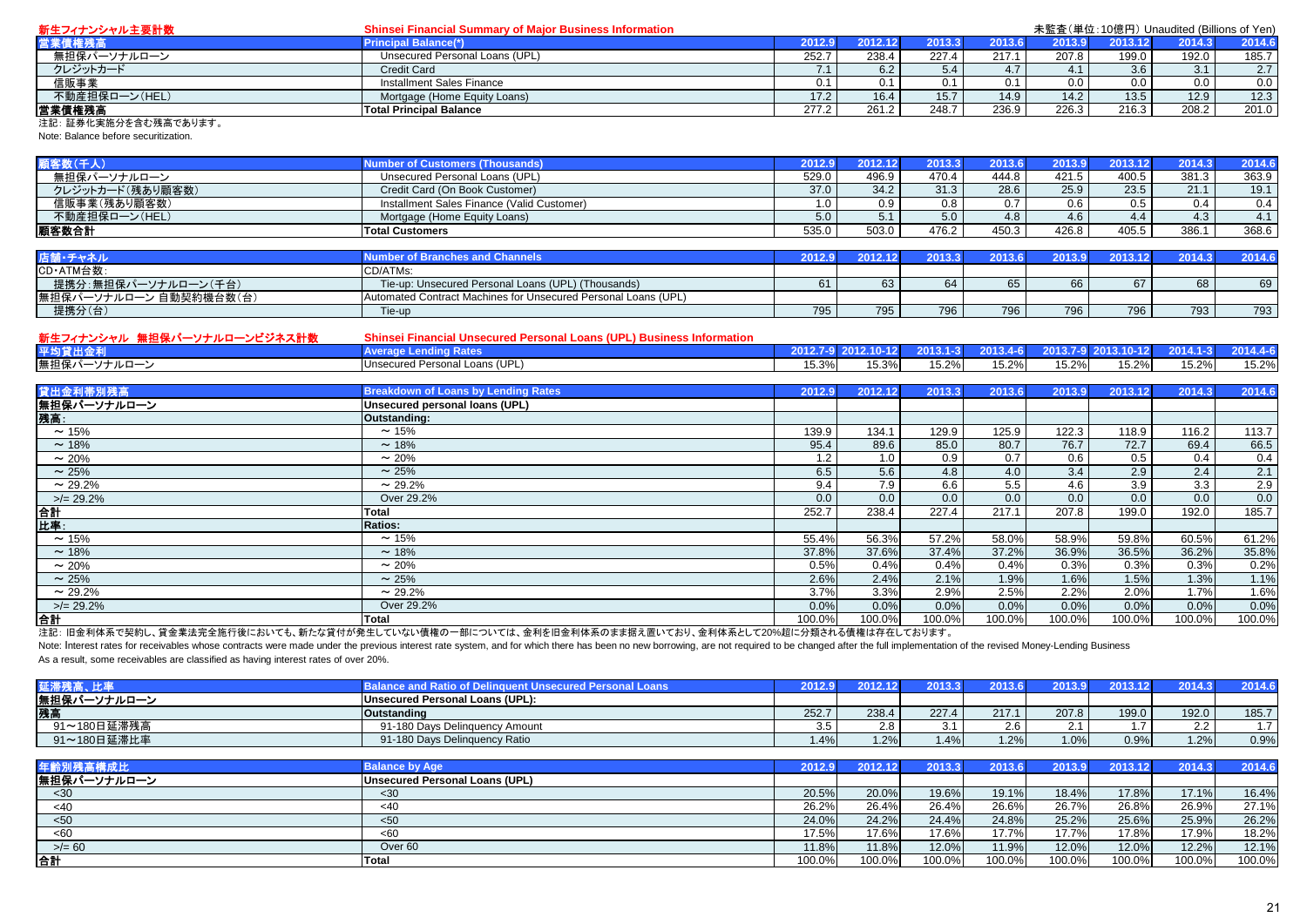| 新生フィナンシャル主要計数 | <b>Shinsei Financial Summary of Major Business Information</b> |        |         |       |         |       |         | 未監査(単位:10億円) Unaudited (Billions of Yen) |        |
|---------------|----------------------------------------------------------------|--------|---------|-------|---------|-------|---------|------------------------------------------|--------|
| 営業債権残高        | <b>Principal Balance(*)</b>                                    | 2012.9 | 2012.12 |       | 2013.6. | 2013  | 2013.12 | 2014.3                                   | 2014.6 |
| 無担保パーソナルローン   | Unsecured Personal Loans (UPL)                                 | 252.7  | 238.4   | 227.4 | 217.1   | 207.8 | 199.0   | 192.0                                    | 185.7  |
| クレジットカード      | Credit Card                                                    |        | 6.2     |       |         |       | 3.6     | 3.1                                      | 2.7    |
| 信販事業          | Installment Sales Finance                                      |        |         |       |         | 0.0   | 0.0     | 0.0                                      | 0.0    |
| 不動産担保ローン(HEL) | Mortgage (Home Equity Loans)                                   | 17.2   | 16.4    | 15.7  | 14.9    | 14.2  | 13.5    | 12.9                                     | 12.3   |
| 営業債権残高        | <b>Total Principal Balance</b>                                 | 277.2  | 261.2   | 248.7 | 236.9   | 226.3 | 216.3   | 208.2                                    | 201.0  |
|               |                                                                |        |         |       |         |       |         |                                          |        |

# 注記: 証券化実施分を含む残高であります。

Note: Balance before securitization.

合計

| 3(千人)            | Number of Customers (Thousands)            | 2012.9 | 2012.12 |                 | 2013.6 |       | 2013.12 | 2014.3 | 2014.6 |
|------------------|--------------------------------------------|--------|---------|-----------------|--------|-------|---------|--------|--------|
| 無担保パーソナルローン      | Unsecured Personal Loans (UPL)             | 529.0  | 496.9   | 470.4           | 444.8  | 421.5 | 400.5   | 381.3  | 363.9  |
| クレジットカード(残あり顧客数) | Credit Card (On Book Customer)             | 37.0   | 34.2    | 31 <sup>2</sup> | 28.6   | 25.9  | 23.5    | 21.1   | 19.1   |
| 信販事業(残あり顧客数)     | Installment Sales Finance (Valid Customer) | 1.0    | 0.9     |                 | 0.7    | 0.6   | 0.5     | 0.4    | 0.4    |
| 不動産担保ローン(HEL)    | Mortgage (Home Equity Loans)               | 5.0    |         |                 |        | 4.6   | 4.4     | 4.3    | 4.1    |
| 顧客数合計            | <b>Total Customers</b>                     | 535.0  | 503.0   | 476.2           | 450.3  | 426.8 | 405.5   | 386.1  | 368.6  |

| 店舗・チャネル                |                                                                | 2012. |     | 2013.3 | 2012 | 0010 | ZU 13. TZ | 0014.2 <sup>h</sup> |     |
|------------------------|----------------------------------------------------------------|-------|-----|--------|------|------|-----------|---------------------|-----|
| CD・ATM台数               | CD/ATMs:                                                       |       |     |        |      |      |           |                     |     |
| 提携分:無担保パーソナルローン(千台)    | Tie-up: Unsecured Personal Loans (UPL) (Thousands)             | O L   | 63  |        |      | 66   | CZ        | 68                  | 69  |
| 無担保パーソナルローン 自動契約機台数(台) | Automated Contract Machines for Unsecured Personal Loans (UPL) |       |     |        |      |      |           |                     |     |
| 提携分(台)                 | Tie-up                                                         | 795   | 795 | 796    | 796  | 796  | 796       | 793                 | 793 |

| 新生フィナンシャル 無担保パーソナルローンビジネス計数 | <b>Shinsei Financial Unsecured Personal Loans (UPL) Business Information</b> |         |                     |              |          |         |                     |          |                  |
|-----------------------------|------------------------------------------------------------------------------|---------|---------------------|--------------|----------|---------|---------------------|----------|------------------|
| 平均貸出金利                      | <b>Average Lending Rates</b>                                                 |         | 2012.7-9 2012.10-12 | $2013.1 - 3$ | 2013.4-6 |         | 2013.7-9 2013.10-12 | 2014.1-3 | 2014.4-6         |
| 無担保パーソナルローン                 | Unsecured Personal Loans (UPL)                                               | 15.3%   | 15.3%               | 15.2%        | 15.2%    | 15.2%   | 15.2%               | 15.2%    | 15.2%            |
| 貸出金利帯別残高                    | <b>Breakdown of Loans by Lending Rates</b>                                   | 2012.9  | 2012.12             | 2013.3       | 2013.6   | 2013.9  | 2013.12             | 2014.3   | 2014.6           |
| 無担保パーソナルローン                 | Unsecured personal loans (UPL)                                               |         |                     |              |          |         |                     |          |                  |
| 残高:                         | <b>Outstanding:</b>                                                          |         |                     |              |          |         |                     |          |                  |
| $\sim$ 15%                  | ~15%                                                                         | 139.9   | 134.1               | 129.9        | 125.9    | 122.3   | 118.9               | 116.2    | 113.7            |
| $\sim$ 18%                  | $~18\%$                                                                      | 95.4    | 89.6                | 85.0         | 80.7     | 76.7    | 72.7                | 69.4     | 66.5             |
| $\sim$ 20%                  | $\sim 20\%$                                                                  | 1.2     | 1.0                 | 0.9          | 0.7      | 0.6     | 0.5                 | 0.4      | 0.4              |
| $\sim$ 25%                  | $\sim 25%$                                                                   | 6.5     | 5.6                 | 4.8          | 4.0      | 3.4     | 2.9                 | 2.4      | 2.1              |
| $\sim$ 29.2%                | $\sim$ 29.2%                                                                 | 9.4     | 7.9                 | 6.6          | 5.5      | 4.6     | 3.9                 | 3.3      | $2.\overline{9}$ |
| $>$ /= 29.2%                | Over 29.2%                                                                   | 0.0     | 0.0                 | 0.0          | 0.0      | 0.0     | 0.0                 | 0.0      | 0.0              |
| 合計                          | <b>Total</b>                                                                 | 252.7   | 238.4               | 227.4        | 217.1    | 207.8   | 199.0               | 192.0    | 185.7            |
| 比率:                         | <b>Ratios:</b>                                                               |         |                     |              |          |         |                     |          |                  |
| ~15%                        | $\sim$ 15%                                                                   | 55.4%   | 56.3%               | 57.2%        | 58.0%    | 58.9%   | 59.8%               | 60.5%    | 61.2%            |
| $\sim$ 18%                  | $~18\%$                                                                      | 37.8%   | 37.6%               | 37.4%        | 37.2%    | 36.9%   | 36.5%               | 36.2%    | 35.8%            |
| $\sim 20\%$                 | $\sim 20\%$                                                                  | 0.5%    | 0.4%                | 0.4%         | 0.4%     | 0.3%    | 0.3%                | 0.3%     | 0.2%             |
| $\sim$ 25%                  | $\sim 25%$                                                                   | 2.6%    | 2.4%                | 2.1%         | 1.9%     | 1.6%    | 1.5%                | 1.3%     | 1.1%             |
| $\sim$ 29.2%                | $\sim$ 29.2%                                                                 | 3.7%    | 3.3%                | 2.9%         | 2.5%     | $2.2\%$ | 2.0%                | 1.7%     | 1.6%             |
| $>$ /= 29.2%                | Over 29.2%                                                                   | $0.0\%$ | $0.0\%$             | 0.0%         | 0.0%     | 0.0%    | $0.0\%$             | 0.0%     | 0.0%             |

注記: 旧金利体系で契約し、貸金業法完全施行後においても、新たな貸付が発生していない債権の一部については、金利を旧金利体系のまま据え置いており、金利体系として20%超に分類される債権は存在しております。 Note: Interest rates for receivables whose contracts were made under the previous interest rate system, and for which there has been no new borrowing, are not required to be changed after the full implementation of the rev

As a result, some receivables are classified as having interest rates of over 20%.

|             |                                 |       |       |       | 2013          |       | 2013. L | 0.14A |       |
|-------------|---------------------------------|-------|-------|-------|---------------|-------|---------|-------|-------|
| 無担保パーソナルローン | Unsecured Personal Loans (UPL): |       |       |       |               |       |         |       |       |
| 残高          | Outstanding                     | 252.7 | 238.4 | 227.4 | 217.1         | 207.8 | 199.0   | 192.0 | 185.7 |
| 91~180日延滞残高 | 91-180 Davs Delinguency Amount  | ບ.ບ   |       |       | $\sim$<br>z.o |       |         | C ו   | .     |
| 91~180日延滞比率 | 91-180 Days Delinguency Ratio   | 1.4%  | 1.2%  | 1.47c | 1.2%          | 1.0%  | 0.9%    | 1.2%  | 0.9%  |

**Total** 100.0% 100.0% 100.0% 100.0% 100.0% 100.0% 100.0% 100.0%

| 年齡別残高構成比    | <b>Balance by Age</b>          | 2012.9 | 2012.12. | 2013   |        |        | 2013   | <b>DOM:</b> | 2014.  |
|-------------|--------------------------------|--------|----------|--------|--------|--------|--------|-------------|--------|
| 無担保パーソナルローン | Unsecured Personal Loans (UPL) |        |          |        |        |        |        |             |        |
| $30$        | <30                            | 20.5%  | 20.0%    | 19.6%  | 19.1%  | 18.4%  | 17.8%  | 17.1%       | 16.4%  |
| $<$ 40      | <40                            | 26.2%  | 26.4%    | 26.4%  | 26.6%  | 26.7%  | 26.8%  | 26.9%       | 27.1%  |
| $50$        | $50$                           | 24.0%  | 24.2%    | 24.4%  | 24.8%  | 25.2%  | 25.6%  | 25.9%       | 26.2%  |
| <60         | <60                            | 17.5%  | 17.6%    | 17.6%  | 17.7%  | 17.7%  | 17.8%  | 17.9%       | 18.2%  |
| $>$ /= 60   | Over 60                        | 11.8%  | 11.8%    | 12.0%  | 11.9%  | 12.0%  | 12.0%  | 12.2%       | 12.1%  |
| 合計          | Total                          | 100.0% | 100.0%   | 100.0% | 100.0% | 100.0% | 100.0% | 100.0%      | 100.0% |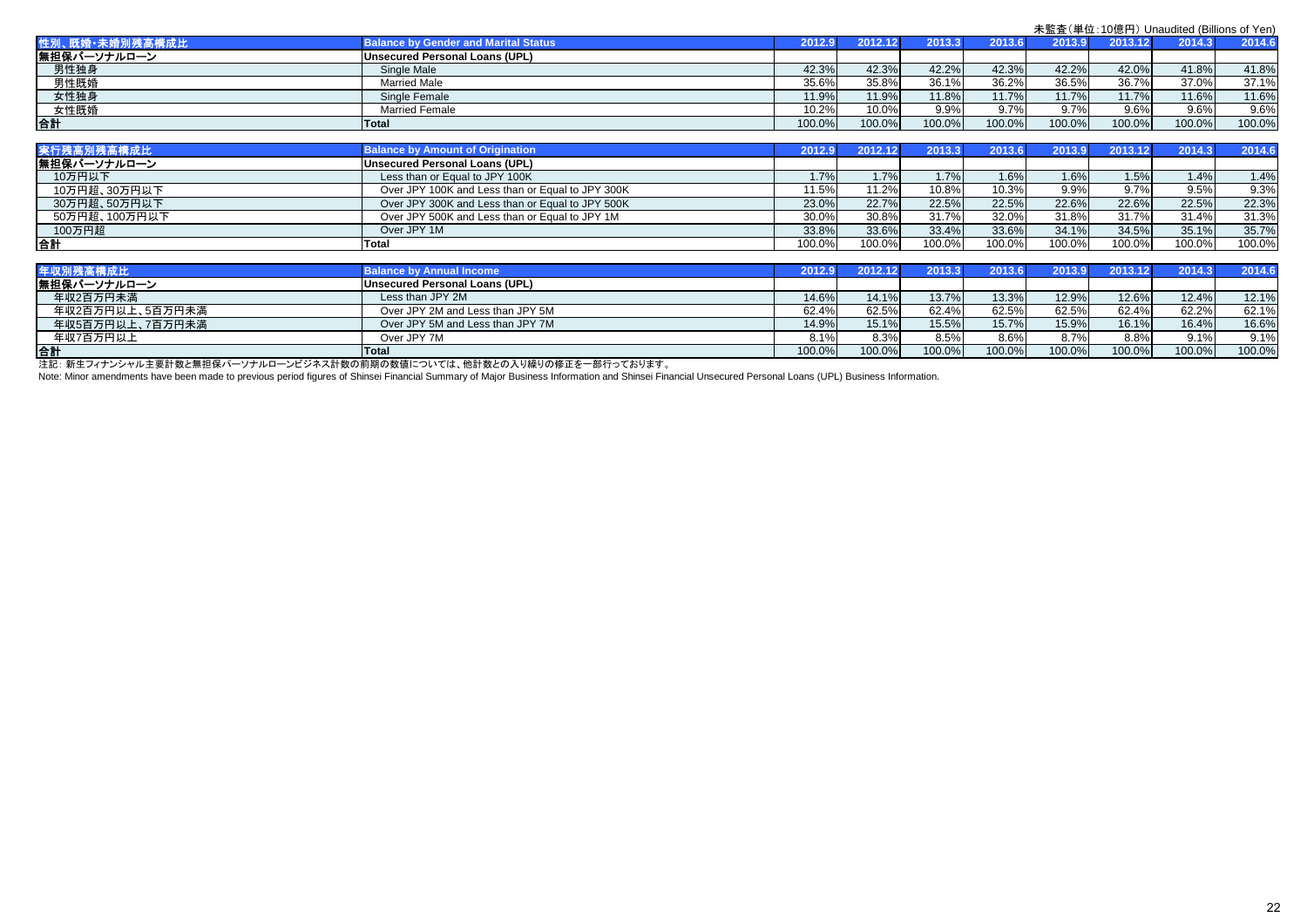|                 |                                                  |        |                          |             |        |        |         | 未監査(単位: 10億円) Unaudited (Billions of Yen) |                |
|-----------------|--------------------------------------------------|--------|--------------------------|-------------|--------|--------|---------|-------------------------------------------|----------------|
| 性別、既婚・未婚別残高構成比  | <b>Balance by Gender and Marital Status</b>      | 2012.9 | 2012.12                  | 2013.3      | 2013.6 | 2013.9 | 2013.12 | 2014.3                                    | 2014.6         |
| 無担保パーソナルローン     | <b>Unsecured Personal Loans (UPL)</b>            |        |                          |             |        |        |         |                                           |                |
| 男性独身            | Single Male                                      | 42.3%  | 42.3%                    | 42.2%       | 42.3%  | 42.2%  | 42.0%   | 41.8%                                     | 41.8%          |
| 男性既婚            | <b>Married Male</b>                              | 35.6%  | 35.8%                    | 36.1%       | 36.2%  | 36.5%  | 36.7%   | 37.0%                                     | 37.1%          |
| 女性独身            | Single Female                                    | 11.9%  | 11.9%                    | 11.8%       | 11.7%  | 11.7%  | 11.7%   | 11.6%                                     | 11.6%          |
| 女性既婚            | <b>Married Female</b>                            | 10.2%  | 10.0%                    | 9.9%        | 9.7%   | 9.7%   | 9.6%    | 9.6%                                      | 9.6%           |
| 合計              | Total                                            | 100.0% | 100.0%                   | 100.0%      | 100.0% | 100.0% | 100.0%  | 100.0%                                    | 100.0%         |
|                 |                                                  |        |                          |             |        |        |         |                                           |                |
| 実行残高別残高構成比      | <b>Balance by Amount of Origination</b>          | 2012.9 | 2012.12                  | 2013.3      | 2013.6 | 2013.9 | 2013.12 | 2014.3                                    | 2014.6         |
| 無担保パーソナルローン     | <b>Unsecured Personal Loans (UPL)</b>            |        |                          |             |        |        |         |                                           |                |
| 10万円以下          | Less than or Equal to JPY 100K                   | 1.7%   | 1.7%                     | 1.7%        | 1.6%   | 1.6%   | 1.5%    | 1.4%                                      | 1.4%           |
| 10万円超、30万円以下    | Over JPY 100K and Less than or Equal to JPY 300K | 11.5%  | 11.2%                    | 10.8%       | 10.3%  | 9.9%   | 9.7%    | 9.5%                                      | 9.3%           |
| 30万円超、50万円以下    | Over JPY 300K and Less than or Equal to JPY 500K | 23.0%  | 22.7%                    | 22.5%       | 22.5%  | 22.6%  | 22.6%   | 22.5%                                     | 22.3%          |
| 50万円超、100万円以下   | Over JPY 500K and Less than or Equal to JPY 1M   | 30.0%  | 30.8%                    | 31.7%       | 32.0%  | 31.8%  | 31.7%   | 31.4%                                     | 31.3%          |
| 100万円超          | Over JPY 1M                                      | 33.8%  | 33.6%                    | 33.4%       | 33.6%  | 34.1%  | 34.5%   | 35.1%                                     | 35.7%          |
| 情               | <b>Total</b>                                     | 100.0% | 100.0%                   | 100.0%      | 100.0% | 100.0% | 100.0%  | 100.0%                                    | 100.0%         |
|                 |                                                  |        |                          |             |        |        |         |                                           |                |
| 年収別残高構成比        | <b>Balance by Annual Income</b>                  | 2012.9 | 2012.12                  | 2013.3      | 2013.6 | 2013.9 | 2013.12 | 2014.3                                    | 2014.6         |
| 無担保パーソナルローン     | <b>Unsecured Personal Loans (UPL)</b>            |        |                          |             |        |        |         |                                           |                |
| 年収2百万円未満        | Less than JPY 2M                                 | 14.6%  | 14.1%                    | 13.7%       | 13.3%  | 12.9%  | 12.6%   | 12.4%                                     | 12.1%          |
| 年収2百万円以上、5百万円未満 | Over JPY 2M and Less than JPY 5M                 | 62.4%  | 62.5%                    | 62.4%       | 62.5%  | 62.5%  | 62.4%   | 62.2%                                     | 62.1%          |
| 年収5百万円以上、7百万円未満 | Over JPY 5M and Less than JPY 7M                 | 14.9%  | 15.1%                    | 15.5%       | 15.7%  | 15.9%  | 16.1%   | 16.4%                                     | 16.6%          |
| 年収7百万円以上        | Over JPY 7M                                      | 8.1%   | 8.3%                     | 8.5%        | 8.6%   | 8.7%   | 8.8%    | 9.1%                                      | 9.1%           |
| $\overline{1}$  |                                                  | .      | $\overline{\phantom{a}}$ | $1 - 2 - 2$ | 122222 | 122221 | 122222  | $\mathbf{r}$ and $\mathbf{r}$             | $\overline{1}$ |

合計 **Total** 100.0% 100.0% 100.0% 100.0% 100.0% 100.0% 100.0% 100.0% 注記: 新生フィナンシャル主要計数と無担保パーソナルローンビジネス計数の前期の数値については、他計数との入り繰りの修正を一部行っております。 Note: Minor amendments have been made to previous period figures of Shinsei Financial Summary of Major Business Information and Shinsei Financial Unsecured Personal Loans (UPL) Business Information.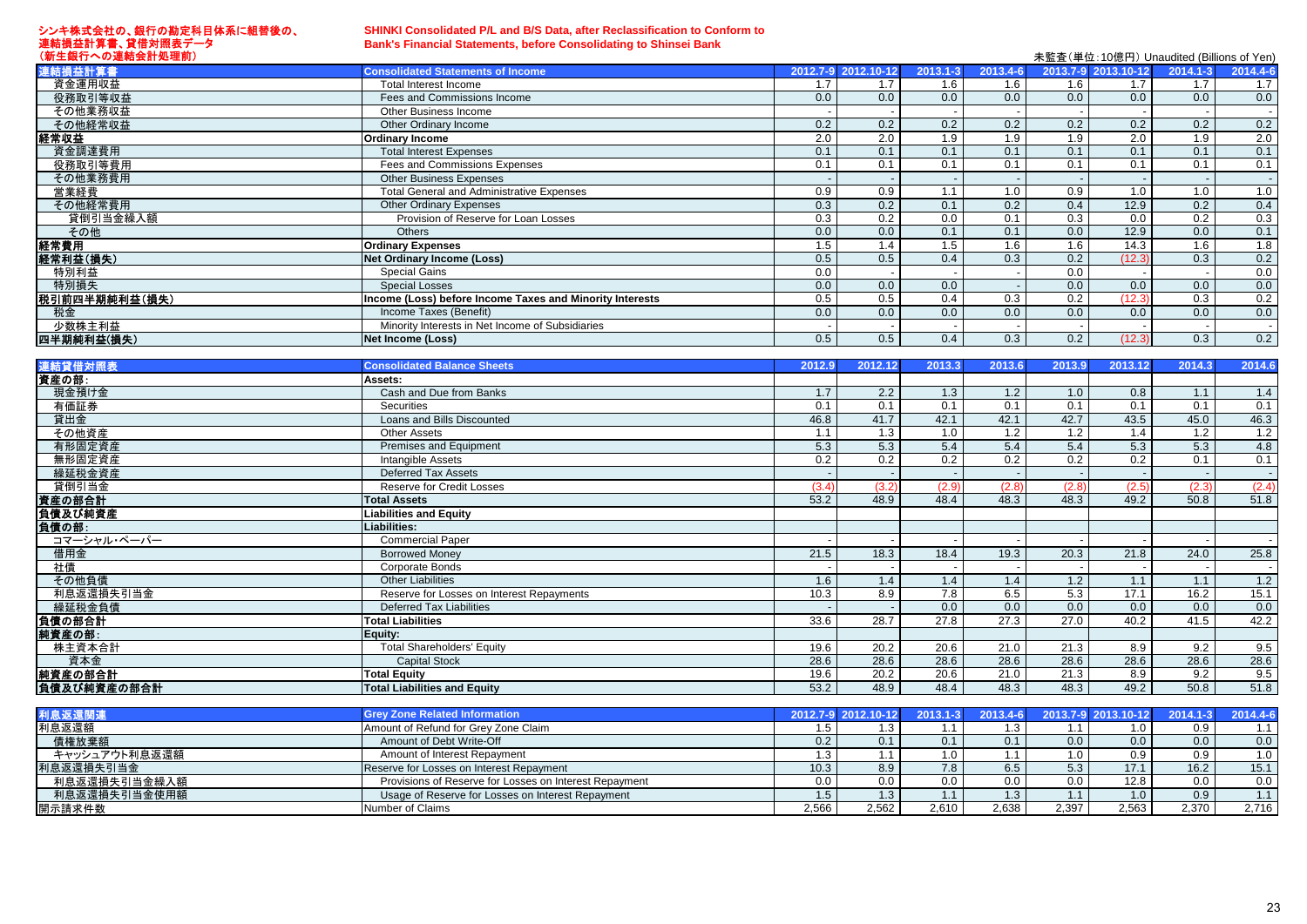#### シンキ株式会社の、銀行の勘定科目体系に組替後の、 連結損益計算書、貸借対照表データ (新生銀行への連結会計処理前)

**SHINKI Consolidated P/L and B/S Data, after Reclassification to Conform to Bank's Financial Statements, before Consolidating to Shinsei Bank**

未監査(単位:10億円) Unaudited (Billions of Yen) 連結損益計算書 **Consolidated Statements of Income 2012.7-9 2012.10-12 2013.1-3 2013.4-6 2013.7-9 2013.10-12 2014.1-3 2014.4-6** 資金運用収益 Total Interest Income 1.7 1.7 1.6 1.6 1.6 1.7 1.7 1.7 役務取引等収益 Fees and Commissions Income 0.0 0.0 0.0 0.0 0.0 0.0 0.0 0.0 その他業務収益 Other Business Income - - - - - - - - その他経常収益益 Other Ordinary Income 0.2 | 0.2 | 0.2 | 0.2 | 0.2 経常収益 **Ordinary Income** 2.0 2.0 1.9 1.9 1.9 2.0 1.9 2.0 資金調達費用 Total Interest Expenses 0.1 0.1 0.1 0.1 0.1 0.1 0.1 0.1 役務取引等費用 Fees and Commissions Expenses 0.1 0.1 0.1 0.1 0.1 0.1 0.1 0.1 その他業務費用Other Business Expenses and the set of the set of the set of the set of the set of the set of the set of the set of the set of the set of the set of the set of the set of the set of the set of the set of the set of the set 営業経費 Total General and Administrative Expenses 0.9 0.9 1.1 1.0 0.9 1.0 1.0 1.0 その他経常費用Other Ordinary Expenses 2012 12.9 0.2 0.4 12.9 0.2 0.4 0.2 0.4 0.2 0.4 0.2 0.4 貸倒引当金繰入額Provision of Reserve for Loan Losses and the control of the control of the control of the control of the control of the control of the control of the control of the control of the control of the control of the control of t その他他 | Others | 0.0 | 0.1 | 0.1 | 0.0 | 12.9 | 0.0 | 0.1 経常費用 **Ordinary Expenses** 1.5 1.4 1.5 1.6 1.6 14.3 1.6 1.8 経常利益(損失) **Net Ordinary Income (Loss)** 0.5 0.5 0.4 0.3 0.2 (12.3) 0.3 0.2 特別利益益 | Special Gains | 0.0 | - | 0.0 | - | - | 0.0 特別損失失 | Special Losses | 0.0 | 0.0 | 0.0 | 0.0 | 0.0 | 0.0 | 0.0 税引前四半期純利益(損失) **Income (Loss) before Income Taxes and Minority Interests** 0.5 0.5 0.4 0.3 0.2 (12.3) 0.3 0.2 税金 Income Taxes (Benefit) 0.0 0.0 0.0 0.0 0.0 0.0 0.0 0.0 少数株主利益 Minority Interests in Net Income of Subsidiaries - - - - - - - - 四半期純利益(損失) Net Income (Loss) 0.5 | 0.4 | 0.3 | 0.2 | (12.3)| 0.3 | 0.2

| <b>Consolidated Balance Sheets</b>        | 2012.9                                                                                                   | 2012.12   | 2013.3                            | 2013.6                             | 2013.9                         | 2013.12               | 2014.3                                       | 2014.6                                |
|-------------------------------------------|----------------------------------------------------------------------------------------------------------|-----------|-----------------------------------|------------------------------------|--------------------------------|-----------------------|----------------------------------------------|---------------------------------------|
| Assets:                                   |                                                                                                          |           |                                   |                                    |                                |                       |                                              |                                       |
| Cash and Due from Banks                   | 1.7                                                                                                      | 2.2       | 1.3                               | 1.2                                | 1.0                            | 0.8                   | 1.1                                          | 1.4                                   |
| <b>Securities</b>                         | 0.1                                                                                                      | 0.1       | 0.1                               | 0.1                                | 0.1                            | 0.1                   | 0.1                                          | 0.1                                   |
| Loans and Bills Discounted                | 46.8                                                                                                     | 41.7      | 42.1                              | 42.1                               | 42.7                           | 43.5                  | 45.0                                         | 46.3                                  |
| <b>Other Assets</b>                       | 1.1                                                                                                      | 1.3       | 1.0                               | 1.2                                | 1.2                            | 1.4                   | 1.2                                          | 1.2                                   |
| Premises and Equipment                    | 5.3                                                                                                      | 5.3       | 5.4                               | 5.4                                | 5.4                            | 5.3                   | 5.3                                          | 4.8                                   |
| Intangible Assets                         | 0.2                                                                                                      | 0.2       | 0.2                               | 0.2                                | 0.2                            | 0.2                   | 0.1                                          | 0.1                                   |
| <b>Deferred Tax Assets</b>                |                                                                                                          |           |                                   |                                    |                                |                       |                                              |                                       |
| <b>Reserve for Credit Losses</b>          | (3.4)                                                                                                    | (3.2)     | (2.9)                             | (2.8)                              | (2.8)                          | (2.5)                 | (2.3)                                        | (2.4)                                 |
| <b>Total Assets</b>                       | 53.2                                                                                                     | 48.9      | 48.4                              | 48.3                               | 48.3                           | 49.2                  | 50.8                                         | 51.8                                  |
| <b>Liabilities and Equity</b>             |                                                                                                          |           |                                   |                                    |                                |                       |                                              |                                       |
| Liabilities:                              |                                                                                                          |           |                                   |                                    |                                |                       |                                              |                                       |
| <b>Commercial Paper</b>                   |                                                                                                          |           |                                   |                                    |                                |                       |                                              | $\sim$                                |
| <b>Borrowed Money</b>                     | 21.5                                                                                                     | 18.3      | 18.4                              | 19.3                               | 20.3                           | 21.8                  | 24.0                                         | 25.8                                  |
| Corporate Bonds                           |                                                                                                          |           |                                   |                                    |                                |                       |                                              |                                       |
| <b>Other Liabilities</b>                  | 1.6                                                                                                      | 1.4       | 1.4                               | 1.4                                | 1.2                            | 1.1                   | 1.1                                          | 1.2                                   |
| Reserve for Losses on Interest Repayments | 10.3                                                                                                     | 8.9       | 7.8                               | 6.5                                | 5.3                            | 17.1                  | 16.2                                         | 15.1                                  |
| <b>Deferred Tax Liabilities</b>           |                                                                                                          |           | 0.0                               | 0.0                                | 0.0                            | 0.0                   | 0.0                                          | 0.0                                   |
| <b>Total Liabilities</b>                  | 33.6                                                                                                     | 28.7      | 27.8                              | $\overline{27.3}$                  | 27.0                           | 40.2                  | 41.5                                         | 42.2                                  |
| Equity:                                   |                                                                                                          |           |                                   |                                    |                                |                       |                                              |                                       |
| <b>Total Shareholders' Equity</b>         | 19.6                                                                                                     | 20.2      | 20.6                              | 21.0                               | 21.3                           | 8.9                   | 9.2                                          | 9.5                                   |
| <b>Capital Stock</b>                      | 28.6                                                                                                     | 28.6      | 28.6                              | 28.6                               | 28.6                           | 28.6                  | 28.6                                         | 28.6                                  |
| <b>Total Equity</b>                       | 19.6                                                                                                     | 20.2      | 20.6                              | 21.0                               | 21.3                           | 8.9                   | 9.2                                          | 9.5                                   |
| <b>Total Liabilities and Equity</b>       | 53.2                                                                                                     | 48.9      | 48.4                              | 48.3                               | 48.3                           | 49.2                  | 50.8                                         | 51.8                                  |
|                                           |                                                                                                          |           |                                   |                                    |                                |                       |                                              |                                       |
|                                           |                                                                                                          |           |                                   |                                    |                                |                       |                                              | 2014.4-6                              |
|                                           |                                                                                                          |           |                                   |                                    |                                |                       |                                              | 1.1<br>0 <sub>0</sub>                 |
|                                           | <b>Grey Zone Related Information</b><br>Amount of Refund for Grey Zone Claim<br>Amount of Debt Write-Off | 1.5<br>02 | 2012.7-9 2012.10-12<br>1.3<br>0.1 | $2013.1 - 3$<br>1.1<br>$\bigcap$ 1 | 2013.4-6<br>1.3<br>$\bigcap$ 1 | 1.1<br>0 <sub>0</sub> | 2013.7-9 2013.10-12<br>1.0<br>0 <sub>0</sub> | $2014.1 - 3$<br>0.9<br>0 <sub>0</sub> |

| 竹心丛丛民连        | <b>DIEY LUITE INFIGURE INTERNATIONAL</b>               |                 | LUILUI LUILUILUILU |       |       |       | 3.1-3 ZUI 3.10-121 | -4014.191        | - 2014.470 |
|---------------|--------------------------------------------------------|-----------------|--------------------|-------|-------|-------|--------------------|------------------|------------|
| 利息返還額         | Amount of Refund for Grey Zone Claim                   | . ب             |                    |       |       |       | 1.0                | 0.9              |            |
| 債権放棄額         | Amount of Debt Write-Off                               | 0.2             | U. 1               |       |       | 0.0   | 0.0 <sub>1</sub>   | 0.0              | 0.0        |
| キャッシュアウト利息返還額 | Amount of Interest Repayment                           | ں. ا            |                    |       |       | 0.1   | 0.9                | 0.9              |            |
| 利息返還損失引当金     | Reserve for Losses on Interest Repayment               | 10.3            | 8.9                |       | 6.5   | 5.3   | 17.1               | 16.2             | 15.1       |
| 利息返還損失引当金繰入額  | Provisions of Reserve for Losses on Interest Repayment | 0.0             | 0.0                |       |       | 0.0   | 12.8               | 0.0              | 0.0        |
| 利息返還損失引当金使用額  | Usage of Reserve for Losses on Interest Repayment      | $\cdot$ $\cdot$ |                    |       |       |       | 1.0                | 0.9 <sub>1</sub> |            |
| 開示請求件数        | Number of Claims                                       | 2,566           | 2.562              | 2.610 | 2,638 | 2,397 | 2,563              | 2.370            | 2.716      |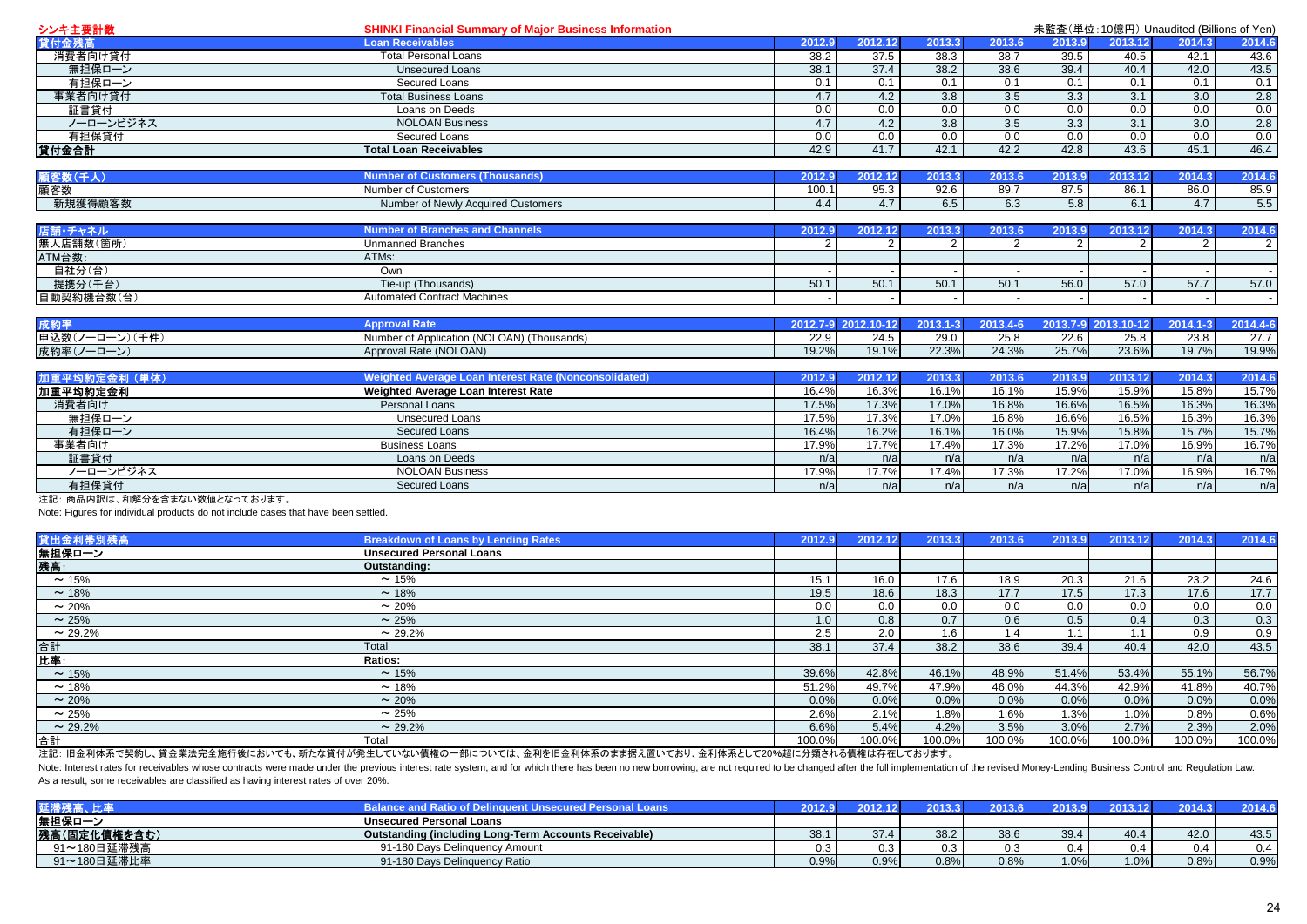| シンキ主要計数               | <b>SHINKI Financial Summary of Major Business Information</b> |               | 未監査(単位: 10億円) Unaudited (Billions of Yen) |                      |                  |               |                             |                  |                  |
|-----------------------|---------------------------------------------------------------|---------------|-------------------------------------------|----------------------|------------------|---------------|-----------------------------|------------------|------------------|
| 貸付金残高                 | <b>Loan Receivables</b>                                       | 2012.9        | 2012.12                                   | 2013.3               | 2013.6           | 2013.9        | 2013.12                     | 2014.3           | 2014.6           |
| 消費者向け貸付               | <b>Total Personal Loans</b>                                   | 38.2          | 37.5                                      | 38.3                 | 38.7             | 39.5          | 40.5                        | 42.1             | 43.6             |
| 無担保ローン                | <b>Unsecured Loans</b>                                        | 38.1          | 37.4                                      | 38.2                 | 38.6             | 39.4          | 40.4                        | 42.0             | 43.5             |
| 有担保ローン                | <b>Secured Loans</b>                                          | 0.1           | 0.1                                       | 0.1                  | 0.1              | 0.1           | 0.1                         | 0.1              | 0.1              |
| 事業者向け貸付               | <b>Total Business Loans</b>                                   | 4.7           | 4.2                                       | 3.8                  | 3.5              | 3.3           | 3.1                         | 3.0              | 2.8              |
| 証書貸付                  | Loans on Deeds                                                | 0.0           | 0.0                                       | 0.0                  | 0.0              | 0.0           | 0.0                         | $\overline{0.0}$ | 0.0              |
| ノーローンビジネス             | <b>NOLOAN Business</b>                                        | 4.7           | 4.2                                       | 3.8                  | 3.5              | 3.3           | 3.1                         | 3.0              | 2.8              |
| 有担保貸付                 | <b>Secured Loans</b>                                          | 0.0           | 0.0                                       | 0.0                  | 0.0              | 0.0           | 0.0                         | 0.0              | 0.0              |
| 貸付金合計                 | <b>Total Loan Receivables</b>                                 | 42.9          | 41.7                                      | 42.1                 | 42.2             | 42.8          | 43.6                        | 45.1             | 46.4             |
|                       |                                                               |               |                                           |                      |                  |               |                             |                  |                  |
| 顧客数(千人)               | <b>Number of Customers (Thousands)</b>                        | 2012.9        | 2012.12                                   | 2013.3               | 2013.6           | 2013.9        | 2013.12                     | 2014.3           | 2014.6           |
| 顧客数                   | Number of Customers                                           | 100.1         | 95.3                                      | 92.6                 | 89.7             | 87.5          | 86.1                        | 86.0             | 85.9             |
| 新規獲得顧客数               | Number of Newly Acquired Customers                            | 4.4           | 4.7                                       | 6.5                  | 6.3              | 5.8           | 6.1                         | 4.7              | 5.5              |
|                       |                                                               |               |                                           |                      |                  |               |                             |                  |                  |
| 店舗・チャネル               | <b>Number of Branches and Channels</b>                        | 2012.9        | 2012.12                                   | 2013.3               | 2013.6           | 2013.9        | 2013.12                     | 2014.3           | 2014.6           |
| 無人店舗数(箇所)             | <b>Unmanned Branches</b>                                      | $\mathcal{P}$ | 2                                         | 2                    | $\mathcal{P}$    | $\mathcal{P}$ | 2                           | 2                | $\overline{2}$   |
| ATM台数:                | ATMs:                                                         |               |                                           |                      |                  |               |                             |                  |                  |
| 自社分(台)                | Own                                                           |               |                                           |                      |                  |               |                             |                  |                  |
| 提携分(千台)               | Tie-up (Thousands)                                            | 50.1          | 50.1                                      | 50.1                 | 50.1             | 56.0          | 57.0                        | 57.7             | 57.0             |
| 自動契約機台数(台)            | <b>Automated Contract Machines</b>                            |               |                                           |                      |                  |               |                             |                  |                  |
|                       | <b>Approval Rate</b>                                          |               | 2012.7-9 2012.10-12                       |                      |                  |               |                             | $2014.1 - 3$     |                  |
| 成約率<br>申込数(ノーローン)(千件) | Number of Application (NOLOAN) (Thousands)                    | 22.9          | 24.5                                      | $2013.1 - 3$<br>29.0 | 2013.4-6<br>25.8 | 22.6          | 2013.7-9 2013.10-12<br>25.8 | 23.8             | 2014.4-6<br>27.7 |
|                       |                                                               |               |                                           |                      |                  |               |                             |                  |                  |
| 成約率(ノーローン)            | Approval Rate (NOLOAN)                                        | 19.2%         | 19.1%                                     | 22.3%                | 24.3%            | 25.7%         | 23.6%                       | 19.7%            | 19.9%            |
| 加重平均約定金利 (単体)         | Weighted Average Loan Interest Rate (Nonconsolidated)         | 2012.9        | 2012.12                                   | 2013.3               | 2013.6           | 2013.9        | 2013.12                     | 2014.3           | 2014.6           |
| 加重平均約定金利              | Weighted Average Loan Interest Rate                           | 16.4%         | 16.3%                                     | 16.1%                | 16.1%            | 15.9%         | 15.9%                       | 15.8%            | 15.7%            |
| 消費者向け                 | <b>Personal Loans</b>                                         | 17.5%         | 17.3%                                     | 17.0%                | 16.8%            | 16.6%         | 16.5%                       | 16.3%            | 16.3%            |
| 無担保ローン                | <b>Unsecured Loans</b>                                        | 17.5%         | 17.3%                                     | 17.0%                | 16.8%            | 16.6%         | 16.5%                       | 16.3%            | 16.3%            |
| 有担保ローン                | <b>Secured Loans</b>                                          | 16.4%         | 16.2%                                     | 16.1%                | 16.0%            | 15.9%         | 15.8%                       | 15.7%            | 15.7%            |
| 事業者向け                 | <b>Business Loans</b>                                         | 17.9%         | 17.7%                                     | 17.4%                | 17.3%            | 17.2%         | 17.0%                       | 16.9%            | 16.7%            |
| 証書貸付                  | Loans on Deeds                                                | n/a           | n/a                                       | n/a                  | n/a              | n/a           | n/a                         | n/a              | n/a              |
| ノーローンビジネス             | <b>NOLOAN Business</b>                                        | 17.9%         | 17.7%                                     | 17.4%                | 17.3%            | 17.2%         | 17.0%                       | 16.9%            | 16.7%            |

 有担保貸付 Secured Loans n/a n/a n/a n/a n/a n/a n/a n/a 注記: 商品内訳は、和解分を含まない数値となっております。

Note: Figures for individual products do not include cases that have been settled.

| 貸出金利帯別残高     | <b>Breakdown of Loans by Lending Rates</b> | 2012.9 | 2012.12 | 2013.3 | 2013.6 | 2013.9 | 2013.12 | 2014.3 | 2014.6 |
|--------------|--------------------------------------------|--------|---------|--------|--------|--------|---------|--------|--------|
| 無担保ローン       | <b>Unsecured Personal Loans</b>            |        |         |        |        |        |         |        |        |
| 残高:          | Outstanding:                               |        |         |        |        |        |         |        |        |
| $\sim$ 15%   | $\sim$ 15%                                 | 15.1   | 16.0    | 17.6   | 18.9   | 20.3   | 21.6    | 23.2   | 24.6   |
| $\sim$ 18%   | $~18\%$                                    | 19.5   | 18.6    | 18.3   | 17.7   | 17.5   | 17.3    | 17.6   | 17.7   |
| $\sim 20\%$  | $\sim 20\%$                                | 0.0    | 0.0     | 0.0    | 0.0    | 0.0    | 0.0     | 0.0    | 0.0    |
| $\sim$ 25%   | $\sim 25%$                                 | 1.0    | 0.8     | 0.7    | 0.6    | 0.5    | 0.4     | 0.3    | 0.3    |
| $\sim$ 29.2% | $\sim$ 29.2%                               | 2.5    | 2.0     | 1.6    | 1.4    | 1.1    | 1.1     | 0.9    | 0.9    |
| 合計           | Total                                      | 38.1   | 37.4    | 38.2   | 38.6   | 39.4   | 40.4    | 42.0   | 43.5   |
| 比率:          | <b>Ratios:</b>                             |        |         |        |        |        |         |        |        |
| $\sim$ 15%   | $\sim$ 15%                                 | 39.6%  | 42.8%   | 46.1%  | 48.9%  | 51.4%  | 53.4%   | 55.1%  | 56.7%  |
| $\sim$ 18%   | ~18%                                       | 51.2%  | 49.7%   | 47.9%  | 46.0%  | 44.3%  | 42.9%   | 41.8%  | 40.7%  |
| $\sim$ 20%   | $\sim 20\%$                                | 0.0%   | 0.0%    | 0.0%   | 0.0%   | 0.0%   | 0.0%    | 0.0%   | 0.0%   |
| $\sim$ 25%   | $\sim$ 25%                                 | 2.6%   | 2.1%    | 1.8%   | 1.6%   | 1.3%   | 1.0%    | 0.8%   | 0.6%   |
| $\sim$ 29.2% | $\sim$ 29.2%                               | 6.6%   | 5.4%    | 4.2%   | 3.5%   | 3.0%   | 2.7%    | 2.3%   | 2.0%   |
| 合計           | Total                                      | 100.0% | 100.0%  | 100.0% | 100.0% | 100.0% | 100.0%  | 100.0% | 100.0% |

注記: 旧金利体系で契約し、貸金業法完全施行後においても、新たな貸付が発生していない債権の一部については、金利を旧金利体系のまま据え置いており、金利体系として20%超に分類される債権は存在しております。

Note: Interest rates for receivables whose contracts were made under the previous interest rate system, and for which there has been no new borrowing, are not required to be changed after the full implementation of the rev As a result, some receivables are classified as having interest rates of over 20%.

|              |                                                              | 2012.5 |               |      |      |      |      | 00112 |      |
|--------------|--------------------------------------------------------------|--------|---------------|------|------|------|------|-------|------|
| 無担保ローン       | Unsecured Personal Loans                                     |        |               |      |      |      |      |       |      |
| 残高(固定化債権を含む) | <b>Outstanding (including Long-Term Accounts Receivable)</b> | 38.1   |               | 38.2 | 38.6 | 39.4 | 40.4 | 42.0  | 43.5 |
| 91~180日延滞残高  | 91-180 Days Delinguency Amount                               | 0.3    | $\sim$        |      | 0.3  | U.4  | 0.4  | 0.4   | 0.4  |
| 91~180日延滞比率  | 91-180 Days Delinguency Ratio                                | 0.9%   | n a%<br>U.J/1 | 0.8% | 0.8% | 1.0% | 1.0% | 0.8%  | 0.9% |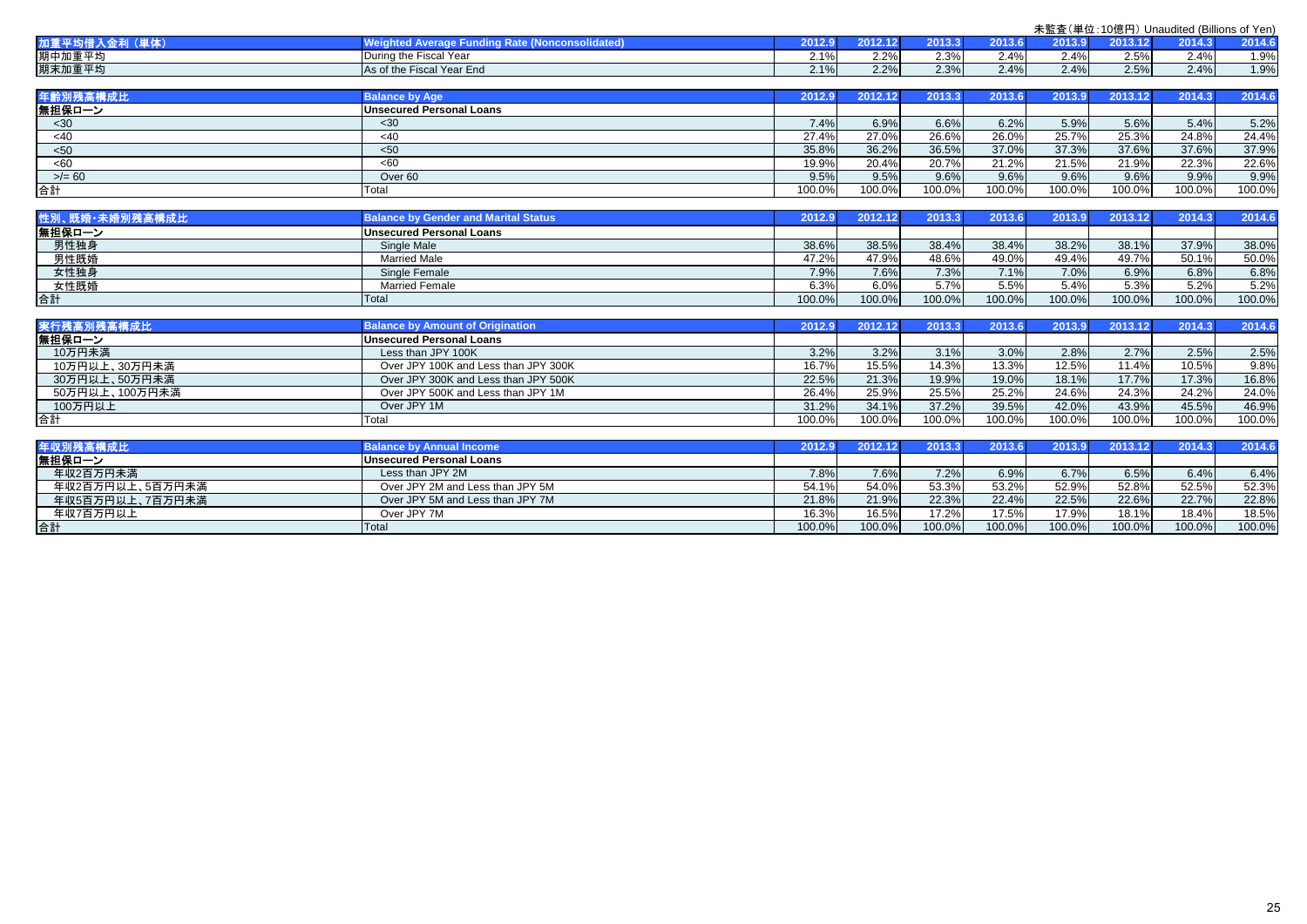| 未監査(単位: 10億円) Unaudited (Billions of Yen) |                                                        |        |         |        |        |        |         |        |        |
|-------------------------------------------|--------------------------------------------------------|--------|---------|--------|--------|--------|---------|--------|--------|
| 加重平均借入金利 (単体)                             | <b>Weighted Average Funding Rate (Nonconsolidated)</b> | 2012.9 | 2012.12 | 2013.3 | 2013.6 | 2013.9 | 2013.12 | 2014.3 | 2014.6 |
| 期中加重平均                                    | During the Fiscal Year                                 | 2.1%   | 2.2%    | 2.3%   | 2.4%   | 2.4%   | 2.5%    | 2.4%   | 1.9%   |
| 期末加重平均                                    | As of the Fiscal Year End                              | 2.1%   | 2.2%    | 2.3%   | 2.4%   | 2.4%   | 2.5%    | 2.4%   | 1.9%   |
|                                           |                                                        |        |         |        |        |        |         |        |        |
| 年齢別残高横成比                                  | <b>Balance by Age</b>                                  | 2012.9 | 2012.12 | 2013.3 | 2013.6 | 2013.9 | 2013.12 | 2014.3 | 2014.6 |
| 無担保ローン                                    | <b>Unsecured Personal Loans</b>                        |        |         |        |        |        |         |        |        |
| $30$                                      | $30$                                                   | 7.4%   | 6.9%    | 6.6%   | 6.2%   | 5.9%   | 5.6%    | 5.4%   | 5.2%   |
| <40                                       | <40                                                    | 27.4%  | 27.0%   | 26.6%  | 26.0%  | 25.7%  | 25.3%   | 24.8%  | 24.4%  |
| 50<                                       | 50<                                                    | 35.8%  | 36.2%   | 36.5%  | 37.0%  | 37.3%  | 37.6%   | 37.6%  | 37.9%  |
| <60                                       | <60                                                    | 19.9%  | 20.4%   | 20.7%  | 21.2%  | 21.5%  | 21.9%   | 22.3%  | 22.6%  |
| $>1/10 = 60$                              | Over <sub>60</sub>                                     | 9.5%   | 9.5%    | 9.6%   | 9.6%   | 9.6%   | 9.6%    | 9.9%   | 9.9%   |
| 合計                                        | Total                                                  | 100.0% | 100.0%  | 100.0% | 100.0% | 100.0% | 100.0%  | 100.0% | 100.0% |
|                                           |                                                        |        |         |        |        |        |         |        |        |
| 性別、既婚·未婚別残高構成比                            | <b>Balance by Gender and Marital Status</b>            | 2012.9 | 2012.12 | 2013.3 | 2013.6 | 2013.9 | 2013.12 | 2014.3 | 2014.6 |
| 無担保ローン                                    | <b>Unsecured Personal Loans</b>                        |        |         |        |        |        |         |        |        |
| 男性独身                                      | Single Male                                            | 38.6%  | 38.5%   | 38.4%  | 38.4%  | 38.2%  | 38.1%   | 37.9%  | 38.0%  |
| 男性既婚                                      | <b>Married Male</b>                                    | 47.2%  | 47.9%   | 48.6%  | 49.0%  | 49.4%  | 49.7%   | 50.1%  | 50.0%  |
| 女性独身                                      | Single Female                                          | 7.9%   | 7.6%    | 7.3%   | 7.1%   | 7.0%   | 6.9%    | 6.8%   | 6.8%   |
| 女性既婚                                      | <b>Married Female</b>                                  | 6.3%   | 6.0%    | 5.7%   | 5.5%   | 5.4%   | 5.3%    | 5.2%   | 5.2%   |
| 合計                                        | Total                                                  | 100.0% | 100.0%  | 100.0% | 100.0% | 100.0% | 100.0%  | 100.0% | 100.0% |
|                                           |                                                        |        |         |        |        |        |         |        |        |
| 実行残高別残高構成比                                | <b>Balance by Amount of Origination</b>                | 2012.9 | 2012.12 | 2013.3 | 2013.6 | 2013.9 | 2013.12 | 2014.3 | 2014.6 |
| 無担保ローン                                    | <b>Unsecured Personal Loans</b>                        |        |         |        |        |        |         |        |        |
| 10万円未満                                    | Less than JPY 100K                                     | 3.2%   | 3.2%    | 3.1%   | 3.0%   | 2.8%   | 2.7%    | 2.5%   | 2.5%   |
| 10万円以上、30万円未満                             | Over JPY 100K and Less than JPY 300K                   | 16.7%  | 15.5%   | 14.3%  | 13.3%  | 12.5%  | 11.4%   | 10.5%  | 9.8%   |
| 30万円以上、50万円未満                             | Over JPY 300K and Less than JPY 500K                   | 22.5%  | 21.3%   | 19.9%  | 19.0%  | 18.1%  | 17.7%   | 17.3%  | 16.8%  |
| 50万円以上、100万円未満                            | Over JPY 500K and Less than JPY 1M                     | 26.4%  | 25.9%   | 25.5%  | 25.2%  | 24.6%  | 24.3%   | 24.2%  | 24.0%  |
| 100万円以上                                   | Over JPY 1M                                            | 31.2%  | 34.1%   | 37.2%  | 39.5%  | 42.0%  | 43.9%   | 45.5%  | 46.9%  |
| 合計                                        | Total                                                  | 100.0% | 100.0%  | 100.0% | 100.0% | 100.0% | 100.0%  | 100.0% | 100.0% |
|                                           |                                                        |        |         |        |        |        |         |        |        |
| 年収別残高構成比                                  | <b>Balance by Annual Income</b>                        | 2012.9 | 2012.12 | 2013.3 | 2013.6 | 2013.9 | 2013.12 | 2014.3 | 2014.6 |
| 無担保ローン                                    | <b>Unsecured Personal Loans</b>                        |        |         |        |        |        |         |        |        |
| 年収2百万円未満                                  | Less than JPY 2M                                       | 7.8%   | 7.6%    | 7.2%   | 6.9%   | 6.7%   | 6.5%    | 6.4%   | 6.4%   |
| 年収2百万円以上、5百万円未満                           | Over JPY 2M and Less than JPY 5M                       | 54.1%  | 54.0%   | 53.3%  | 53.2%  | 52.9%  | 52.8%   | 52.5%  | 52.3%  |
| 年収5百万円以上、7百万円未満                           | Over JPY 5M and Less than JPY 7M                       | 21.8%  | 21.9%   | 22.3%  | 22.4%  | 22.5%  | 22.6%   | 22.7%  | 22.8%  |
| 年収7百万円以上                                  | Over JPY 7M                                            | 16.3%  | 16.5%   | 17.2%  | 17.5%  | 17.9%  | 18.1%   | 18.4%  | 18.5%  |
| 合計                                        | Total                                                  | 100.0% | 100.0%  | 100.0% | 100.0% | 100.0% | 100.0%  | 100.0% | 100.0% |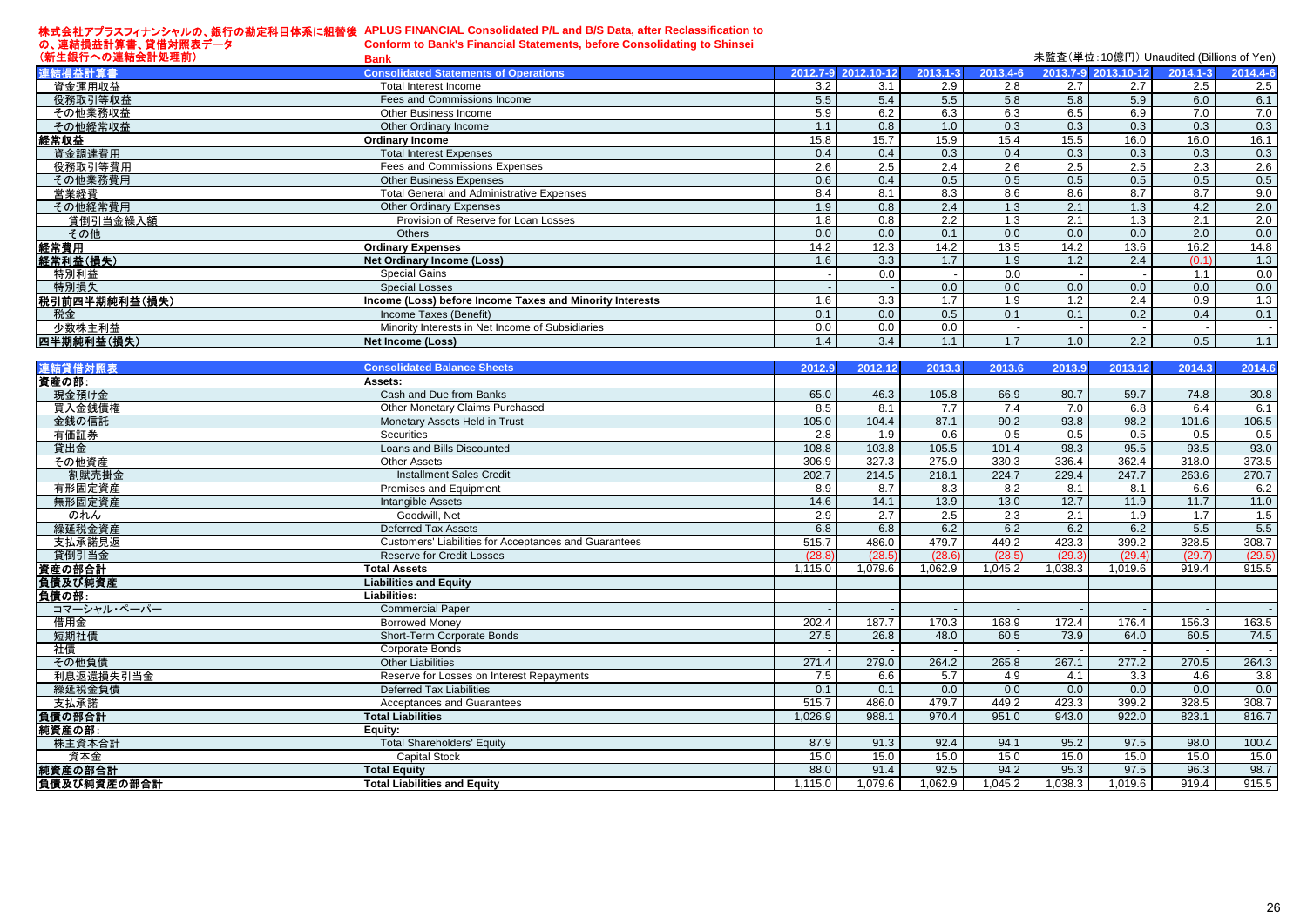# 株式会社アプラスフィナンシャルの、銀行の勘定科目体系に組替後 **APLUS FINANCIAL Consolidated P/L and B/S Data, after Reclassification to**

| の、連結損益計算書、貸借対照表データ<br>(新生銀行への連結会計処理前) | <b>Conform to Bank's Financial Statements, before Consolidating to Shinsei</b><br><b>Bank</b> |      |                     |          |          |      | 未監査(単位: 10億円) Unaudited (Billions of Yen) |          |          |
|---------------------------------------|-----------------------------------------------------------------------------------------------|------|---------------------|----------|----------|------|-------------------------------------------|----------|----------|
| 連結損益計算書                               | <b>Consolidated Statements of Operations</b>                                                  |      | 2012.7-9 2012.10-12 | 2013.1-3 | 2013.4-6 |      | 2013.7-9 2013.10-12                       | 2014.1-3 | 2014.4-6 |
| 資金運用収益                                | Total Interest Income                                                                         | 3.2  | 3.1                 | 2.9      | 2.8      | 2.7  | 2.7                                       | 2.5      | 2.5      |
| 役務取引等収益                               | Fees and Commissions Income                                                                   | 5.5  | 5.4                 | 5.5      | 5.8      | 5.8  | 5.9                                       | 6.0      | 6.1      |
| その他業務収益                               | Other Business Income                                                                         | 5.9  | 6.2                 | 6.3      | 6.3      | 6.5  | 6.9                                       | 7.0      | 7.0      |
| その他経常収益                               | Other Ordinary Income                                                                         | 1.1  | 0.8                 | 1.0      | 0.3      | 0.3  | 0.3                                       | 0.3      | 0.3      |
| 経常収益                                  | <b>Ordinary Income</b>                                                                        | 15.8 | 15.7                | 15.9     | 15.4     | 15.5 | 16.0                                      | 16.0     | 16.1     |
| 資金調達費用                                | <b>Total Interest Expenses</b>                                                                | 0.4  | 0.4                 | 0.3      | 0.4      | 0.3  | 0.3                                       | 0.3      | 0.3      |
| 役務取引等費用                               | Fees and Commissions Expenses                                                                 | 2.6  | 2.5                 | 2.4      | 2.6      | 2.5  | 2.5                                       | 2.3      | 2.6      |
| その他業務費用                               | <b>Other Business Expenses</b>                                                                | 0.6  | 0.4                 | 0.5      | 0.5      | 0.5  | 0.5                                       | 0.5      | 0.5      |
| 営業経費                                  | <b>Total General and Administrative Expenses</b>                                              | 8.4  | 8.1                 | 8.3      | 8.6      | 8.6  | 8.7                                       | 8.7      | 9.0      |
| その他経常費用                               | Other Ordinary Expenses                                                                       | 1.9  | 0.8                 | 2.4      | 1.3      | 2.1  | 1.3                                       | 4.2      | 2.0      |
| 貸倒引当金繰入額                              | Provision of Reserve for Loan Losses                                                          | 1.8  | 0.8                 | 2.2      | 1.3      | 2.1  | 1.3                                       | 2.1      | 2.0      |
| その他                                   | <b>Others</b>                                                                                 | 0.0  | 0.0                 | 0.1      | 0.0      | 0.0  | 0.0                                       | 2.0      | 0.0      |
| 経常費用                                  | <b>Ordinary Expenses</b>                                                                      | 14.2 | 12.3                | 14.2     | 13.5     | 14.2 | 13.6                                      | 16.2     | 14.8     |
| 経常利益(損失)                              | <b>Net Ordinary Income (Loss)</b>                                                             | 1.6  | 3.3                 | 1.7      | 1.9      | 1.2  | 2.4                                       | (0.1)    | 1.3      |
| 特別利益                                  | <b>Special Gains</b>                                                                          |      | 0.0                 |          | 0.0      |      |                                           | 1.1      | 0.0      |
| 特別損失                                  | Special Losses                                                                                |      |                     | 0.0      | 0.0      | 0.0  | 0.0                                       | 0.0      | 0.0      |
| 税引前四半期純利益(損失)                         | Income (Loss) before Income Taxes and Minority Interests                                      | 1.6  | 3.3                 | 1.7      | 1.9      | 1.2  | 2.4                                       | 0.9      | 1.3      |
| 税金                                    | Income Taxes (Benefit)                                                                        | 0.1  | 0.0                 | 0.5      | 0.1      | 0.1  | 0.2                                       | 0.4      | 0.1      |
| 少数株主利益                                | Minority Interests in Net Income of Subsidiaries                                              | 0.0  | 0.0                 | 0.0      |          |      |                                           |          |          |
| 四半期純利益(損失)                            | Net Income (Loss)                                                                             | 1.4  | 3.4                 |          | 1.7      | 1.0  | 2.2                                       | 0.5      | 1.1      |

| 連結貸借対照表     | <b>Consolidated Balance Sheets</b>                    | 2012.9  | 2012.12 | 2013.3  | 2013.6  | 2013.9  | 2013.12 | 2014.3 | 2014.6 |
|-------------|-------------------------------------------------------|---------|---------|---------|---------|---------|---------|--------|--------|
| 資産の部:       | Assets:                                               |         |         |         |         |         |         |        |        |
| 現金預け金       | Cash and Due from Banks                               | 65.0    | 46.3    | 105.8   | 66.9    | 80.7    | 59.7    | 74.8   | 30.8   |
| 買入金銭債権      | Other Monetary Claims Purchased                       | 8.5     | 8.1     | 7.7     | 7.4     | 7.0     | 6.8     | 6.4    | 6.1    |
| 金銭の信託       | Monetary Assets Held in Trust                         | 105.0   | 104.4   | 87.1    | 90.2    | 93.8    | 98.2    | 101.6  | 106.5  |
| 有価証券        | <b>Securities</b>                                     | 2.8     | 1.9     | 0.6     | 0.5     | 0.5     | 0.5     | 0.5    | 0.5    |
| 貸出金         | Loans and Bills Discounted                            | 108.8   | 103.8   | 105.5   | 101.4   | 98.3    | 95.5    | 93.5   | 93.0   |
| その他資産       | <b>Other Assets</b>                                   | 306.9   | 327.3   | 275.9   | 330.3   | 336.4   | 362.4   | 318.0  | 373.5  |
| 割賦売掛金       | <b>Installment Sales Credit</b>                       | 202.7   | 214.5   | 218.1   | 224.7   | 229.4   | 247.7   | 263.6  | 270.7  |
| 有形固定資産      | Premises and Equipment                                | 8.9     | 8.7     | 8.3     | 8.2     | 8.1     | 8.1     | 6.6    | 6.2    |
| 無形固定資産      | <b>Intangible Assets</b>                              | 14.6    | 14.1    | 13.9    | 13.0    | 12.7    | 11.9    | 11.7   | 11.0   |
| のれん         | Goodwill, Net                                         | 2.9     | 2.7     | 2.5     | 2.3     | 2.1     | 1.9     | 1.7    | 1.5    |
| 繰延税金資産      | <b>Deferred Tax Assets</b>                            | 6.8     | 6.8     | 6.2     | 6.2     | 6.2     | 6.2     | 5.5    | 5.5    |
| 支払承諾見返      | Customers' Liabilities for Acceptances and Guarantees | 515.7   | 486.0   | 479.7   | 449.2   | 423.3   | 399.2   | 328.5  | 308.7  |
| 貸倒引当金       | <b>Reserve for Credit Losses</b>                      | (28.8)  | (28.5)  | (28.6)  | (28.5)  | (29.3)  | (29.4)  | (29.7) | (29.5) |
| 資産の部合計      | <b>Total Assets</b>                                   | 1,115.0 | 1,079.6 | 1.062.9 | 1.045.2 | 1,038.3 | 1,019.6 | 919.4  | 915.5  |
| 負債及び純資産     | <b>Liabilities and Equity</b>                         |         |         |         |         |         |         |        |        |
| 負債の部:       | Liabilities:                                          |         |         |         |         |         |         |        |        |
| コマーシャル・ペーパー | <b>Commercial Paper</b>                               |         |         |         |         |         |         |        | $\sim$ |
| 借用金         | <b>Borrowed Monev</b>                                 | 202.4   | 187.7   | 170.3   | 168.9   | 172.4   | 176.4   | 156.3  | 163.5  |
| 短期社債        | Short-Term Corporate Bonds                            | 27.5    | 26.8    | 48.0    | 60.5    | 73.9    | 64.0    | 60.5   | 74.5   |
| 社債          | <b>Corporate Bonds</b>                                |         |         |         |         |         |         |        |        |
| その他負債       | <b>Other Liabilities</b>                              | 271.4   | 279.0   | 264.2   | 265.8   | 267.1   | 277.2   | 270.5  | 264.3  |
| 利息返還損失引当金   | Reserve for Losses on Interest Repayments             | 7.5     | 6.6     | 5.7     | 4.9     | 4.1     | 3.3     | 4.6    | 3.8    |
| 繰延税金負債      | <b>Deferred Tax Liabilities</b>                       | 0.1     | 0.1     | 0.0     | 0.0     | 0.0     | 0.0     | 0.0    | 0.0    |
| 支払承諾        | Acceptances and Guarantees                            | 515.7   | 486.0   | 479.7   | 449.2   | 423.3   | 399.2   | 328.5  | 308.7  |
| 負債の部合計      | <b>Total Liabilities</b>                              | 1.026.9 | 988.1   | 970.4   | 951.0   | 943.0   | 922.0   | 823.1  | 816.7  |
| 純資産の部       | Equity:                                               |         |         |         |         |         |         |        |        |
| 株主資本合計      | <b>Total Shareholders' Equity</b>                     | 87.9    | 91.3    | 92.4    | 94.1    | 95.2    | 97.5    | 98.0   | 100.4  |
| 資本金         | <b>Capital Stock</b>                                  | 15.0    | 15.0    | 15.0    | 15.0    | 15.0    | 15.0    | 15.0   | 15.0   |
| 純資産の部合計     | <b>Total Equity</b>                                   | 88.0    | 91.4    | 92.5    | 94.2    | 95.3    | 97.5    | 96.3   | 98.7   |
| 負債及び純資産の部合計 | <b>Total Liabilities and Equity</b>                   | 1,115.0 | 1,079.6 | 1.062.9 | ,045.2  | 1,038.3 | 1.019.6 | 919.4  | 915.5  |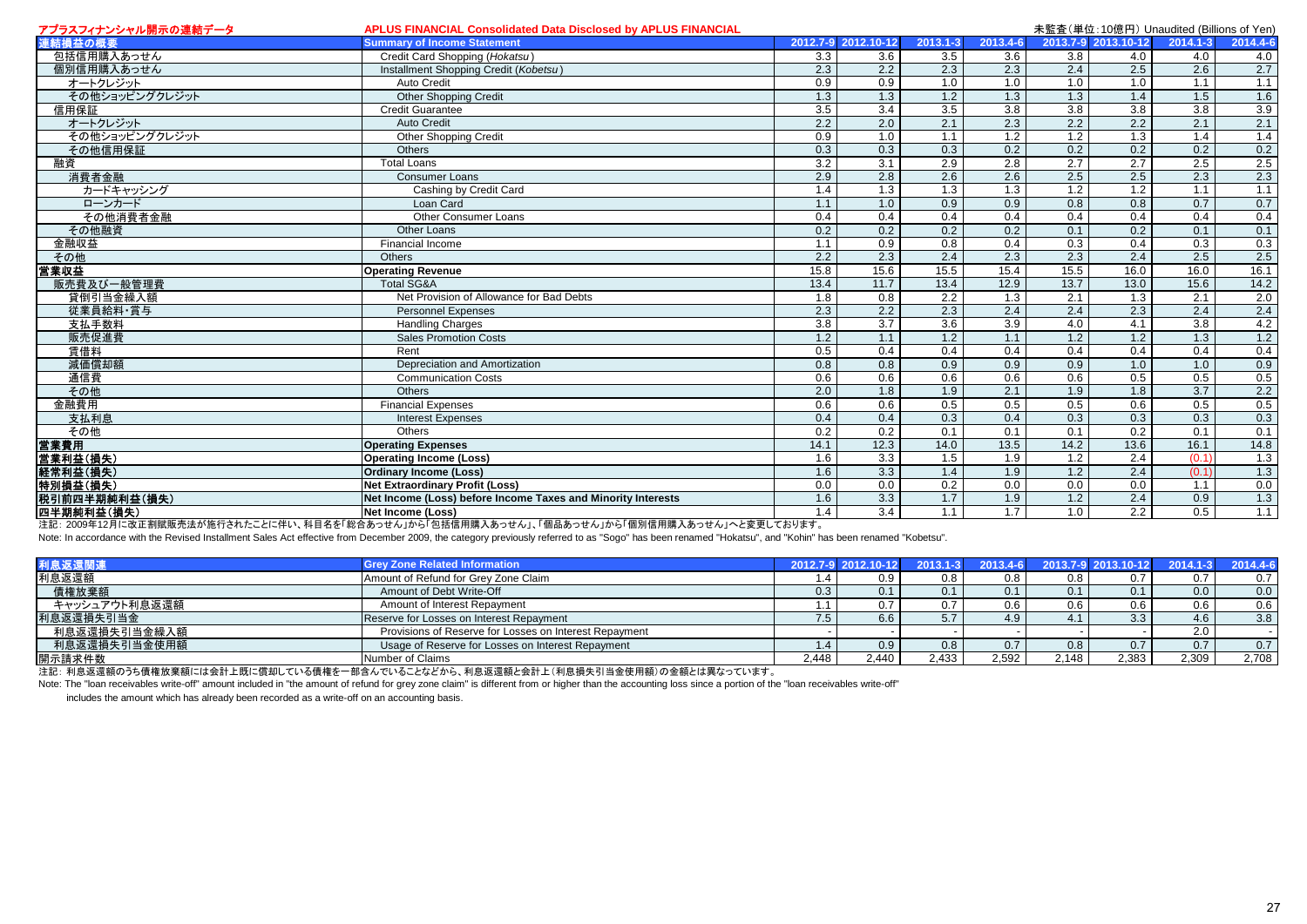| アプラスフィナンシャル開示の連結データ | <b>APLUS FINANCIAL Consolidated Data Disclosed by APLUS FINANCIAL</b> |                  |                     |                  |                  |      | 未監査(単位: 10億円) Unaudited (Billions of Yen) |                  |                          |
|---------------------|-----------------------------------------------------------------------|------------------|---------------------|------------------|------------------|------|-------------------------------------------|------------------|--------------------------|
| 連結損益の概要             | <b>Summary of Income Statement</b>                                    |                  | 2012.7-9 2012.10-12 | $2013.1 - 3$     | 2013.4-6         |      | 2013.7-9 2013.10-12                       | $2014.1 - 3$     | 2014.4-6                 |
| 包括信用購入あっせん          | Credit Card Shopping (Hokatsu)                                        | 3.3              | 3.6                 | 3.5              | 3.6              | 3.8  | 4.0                                       | 4.0              | 4.0                      |
| 個別信用購入あっせん          | Installment Shopping Credit (Kobetsu)                                 | 2.3              | 2.2                 | 2.3              | 2.3              | 2.4  | 2.5                                       | $\overline{2.6}$ | 2.7                      |
| オートクレジット            | <b>Auto Credit</b>                                                    | 0.9              | 0.9                 | 1.0              | $\overline{1.0}$ | 1.0  | 1.0                                       | 1.1              | 1.1                      |
| その他ショッピングクレジット      | Other Shopping Credit                                                 | 1.3              | 1.3                 | 1.2              | 1.3              | 1.3  | 1.4                                       | 1.5              | 1.6                      |
| 信用保証                | <b>Credit Guarantee</b>                                               | $\overline{3.5}$ | $\overline{3.4}$    | $\overline{3.5}$ | $\overline{3.8}$ | 3.8  | 3.8                                       | $\overline{3.8}$ | $\frac{3.9}{2.1}$        |
| オートクレジット            | <b>Auto Credit</b>                                                    | $\overline{2.2}$ | 2.0                 | 2.1              | 2.3              | 2.2  | 2.2                                       | 2.1              |                          |
| その他ショッピングクレジット      | Other Shopping Credit                                                 | 0.9              | 1.0                 | 1.1              | 1.2              | 1.2  | 1.3                                       | 1.4              | 1.4                      |
| その他信用保証             | Others                                                                | 0.3              | 0.3                 | 0.3              | 0.2              | 0.2  | 0.2                                       | $\overline{0.2}$ | 0.2                      |
| 融資                  | <b>Total Loans</b>                                                    | $\overline{3.2}$ | 3.1                 | 2.9              | 2.8              | 2.7  | 2.7                                       | 2.5              | 2.5                      |
| 消費者金融               | <b>Consumer Loans</b>                                                 | 2.9              | $\overline{2.8}$    | 2.6              | 2.6              | 2.5  | 2.5                                       | 2.3              | 2.3                      |
| カードキャッシング           | Cashing by Credit Card                                                | 1.4              | 1.3                 | 1.3              | 1.3              | 1.2  | 1.2                                       | 1.1              | $\overline{1.1}$         |
| ローンカード              | Loan Card                                                             | 1.1              | 1.0                 | 0.9              | 0.9              | 0.8  | 0.8                                       | 0.7              | 0.7                      |
| その他消費者金融            | Other Consumer Loans                                                  | 0.4              | 0.4                 | 0.4              | 0.4              | 0.4  | 0.4                                       | 0.4              | 0.4                      |
| その他融資               | <b>Other Loans</b>                                                    | 0.2              | 0.2                 | 0.2              | 0.2              | 0.1  | 0.2                                       | 0.1              | 0.1                      |
| 金融収益                | Financial Income                                                      | 1.1              | 0.9                 | 0.8              | 0.4              | 0.3  | 0.4                                       | 0.3              | 0.3                      |
| その他                 | Others                                                                | 2.2              | 2.3                 | 2.4              | 2.3              | 2.3  | 2.4                                       | 2.5              | 2.5                      |
| 営業収益                | <b>Operating Revenue</b>                                              | 15.8             | 15.6                | 15.5             | 15.4             | 15.5 | 16.0                                      | 16.0             | 16.1                     |
| 販売費及び一般管理費          | <b>Total SG&amp;A</b>                                                 | 13.4             | 11.7                | 13.4             | 12.9             | 13.7 | 13.0                                      | 15.6             | 14.2                     |
| 貸倒引当金繰入額            | Net Provision of Allowance for Bad Debts                              | 1.8              | 0.8                 | $\overline{2.2}$ | 1.3              | 2.1  | 1.3                                       | 2.1              | 2.0                      |
| 従業員給料·賞与            | <b>Personnel Expenses</b>                                             | 2.3              | 2.2                 | 2.3              | 2.4              | 2.4  | 2.3                                       | 2.4              | $\frac{2.4}{4.2}$<br>1.2 |
| 支払手数料               | <b>Handling Charges</b>                                               | 3.8              | 3.7                 | 3.6              | 3.9              | 4.0  | 4.1                                       | 3.8              |                          |
| 販売促進費               | <b>Sales Promotion Costs</b>                                          | 1.2              | 1.1                 | 1.2              | 1.1              | 1.2  | 1.2                                       | 1.3              |                          |
| 賃借料                 | Rent                                                                  | 0.5              | 0.4                 | 0.4              | 0.4              | 0.4  | 0.4                                       | 0.4              | $\frac{0.4}{0.9}$<br>0.5 |
| 減価償却額               | Depreciation and Amortization                                         | 0.8              | 0.8                 | 0.9              | 0.9              | 0.9  | 1.0                                       | 1.0              |                          |
| 通信費                 | <b>Communication Costs</b>                                            | 0.6              | 0.6                 | 0.6              | 0.6              | 0.6  | 0.5                                       | 0.5              |                          |
| その他                 | <b>Others</b>                                                         | $\overline{2.0}$ | 1.8                 | 1.9              | 2.1              | 1.9  | 1.8                                       | $\overline{3.7}$ | $\frac{2.2}{0.5}$        |
| 金融費用                | <b>Financial Expenses</b>                                             | 0.6              | 0.6                 | 0.5              | 0.5              | 0.5  | 0.6                                       | 0.5              |                          |
| 支払利息                | <b>Interest Expenses</b>                                              | 0.4              | 0.4                 | 0.3              | 0.4              | 0.3  | 0.3                                       | $\overline{0.3}$ | 0.3                      |
| その他                 | Others                                                                | 0.2              | 0.2                 | 0.1              | 0.1              | 0.1  | 0.2                                       | 0.1              | 0.1                      |
| 営業費用                | <b>Operating Expenses</b>                                             | 14.1             | 12.3                | 14.0             | 13.5             | 14.2 | 13.6                                      | 16.1             | 14.8                     |
| 営業利益(損失)            | <b>Operating Income (Loss)</b>                                        | 1.6              | $\overline{3.3}$    | 1.5              | 1.9              | 1.2  | 2.4                                       | (0.1)            | 1.3                      |
| 経常利益(損失)            | <b>Ordinary Income (Loss)</b>                                         | 1.6              | 3.3                 | 1.4              | 1.9              | 1.2  | 2.4                                       | (0.1)            | 1.3                      |
| 特別損益(損失)            | Net Extraordinary Profit (Loss)                                       | 0.0              | 0.0                 | 0.2              | 0.0              | 0.0  | 0.0                                       | 1.1              | 0.0                      |
| 税引前四半期純利益(損失)       | Net Income (Loss) before Income Taxes and Minority Interests          | 1.6              | 3.3                 | 1.7              | 1.9              | 1.2  | 2.4                                       | 0.9              | 1.3                      |
| 四半期純利益(損失)          | Net Income (Loss)                                                     | 1.4              | $\overline{3.4}$    | 1.1              | 1.7              | 1.0  | $\overline{2.2}$                          | 0.5              | 1.1                      |

注記: 2009年12月に改正割賦販売法が施行されたことに伴い、科目名を「総合あっせん」から「包括信用購入あっせん」、「個品あっせん」から「個別信用購入あっせん」へと変更しております。

Note: In accordance with the Revised Installment Sales Act effective from December 2009, the category previously referred to as "Sogo" has been renamed "Hokatsu", and "Kohin" has been renamed "Kobetsu".

| 利息返還関連        | <b>Grey Zone Related Information</b>                   |       | 2012.7-9 2012.10-12 |       |       |       | 2013.1-3 2013.4-6 2013.7-9 2013.10-12 2014.1-3 2014.4-6 |       |       |
|---------------|--------------------------------------------------------|-------|---------------------|-------|-------|-------|---------------------------------------------------------|-------|-------|
| 利息返還額         | Amount of Refund for Grey Zone Claim                   |       |                     | 0.8   |       | 0.8   |                                                         | 0.7   |       |
| 債権放棄額         | Amount of Debt Write-Off                               | 0.3   |                     |       |       | 0.1   | 0.1                                                     | 0.0   | 0.0   |
| キャッシュアウト利息返還額 | Amount of Interest Repayment                           |       |                     |       |       | 0.6   | 0.6                                                     | 0.6   | 0.6   |
| 利息返還損失引当金     | Reserve for Losses on Interest Repayment               | 7.5   | 6.6                 |       |       | 4.1   | 3.3                                                     | 4.6   | 3.8   |
| 利息返還損失引当金繰入額  | Provisions of Reserve for Losses on Interest Repayment |       |                     |       |       |       |                                                         | 2.0   |       |
| 利息返還損失引当金使用額  | Usage of Reserve for Losses on Interest Repayment      |       | 0.9 <sup>°</sup>    | 0.8   |       | 0.8   | 0.7                                                     | 0.7   | 0.7   |
| 開示請求件数        | Number of Claims                                       | 2.448 | 2.440               | 2,433 | 2,592 | 2,148 | 2.383                                                   | 2,309 | 2,708 |

注記: 利息返還額のうち債権放棄額には会計上既に償却している債権を一部含んでいることなどから、利息返還額と会計上(利息損失引当金使用額)の金額とは異なっています。

Note: The "loan receivables write-off" amount included in "the amount of refund for grey zone claim" is different from or higher than the accounting loss since a portion of the "loan receivables write-off"

includes the amount which has already been recorded as a write-off on an accounting basis.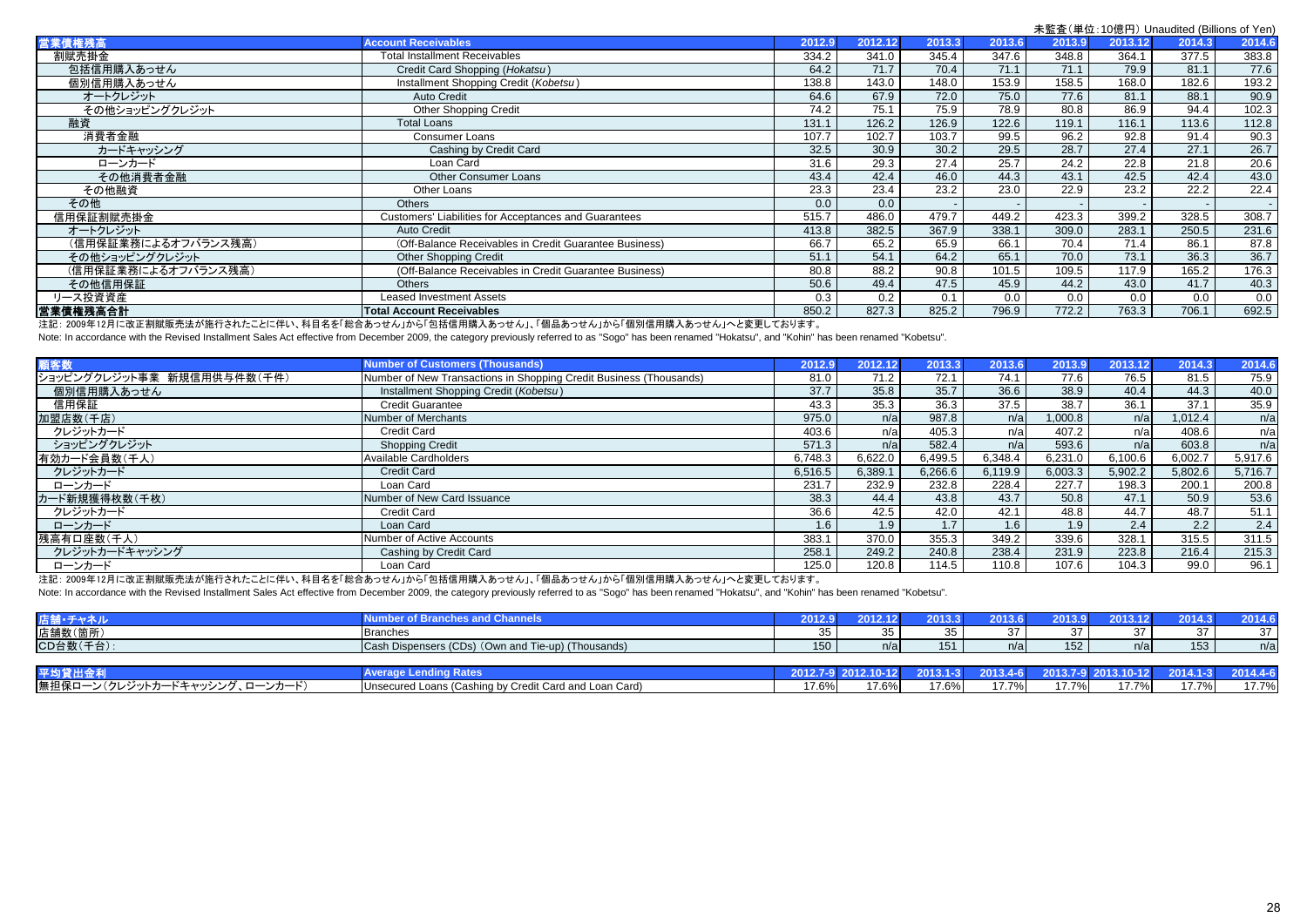|                     |                                                              |        |         |        |        |        |         | 未監査(単位: 10億円) Unaudited (Billions of Yen) |        |
|---------------------|--------------------------------------------------------------|--------|---------|--------|--------|--------|---------|-------------------------------------------|--------|
| 営業債権残高              | <b>Account Receivables</b>                                   | 2012.9 | 2012.12 | 2013.3 | 2013.6 | 2013.9 | 2013.12 | 2014.3                                    | 2014.6 |
| 割賦売掛金               | <b>Total Installment Receivables</b>                         | 334.2  | 341.0   | 345.4  | 347.6  | 348.8  | 364.1   | 377.5                                     | 383.8  |
| 包括信用購入あっせん          | Credit Card Shopping (Hokatsu)                               | 64.2   | 71.7    | 70.4   | 71.1   | 71.1   | 79.9    | 81.1                                      | 77.6   |
| 個別信用購入あっせん          | Installment Shopping Credit (Kobetsu)                        | 138.8  | 143.0   | 148.0  | 153.9  | 158.5  | 168.0   | 182.6                                     | 193.2  |
| オートクレジット            | <b>Auto Credit</b>                                           | 64.6   | 67.9    | 72.0   | 75.0   | 77.6   | 81.1    | 88.1                                      | 90.9   |
| その他ショッピングクレジット      | <b>Other Shopping Credit</b>                                 | 74.2   | 75.1    | 75.9   | 78.9   | 80.8   | 86.9    | 94.4                                      | 102.3  |
| 融資                  | <b>Total Loans</b>                                           | 131.1  | 126.2   | 126.9  | 122.6  | 119.1  | 116.1   | 113.6                                     | 112.8  |
| 消費者金融               | <b>Consumer Loans</b>                                        | 107.7  | 102.7   | 103.7  | 99.5   | 96.2   | 92.8    | 91.4                                      | 90.3   |
| カードキャッシング           | Cashing by Credit Card                                       | 32.5   | 30.9    | 30.2   | 29.5   | 28.7   | 27.4    | 27.1                                      | 26.7   |
| ローンカード              | Loan Card                                                    | 31.6   | 29.3    | 27.4   | 25.7   | 24.2   | 22.8    | 21.8                                      | 20.6   |
| その他消費者金融            | <b>Other Consumer Loans</b>                                  | 43.4   | 42.4    | 46.0   | 44.3   | 43.1   | 42.5    | 42.4                                      | 43.0   |
| その他融資               | Other Loans                                                  | 23.3   | 23.4    | 23.2   | 23.0   | 22.9   | 23.2    | 22.2                                      | 22.4   |
| その他                 | <b>Others</b>                                                | 0.0    | 0.0     |        |        |        |         |                                           |        |
| 信用保証割賦売掛金           | <b>Customers' Liabilities for Acceptances and Guarantees</b> | 515.7  | 486.0   | 479.7  | 449.2  | 423.3  | 399.2   | 328.5                                     | 308.7  |
| オートクレジット            | <b>Auto Credit</b>                                           | 413.8  | 382.5   | 367.9  | 338.1  | 309.0  | 283.1   | 250.5                                     | 231.6  |
| (信用保証業務によるオフバランス残高) | (Off-Balance Receivables in Credit Guarantee Business)       | 66.7   | 65.2    | 65.9   | 66.1   | 70.4   | 71.4    | 86.1                                      | 87.8   |
| その他ショッピングクレジット      | <b>Other Shopping Credit</b>                                 | 51.1   | 54.1    | 64.2   | 65.1   | 70.0   | 73.1    | 36.3                                      | 36.7   |
| (信用保証業務によるオフバランス残高) | (Off-Balance Receivables in Credit Guarantee Business)       | 80.8   | 88.2    | 90.8   | 101.5  | 109.5  | 117.9   | 165.2                                     | 176.3  |
| その他信用保証             | <b>Others</b>                                                | 50.6   | 49.4    | 47.5   | 45.9   | 44.2   | 43.0    | 41.7                                      | 40.3   |
| リース投資資産             | <b>Leased Investment Assets</b>                              | 0.3    | 0.2     | 0.1    | 0.0    | 0.0    | 0.0     | 0.0                                       | 0.0    |
| 営業債権残高合計            | <b>Total Account Receivables</b>                             | 850.2  | 827.3   | 825.2  | 796.9  | 772.2  | 763.3   | 706.1                                     | 692.5  |

注記: 2009年12月に改正割賦販売法が施行されたことに伴い、科目名を「総合あっせん」から「包括信用購入あっせん」、「個品あっせん」から「個別信用購入あっせん」へと変更しております。

Note: In accordance with the Revised Installment Sales Act effective from December 2009, the category previously referred to as "Sogo" has been renamed "Hokatsu", and "Kohin" has been renamed "Kobetsu".

| 顧客数                        | <b>Number of Customers (Thousands)</b>                             | 2012.9  | 2012.12 | 2013.3  | 2013.6  | 2013.9  | 2013.12 | 2014.3  | 2014.6  |
|----------------------------|--------------------------------------------------------------------|---------|---------|---------|---------|---------|---------|---------|---------|
| ショッピングクレジット事業 新規信用供与件数(千件) | Number of New Transactions in Shopping Credit Business (Thousands) | 81.0    | 71.2    | 72.1    | 74.1    | 77.6    | 76.5    | 81.5    | 75.9    |
| 個別信用購入あっせん                 | Installment Shopping Credit (Kobetsu)                              | 37.7    | 35.8    | 35.7    | 36.6    | 38.9    | 40.4    | 44.3    | 40.0    |
| 信用保証                       | <b>Credit Guarantee</b>                                            | 43.3    | 35.3    | 36.3    | 37.5    | 38.7    | 36.1    | 37.1    | 35.9    |
| 加盟店数(千店)                   | Number of Merchants                                                | 975.0   | n/a     | 987.8   | n/a     | 1,000.8 | n/a     | 1,012.4 | n/a     |
| クレジットカード                   | <b>Credit Card</b>                                                 | 403.6   | n/a     | 405.3   | n/a     | 407.2   | n/a     | 408.6   | n/a     |
| ショッピングクレジット                | <b>Shopping Credit</b>                                             | 571.3   | n/a     | 582.4   | n/a     | 593.6   | n/a     | 603.8   | n/a     |
| 有効カード会員数(千人)               | Available Cardholders                                              | 6,748.3 | 6,622.0 | 6,499.5 | 6,348.4 | 6,231.0 | 6,100.6 | 6,002.7 | 5,917.6 |
| クレジットカード                   | <b>Credit Card</b>                                                 | 6,516.5 | 6,389.1 | 6,266.6 | 6.119.9 | 6,003.3 | 5,902.2 | 5,802.6 | 5,716.7 |
| ローンカード                     | Loan Card                                                          | 231.7   | 232.9   | 232.8   | 228.4   | 227.7   | 198.3   | 200.1   | 200.8   |
| カード新規獲得枚数(千枚)              | Number of New Card Issuance                                        | 38.3    | 44.4    | 43.8    | 43.7    | 50.8    | 47.1    | 50.9    | 53.6    |
| クレジットカード                   | <b>Credit Card</b>                                                 | 36.6    | 42.5    | 42.0    | 42.1    | 48.8    | 44.7    | 48.7    | 51.1    |
| ローンカード                     | Loan Card                                                          | 1.6     | 1.9     |         | 1.6     | 1.9     | 2.4     | 2.2     | 2.4     |
| 残高有口座数(千人)                 | Number of Active Accounts                                          | 383.7   | 370.0   | 355.3   | 349.2   | 339.6   | 328.1   | 315.5   | 311.5   |
| クレジットカードキャッシング             | Cashing by Credit Card                                             | 258.1   | 249.2   | 240.8   | 238.4   | 231.9   | 223.8   | 216.4   | 215.3   |
| ローンカード                     | Loan Card                                                          | 125.0   | 120.8   | 114.5   | 110.8   | 107.6   | 104.3   | 99.0    | 96.1    |

注記: 2009年12月に改正割賦販売法が施行されたことに伴い、科目名を「総合あっせん」から「包括信用購入あっせん」、「個品あっせん」から「個別信用購入あっせん」へと変更しております。

Note: In accordance with the Revised Installment Sales Act effective from December 2009, the category previously referred to as "Sogo" has been renamed "Hokatsu", and "Kohin" has been renamed "Kobetsu".

| 店舗・チャネル                       | d Channels<br><b>ANumber of Branches and A</b>         |          | 2012.12 | 2013. | 2013.6       |       | 013.12   | 2014.3  | 2014.6   |
|-------------------------------|--------------------------------------------------------|----------|---------|-------|--------------|-------|----------|---------|----------|
| 店舗数(箇所)                       | <b>Branches</b>                                        | 35       |         |       |              | 37    | 37       | 27<br>ິ | 37       |
| CD台数(千台):                     | Cash Dispensers (CDs) (Own and Tie-up) (Thousands)     | 150      | n/a     | 151   | n/a          | 152   | n/a      | 153     | n/a      |
|                               |                                                        |          |         |       |              |       |          |         |          |
| 平均貸出金利                        | <b>Average Lending Rates</b>                           | 2012.7-9 |         |       | $2013.4 - 6$ |       | $0 - 12$ | 2014.1  | 2014.4-6 |
| 無担保ローン(クレジットカードキャッシング、ローンカード) | Unsecured Loans (Cashing by Credit Card and Loan Card) | 17.6%    | 17.6%   | 17.6% | 17.7%        | 17.7% | 17.7%    | 17.7%   | 17.7%    |

28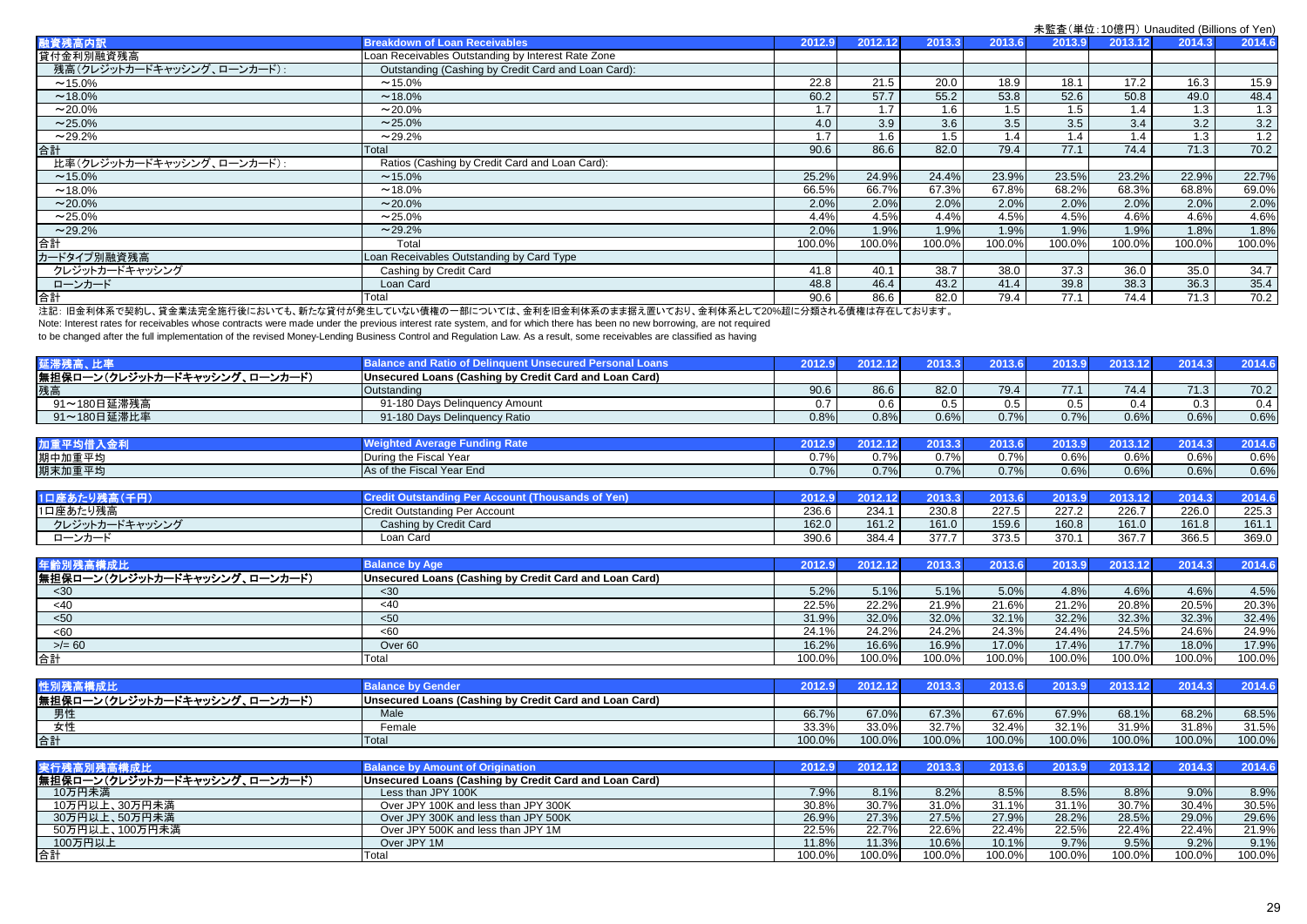| <b>木血且 \半巴. 10応l 1/ Orldudited (Dillions of Terry</b> |                                                     |        |         |        |        |        |         |        |        |
|-------------------------------------------------------|-----------------------------------------------------|--------|---------|--------|--------|--------|---------|--------|--------|
| 融資残高内訳                                                | <b>Breakdown of Loan Receivables</b>                | 2012.9 | 2012.12 | 2013.3 | 2013.6 | 2013.9 | 2013.12 | 2014.3 | 2014.6 |
| 貸付金利別融資残高                                             | Loan Receivables Outstanding by Interest Rate Zone  |        |         |        |        |        |         |        |        |
| 残高(クレジットカードキャッシング、ローンカード):                            | Outstanding (Cashing by Credit Card and Loan Card): |        |         |        |        |        |         |        |        |
| $~15.0\%$                                             | $~15.0\%$                                           | 22.8   | 21.5    | 20.0   | 18.9   | 18.1   | 17.2    | 16.3   | 15.9   |
| $~18.0\%$                                             | $~18.0\%$                                           | 60.2   | 57.7    | 55.2   | 53.8   | 52.6   | 50.8    | 49.0   | 48.4   |
| $~20.0\%$                                             | $~20.0\%$                                           | 1.7    | 1.7     | 1.6    | 1.5    |        | 1.4     | 1.3    | 1.3    |
| $~25.0\%$                                             | $~25.0\%$                                           | 4.0    | 3.9     | 3.6    | 3.5    | 3.5    | 3.4     | 3.2    | 3.2    |
| $~29.2\%$                                             | $~29.2\%$                                           | 1.7    | 1.6     | 1.5    | 1.4    | 1.4    | 1.4     | 1.3    | 1.2    |
| 合計                                                    | Total                                               | 90.6   | 86.6    | 82.0   | 79.4   | 77.1   | 74.4    | 71.3   | 70.2   |
| 比率(クレジットカードキャッシング、ローンカード):                            | Ratios (Cashing by Credit Card and Loan Card):      |        |         |        |        |        |         |        |        |
| $~15.0\%$                                             | $~15.0\%$                                           | 25.2%  | 24.9%   | 24.4%  | 23.9%  | 23.5%  | 23.2%   | 22.9%  | 22.7%  |
| $~18.0\%$                                             | $~18.0\%$                                           | 66.5%  | 66.7%   | 67.3%  | 67.8%  | 68.2%  | 68.3%   | 68.8%  | 69.0%  |
| $~20.0\%$                                             | $~20.0\%$                                           | 2.0%   | 2.0%    | 2.0%   | 2.0%   | 2.0%   | 2.0%    | 2.0%   | 2.0%   |
| $~25.0\%$                                             | $~25.0\%$                                           | 4.4%   | 4.5%    | 4.4%   | 4.5%   | 4.5%   | 4.6%    | 4.6%   | 4.6%   |
| $~29.2\%$                                             | $~29.2\%$                                           | 2.0%   | 1.9%    | 1.9%   | 1.9%   | 1.9%   | 1.9%    | 1.8%   | 1.8%   |
| 合計                                                    | Total                                               | 100.0% | 100.0%  | 100.0% | 100.0% | 100.0% | 100.0%  | 100.0% | 100.0% |
| カードタイプ別融資残高                                           | Loan Receivables Outstanding by Card Type           |        |         |        |        |        |         |        |        |
| クレジットカードキャッシング                                        | Cashing by Credit Card                              | 41.8   | 40.1    | 38.7   | 38.0   | 37.3   | 36.0    | 35.0   | 34.7   |
| ローンカード                                                | Loan Card                                           | 48.8   | 46.4    | 43.2   | 41.4   | 39.8   | 38.3    | 36.3   | 35.4   |
| 合計                                                    | Total                                               | 90.6   | 86.6    | 82.0   | 79.4   | 77.1   | 74.4    | 71.3   | 70.2   |
|                                                       |                                                     |        |         |        |        |        |         |        |        |

注記: 旧金利体系で契約し、貸金業法完全施行後においても、新たな貸付が発生していない債権の一部については、金利を旧金利体系のまま据え置いており、金利体系として20%超に分類される債権は存在しております。

Note: Interest rates for receivables whose contracts were made under the previous interest rate system, and for which there has been no new borrowing, are not required

to be changed after the full implementation of the revised Money-Lending Business Control and Regulation Law. As a result, some receivables are classified as having

|                               |                                                        | 2012 |      | 88.LL |      |            |      | 0014   |      |
|-------------------------------|--------------------------------------------------------|------|------|-------|------|------------|------|--------|------|
| 無担保ローン(クレジットカードキャッシング、ローンカード) | Unsecured Loans (Cashing by Credit Card and Loan Card) |      |      |       |      |            |      |        |      |
| 残高                            | Outstanding                                            | 90.6 |      | 82.0  | 79.4 | 771<br>,,, | 74.4 | $-712$ | 70.2 |
| 91~180日延滞残高                   | 91-180 Davs Delinguency Amount                         |      |      |       | 0.5  |            | 0.4  | 0.3    |      |
| 91~180日延滞比率                   | 91-180 Days Delinguency Ratio                          | 0.8% | 0.8% | 0.6%  | 0.7% | 0.7%       | 0.6% | 0.6%   | 0.6% |

| 加重     |                             | <b>COLLE</b>            | 401 <b>ZH12</b>            | 2013 | nn a d<br>AU R |      | $\sim$ 0.40 $\sim$ 0.5 $\sim$<br>41 H J | <b><i><u>ALCOHOL: AND </u></i></b> | .    |
|--------|-----------------------------|-------------------------|----------------------------|------|----------------|------|-----------------------------------------|------------------------------------|------|
| 期中加重平均 | ig the Fiscal Year<br>Durin | n 70/<br><b>V.I</b> /01 | 0.70<br>ັ. ເ               | 0.7% | $2.7\%$        | 0.6% | 0.6%                                    | 0.6%                               | 0.6% |
| 期末加重平均 | As of the Fiscal Year End   | 0.7%                    | $\sim -c$<br><b>U.I</b> 70 | 0.7% | 0.7%           | 0.6% | 0.6%                                    | 0.6%                               | 0.6% |

| ___<br>$1\Box$                        | en:                        | A A   | 2012.12             | <b><i><u>BAATA</u></i></b> | $\sim$ $\sim$ $\sim$ | 2013.9 |              | 2014.3 |       |
|---------------------------------------|----------------------------|-------|---------------------|----------------------------|----------------------|--------|--------------|--------|-------|
| 1口座あたり残高                              | t Outstanding Per Account. | 236.6 | 234.1               | 230.8                      | 227.5                | 227.2  | 226.7        | 226.0  | 225.3 |
| $\sim$ 44 $-$<br>、―ドキャッシング<br>クレジットカー | Cashing by Credit Card     | 162.0 | 161.2               | 161.0                      | 159.6                | 160.8  | 161.0        | 161.8  | 161.1 |
| ローンカー」                                | Loan Card                  | 390.6 | 381<br>- 21<br>ט∪+. | 377.7                      | 272F<br><b>U.U.</b>  | 370.1  | 0077<br>. or | 366.5  | 369.0 |

| 年齢別残?<br>自高橫成比                | <b>Balance by Age</b>                                  | 2012.9 | 2012.12 | 2013.3 | 2013.6 | 2013   | 2013.12 | 2014.3 | 2014.6 |
|-------------------------------|--------------------------------------------------------|--------|---------|--------|--------|--------|---------|--------|--------|
| 無担保ローン(クレジットカードキャッシング、ローンカード) | Unsecured Loans (Cashing by Credit Card and Loan Card) |        |         |        |        |        |         |        |        |
| $30$                          | $<$ 30                                                 | 5.2%   | 5.1%    | 5.1%   | 5.0%   | 4.8%   | 4.6%    | 4.6%   | 4.5%   |
| <40                           | -40                                                    | 22.5%  | 22.2%   | 21.9%  | 21.6%  | 21.2%  | 20.8%   | 20.5%  | 20.3%  |
| < 50                          | < 50                                                   | 31.9%  | 32.0%   | 32.0%  | 32.1%  | 32.2%  | 32.3%   | 32.3%  | 32.4%  |
| <60                           | <60                                                    | 24.1%  | 24.2%   | 24.2%  | 24.3%  | 24.4%  | 24.5%   | 24.6%  | 24.9%  |
| $>/- 60$                      | Over <sub>60</sub>                                     | 16.2%  | 16.6%   | 16.9%  | 17.0%  | 17.4%  | 17.7%   | 18.0%  | 17.9%  |
| 合計                            | Total                                                  | 100.0% | 100.0%  | 100.0% | 100.0% | 100.0% | 100.0%  | 100.0% | 100.0% |

| اللاقين                             |                                                        | 2012.9 |        |        | 2013   | 2013   | $\sqrt{40}$ | 2014.3 | 2014.6 |
|-------------------------------------|--------------------------------------------------------|--------|--------|--------|--------|--------|-------------|--------|--------|
| 無担保ローン(クレジットカードキャッシング、<br>. ローンカード) | Unsecured Loans (Cashing by Credit Card and Loan Card) |        |        |        |        |        |             |        |        |
| 男性                                  | Male                                                   | 66.7%  | 67.0%  | 67.3%  | 67.6%  | 67.9%  | 68.1%       | 68.2%  | 68.5%  |
| 女性                                  | Female                                                 | 33.3%  | 33.0%  | 32.7%  | 32.4%  | 32.1%  | 31.9%       | 31.8%  | 31.5%  |
| 合計                                  | Tota.                                                  | 100.0% | 100.0% | 100.0% | 100.0% | 100.0% | 100.0%      | 100.0% | 100.0% |

| 実行残高別残高構成比                    | <b>Balance by Amount of Origination</b>                |        | 2012.12 | 2013.3 | 2013.61 | 2013.9 | 2013.12 | 2014.3  | 2014.6    |
|-------------------------------|--------------------------------------------------------|--------|---------|--------|---------|--------|---------|---------|-----------|
| 無担保ローン(クレジットカードキャッシング、ローンカード) | Unsecured Loans (Cashing by Credit Card and Loan Card) |        |         |        |         |        |         |         |           |
| 10万円未満                        | Less than JPY 100K                                     | 7.9%   | 8.1%    | 8.2%   | 8.5%    | 8.5%   | 8.8%    | $9.0\%$ | 8.9%      |
| 10万円以上、30万円未満                 | Over JPY 100K and less than JPY 300K                   | 30.8%  | 30.7%   | 31.0%  | 31.1%   | 31.1%  | 30.7%   | 30.4%   | 30.5%     |
| 30万円以上、50万円未満                 | Over JPY 300K and less than JPY 500K                   | 26.9%  | 27.3%   | 27.5%  | 27.9%   | 28.2%  | 28.5%   | 29.0%   | 29.6%     |
| 50万円以上、100万円未満                | Over JPY 500K and less than JPY 1M                     | 22.5%  | 22.7%   | 22.6%  | 22.4%   | 22.5%  | 22.4%   | 22.4%   | 21.9%     |
| 100万円以上                       | Over JPY 1M                                            | 11.8%  | 11.3%   | 10.6%  | 10.1%   | 9.7%   | 9.5%    | 9.2%    | 9.1%      |
| 信合                            | Total                                                  | 100.0% | 100.0%  | 100.0% | 100.0%  | 100.0% | 100.0%  | 100.0%  | $100.0\%$ |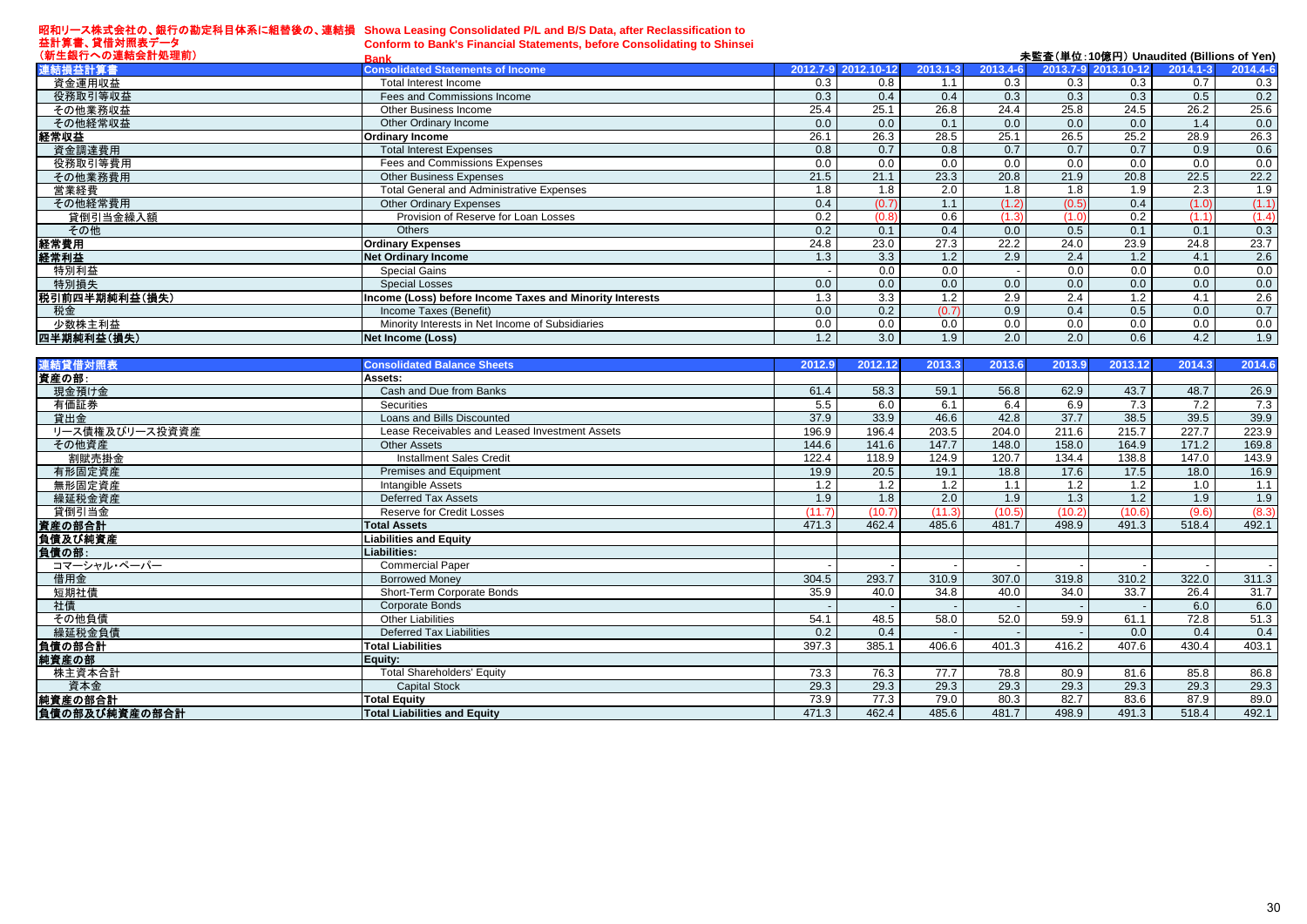#### 昭和リース株式会社の、銀行の勘定科目体系に組替後の、連結損 益計算書、貸借対照表データ **Showa Leasing Consolidated P/L and B/S Data, after Reclassification to**

**Conform to Bank's Financial Statements, before Consolidating to Shinsei**

| (新生銀行への連結会計処理前) | <b>Bank</b>                                              |      |                     |              |          |       | 未監査(単位:10億円) Unaudited (Billions of Yen) |              |          |
|-----------------|----------------------------------------------------------|------|---------------------|--------------|----------|-------|------------------------------------------|--------------|----------|
| 連結損益計算書         | <b>Consolidated Statements of Income</b>                 |      | 2012.7-9 2012.10-12 | $2013.1 - 3$ | 2013.4-6 |       | 2013.7-9 2013.10-12                      | $2014.1 - 3$ | 2014.4-6 |
| 資金運用収益          | Total Interest Income                                    | 0.3  | 0.8                 | 1.1          | 0.3      | 0.3   | 0.3                                      | 0.7          | 0.3      |
| 役務取引等収益         | Fees and Commissions Income                              | 0.3  | 0.4                 | 0.4          | 0.3      | 0.3   | 0.3                                      | 0.5          | 0.2      |
| その他業務収益         | Other Business Income                                    | 25.4 | 25.1                | 26.8         | 24.4     | 25.8  | 24.5                                     | 26.2         | 25.6     |
| その他経常収益         | Other Ordinary Income                                    | 0.0  | 0.0                 | 0.1          | 0.0      | 0.0   | 0.0                                      | 1.4          | 0.0      |
| 経常収益            | <b>Ordinary Income</b>                                   | 26.1 | 26.3                | 28.5         | 25.1     | 26.5  | 25.2                                     | 28.9         | 26.3     |
| 資金調達費用          | <b>Total Interest Expenses</b>                           | 0.8  | 0.7                 | 0.8          | 0.7      | 0.7   | 0.7                                      | 0.9          | 0.6      |
| 役務取引等費用         | Fees and Commissions Expenses                            | 0.0  | 0.0                 | 0.0          | 0.0      | 0.0   | 0.0                                      | 0.0          | 0.0      |
| その他業務費用         | <b>Other Business Expenses</b>                           | 21.5 | 21.1                | 23.3         | 20.8     | 21.9  | 20.8                                     | 22.5         | 22.2     |
| 営業経費            | <b>Total General and Administrative Expenses</b>         | 1.8  | 1.8                 | 2.0          | 1.8      | 1.8   | 1.9                                      | 2.3          | 1.9      |
| その他経常費用         | <b>Other Ordinary Expenses</b>                           | 0.4  | (0.7)               |              |          | (0.5) | 0.4                                      | (1.0)        | (1.1)    |
| 貸倒引当金繰入額        | Provision of Reserve for Loan Losses                     | 0.2  | (0.8)               | 0.6          | (1.3)    | (1.0) | 0.2                                      | (1.1)        | (1.4)    |
| その他             | <b>Others</b>                                            | 0.2  | 0.1                 | 0.4          | 0.0      | 0.5   | 0.1                                      | 0.1          | 0.3      |
| 経常費用            | <b>Ordinary Expenses</b>                                 | 24.8 | 23.0                | 27.3         | 22.2     | 24.0  | 23.9                                     | 24.8         | 23.7     |
| 経常利益            | <b>Net Ordinary Income</b>                               | 1.3  | 3.3                 | 1.2          | 2.9      | 2.4   | 1.2                                      | 4.1          | 2.6      |
| 特別利益            | Special Gains                                            |      | 0.0                 | 0.0          |          | 0.0   | 0.0                                      | 0.0          | 0.0      |
| 特別損失            | <b>Special Losses</b>                                    | 0.0  | 0.0                 | 0.0          | 0.0      | 0.0   | 0.0                                      | 0.0          | 0.0      |
| 税引前四半期純利益(損失)   | Income (Loss) before Income Taxes and Minority Interests | 1.3  | 3.3                 | 1.2          | 2.9      | 2.4   | 1.2                                      | 4.1          | 2.6      |
| 税金              | Income Taxes (Benefit)                                   | 0.0  | 0.2                 | (0.7)        | 0.9      | 0.4   | 0.5                                      | 0.0          | 0.7      |
| 少数株主利益          | Minority Interests in Net Income of Subsidiaries         | 0.0  | 0.0                 | 0.0          | 0.0      | 0.0   | 0.0                                      | 0.0          | 0.0      |
| 四半期純利益(損失)      | <b>Net Income (Loss)</b>                                 | 1.2  | 3.0                 | 1.9          | 2.0      | 2.0   | 0.6                                      | 4.2          | 1.9      |
|                 |                                                          |      |                     |              |          |       |                                          |              |          |

| 連結貸借対照表        | <b>Consolidated Balance Sheets</b>             | 2012.9 | 2012.12 | 2013.3 | 2013.6 | 2013.9 | 2013.12 | 2014.3 | 2014.6 |
|----------------|------------------------------------------------|--------|---------|--------|--------|--------|---------|--------|--------|
| 資産の部:          | Assets:                                        |        |         |        |        |        |         |        |        |
| 現金預け金          | Cash and Due from Banks                        | 61.4   | 58.3    | 59.1   | 56.8   | 62.9   | 43.7    | 48.7   | 26.9   |
| 有価証券           | Securities                                     | 5.5    | 6.0     | 6.1    | 6.4    | 6.9    | 7.3     | 7.2    | 7.3    |
| 貸出金            | Loans and Bills Discounted                     | 37.9   | 33.9    | 46.6   | 42.8   | 37.7   | 38.5    | 39.5   | 39.9   |
| リース債権及びリース投資資産 | Lease Receivables and Leased Investment Assets | 196.9  | 196.4   | 203.5  | 204.0  | 211.6  | 215.7   | 227.7  | 223.9  |
| その他資産          | <b>Other Assets</b>                            | 144.6  | 141.6   | 147.7  | 148.0  | 158.0  | 164.9   | 171.2  | 169.8  |
| 割賦売掛金          | <b>Installment Sales Credit</b>                | 122.4  | 118.9   | 124.9  | 120.7  | 134.4  | 138.8   | 147.0  | 143.9  |
| 有形固定資産         | Premises and Equipment                         | 19.9   | 20.5    | 19.1   | 18.8   | 17.6   | 17.5    | 18.0   | 16.9   |
| 無形固定資産         | Intangible Assets                              | 1.2    | 1.2     | 1.2    | 1.1    | 1.2    | 1.2     | 1.0    | 1.1    |
| 繰延税金資産         | <b>Deferred Tax Assets</b>                     | 1.9    | 1.8     | 2.0    | 1.9    | 1.3    | 1.2     | 1.9    | 1.9    |
| 貸倒引当金          | <b>Reserve for Credit Losses</b>               | (11.7  | (10.7)  |        | (10.5) | (10.2) | (10.6)  | (9.6)  | (8.3)  |
| 資産の部合計         | <b>Total Assets</b>                            | 471.3  | 462.4   | 485.6  | 481.7  | 498.9  | 491.3   | 518.4  | 492.1  |
| 負債及び純資産        | iabilities and Equity                          |        |         |        |        |        |         |        |        |
| 負債の部:          | <b>Liabilities:</b>                            |        |         |        |        |        |         |        |        |
| コマーシャル・ペーパー    | <b>Commercial Paper</b>                        |        |         |        |        |        |         |        | $\sim$ |
| 借用金            | <b>Borrowed Money</b>                          | 304.5  | 293.7   | 310.9  | 307.0  | 319.8  | 310.2   | 322.0  | 311.3  |
| 短期社債           | Short-Term Corporate Bonds                     | 35.9   | 40.0    | 34.8   | 40.0   | 34.0   | 33.7    | 26.4   | 31.7   |
| 社債             | Corporate Bonds                                |        |         |        |        |        |         | 6.0    | 6.0    |
| その他負債          | <b>Other Liabilities</b>                       | 54.1   | 48.5    | 58.0   | 52.0   | 59.9   | 61.1    | 72.8   | 51.3   |
| 繰延税金負債         | <b>Deferred Tax Liabilities</b>                | 0.2    | 0.4     |        |        |        | 0.0     | 0.4    | 0.4    |
| 負債の部合計         | <b>Total Liabilities</b>                       | 397.3  | 385.1   | 406.6  | 401.3  | 416.2  | 407.6   | 430.4  | 403.1  |
| 純資産の部          | Equity:                                        |        |         |        |        |        |         |        |        |
| 株主資本合計         | <b>Total Shareholders' Equity</b>              | 73.3   | 76.3    | 77.7   | 78.8   | 80.9   | 81.6    | 85.8   | 86.8   |
| 資本金            | <b>Capital Stock</b>                           | 29.3   | 29.3    | 29.3   | 29.3   | 29.3   | 29.3    | 29.3   | 29.3   |
| 純資産の部合計        | <b>Total Equity</b>                            | 73.9   | 77.3    | 79.0   | 80.3   | 82.7   | 83.6    | 87.9   | 89.0   |
| 負債の部及び純資産の部合計  | <b>Total Liabilities and Equity</b>            | 471.3  | 462.4   | 485.6  | 481.7  | 498.9  | 491.3   | 518.4  | 492.1  |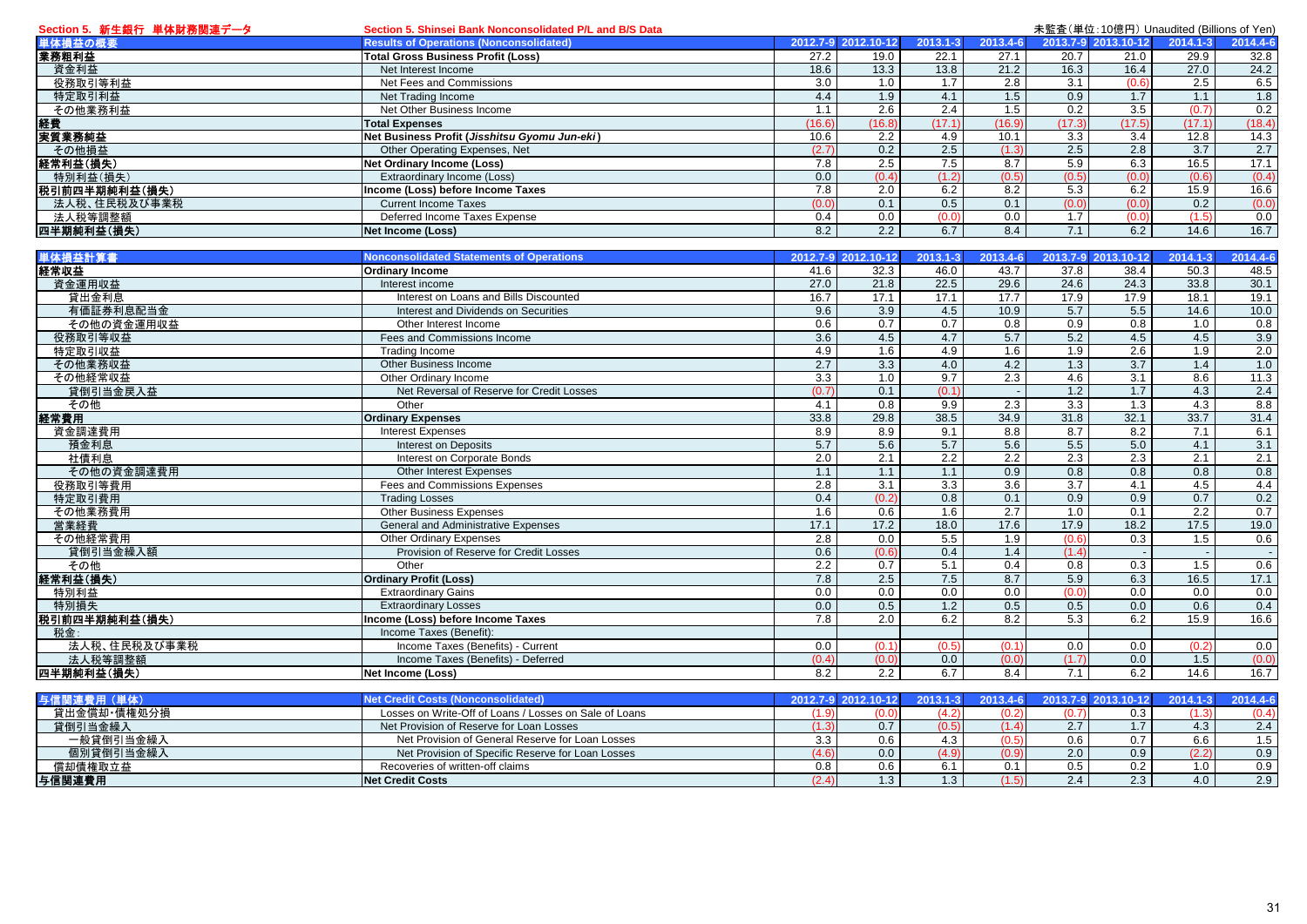| Section 5. 新生銀行 単体財務関連データ | Section 5. Shinsei Bank Nonconsolidated P/L and B/S Data |        |                     |                  |                  |                  |                     | 未監査(単位: 10億円) Unaudited (Billions of Yen) |          |
|---------------------------|----------------------------------------------------------|--------|---------------------|------------------|------------------|------------------|---------------------|-------------------------------------------|----------|
| 単体損益の概要                   | <b>Results of Operations (Nonconsolidated)</b>           |        | 2012.7-9 2012.10-12 | $2013.1 - 3$     | 2013.4-6         |                  | 2013.7-9 2013.10-12 | $2014.1 - 3$                              | 2014.4-6 |
| 業務粗利益                     | <b>Total Gross Business Profit (Loss)</b>                | 27.2   | 19.0                | 22.1             | 27.1             | 20.7             | 21.0                | 29.9                                      | 32.8     |
| 資金利益                      | Net Interest Income                                      | 18.6   | 13.3                | 13.8             | 21.2             | 16.3             | 16.4                | $\overline{27.0}$                         | 24.2     |
| 役務取引等利益                   | Net Fees and Commissions                                 | 3.0    | 1.0                 | 1.7              | 2.8              | 3.1              | (0.6)               | 2.5                                       | 6.5      |
| 特定取引利益                    | Net Trading Income                                       | 4.4    | 1.9                 | 4.1              | 1.5              | 0.9              | 1.7                 | 1.1                                       | 1.8      |
| その他業務利益                   | Net Other Business Income                                | 1.1    | 2.6                 | 2.4              | 1.5              | 0.2              | 3.5                 | (0.7)                                     | 0.2      |
| 経費                        | <b>Total Expenses</b>                                    | (16.6) | (16.8)              | (17.1)           | (16.9)           | (17.3)           | (17.5)              | (17.1)                                    | (18.4)   |
| 実質業務純益                    | Net Business Profit (Jisshitsu Gyomu Jun-eki)            | 10.6   | 2.2                 | 4.9              | 10.1             | 3.3              | 3.4                 | 12.8                                      | 14.3     |
| その他損益                     | Other Operating Expenses, Net                            | (2.7)  | 0.2                 | 2.5              | (1.3)            | 2.5              | 2.8                 | 3.7                                       | 2.7      |
| 経常利益(損失)                  | <b>Net Ordinary Income (Loss)</b>                        | 7.8    | 2.5                 | 7.5              | 8.7              | 5.9              | 6.3                 | 16.5                                      | 17.1     |
| 特別利益(損失)                  | Extraordinary Income (Loss)                              | 0.0    | (0.4)               | (1.2)            | (0.5)            | (0.5)            | (0.0)               | (0.6)                                     | (0.4)    |
| 税引前四半期純利益(損失)             | Income (Loss) before Income Taxes                        | 7.8    | 2.0                 | 6.2              | 8.2              | 5.3              | 6.2                 | 15.9                                      | 16.6     |
| 法人税、住民税及び事業税              | <b>Current Income Taxes</b>                              | (0.0)  | 0.1                 | 0.5              | 0.1              | (0.0)            | (0.0)               | 0.2                                       | (0.0)    |
| 法人税等調整額                   | Deferred Income Taxes Expense                            | 0.4    | 0.0                 | (0.0)            | 0.0              | 1.7              | (0.0)               | (1.5)                                     | 0.0      |
| 四半期純利益(損失)                | <b>Net Income (Loss)</b>                                 | 8.2    | 2.2                 | 6.7              | 8.4              | 7.1              | 6.2                 | 14.6                                      | 16.7     |
|                           |                                                          |        |                     |                  |                  |                  |                     |                                           |          |
| 単体損益計算書                   | <b>Nonconsolidated Statements of Operations</b>          |        | 2012.7-9 2012.10-12 | $2013.1 - 3$     | 2013.4-6         |                  | 2013.7-9 2013.10-12 | 2014.1-3                                  | 2014.4-6 |
| 経常収益                      | <b>Ordinary Income</b>                                   | 41.6   | 32.3                | 46.0             | 43.7             | 37.8             | 38.4                | 50.3                                      | 48.5     |
| 資金運用収益                    | Interest income                                          | 27.0   | 21.8                | 22.5             | 29.6             | 24.6             | 24.3                | 33.8                                      | 30.1     |
| 貸出金利息                     | Interest on Loans and Bills Discounted                   | 16.7   | 17.1                | 17.1             | 17.7             | 17.9             | 17.9                | 18.1                                      | 19.1     |
| 有価証券利息配当金                 | Interest and Dividends on Securities                     | 9.6    | 3.9                 | 4.5              | 10.9             | 5.7              | 5.5                 | 14.6                                      | 10.0     |
| その他の資金運用収益                | Other Interest Income                                    | 0.6    | 0.7                 | 0.7              | 0.8              | 0.9              | 0.8                 | 1.0                                       | 0.8      |
| 役務取引等収益                   | Fees and Commissions Income                              | 3.6    | 4.5                 | 4.7              | 5.7              | 5.2              | 4.5                 | 4.5                                       | 3.9      |
| 特定取引収益                    | Trading Income                                           | 4.9    | 1.6                 | 4.9              | 1.6              | 1.9              | 2.6                 | 1.9                                       | 2.0      |
| その他業務収益                   | Other Business Income                                    | 2.7    | 3.3                 | 4.0              | 4.2              | 1.3              | 3.7                 | 1.4                                       | 1.0      |
| その他経常収益                   | Other Ordinary Income                                    | 3.3    | 1.0                 | 9.7              | 2.3              | 4.6              | 3.1                 | 8.6                                       | 11.3     |
| 貸倒引当金戻入益                  | Net Reversal of Reserve for Credit Losses                | (0.7)  | 0.1                 | (0.1)            | $\sim$           | 1.2              | 1.7                 | 4.3                                       | 2.4      |
| その他                       | Other                                                    | 4.1    | 0.8                 | 9.9              | 2.3              | 3.3              | 1.3                 | 4.3                                       | 8.8      |
| 経常費用                      | <b>Ordinary Expenses</b>                                 | 33.8   | 29.8                | 38.5             | 34.9             | 31.8             | 32.1                | 33.7                                      | 31.4     |
| 資金調達費用                    | <b>Interest Expenses</b>                                 | 8.9    | 8.9                 | 9.1              | 8.8              | 8.7              | 8.2                 | 7.1                                       | 6.1      |
| 預金利息                      | <b>Interest on Deposits</b>                              | 5.7    | 5.6                 | 5.7              | 5.6              | 5.5              | 5.0                 | 4.1                                       | 3.1      |
| 社債利息                      | Interest on Corporate Bonds                              | 2.0    | 2.1                 | 2.2              | 2.2              | 2.3              | 2.3                 | 2.1                                       | 2.1      |
| その他の資金調達費用                | Other Interest Expenses                                  | 1.1    | 1.1                 | 1.1              | 0.9              | 0.8              | 0.8                 | 0.8                                       | 0.8      |
| 役務取引等費用                   | Fees and Commissions Expenses                            | 2.8    | 3.1                 | $\overline{3.3}$ | $\overline{3.6}$ | $\overline{3.7}$ | 4.1                 | 4.5                                       | 4.4      |
| 特定取引費用                    | <b>Trading Losses</b>                                    | 0.4    | (0.2)               | 0.8              | 0.1              | 0.9              | 0.9                 | 0.7                                       | 0.2      |
| その他業務費用                   | <b>Other Business Expenses</b>                           | 1.6    | 0.6                 | 1.6              | 2.7              | 1.0              | 0.1                 | 2.2                                       | 0.7      |
| 営業経費                      | General and Administrative Expenses                      | 17.1   | 17.2                | 18.0             | 17.6             | 17.9             | 18.2                | 17.5                                      | 19.0     |
| その他経常費用                   | <b>Other Ordinary Expenses</b>                           | 2.8    | 0.0                 | 5.5              | 1.9              | (0.6)            | 0.3                 | 1.5                                       | 0.6      |
| 貸倒引当金繰入額                  | Provision of Reserve for Credit Losses                   | 0.6    | (0.6)               | 0.4              | 1.4              | (1.4)            |                     |                                           | $\sim$   |
| その他                       | Other                                                    | 2.2    | 0.7                 | 5.1              | 0.4              | 0.8              | 0.3                 | 1.5                                       | 0.6      |
| 経常利益(損失)                  | <b>Ordinary Profit (Loss)</b>                            | 7.8    | 2.5                 | 7.5              | 8.7              | 5.9              | 6.3                 | 16.5                                      | 17.1     |
| 特別利益                      | <b>Extraordinary Gains</b>                               | 0.0    | 0.0                 | 0.0              | 0.0              | (0.0)            | 0.0                 | 0.0                                       | 0.0      |
| 特別損失                      | <b>Extraordinary Losses</b>                              | 0.0    | 0.5                 | 1.2              | 0.5              | 0.5              | 0.0                 | 0.6                                       | 0.4      |
| 税引前四半期純利益(損失)             | Income (Loss) before Income Taxes                        | 7.8    | 2.0                 | 6.2              | 8.2              | 5.3              | 6.2                 | 15.9                                      | 16.6     |
| 税金:                       | Income Taxes (Benefit):                                  |        |                     |                  |                  |                  |                     |                                           |          |
| 法人税、住民税及び事業税              | Income Taxes (Benefits) - Current                        | 0.0    | (0.1)               | (0.5)            | (0.1)            | 0.0              | 0.0                 | (0.2)                                     | 0.0      |
| 法人税等調整額                   | Income Taxes (Benefits) - Deferred                       | (0.4)  | (0.0)               | 0.0              | (0.0)            | (1.7)            | 0.0                 | 1.5                                       | (0.0)    |
| 四半期純利益(損失)                | Net Income (Loss)                                        | 8.2    | 2.2                 | 6.7              | 8.4              | 7.1              | 6.2                 | 14.6                                      | 16.7     |
|                           |                                                          |        |                     |                  |                  |                  |                     |                                           |          |
| 与信関連費用 (単体)               | <b>Net Credit Costs (Nonconsolidated)</b>                |        | 2012.7-9 2012.10-12 | $2013.1 - 3$     | 2013.4-6         |                  | 2013.7-9 2013.10-12 | $2014.1 - 3$                              | 2014.4-6 |
| 貸出金償却·債権処分損               | Losses on Write-Off of Loans / Losses on Sale of Loans   | (1.9)  | (0.0)               | (4.2)            | (0.2)            | (0.7)            | 0.3                 | (1.3)                                     | (0.4)    |
| 貸倒引当金繰入                   | Net Provision of Reserve for Loan Losses                 | (1.3)  | 0.7                 | (0.5)            | (1.4)            | 2.7              | 1.7                 | 4.3                                       | 2.4      |
| 一般貸倒引当金繰入                 | Net Provision of General Reserve for Loan Losses         | 3.3    | 0.6                 | 4.3              | (0.5)            | 0.6              | 0.7                 | 6.6                                       | 1.5      |
| 個別貸倒引当金繰入                 | Net Provision of Specific Reserve for Loan Losses        | (4.6)  | 0.0                 | (4.9)            | (0.9)            | 2.0              | 0.9                 | (2.2)                                     | 0.9      |
| 償却債権取立益                   | Recoveries of written-off claims                         | 0.8    | 0.6                 | 6.1              | 0.1              | 0.5              | 0.2                 | 1.0                                       | 0.9      |
| 与信閣連書用                    | <b>Net Credit Costs</b>                                  | (2.4)  | 1.3                 | 1.3              | (1.5)            | 2.4              | 2.3                 | 4.0                                       | 2.9      |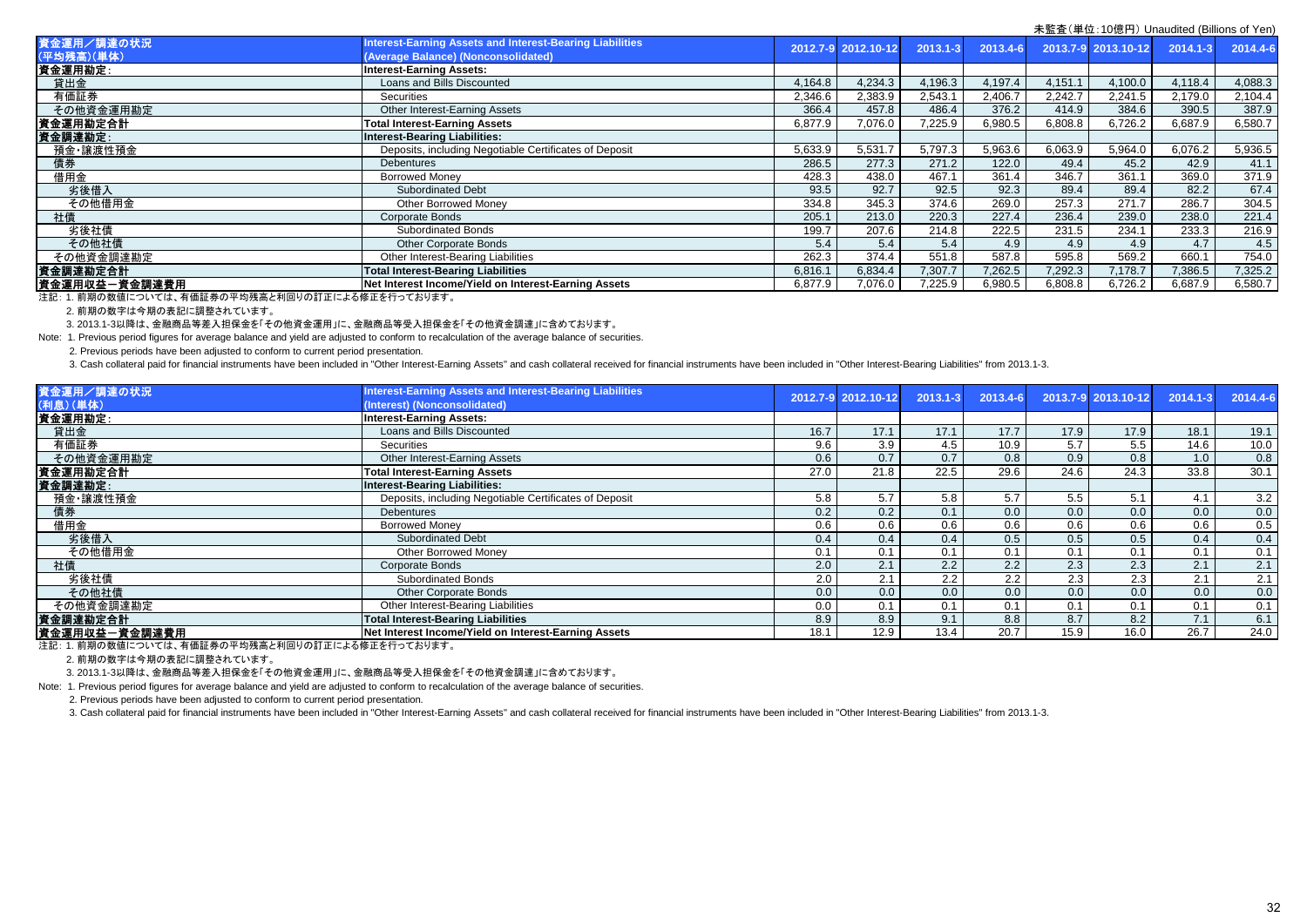| 資金運用/調達の状況            | <b>Interest-Earning Assets and Interest-Bearing Liabilities</b> |         | 2012.7-9 2012.10-12 | $2013.1 - 3$ | 2013.4-6 |         | 2013.7-9 2013.10-12 | $2014.1 - 3$ | 2014.4-6 |
|-----------------------|-----------------------------------------------------------------|---------|---------------------|--------------|----------|---------|---------------------|--------------|----------|
| (平均残高)(単体)            | (Average Balance) (Nonconsolidated)                             |         |                     |              |          |         |                     |              |          |
| 資金運用勘定:               | <b>Interest-Earning Assets:</b>                                 |         |                     |              |          |         |                     |              |          |
| 貸出金                   | Loans and Bills Discounted                                      | 4,164.8 | 4,234.3             | 4,196.3      | 4,197.4  | 4,151.1 | 4,100.0             | 4,118.4      | 4,088.3  |
| 有価証券                  | Securities                                                      | 2,346.6 | 2,383.9             | 2,543.1      | 2,406.7  | 2,242.7 | 2,241.5             | 2,179.0      | 2,104.4  |
| その他資金運用勘定             | Other Interest-Earning Assets                                   | 366.4   | 457.8               | 486.4        | 376.2    | 414.9   | 384.6               | 390.5        | 387.9    |
| 資金運用勘定合計              | <b>Total Interest-Earning Assets</b>                            | 6,877.9 | 7,076.0             | 225.9        | 6,980.5  | 6,808.8 | 6,726.2             | 6,687.9      | 6,580.7  |
| 資金調達勘定:               | <b>Interest-Bearing Liabilities:</b>                            |         |                     |              |          |         |                     |              |          |
| 預金·讓渡性預金              | Deposits, including Negotiable Certificates of Deposit          | 5,633.9 | 5,531.7             | 5,797.3      | 5,963.6  | 6,063.9 | 5,964.0             | 6,076.2      | 5,936.5  |
| 債券                    | Debentures                                                      | 286.5   | 277.3               | 271.2        | 122.0    | 49.4    | 45.2                | 42.9         | 41.1     |
| 借用金                   | <b>Borrowed Monev</b>                                           | 428.3   | 438.0               | 467.1        | 361.4    | 346.7   | 361.1               | 369.0        | 371.9    |
| 劣後借入                  | <b>Subordinated Debt</b>                                        | 93.5    | 92.7                | 92.5         | 92.3     | 89.4    | 89.4                | 82.2         | 67.4     |
| その他借用金                | Other Borrowed Money                                            | 334.8   | 345.3               | 374.6        | 269.0    | 257.3   | 271.7               | 286.7        | 304.5    |
| 社債                    | Corporate Bonds                                                 | 205.1   | 213.0               | 220.3        | 227.4    | 236.4   | 239.0               | 238.0        | 221.4    |
| 劣後社債                  | Subordinated Bonds                                              | 199.7   | 207.6               | 214.8        | 222.5    | 231.5   | 234.1               | 233.3        | 216.9    |
| その他社債                 | <b>Other Corporate Bonds</b>                                    | 5.4     | 5.4                 | 5.4          | 4.9      | 4.9     | 4.9                 | 4.7          | 4.5      |
| その他資金調達勘定             | Other Interest-Bearing Liabilities                              | 262.3   | 374.4               | 551.8        | 587.8    | 595.8   | 569.2               | 660.1        | 754.0    |
| 資金調達勘定合計              | <b>Total Interest-Bearing Liabilities</b>                       | 6,816.1 | 6,834.4             | 7,307.7      | 7,262.5  | 7,292.3 | 7,178.7             | 7,386.5      | 7,325.2  |
| <b> 資金運用収益一資金調達費用</b> | Net Interest Income/Yield on Interest-Earning Assets            | 6.877.9 | 7,076.0             | 7.225.9      | 6,980.5  | 6,808.8 | 6,726.2             | 6,687.9      | 6,580.7  |

注記: 1. 前期の数値については、有価証券の平均残高と利回りの訂正による修正を行っております。

2. 前期の数字は今期の表記に調整されています。

3. 2013.1-3以降は、金融商品等差入担保金を「その他資金運用」に、金融商品等受入担保金を「その他資金調達」に含めております。

Note: 1. Previous period figures for average balance and yield are adjusted to conform to recalculation of the average balance of securities.

2. Previous periods have been adjusted to conform to current period presentation.

3. Cash collateral paid for financial instruments have been included in "Other Interest-Earning Assets" and cash collateral received for financial instruments have been included in "Other Interest-Bearing Liabilities" from

| 資金運用/調達の状況<br>(利息)(単体) | <b>Interest-Earning Assets and Interest-Bearing Liabilities</b><br>(Interest) (Nonconsolidated) |      | 2012.7-9 2012.10-12 | $2013.1 - 3$ | 2013.4-6 |      | 2013.7-9 2013.10-12 | $2014.1 - 3$ | 2014.4-6 |
|------------------------|-------------------------------------------------------------------------------------------------|------|---------------------|--------------|----------|------|---------------------|--------------|----------|
| 資金運用勘定:                | <b>Interest-Earning Assets:</b>                                                                 |      |                     |              |          |      |                     |              |          |
| 貸出金                    | Loans and Bills Discounted                                                                      | 16.7 | 17.1                | 17.1         | 17.7     | 17.9 | 17.9                | 18.1         | 19.1     |
| 有価証券                   | Securities                                                                                      | 9.6  | 3.9                 | 4.5          | 10.9     | 5.7  | 5.5                 | 14.6         | 10.0     |
| その他資金運用勘定              | Other Interest-Earning Assets                                                                   | 0.6  | 0.7                 | 0.7          | 0.8      | 0.9  | 0.8                 | 1.0          | 0.8      |
| 資金運用勘定合計               | <b>Total Interest-Earning Assets</b>                                                            | 27.0 | 21.8                | 22.5         | 29.6     | 24.6 | 24.3                | 33.8         | 30.1     |
| 資金調達勘定:                | <b>Interest-Bearing Liabilities:</b>                                                            |      |                     |              |          |      |                     |              |          |
| 預金·讓渡性預金               | Deposits, including Negotiable Certificates of Deposit                                          | 5.8  | 5.7                 | 5.8          | 5.7      | 5.5  | 5.1                 | 4.1          | 3.2      |
| 債券                     | <b>Debentures</b>                                                                               | 0.2  | 0.2                 | 0.1          | 0.0      | 0.0  | 0.0                 | 0.0          | 0.0      |
| 借用金                    | <b>Borrowed Money</b>                                                                           | 0.6  | 0.6                 | 0.6          | 0.6      | 0.6  | 0.6                 | 0.6          | 0.5      |
| 劣後借入                   | <b>Subordinated Debt</b>                                                                        | 0.4  | 0.4                 | 0.4          | 0.5      | 0.5  | 0.5                 | 0.4          | 0.4      |
| その他借用金                 | <b>Other Borrowed Money</b>                                                                     | 0.1  | 0.1                 | 0.1          | 0.1      | 0.1  | 0.1                 | 0.1          | 0.1      |
| 社債                     | Corporate Bonds                                                                                 | 2.0  | 2.1                 | 2.2          | 2.2      | 2.3  | 2.3                 | 2.1          | 2.1      |
| 劣後社債                   | <b>Subordinated Bonds</b>                                                                       | 2.0  | 2.1                 | 2.2          | 2.2      | 2.3  | 2.3                 | 2.1          | 2.1      |
| その他社債                  | <b>Other Corporate Bonds</b>                                                                    | 0.0  | 0.0                 | 0.0          | 0.0      | 0.0  | 0.0                 | 0.0          | 0.0      |
| その他資金調達勘定              | Other Interest-Bearing Liabilities                                                              | 0.0  | 0.1                 | 0.1          | 0.1      | 0.1  | 0.1                 | 0.1          | 0.1      |
| 資金調達勘定合計               | <b>Total Interest-Bearing Liabilities</b>                                                       | 8.9  | 8.9                 | 9.1          | 8.8      | 8.7  | 8.2                 | 7.1          | 6.1      |
| 資金運用収益一資金調達費用          | Net Interest Income/Yield on Interest-Earning Assets                                            | 18.1 | 12.9                | 13.4         | 20.7     | 15.9 | 16.0                | 26.7         | 24.0     |

注記: 1. 前期の数値については、有価証券の平均残高と利回りの訂正による修正を行っております。

2. 前期の数字は今期の表記に調整されています。

3. 2013.1-3以降は、金融商品等差入担保金を「その他資金運用」に、金融商品等受入担保金を「その他資金調達」に含めております。

Note: 1. Previous period figures for average balance and yield are adjusted to conform to recalculation of the average balance of securities.

2. Previous periods have been adjusted to conform to current period presentation.

3. Cash collateral paid for financial instruments have been included in "Other Interest-Earning Assets" and cash collateral received for financial instruments have been included in "Other Interest-Bearing Liabilities" from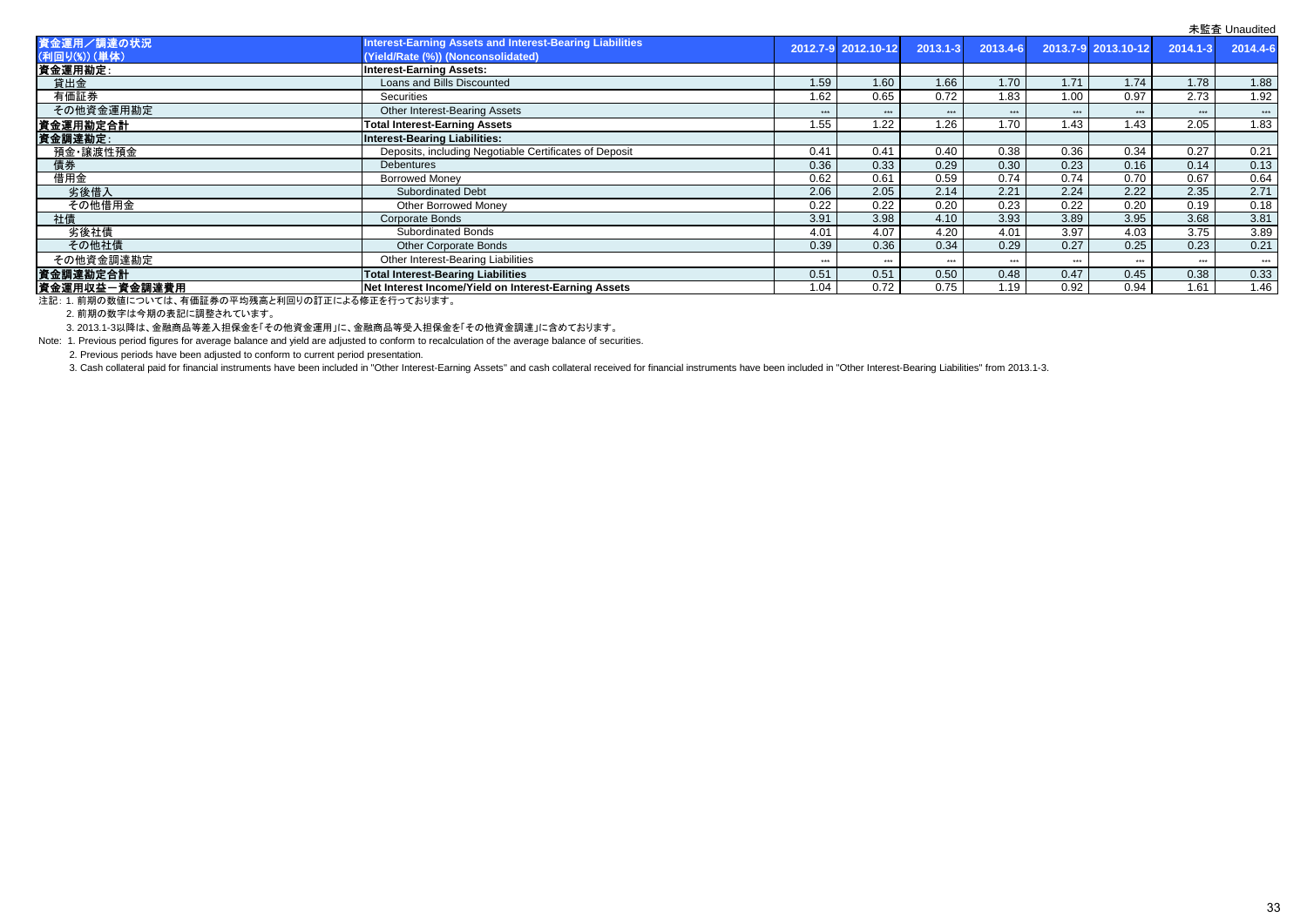|                             |                                                                                                |              |                     |              |          |      |                     |              | $\frac{1}{2}$ |
|-----------------------------|------------------------------------------------------------------------------------------------|--------------|---------------------|--------------|----------|------|---------------------|--------------|---------------|
| 資金運用/調達の状況<br>(利回り(%)) (単体) | Interest-Earning Assets and Interest-Bearing Liabilities<br>(Yield/Rate (%)) (Nonconsolidated) |              | 2012.7-9 2012.10-12 | $2013.1 - 3$ | 2013.4-6 |      | 2013.7-9 2013.10-12 | $2014.1 - 3$ | 2014.4-6      |
| 資金運用勘定:                     | <b>Interest-Earning Assets:</b>                                                                |              |                     |              |          |      |                     |              |               |
| 貸出金                         | Loans and Bills Discounted                                                                     | 1.59         | 1.60                | 1.66         | 1.70     | 1.71 | 1.74                | 1.78         | 1.88          |
| 有価証券                        | Securities                                                                                     | 1.62         | 0.65                | 0.72         | 1.83     | 1.00 | 0.97                | 2.73         | 1.92          |
| その他資金運用勘定                   | Other Interest-Bearing Assets                                                                  | ***          | ***                 | ***          | $***$    | ***  | ***                 | ***          | $***$         |
| 資金運用勘定合計                    | <b>Total Interest-Earning Assets</b>                                                           | 1.55         | 1.22                | 1.26         | 1.70     | 1.43 | 1.43                | 2.05         | 1.83          |
| 資金調達勘定:                     | <b>Interest-Bearing Liabilities:</b>                                                           |              |                     |              |          |      |                     |              |               |
| 預金·讓渡性預金                    | Deposits, including Negotiable Certificates of Deposit                                         | 0.41         | 0.41                | 0.40         | 0.38     | 0.36 | 0.34                | 0.27         | 0.21          |
| 債券                          | <b>Debentures</b>                                                                              | 0.36         | 0.33                | 0.29         | 0.30     | 0.23 | 0.16                | 0.14         | 0.13          |
| 借用金                         | <b>Borrowed Money</b>                                                                          | 0.62         | 0.61                | 0.59         | 0.74     | 0.74 | 0.70                | 0.67         | 0.64          |
| 劣後借入                        | <b>Subordinated Debt</b>                                                                       | 2.06         | 2.05                | 2.14         | 2.21     | 2.24 | 2.22                | 2.35         | 2.71          |
| その他借用金                      | Other Borrowed Money                                                                           | 0.22         | 0.22                | 0.20         | 0.23     | 0.22 | 0.20                | 0.19         | 0.18          |
| 社債                          | Corporate Bonds                                                                                | 3.91         | 3.98                | 4.10         | 3.93     | 3.89 | 3.95                | 3.68         | 3.81          |
| 劣後社債                        | Subordinated Bonds                                                                             | 4.01         | 4.07                | 4.20         | 4.01     | 3.97 | 4.03                | 3.75         | 3.89          |
| その他社債                       | <b>Other Corporate Bonds</b>                                                                   | 0.39         | 0.36                | 0.34         | 0.29     | 0.27 | 0.25                | 0.23         | 0.21          |
| その他資金調達勘定                   | Other Interest-Bearing Liabilities                                                             | <b>Ardra</b> | $***$               | $***$        |          | ***  |                     | ***          | $***$         |
| 資金調達勘定合計                    | <b>Total Interest-Bearing Liabilities</b>                                                      | 0.51         | 0.51                | 0.50         | 0.48     | 0.47 | 0.45                | 0.38         | 0.33          |
| 資金運用収益一資金調達費用               | Net Interest Income/Yield on Interest-Earning Assets                                           | 1.04         | 0.72                | 0.75         | 1.19     | 0.92 | 0.94                | 1.61         | 1.46          |

注記: 1. 前期の数値については、有価証券の平均残高と利回りの訂正による修正を行っております。

2. 前期の数字は今期の表記に調整されています。

3. 2013.1-3以降は、金融商品等差入担保金を「その他資金運用」に、金融商品等受入担保金を「その他資金調達」に含めております。

Note: 1. Previous period figures for average balance and yield are adjusted to conform to recalculation of the average balance of securities.

2. Previous periods have been adjusted to conform to current period presentation.

3. Cash collateral paid for financial instruments have been included in "Other Interest-Earning Assets" and cash collateral received for financial instruments have been included in "Other Interest-Bearing Liabilities" from

未監査 Unaudited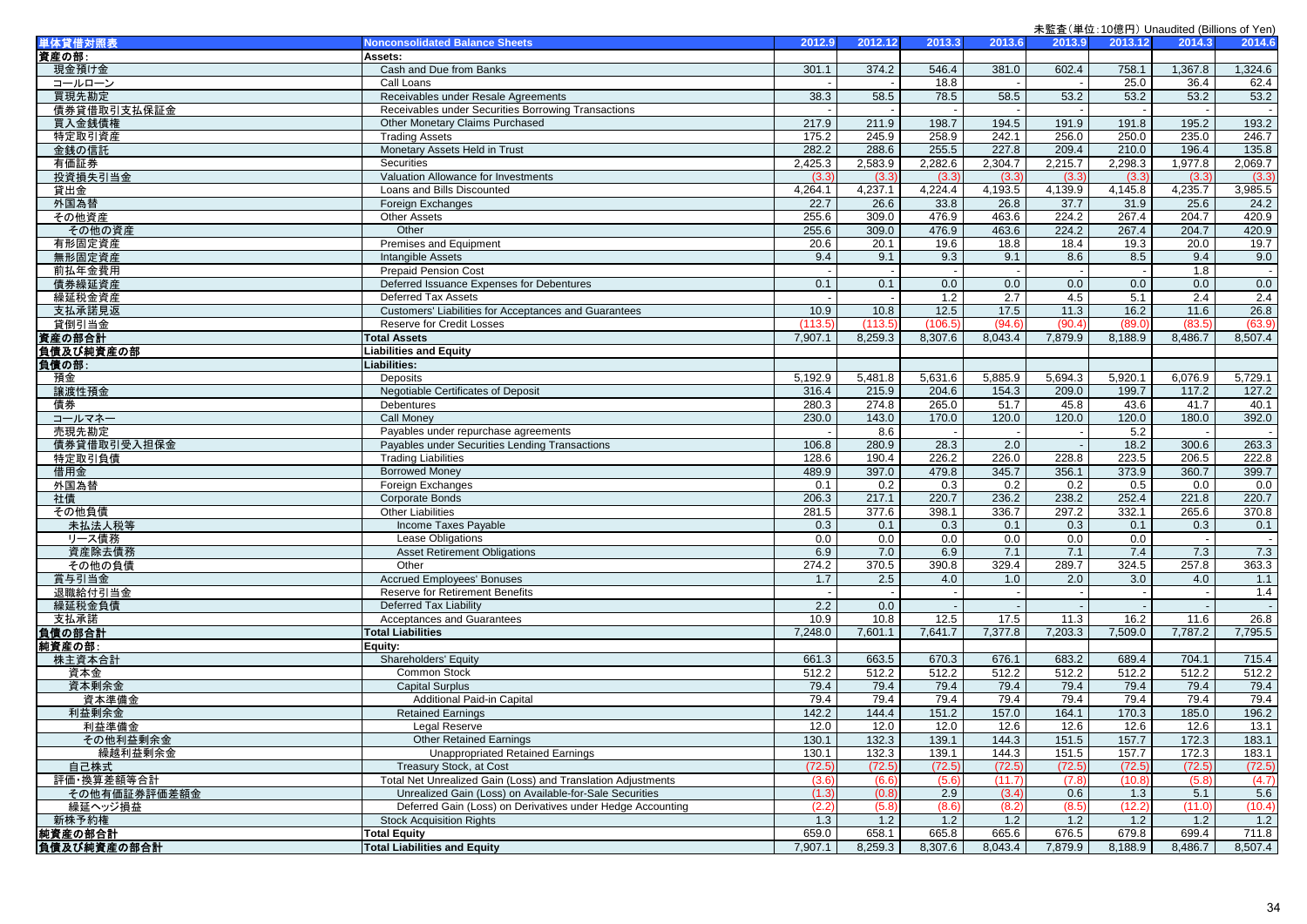| 単体貸借対照表      | <b>Nonconsolidated Balance Sheets</b>                        | 2012.9  | 2012.12 | 2013.3  | 2013.6  | 2013.9  | 2013.12 | 2014.3  | 2014.6     |
|--------------|--------------------------------------------------------------|---------|---------|---------|---------|---------|---------|---------|------------|
| 資産の部:        | Assets:                                                      |         |         |         |         |         |         |         |            |
| 現金預け金        | Cash and Due from Banks                                      | 301.1   | 374.2   | 546.4   | 381.0   | 602.4   | 758.1   | 1,367.8 | 1,324.6    |
| コールローン       | Call Loans                                                   |         |         | 18.8    |         |         | 25.0    | 36.4    | 62.4       |
| 買現先勘定        | Receivables under Resale Agreements                          | 38.3    | 58.5    | 78.5    | 58.5    | 53.2    | 53.2    | 53.2    | 53.2       |
| 債券貸借取引支払保証金  | Receivables under Securities Borrowing Transactions          |         |         |         |         |         |         |         |            |
| 買入金銭債権       | Other Monetary Claims Purchased                              | 217.9   | 211.9   | 198.7   | 194.5   | 191.9   | 191.8   | 195.2   | 193.2      |
|              |                                                              |         |         |         |         |         |         |         |            |
| 特定取引資産       | <b>Trading Assets</b>                                        | 175.2   | 245.9   | 258.9   | 242.1   | 256.0   | 250.0   | 235.0   | 246.7      |
| 金銭の信託        | Monetary Assets Held in Trust                                | 282.2   | 288.6   | 255.5   | 227.8   | 209.4   | 210.0   | 196.4   | 135.8      |
| 有価証券         | Securities                                                   | 2,425.3 | 2,583.9 | 2,282.6 | 2,304.7 | 2,215.7 | 2,298.3 | 1,977.8 | 2,069.7    |
| 投資損失引当金      | Valuation Allowance for Investments                          | (3.3)   | (3.3)   | (3.3)   | (3.3)   | (3.3)   | (3.3)   | (3.3)   | (3.3)      |
| 貸出金          | Loans and Bills Discounted                                   | 4,264.1 | 4,237.1 | 4,224.4 | 4,193.5 | 4,139.9 | 4,145.8 | 4,235.7 | 3,985.5    |
| 外国為替         | Foreign Exchanges                                            | 22.7    | 26.6    | 33.8    | 26.8    | 37.7    | 31.9    | 25.6    | 24.2       |
| その他資産        | <b>Other Assets</b>                                          | 255.6   | 309.0   | 476.9   | 463.6   | 224.2   | 267.4   | 204.7   | 420.9      |
| その他の資産       | Other                                                        | 255.6   | 309.0   | 476.9   | 463.6   | 224.2   | 267.4   | 204.7   | 420.9      |
| 有形固定資産       | Premises and Equipment                                       | 20.6    | 20.1    | 19.6    | 18.8    | 18.4    | 19.3    | 20.0    | 19.7       |
| 無形固定資産       | <b>Intangible Assets</b>                                     | 9.4     | 9.1     | 9.3     | 9.1     | 8.6     | 8.5     | 9.4     | 9.0        |
| 前払年金費用       | <b>Prepaid Pension Cost</b>                                  |         |         |         |         |         |         | 1.8     | $\sim$     |
| 債券繰延資産       | Deferred Issuance Expenses for Debentures                    | 0.1     | 0.1     | 0.0     | 0.0     | 0.0     | 0.0     | 0.0     | 0.0        |
| 繰延税金資産       | <b>Deferred Tax Assets</b>                                   |         |         | 1.2     | 2.7     | 4.5     | 5.1     | 2.4     | 2.4        |
| 支払承諾見返       | Customers' Liabilities for Acceptances and Guarantees        | 10.9    | 10.8    | 12.5    | 17.5    | 11.3    | 16.2    | 11.6    | 26.8       |
| 貸倒引当金        | <b>Reserve for Credit Losses</b>                             | (113.5) | (113.5) | (106.5) | (94.6)  | (90.4)  | (89.0)  | (83.5)  | (63.9)     |
| 資産の部合計       | <b>Total Assets</b>                                          | 7,907.1 | 8,259.3 | 8,307.6 | 8,043.4 | 7,879.9 | 8,188.9 | 8,486.7 | 8,507.4    |
| 負債及び純資産の部    | <b>Liabilities and Equity</b>                                |         |         |         |         |         |         |         |            |
| 負債の部:        | <b>Liabilities:</b>                                          |         |         |         |         |         |         |         |            |
| 預金           | Deposits                                                     | 5,192.9 | 5,481.8 | 5,631.6 | 5,885.9 | 5,694.3 | 5,920.1 | 6,076.9 | 5,729.1    |
| 讓渡性預金        | Negotiable Certificates of Deposit                           | 316.4   | 215.9   | 204.6   | 154.3   | 209.0   | 199.7   | 117.2   | 127.2      |
| 債券           | Debentures                                                   | 280.3   | 274.8   | 265.0   | 51.7    | 45.8    | 43.6    | 41.7    | 40.1       |
| コールマネー       | <b>Call Money</b>                                            | 230.0   | 143.0   | 170.0   | 120.0   | 120.0   | 120.0   | 180.0   | 392.0      |
| 売現先勘定        | Payables under repurchase agreements                         |         | 8.6     |         |         |         | 5.2     |         |            |
| 債券貸借取引受入担保金  |                                                              | 106.8   | 280.9   | 28.3    | 2.0     |         | 18.2    | 300.6   | 263.3      |
|              | Payables under Securities Lending Transactions               |         |         |         |         |         |         |         |            |
| 特定取引負債       | <b>Trading Liabilities</b>                                   | 128.6   | 190.4   | 226.2   | 226.0   | 228.8   | 223.5   | 206.5   | 222.8      |
| 借用金          | <b>Borrowed Money</b>                                        | 489.9   | 397.0   | 479.8   | 345.7   | 356.1   | 373.9   | 360.7   | 399.7      |
| 外国為替         | Foreign Exchanges                                            | 0.1     | 0.2     | 0.3     | 0.2     | 0.2     | 0.5     | 0.0     | 0.0        |
| 社債           | <b>Corporate Bonds</b>                                       | 206.3   | 217.1   | 220.7   | 236.2   | 238.2   | 252.4   | 221.8   | 220.7      |
| その他負債        | <b>Other Liabilities</b>                                     | 281.5   | 377.6   | 398.1   | 336.7   | 297.2   | 332.1   | 265.6   | 370.8      |
| 未払法人税等       | Income Taxes Payable                                         | 0.3     | 0.1     | 0.3     | 0.1     | 0.3     | 0.1     | 0.3     | 0.1        |
| リース債務        | <b>Lease Obligations</b>                                     | 0.0     | 0.0     | 0.0     | 0.0     | 0.0     | 0.0     |         | $\sim$ $-$ |
| 資産除去債務       | <b>Asset Retirement Obligations</b>                          | 6.9     | 7.0     | 6.9     | 7.1     | 7.1     | 7.4     | 7.3     | 7.3        |
| その他の負債       | Other                                                        | 274.2   | 370.5   | 390.8   | 329.4   | 289.7   | 324.5   | 257.8   | 363.3      |
| 賞与引当金        | <b>Accrued Employees' Bonuses</b>                            | 1.7     | 2.5     | 4.0     | 1.0     | 2.0     | 3.0     | 4.0     | 1.1        |
| 退職給付引当金      | Reserve for Retirement Benefits                              |         | $\sim$  |         |         |         |         |         | 1.4        |
| 繰延税金負債       | Deferred Tax Liability                                       | 2.2     | 0.0     |         |         |         |         |         | $\sim$     |
| 支払承諾         | Acceptances and Guarantees                                   | 10.9    | 10.8    | 12.5    | 17.5    | 11.3    | 16.2    | 11.6    | 26.8       |
| 負債の部合計       | <b>Total Liabilities</b>                                     | 7,248.0 | 7,601.1 | 7,641.7 | 7,377.8 | 7,203.3 | 7,509.0 | 7,787.2 | 7,795.5    |
| 純資産の部:       | Equity:                                                      |         |         |         |         |         |         |         |            |
| 株主資本合計       | Shareholders' Equity                                         | 661.3   | 663.5   | 670.3   | 676.1   | 683.2   | 689.4   | 704.1   | 715.4      |
| 資本金          | Common Stock                                                 | 512.2   | 512.2   | 512.2   | 512.2   | 512.2   | 512.2   | 512.2   | 512.2      |
| 資本剰余金        | <b>Capital Surplus</b>                                       | 79.4    | 79.4    | 79.4    | 79.4    | 79.4    | 79.4    | 79.4    | 79.4       |
| 資本準備金        | Additional Paid-in Capital                                   | 79.4    | 79.4    | 79.4    | 79.4    | 79.4    | 79.4    | 79.4    | 79.4       |
| 利益剰余金        | <b>Retained Earnings</b>                                     | 142.2   | 144.4   | 151.2   | 157.0   | 164.1   | 170.3   | 185.0   | 196.2      |
| 利益進備金        | Legal Reserve                                                | 12.0    | 12.0    | 12.0    | 12.6    | 12.6    | 12.6    | 12.6    | 13.1       |
|              |                                                              |         |         |         |         |         |         |         |            |
| その他利益剰余金     | <b>Other Retained Earnings</b>                               | 130.1   | 132.3   | 139.1   | 144.3   | 151.5   | 157.7   | 172.3   | 183.1      |
| 繰越利益剰余金      | <b>Unappropriated Retained Earnings</b>                      | 130.1   | 132.3   | 139.1   | 144.3   | 151.5   | 157.7   | 172.3   | 183.1      |
| 自己株式         | Treasury Stock, at Cost                                      | (72.5)  | (72.5)  | (72.5)  | (72.5)  | (72.5)  | (72.5)  | (72.5)  | (72.5)     |
| 評価・換算差額等合計   | Total Net Unrealized Gain (Loss) and Translation Adjustments | (3.6)   | (6.6)   | (5.6)   | (11.7)  | (7.8)   | (10.8)  | (5.8)   | (4.7)      |
| その他有価証券評価差額金 | Unrealized Gain (Loss) on Available-for-Sale Securities      | (1.3)   | (0.8)   | 2.9     | (3.4)   | 0.6     | 1.3     | 5.1     | 5.6        |
| 繰延ヘッジ損益      | Deferred Gain (Loss) on Derivatives under Hedge Accounting   | (2.2)   | (5.8)   | (8.6)   | (8.2)   | (8.5)   | (12.2)  | (11.0)  | (10.4)     |
| 新株予約権        | <b>Stock Acquisition Rights</b>                              | 1.3     | 1.2     | 1.2     | 1.2     | 1.2     | 1.2     | 1.2     | 1.2        |
| 純資産の部合計      | <b>Total Equity</b>                                          | 659.0   | 658.1   | 665.8   | 665.6   | 676.5   | 679.8   | 699.4   | 711.8      |
| 負債及び純資産の部合計  | <b>Total Liabilities and Equity</b>                          | 7,907.1 | 8,259.3 | 8,307.6 | 8,043.4 | 7,879.9 | 8,188.9 | 8,486.7 | 8,507.4    |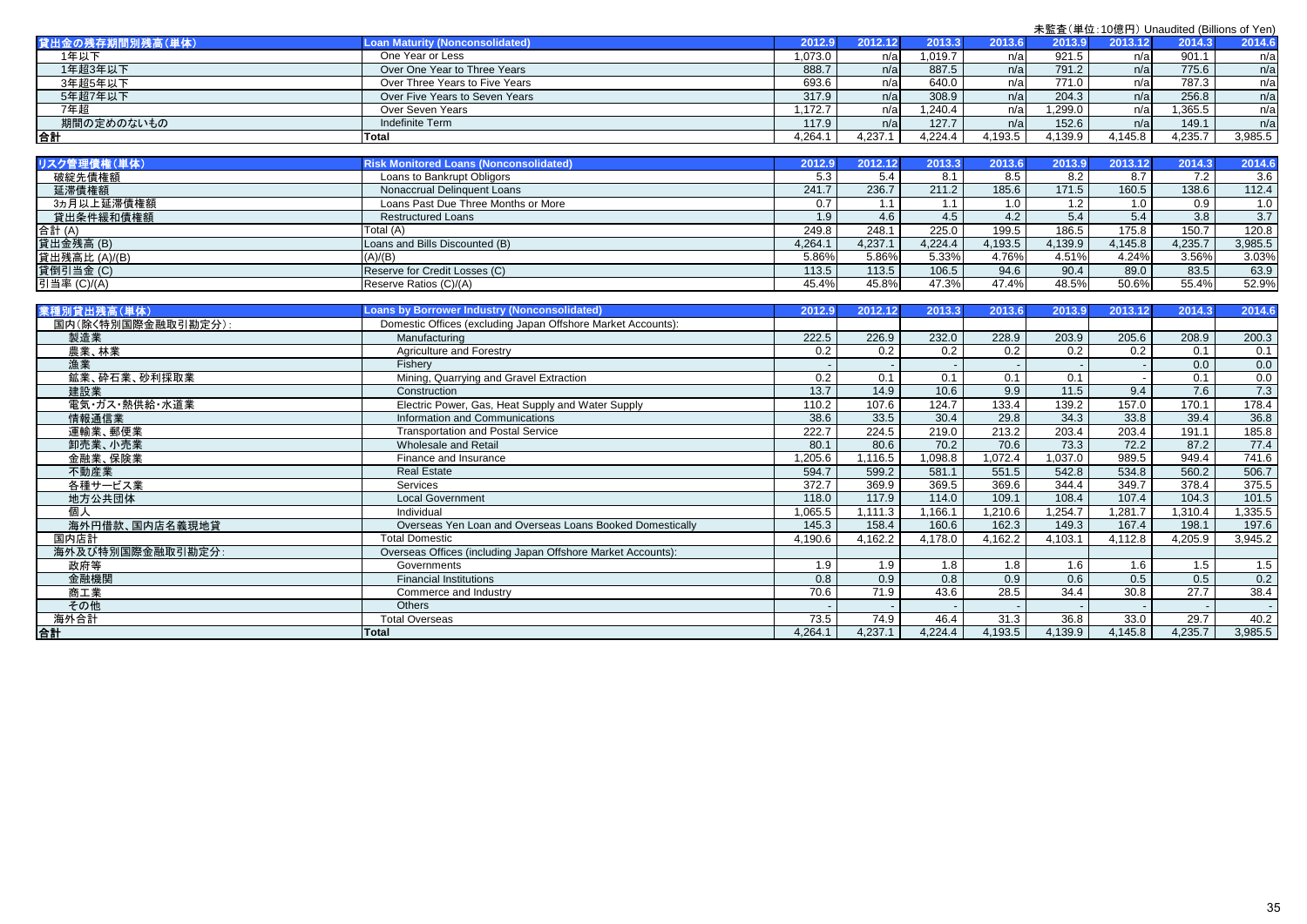|                    |                                                              |         |                  |         |                  |         |                  | 未監査(単位: 10億円) Unaudited (Billions of Yen) |         |
|--------------------|--------------------------------------------------------------|---------|------------------|---------|------------------|---------|------------------|-------------------------------------------|---------|
| 貸出金の残存期間別残高(単体)    | <b>Loan Maturity (Nonconsolidated)</b>                       | 2012.9  | 2012.12          | 2013.3  | 2013.6           | 2013.9  | 2013.12          | 2014.3                                    | 2014.6  |
| 1年以下               | One Year or Less                                             | 1,073.0 | n/a              | 1,019.7 | n/a              | 921.5   | n/a              | 901.1                                     | n/a     |
| 1年超3年以下            | Over One Year to Three Years                                 | 888.7   | n/a              | 887.5   | n/a              | 791.2   | n/a              | 775.6                                     | n/a     |
| 3年超5年以下            | Over Three Years to Five Years                               | 693.6   | n/a              | 640.0   | n/a              | 771.0   | n/a              | 787.3                                     | n/a     |
| 5年超7年以下            | Over Five Years to Seven Years                               | 317.9   | n/a              | 308.9   | n/a              | 204.3   | n/a              | 256.8                                     | n/a     |
| 7年超                | Over Seven Years                                             | 1.172.7 | n/a              | 1.240.4 | n/a              | 1,299.0 | n/a              | 1.365.5                                   | n/a     |
| 期間の定めのないもの         | Indefinite Term                                              | 117.9   | n/a              | 127.7   | n/a              | 152.6   | n/a              | 149.1                                     | n/a     |
| 合計                 | <b>Total</b>                                                 | 4,264.1 | 4,237.1          | 4,224.4 | 4,193.5          | 4,139.9 | 4,145.8          | 4,235.7                                   | 3,985.5 |
|                    |                                                              |         |                  |         |                  |         |                  |                                           |         |
| リスク管理債権(単体)        | <b>Risk Monitored Loans (Nonconsolidated)</b>                | 2012.9  | 2012.12          | 2013.3  | 2013.6           | 2013.9  | 2013.12          | 2014.3                                    | 2014.6  |
| 破綻先債権額             | Loans to Bankrupt Obligors                                   | 5.3     | 5.4              | 8.1     | 8.5              | 8.2     | 8.7              | 7.2                                       | 3.6     |
| 延滞債権額              | Nonaccrual Delinquent Loans                                  | 241.7   | 236.7            | 211.2   | 185.6            | 171.5   | 160.5            | 138.6                                     | 112.4   |
| 3ヵ月以上延滞債権額         | Loans Past Due Three Months or More                          | 0.7     | 1.1              | 1.1     | 1.0              | 1.2     | 1.0              | 0.9                                       | 1.0     |
| 貸出条件緩和債権額          | <b>Restructured Loans</b>                                    | 1.9     | 4.6              | 4.5     | 4.2              | 5.4     | 5.4              | $\overline{3.8}$                          | 3.7     |
| 合計 (A)             | Total (A)                                                    | 249.8   | 248.1            | 225.0   | 199.5            | 186.5   | 175.8            | 150.7                                     | 120.8   |
| 貸出金残高(B)           | Loans and Bills Discounted (B)                               | 4,264.1 | 4,237.1          | 4,224.4 | 4,193.5          | 4,139.9 | 4,145.8          | 4,235.7                                   | 3,985.5 |
| 貸出残高比 (A)/(B)      | (A)/(B)                                                      | 5.86%   | 5.86%            | 5.33%   | 4.76%            | 4.51%   | 4.24%            | 3.56%                                     | 3.03%   |
| 貸倒引当金 (C)          | Reserve for Credit Losses (C)                                | 113.5   | 113.5            | 106.5   | 94.6             | 90.4    | 89.0             | 83.5                                      | 63.9    |
| 引当率 (C)/(A)        | Reserve Ratios (C)/(A)                                       | 45.4%   | 45.8%            | 47.3%   | 47.4%            | 48.5%   | 50.6%            | 55.4%                                     | 52.9%   |
|                    |                                                              |         |                  |         |                  |         |                  |                                           |         |
| 業種別貸出残高(単体)        | <b>Loans by Borrower Industry (Nonconsolidated)</b>          | 2012.9  | 2012.12          | 2013.3  | 2013.6           | 2013.9  | 2013.12          | 2014.3                                    | 2014.6  |
| 国内(除く特別国際金融取引勘定分): | Domestic Offices (excluding Japan Offshore Market Accounts): |         |                  |         |                  |         |                  |                                           |         |
| 製造業                | Manufacturing                                                | 222.5   | 226.9            | 232.0   | 228.9            | 203.9   | 205.6            | 208.9                                     | 200.3   |
| 農業、林業              | Agriculture and Forestry                                     | 0.2     | 0.2              | 0.2     | 0.2              | 0.2     | $\overline{0.2}$ | 0.1                                       | 0.1     |
| 漁業                 | Fisherv                                                      |         |                  |         |                  |         |                  | 0.0                                       | 0.0     |
| 鉱業、砕石業、砂利採取業       | Mining, Quarrying and Gravel Extraction                      | 0.2     | 0.1              | 0.1     | 0.1              | 0.1     |                  | 0.1                                       | 0.0     |
| 建設業                | Construction                                                 | 13.7    | 14.9             | 10.6    | 9.9              | 11.5    | 9.4              | 7.6                                       | 7.3     |
| 電気・ガス・熱供給・水道業      | Electric Power, Gas, Heat Supply and Water Supply            | 110.2   | 107.6            | 124.7   | 133.4            | 139.2   | 157.0            | 170.1                                     | 178.4   |
| 情報通信業              | Information and Communications                               | 38.6    | 33.5             | 30.4    | 29.8             | 34.3    | 33.8             | 39.4                                      | 36.8    |
| 運輸業、郵便業            | <b>Transportation and Postal Service</b>                     | 222.7   | 224.5            | 219.0   | 213.2            | 203.4   | 203.4            | 191.1                                     | 185.8   |
| 卸売業、小売業            | <b>Wholesale and Retail</b>                                  | 80.1    | 80.6             | 70.2    | 70.6             | 73.3    | 72.2             | 87.2                                      | 77.4    |
| 金融業、保険業            | Finance and Insurance                                        | 1,205.6 | 1.116.5          | 1,098.8 | 1,072.4          | 1.037.0 | 989.5            | 949.4                                     | 741.6   |
| 不動産業               | <b>Real Estate</b>                                           | 594.7   | 599.2            | 581.1   | 551.5            | 542.8   | 534.8            | 560.2                                     | 506.7   |
| 各種サービス業            | Services                                                     | 372.7   | 369.9            | 369.5   | 369.6            | 344.4   | 349.7            | 378.4                                     | 375.5   |
| 地方公共団体             | <b>Local Government</b>                                      | 118.0   | 117.9            | 114.0   | 109.1            | 108.4   | 107.4            | 104.3                                     | 101.5   |
| 個人                 | Individual                                                   | 1,065.5 | 1,111.3          | 1.166.1 | 1,210.6          | 1,254.7 | 1,281.7          | 1,310.4                                   | 1,335.5 |
| 海外円借款、国内店名義現地貸     | Overseas Yen Loan and Overseas Loans Booked Domestically     | 145.3   | 158.4            | 160.6   | 162.3            | 149.3   | 167.4            | 198.1                                     | 197.6   |
| 国内店計               | <b>Total Domestic</b>                                        | 4,190.6 | 4.162.2          | 4,178.0 | 4,162.2          | 4,103.1 | 4,112.8          | 4.205.9                                   | 3,945.2 |
| 海外及び特別国際金融取引勘定分:   | Overseas Offices (including Japan Offshore Market Accounts): |         |                  |         |                  |         |                  |                                           |         |
| 政府等                | Governments                                                  | 1.9     | $\overline{1.9}$ | 1.8     | $\overline{1.8}$ | 1.6     | 1.6              | 1.5                                       | 1.5     |
| 金融機関               | <b>Financial Institutions</b>                                | 0.8     | 0.9              | 0.8     | 0.9              | 0.6     | 0.5              | 0.5                                       | 0.2     |
| 商工業                | Commerce and Industry                                        | 70.6    | 71.9             | 43.6    | 28.5             | 34.4    | 30.8             | 27.7                                      | 38.4    |
| その他                | Others                                                       |         |                  |         |                  |         |                  |                                           |         |
| 海外合計               | <b>Total Overseas</b>                                        | 73.5    | 74.9             | 46.4    | 31.3             | 36.8    | 33.0             | 29.7                                      | 40.2    |
| 合計                 | <b>Total</b>                                                 | 4.264.1 | 4.237.1          | 4.224.4 | 4,193.5          | 4.139.9 | 4.145.8          | 4.235.7                                   | 3,985.5 |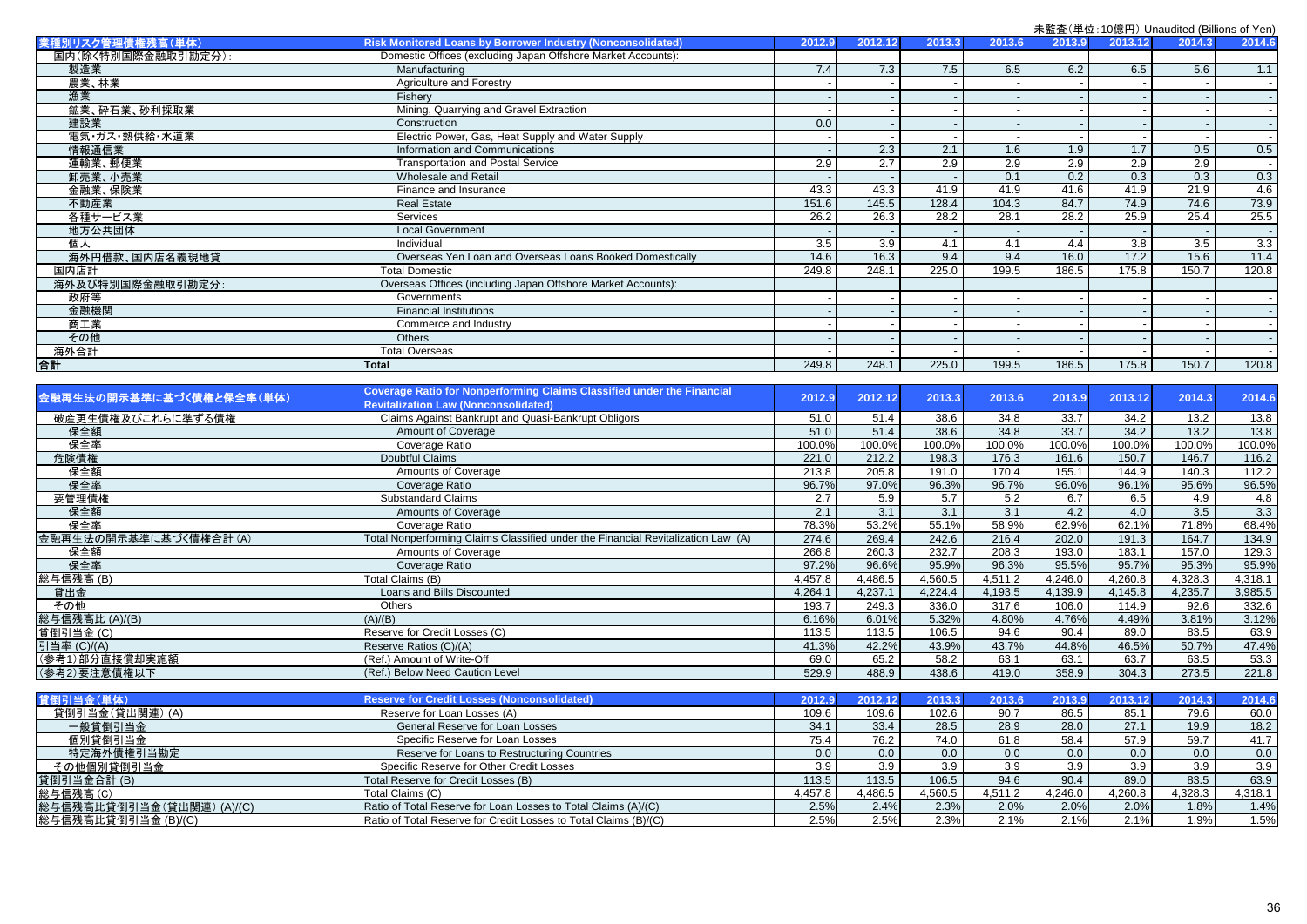|                          |                                                                                  |                  |         |         |         |         | 未監査(単位: 10億円) Unaudited (Billions of Yen) |         |         |
|--------------------------|----------------------------------------------------------------------------------|------------------|---------|---------|---------|---------|-------------------------------------------|---------|---------|
| 業種別リスク管理債権残高(単体)         | Risk Monitored Loans by Borrower Industry (Nonconsolidated)                      | 2012.9           | 2012.12 | 2013.3  | 2013.6  | 2013.9  | 2013.12                                   | 2014.3  | 2014.6  |
| 国内(除く特別国際金融取引勘定分):       | Domestic Offices (excluding Japan Offshore Market Accounts):                     |                  |         |         |         |         |                                           |         |         |
| 製造業                      | Manufacturing                                                                    | 7.4              | 7.3     | 7.5     | 6.5     | 6.2     | 6.5                                       | 5.6     | 1.1     |
| 農業、林業                    | Agriculture and Forestry                                                         |                  |         |         |         |         |                                           |         |         |
| 漁業                       | Fishery                                                                          |                  |         |         |         |         |                                           |         |         |
| 鉱業、砕石業、砂利採取業             | Mining, Quarrying and Gravel Extraction                                          |                  |         |         |         |         |                                           |         |         |
| 建設業                      | Construction                                                                     | 0.0              |         |         |         |         |                                           |         |         |
| 電気・ガス・熱供給・水道業            | Electric Power, Gas, Heat Supply and Water Supply                                |                  |         |         |         |         |                                           |         |         |
| 情報通信業                    | Information and Communications                                                   |                  | 2.3     | 2.1     | 1.6     | 1.9     | 1.7                                       | 0.5     | 0.5     |
| 運輸業、郵便業                  | <b>Transportation and Postal Service</b>                                         | 2.9              | 2.7     | 2.9     | 2.9     | 2.9     | 2.9                                       | 2.9     |         |
| 卸売業、小売業                  | Wholesale and Retail                                                             |                  |         |         | 0.1     | 0.2     | 0.3                                       | 0.3     | 0.3     |
| 金融業、保険業                  | Finance and Insurance                                                            | 43.3             | 43.3    | 41.9    | 41.9    | 41.6    | 41.9                                      | 21.9    | 4.6     |
| 不動産業                     | <b>Real Estate</b>                                                               | 151.6            | 145.5   | 128.4   | 104.3   | 84.7    | 74.9                                      | 74.6    | 73.9    |
| 各種サービス業                  | Services                                                                         | 26.2             | 26.3    | 28.2    | 28.1    | 28.2    | 25.9                                      | 25.4    | 25.5    |
| 地方公共団体                   | <b>Local Government</b>                                                          |                  |         |         |         |         |                                           |         |         |
| 個人                       | Individual                                                                       | 3.5              | 3.9     | 4.1     | 4.1     | 4.4     | 3.8                                       | 3.5     | 3.3     |
| 海外円借款、国内店名義現地貸           | Overseas Yen Loan and Overseas Loans Booked Domestically                         | 14.6             | 16.3    | 9.4     | 9.4     | 16.0    | 17.2                                      | 15.6    | 11.4    |
| 国内店計                     | <b>Total Domestic</b>                                                            | 249.8            | 248.1   | 225.0   | 199.5   | 186.5   | 175.8                                     | 150.7   | 120.8   |
| 海外及び特別国際金融取引勘定分:         | Overseas Offices (including Japan Offshore Market Accounts):                     |                  |         |         |         |         |                                           |         |         |
| 政府等                      | Governments                                                                      |                  |         |         |         |         |                                           |         |         |
| 金融機関                     | <b>Financial Institutions</b>                                                    |                  |         |         |         |         |                                           |         |         |
| 商工業                      | Commerce and Industry                                                            |                  |         |         |         |         |                                           |         |         |
| その他                      | Others                                                                           |                  |         |         |         |         |                                           |         |         |
| 海外合計                     | <b>Total Overseas</b>                                                            |                  |         |         |         |         |                                           |         |         |
| 合計                       | <b>Total</b>                                                                     | 249.8            | 248.1   | 225.0   | 199.5   | 186.5   | 175.8                                     | 150.7   | 120.8   |
|                          |                                                                                  |                  |         |         |         |         |                                           |         |         |
|                          | Coverage Ratio for Nonperforming Claims Classified under the Financial           |                  |         |         |         |         |                                           |         |         |
| 金融再生法の開示基準に基づく債権と保全率(単体) | <b>Revitalization Law (Nonconsolidated)</b>                                      | 2012.9           | 2012.12 | 2013.3  | 2013.6  | 2013.9  | 2013.12                                   | 2014.3  | 2014.6  |
| 破産更生債権及びこれらに準ずる債権        | Claims Against Bankrupt and Quasi-Bankrupt Obligors                              | 51.0             | 51.4    | 38.6    | 34.8    | 33.7    | 34.2                                      | 13.2    | 13.8    |
| 保全額                      | Amount of Coverage                                                               | 51.0             | 51.4    | 38.6    | 34.8    | 33.7    | 34.2                                      | 13.2    | 13.8    |
| 保全率                      | Coverage Ratio                                                                   | 100.0%           | 100.0%  | 100.0%  | 100.0%  | 100.0%  | 100.0%                                    | 100.0%  | 100.0%  |
| 危険債権                     | Doubtful Claims                                                                  | 221.0            | 212.2   | 198.3   | 176.3   | 161.6   | 150.7                                     | 146.7   | 116.2   |
| 保全額                      | Amounts of Coverage                                                              | 213.8            | 205.8   | 191.0   | 170.4   | 155.1   | 144.9                                     | 140.3   | 112.2   |
| 保全率                      | Coverage Ratio                                                                   | 96.7%            | 97.0%   | 96.3%   | 96.7%   | 96.0%   | 96.1%                                     | 95.6%   | 96.5%   |
| 要管理債権                    | <b>Substandard Claims</b>                                                        | $\overline{2.7}$ | 5.9     | 5.7     | 5.2     | 6.7     | 6.5                                       | 4.9     | 4.8     |
| 保全額                      | Amounts of Coverage                                                              | 2.1              | 3.1     | 3.1     | 3.1     | 4.2     | 4.0                                       | 3.5     | 3.3     |
| 保全率                      | Coverage Ratio                                                                   | 78.3%            | 53.2%   | 55.1%   | 58.9%   | 62.9%   | 62.1%                                     | 71.8%   | 68.4%   |
| 金融再生法の開示基準に基づく債権合計(A)    | Total Nonperforming Claims Classified under the Financial Revitalization Law (A) | 274.6            | 269.4   | 242.6   | 216.4   | 202.0   | 191.3                                     | 164.7   | 134.9   |
| 保全額                      | Amounts of Coverage                                                              | 266.8            | 260.3   | 232.7   | 208.3   | 193.0   | 183.1                                     | 157.0   | 129.3   |
| 保全率                      | Coverage Ratio                                                                   | 97.2%            | 96.6%   | 95.9%   | 96.3%   | 95.5%   | 95.7%                                     | 95.3%   | 95.9%   |
| 総与信残高(B)                 | Total Claims (B)                                                                 | 4.457.8          | 4.486.5 | 4.560.5 | 4.511.2 | 4.246.0 | 4.260.8                                   | 4,328.3 | 4.318.1 |
| 貸出金                      | Loans and Bills Discounted                                                       | 4,264.1          | 4,237.1 | 4,224.4 | 4,193.5 | 4,139.9 | 4,145.8                                   | 4,235.7 | 3,985.5 |
| その他                      | Others                                                                           | 193.7            | 249.3   | 336.0   | 317.6   | 106.0   | 114.9                                     | 92.6    | 332.6   |
| 総与信残高比 (A)/(B)           | (A)/(B)                                                                          | 6.16%            | 6.01%   | 5.32%   | 4.80%   | 4.76%   | 4.49%                                     | 3.81%   | 3.12%   |
| 貸倒引当金(C)                 | Reserve for Credit Losses (C)                                                    | 113.5            | 113.5   | 106.5   | 94.6    | 90.4    | 89.0                                      | 83.5    | 63.9    |
| 引当率 (C)/(A)              | Reserve Ratios (C)/(A)                                                           | 41.3%            | 42.2%   | 43.9%   | 43.7%   | 44.8%   | 46.5%                                     | 50.7%   | 47.4%   |
| (参考1)部分直接償却実施額           | (Ref.) Amount of Write-Off                                                       | 69.0             | 65.2    | 58.2    | 63.1    | 63.1    | 63.7                                      | 63.5    | 53.3    |
| (参考2)要注意債権以下             | (Ref.) Below Need Caution Level                                                  | 529.9            | 488.9   | 438.6   | 419.0   | 358.9   | 304.3                                     | 273.5   | 221.8   |
|                          |                                                                                  |                  |         |         |         |         |                                           |         |         |
| 曾倒引当金(单体)                | <b>Reserve for Credit Losses (Nonconsolidated)</b>                               | 2012.9           | 2012.12 | 2013.3  | 2013.6  | 2013.9  | 2013.12                                   | 2014.3  | 2014.6  |
| 貸倒引当金(貸出関連)(A)           | Reserve for Loan Losses (A)                                                      | 109.6            | 109.6   | 102.6   | 90.7    | 86.5    | 85.1                                      | 79.6    | 60.0    |
| 一般貸倒引当金                  | General Reserve for Loan Losses                                                  | 34.1             | 33.4    | 28.5    | 28.9    | 28.0    | 27.1                                      | 19.9    | 18.2    |
| 個別貸倒引当金                  | Specific Reserve for Loan Losses                                                 | 75.4             | 76.2    | 74.0    | 61.8    | 58.4    | 57.9                                      | 59.7    | 41.7    |
| 特定海外債権引当勘定               | Reserve for Loans to Restructuring Countries                                     | 0.0              | 0.0     | 0.0     | 0.0     | 0.0     | 0.0                                       | 0.0     | 0.0     |
| その他個別貸倒引当金               | Specific Reserve for Other Credit Losses                                         | 3.9              | 3.9     | 3.9     | 3.9     | 3.9     | 3.9                                       | 3.9     | 3.9     |
| 貸倒引当金合計(B)               | Total Reserve for Credit Losses (B)                                              | 113.5            | 113.5   | 106.5   | 94.6    | 90.4    | 89.0                                      | 83.5    | 63.9    |
| 総与信残高 (C)                | Total Claims (C)                                                                 | 4,457.8          | 4,486.5 | 4,560.5 | 4,511.2 | 4.246.0 | 4,260.8                                   | 4,328.3 | 4,318.1 |
| 総与信残高比貸倒引当金(貸出関連)(A)/(C) | Ratio of Total Reserve for Loan Losses to Total Claims (A)/(C)                   | 2.5%             | 2.4%    | 2.3%    | 2.0%    | 2.0%    | 2.0%                                      | 1.8%    | 1.4%    |
| 総与信残高比貸倒引当金 (B)/(C)      | Ratio of Total Reserve for Credit Losses to Total Claims (B)/(C)                 | 2.5%             | 2.5%    | 2.3%    | 2.1%    | 2.1%    | 2.1%                                      | 1.9%    | 1.5%    |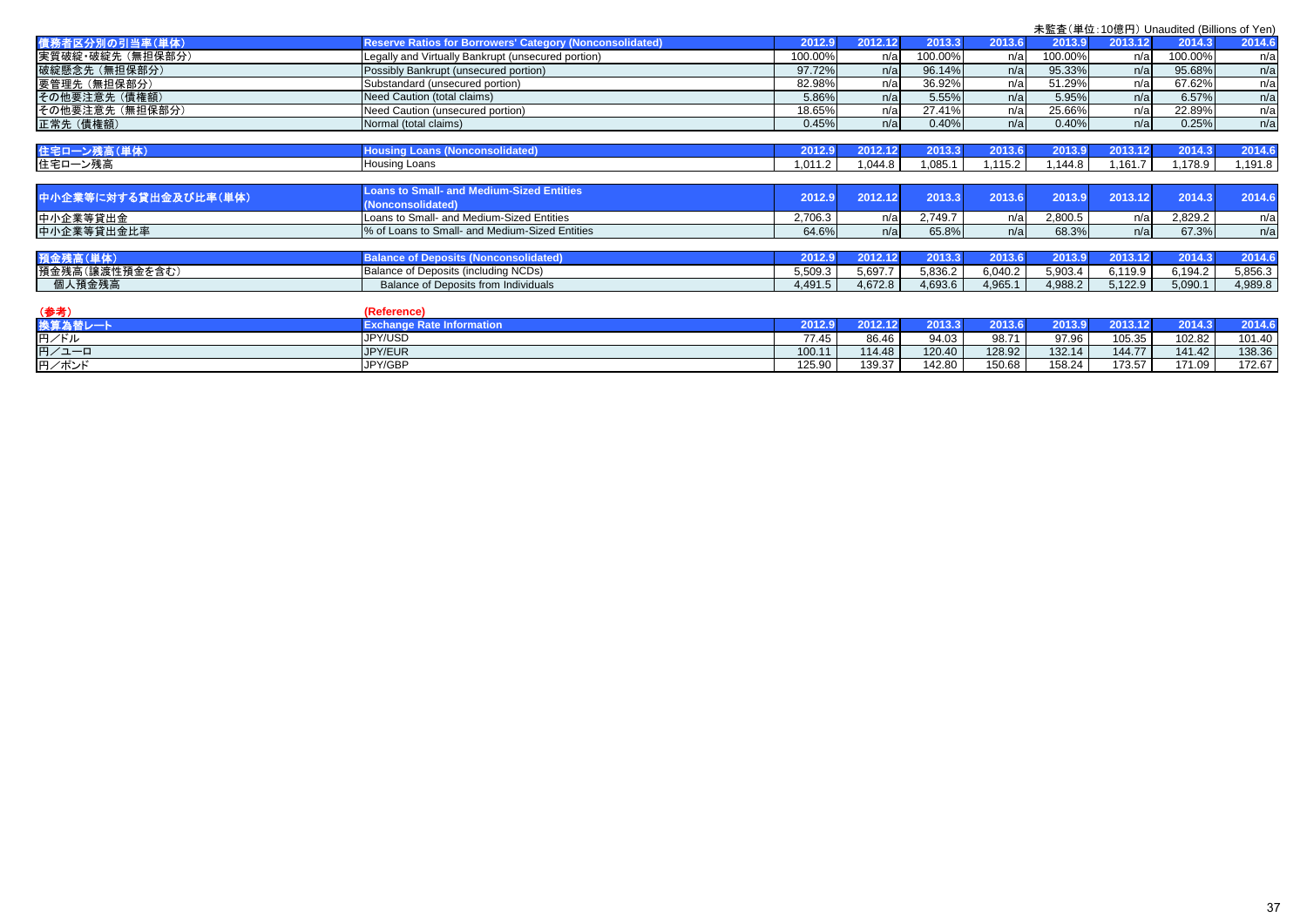|                      |                                                                 |         |         |         |         | 未監査(単位: 10億円) Unaudited (Billions of Yen) |         |         |         |
|----------------------|-----------------------------------------------------------------|---------|---------|---------|---------|-------------------------------------------|---------|---------|---------|
| 債務者区分別の引当率(単体)       | <b>Reserve Ratios for Borrowers' Category (Nonconsolidated)</b> | 2012.9  | 2012.12 | 2013.3  | 2013.6  | 2013.9                                    | 2013.12 | 2014.3  | 2014.6  |
| 実質破綻・破綻先 (無担保部分)     | Legally and Virtually Bankrupt (unsecured portion)              | 100.00% | n/a     | 100.00% | n/a     | 100.00%                                   | n/a     | 100.00% | n/a     |
| 破綻懸念先 (無担保部分)        | Possibly Bankrupt (unsecured portion)                           | 97.72%  | n/a     | 96.14%  | n/a     | 95.33%                                    | n/a     | 95.68%  | n/a     |
| 要管理先 (無担保部分)         | Substandard (unsecured portion)                                 | 82.98%  | n/a     | 36.92%  | n/a     | 51.29%                                    | n/a     | 67.62%  | n/a     |
| その他要注意先 (債権額)        | Need Caution (total claims)                                     | 5.86%   | n/a     | 5.55%   | n/a     | 5.95%                                     | n/a     | 6.57%   | n/a     |
| その他要注意先 (無担保部分)      | Need Caution (unsecured portion)                                | 18.65%  | n/a     | 27.41%  | n/a     | 25.66%                                    | n/a     | 22.89%  | n/a     |
| 正常先 (債権額)            | Normal (total claims)                                           | 0.45%   | n/a     | 0.40%   | n/a     | 0.40%                                     | n/a     | 0.25%   | n/a     |
|                      |                                                                 |         |         |         |         |                                           |         |         |         |
| 住宅ローン残高(単体)          | <b>Housing Loans (Nonconsolidated)</b>                          | 2012.9  | 2012.12 | 2013.3  | 2013.6  | 2013.9                                    | 2013.12 | 2014.3  | 2014.6  |
| 住宅ローン残高              | <b>Housing Loans</b>                                            | 1,011.2 | 0.044.8 | ,085.1  | 1,115.2 | 1,144.8                                   | 1,161.7 | 1,178.9 | 1,191.8 |
|                      |                                                                 |         |         |         |         |                                           |         |         |         |
| 中小企業等に対する貸出金及び比率(単体) | <b>Coans to Small- and Medium-Sized Entities</b>                | 2012.9  | 2012.12 | 2013.3  | 2013.6  | 2013.9                                    | 2013.12 | 2014.3  | 2014.6  |
|                      | (Nonconsolidated)                                               |         |         |         |         |                                           |         |         |         |
| 中小企業等貸出金             | Loans to Small- and Medium-Sized Entities                       | 2,706.3 | n/a     | 2,749.7 | n/a     | 2,800.5                                   | n/a     | 2,829.2 | n/a     |
| 中小企業等貸出金比率           | % of Loans to Small- and Medium-Sized Entities                  | 64.6%   | n/a     | 65.8%   | n/a     | 68.3%                                     | n/a     | 67.3%   | n/a     |
|                      |                                                                 |         |         |         |         |                                           |         |         |         |
| 預金残高(単体)             | <b>Balance of Deposits (Nonconsolidated)</b>                    | 2012.9  | 2012.12 | 2013.3  | 2013.6  | 2013.9                                    | 2013.12 | 2014.3  | 2014.6  |
| 預金残高(譲渡性預金を含む)       | Balance of Deposits (including NCDs)                            | 5,509.3 | 5,697.7 | 5.836.2 | 6,040.2 | 5,903.4                                   | 6,119.9 | 6,194.2 | 5,856.3 |
| 個人預金残高               | Balance of Deposits from Individuals                            | 4,491.5 | 4,672.8 | 4,693.6 | 4,965.1 | 4,988.2                                   | 5,122.9 | 5,090.1 | 4,989.8 |
|                      |                                                                 |         |         |         |         |                                           |         |         |         |
| (参考)                 | (Reference)                                                     |         |         |         |         |                                           |         |         |         |

| .<br>割し         |                |        | 0040   | 0.018  | A A A A | 2013.9                 |        | 20143  |        |
|-----------------|----------------|--------|--------|--------|---------|------------------------|--------|--------|--------|
| 旧<br><b>/ドル</b> | JPY/USD        | 77.45  | 86.46  | 94.03  | 98.71   | <b>Q7 Q6</b><br>ອ ເ.ອເ | 105.35 | 102.82 | 101.40 |
| 円/ユーロ           | <b>IPY/EUR</b> | 100.11 | 114.48 | 120.40 | 128.92  | 132.14                 | 144.77 | 141.42 | 138.36 |
| ∣⊞<br>」/ポンド     | IPY/GBP        | 125.90 | 139.37 | 142.80 | 150.68  | 158.24                 | 173.57 | 171.09 | 172.67 |